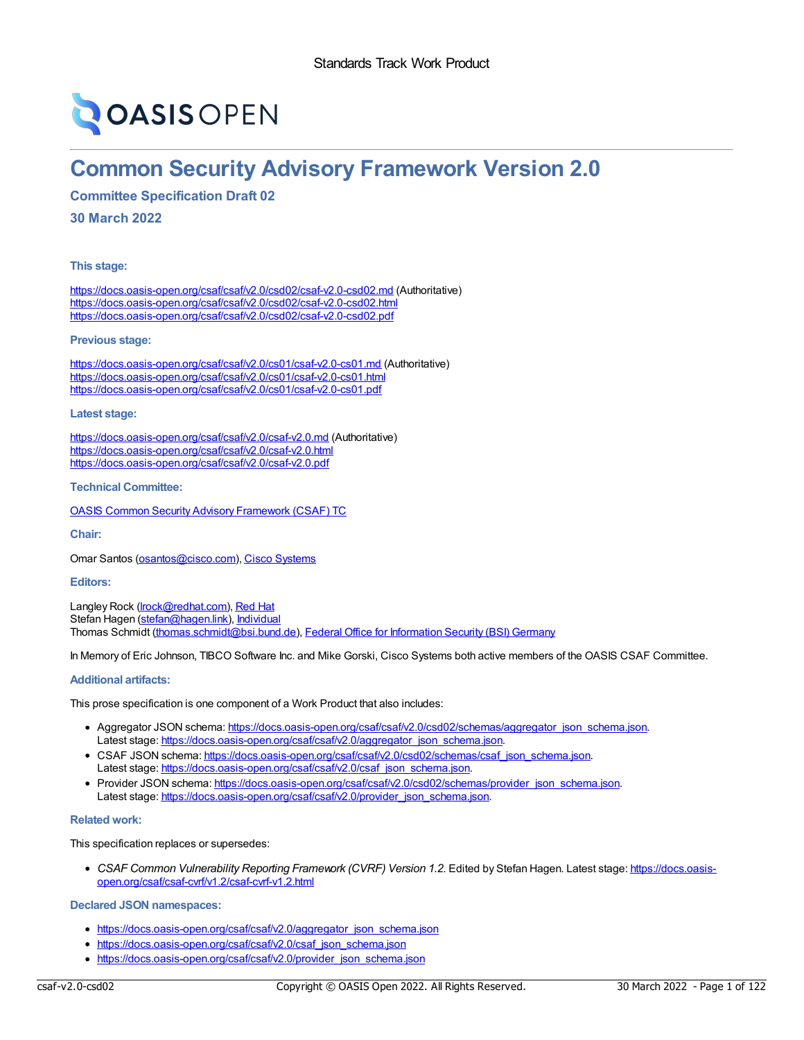# **OASIS OPEN**

## **Common Security Advisory Framework Version 2.0**

**Committee Specification Draft 02**

**30 March 2022**

**This stage:**

<https://docs.oasis-open.org/csaf/csaf/v2.0/csd02/csaf-v2.0-csd02.md> (Authoritative) <https://docs.oasis-open.org/csaf/csaf/v2.0/csd02/csaf-v2.0-csd02.html> <https://docs.oasis-open.org/csaf/csaf/v2.0/csd02/csaf-v2.0-csd02.pdf>

**Previous stage:**

<https://docs.oasis-open.org/csaf/csaf/v2.0/cs01/csaf-v2.0-cs01.md> (Authoritative) <https://docs.oasis-open.org/csaf/csaf/v2.0/cs01/csaf-v2.0-cs01.html> <https://docs.oasis-open.org/csaf/csaf/v2.0/cs01/csaf-v2.0-cs01.pdf>

**Latest stage:**

<https://docs.oasis-open.org/csaf/csaf/v2.0/csaf-v2.0.md> (Authoritative) <https://docs.oasis-open.org/csaf/csaf/v2.0/csaf-v2.0.html> <https://docs.oasis-open.org/csaf/csaf/v2.0/csaf-v2.0.pdf>

**Technical Committee:**

OASIS Common Security Advisory [Framework](https://www.oasis-open.org/committees/csaf/) (CSAF) TC

**Chair:**

Omar Santos ([osantos@cisco.com](mailto:osantos@cisco.com)), Cisco [Systems](https://cisco.com/)

## **Editors:**

Langley Rock (Irock@redhat.com), [Red](https://redhat.com/) Hat Stefan Hagen [\(stefan@hagen.link](mailto:stefan@hagen.link)), [Individual](https://stefan-hagen.website/) Thomas Schmidt [\(thomas.schmidt@bsi.bund.de](mailto:thomas.schmidt@bsi.bund.de)), Federal Office for [Information](https://www.bsi.bund.de/) Security (BSI) Germany

In Memory of Eric Johnson, TIBCO Software Inc. and Mike Gorski, Cisco Systems both active members of the OASIS CSAF Committee.

## **Additional artifacts:**

This prose specification is one component of a Work Product that also includes:

- Aggregator JSON schema: [https://docs.oasis-open.org/csaf/csaf/v2.0/csd02/schemas/aggregator\\_json\\_schema.json](https://docs.oasis-open.org/csaf/csaf/v2.0/csd02/schemas/aggregator_json_schema.json). Latest stage: [https://docs.oasis-open.org/csaf/csaf/v2.0/aggregator\\_json\\_schema.json](https://docs.oasis-open.org/csaf/csaf/v2.0/aggregator_json_schema.json).
- CSAF JSON schema: [https://docs.oasis-open.org/csaf/csaf/v2.0/csd02/schemas/csaf\\_json\\_schema.json](https://docs.oasis-open.org/csaf/csaf/v2.0/csd02/schemas/csaf_json_schema.json). Latest stage: [https://docs.oasis-open.org/csaf/csaf/v2.0/csaf\\_json\\_schema.json](https://docs.oasis-open.org/csaf/csaf/v2.0/csaf_json_schema.json).
- Provider JSON schema: [https://docs.oasis-open.org/csaf/csaf/v2.0/csd02/schemas/provider\\_json\\_schema.json](https://docs.oasis-open.org/csaf/csaf/v2.0/csd02/schemas/provider_json_schema.json). Latest stage: [https://docs.oasis-open.org/csaf/csaf/v2.0/provider\\_json\\_schema.json](https://docs.oasis-open.org/csaf/csaf/v2.0/provider_json_schema.json).

## **Related work:**

This specification replaces or supersedes:

*CSAF Common Vulnerability Reporting Framework (CVRF) Version 1.2*. Edited by Stefan Hagen. Latest stage: https://docs.oasis[open.org/csaf/csaf-cvrf/v1.2/csaf-cvrf-v1.2.html](https://docs.oasis-open.org/csaf/csaf-cvrf/v1.2/csaf-cvrf-v1.2.html)

**Declared JSON namespaces:**

- [https://docs.oasis-open.org/csaf/csaf/v2.0/aggregator\\_json\\_schema.json](https://docs.oasis-open.org/csaf/csaf/v2.0/aggregator_json_schema.json)
- [https://docs.oasis-open.org/csaf/csaf/v2.0/csaf\\_json\\_schema.json](https://docs.oasis-open.org/csaf/csaf/v2.0/csaf_json_schema.json)
- [https://docs.oasis-open.org/csaf/csaf/v2.0/provider\\_json\\_schema.json](https://docs.oasis-open.org/csaf/csaf/v2.0/provider_json_schema.json)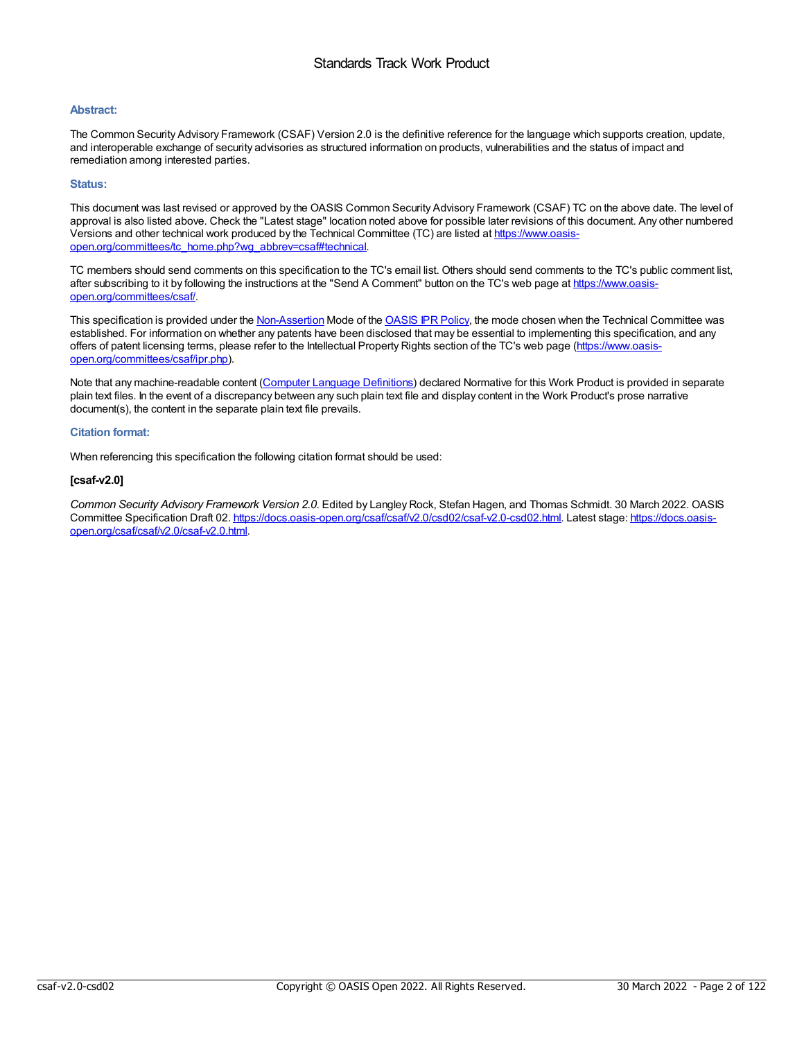## **Abstract:**

The Common Security Advisory Framework (CSAF) Version 2.0 is the definitive reference for the language which supports creation, update, and interoperable exchange of security advisories as structured information on products, vulnerabilities and the status of impact and remediation among interested parties.

## **Status:**

This document was last revised or approved by the OASIS Common Security Advisory Framework (CSAF) TC on the above date. The level of approval is also listed above. Check the "Latest stage" location noted above for possible later revisions of this document. Any other numbered Versions and other technical work produced by the Technical Committee (TC) are listed at https://www.oasis[open.org/committees/tc\\_home.php?wg\\_abbrev=csaf#technical.](https://www.oasis-open.org/committees/tc_home.php?wg_abbrev=csaf#technical)

TC members should send comments on this specification to the TC's email list. Others should send comments to the TC's public comment list, after subscribing to it by following the instructions at the "Send A Comment" button on the TC's web page at https://www.oasis[open.org/committees/csaf/.](https://www.oasis-open.org/committees/csaf/)

This specification is provided under the [Non-Assertion](https://www.oasis-open.org/policies-guidelines/ipr/#Non-Assertion-Mode) Mode of the [OASIS](https://www.oasis-open.org/policies-guidelines/ipr/) IPR Policy, the mode chosen when the Technical Committee was established. For information on whether any patents have been disclosed that may be essential to implementing this specification, and any offers of patent licensing terms, please refer to the Intellectual Property Rights section of the TC's web page (https://www.oasis[open.org/committees/csaf/ipr.php\).](https://www.oasis-open.org/committees/csaf/ipr.php)

Note that any machine-readable content (Computer Language [Definitions](https://www.oasis-open.org/policies-guidelines/tc-process-2017-05-26/#wpComponentsCompLang)) declared Normative for this Work Product is provided in separate plain text files. In the event of a discrepancy between any such plain text file and display content in the Work Product's prose narrative document(s), the content in the separate plain text file prevails.

## **Citation format:**

When referencing this specification the following citation format should be used:

## **[csaf-v2.0]**

*Common Security Advisory Framework Version 2.0*. Edited by Langley Rock, Stefan Hagen, and Thomas Schmidt. 30 March 2022. OASIS Committee Specification Draft 02. [https://docs.oasis-open.org/csaf/csaf/v2.0/csd02/csaf-v2.0-csd02.html.](https://docs.oasis-open.org/csaf/csaf/v2.0/csaf-v2.0.html) Latest stage: https://docs.oasisopen.org/csaf/csaf/v2.0/csaf-v2.0.html.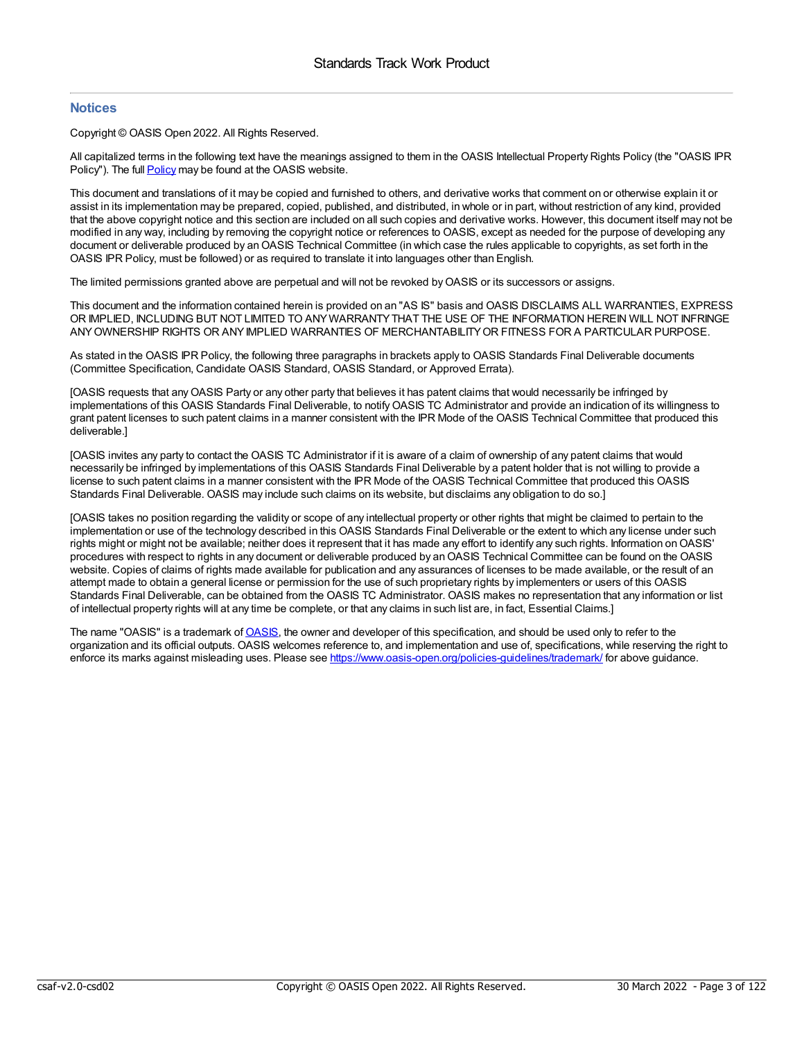## **Notices**

Copyright © OASIS Open 2022. All Rights Reserved.

All capitalized terms in the following text have the meanings assigned to them in the OASIS Intellectual Property Rights Policy (the "OASIS IPR Policy"). The full [Policy](https://www.oasis-open.org/policies-guidelines/ipr/) may be found at the OASIS website.

This document and translations of it may be copied and furnished to others, and derivative works that comment on or otherwise explain it or assist in its implementation may be prepared, copied, published, and distributed, in whole or in part, without restriction of any kind, provided that the above copyright notice and this section are included on all such copies and derivative works. However, this document itself may not be modified in any way, including by removing the copyright notice or references to OASIS, except as needed for the purpose of developing any document or deliverable produced by an OASIS Technical Committee (in which case the rules applicable to copyrights, as set forth in the OASIS IPR Policy, must be followed) or as required to translate it into languages other than English.

The limited permissions granted above are perpetual and will not be revoked byOASIS or its successors or assigns.

This document and the information contained herein is provided on an "AS IS" basis and OASIS DISCLAIMS ALL WARRANTIES, EXPRESS OR IMPLIED, INCLUDING BUT NOT LIMITED TO ANYWARRANTYTHAT THE USE OF THE INFORMATION HEREIN WILL NOT INFRINGE ANYOWNERSHIP RIGHTS OR ANYIMPLIED WARRANTIES OF MERCHANTABILITYOR FITNESS FOR A PARTICULAR PURPOSE.

As stated in the OASIS IPR Policy, the following three paragraphs in brackets apply to OASIS Standards Final Deliverable documents (Committee Specification, Candidate OASIS Standard, OASIS Standard, or Approved Errata).

[OASIS requests that any OASIS Party or any other party that believes it has patent claims that would necessarily be infringed by implementations of this OASIS Standards Final Deliverable, to notifyOASIS TC Administrator and provide an indication of its willingness to grant patent licenses to such patent claims in a manner consistent with the IPR Mode of the OASIS Technical Committee that produced this deliverable.]

[OASIS invites any party to contact the OASIS TC Administrator if it is aware of a claim of ownership of any patent claims that would necessarily be infringed by implementations of this OASIS Standards Final Deliverable by a patent holder that is not willing to provide a license to such patent claims in a manner consistent with the IPR Mode of the OASIS Technical Committee that produced this OASIS Standards Final Deliverable. OASIS may include such claims on its website, but disclaims any obligation to do so.]

[OASIS takes no position regarding the validity or scope of any intellectual property or other rights that might be claimed to pertain to the implementation or use of the technology described in this OASIS Standards Final Deliverable or the extent to which any license under such rights might or might not be available; neither does it represent that it has made any effort to identify any such rights. Information onOASIS' procedures with respect to rights in any document or deliverable produced by an OASIS Technical Committee can be found on the OASIS website. Copies of claims of rights made available for publication and any assurances of licenses to be made available, or the result of an attempt made to obtain a general license or permission for the use of such proprietary rights by implementers or users of this OASIS Standards Final Deliverable, can be obtained from the OASIS TC Administrator. OASIS makes no representation that any information or list of intellectual property rights will at any time be complete, or that any claims in such list are, in fact, Essential Claims.]

The name "[OASIS](https://www.oasis-open.org/)" is a trademark of OASIS, the owner and developer of this specification, and should be used only to refer to the organization and its official outputs. OASIS welcomes reference to, and implementation and use of, specifications, while reserving the right to enforce its marks against misleading uses. Please see <https://www.oasis-open.org/policies-guidelines/trademark/> for above guidance.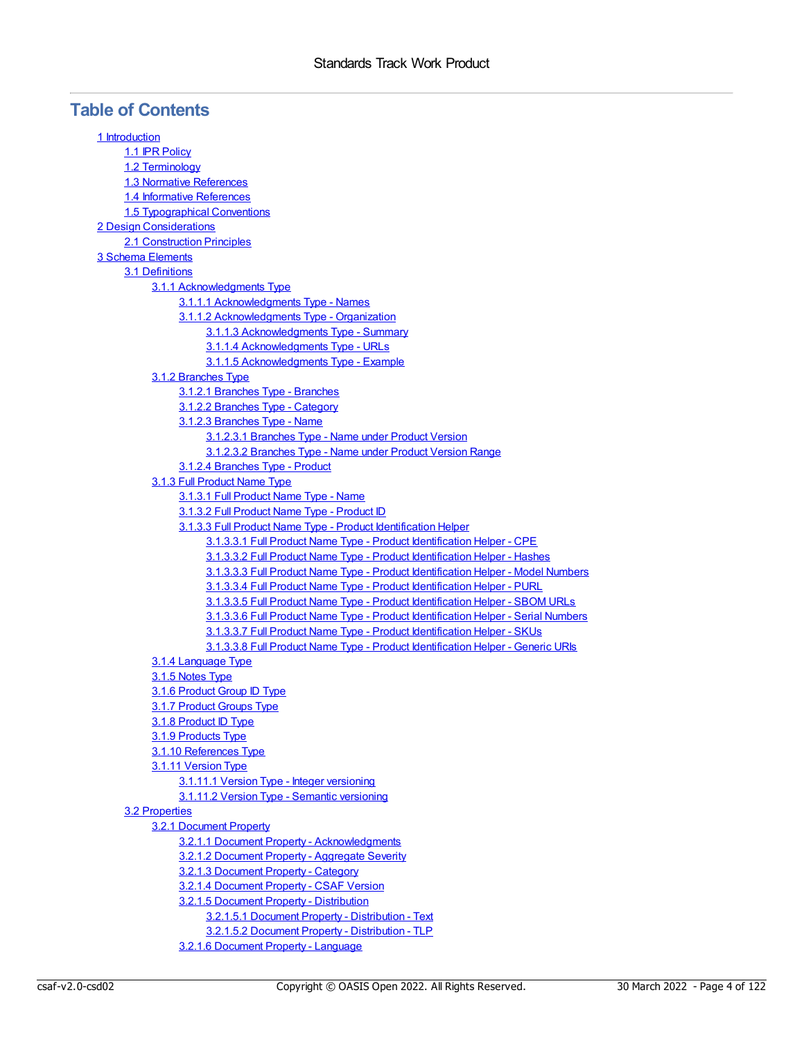## **Table of Contents**

| 1 Introduction                                                                    |
|-----------------------------------------------------------------------------------|
| 1.1 IPR Policy                                                                    |
| 1.2 Terminology                                                                   |
| 1.3 Normative References                                                          |
| 1.4 Informative References                                                        |
| <b>1.5 Typographical Conventions</b>                                              |
| <b>2 Design Considerations</b>                                                    |
| 2.1 Construction Principles                                                       |
| 3 Schema Elements                                                                 |
| 3.1 Definitions                                                                   |
| 3.1.1 Acknowledgments Type                                                        |
| 3.1.1.1 Acknowledgments Type - Names                                              |
| 3.1.1.2 Acknowledgments Type - Organization                                       |
| 3.1.1.3 Acknowledgments Type - Summary                                            |
| 3.1.1.4 Acknowledgments Type - URLs                                               |
| 3.1.1.5 Acknowledgments Type - Example                                            |
| 3.1.2 Branches Type                                                               |
| 3.1.2.1 Branches Type - Branches                                                  |
| 3.1.2.2 Branches Type - Category                                                  |
| 3.1.2.3 Branches Type - Name                                                      |
| 3.1.2.3.1 Branches Type - Name under Product Version                              |
| 3.1.2.3.2 Branches Type - Name under Product Version Range                        |
| 3.1.2.4 Branches Type - Product                                                   |
| 3.1.3 Full Product Name Type                                                      |
| 3.1.3.1 Full Product Name Type - Name                                             |
| 3.1.3.2 Full Product Name Type - Product ID                                       |
| 3.1.3.3 Full Product Name Type - Product Identification Helper                    |
| 3.1.3.3.1 Full Product Name Type - Product Identification Helper - CPE            |
| 3.1.3.3.2 Full Product Name Type - Product Identification Helper - Hashes         |
| 3.1.3.3.3 Full Product Name Type - Product Identification Helper - Model Numbers  |
| 3.1.3.3.4 Full Product Name Type - Product Identification Helper - PURL           |
| 3.1.3.3.5 Full Product Name Type - Product Identification Helper - SBOM URLs      |
| 3.1.3.3.6 Full Product Name Type - Product Identification Helper - Serial Numbers |
| 3.1.3.3.7 Full Product Name Type - Product Identification Helper - SKUs           |
| 3.1.3.3.8 Full Product Name Type - Product Identification Helper - Generic URIs   |
| 3.1.4 Language Type                                                               |
| 3.1.5 Notes Type                                                                  |
| 3.1.6 Product Group ID Type                                                       |
| 3.1.7 Product Groups Type                                                         |
| <u>3.1.8 Product ID Type</u>                                                      |
| 3.1.9 Products Type                                                               |
| 3.1.10 References Type                                                            |
| 3.1.11 Version Type                                                               |
| 3.1.11.1 Version Type - Integer versioning                                        |
| 3.1.11.2 Version Type - Semantic versioning                                       |
| 3.2 Properties                                                                    |
| 3.2.1 Document Property                                                           |
| 3.2.1.1 Document Property - Acknowledgments                                       |
| 3.2.1.2 Document Property - Aggregate Severity                                    |
| 3.2.1.3 Document Property - Category                                              |
| 3.2.1.4 Document Property - CSAF Version                                          |
| 3.2.1.5 Document Property - Distribution                                          |
| 3.2.1.5.1 Document Property - Distribution - Text                                 |
| 3.2.1.5.2 Document Property - Distribution - TLP                                  |
| 3.2.1.6 Document Property - Language                                              |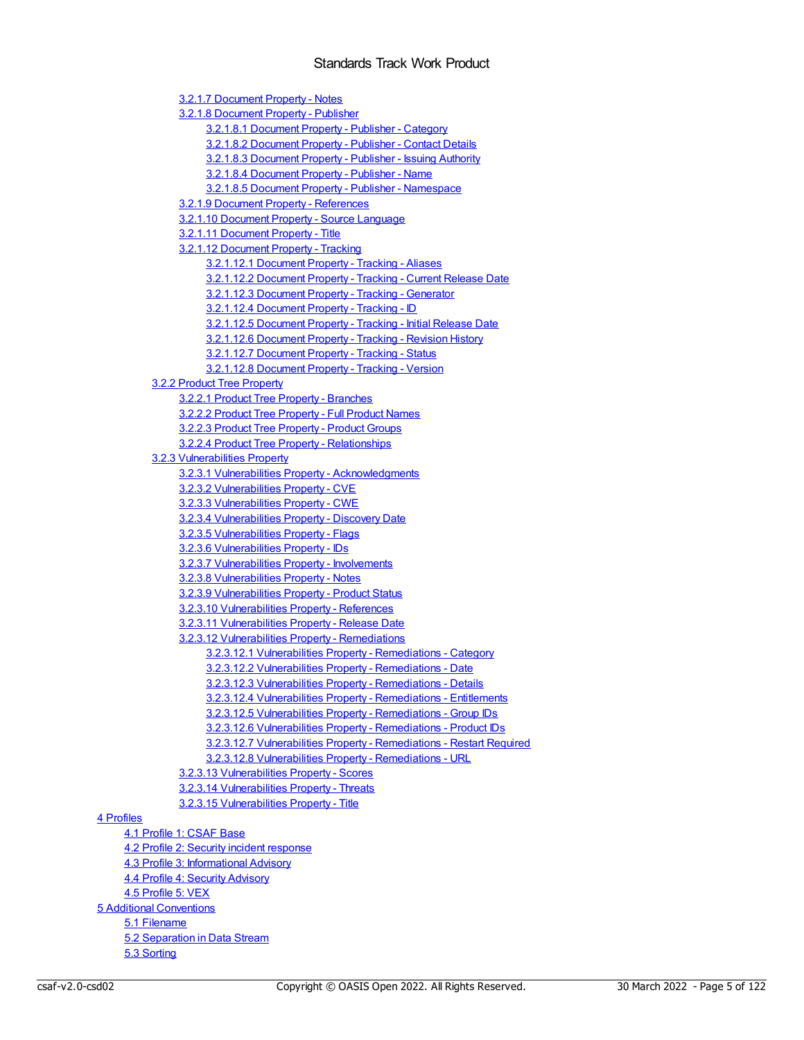3.2.1.7 [Document](#page-34-1) Property - Notes 3.2.1.8 [Document](#page-34-2) Property - Publisher 3.2.1.8.1 [Document](#page-34-3) Property - Publisher - Category 3.2.1.8.2 [Document](#page-35-0) Property - Publisher - Contact Details 3.2.1.8.3 [Document](#page-35-1) Property - Publisher - Issuing Authority 3.2.1.8.4 [Document](#page-35-2) Property - Publisher - Name 3.2.1.8.5 Document Property - Publisher - [Namespace](#page-35-3) 3.2.1.9 Document Property - [References](#page-36-0) 3.2.1.10 [Document](#page-36-1) Property - Source Language 3.2.1.11 [Document](#page-36-2) Property - Title 3.2.1.12 [Document](#page-36-3) Property - Tracking 3.2.1.12.1 [Document](#page-37-0) Property - Tracking - Aliases 3.2.1.12.2 [Document](#page-37-1) Property - Tracking - Current Release Date 3.2.1.12.3 [Document](#page-37-2) Property - Tracking - Generator 3.2.1.12.4 [Document](#page-38-0) Property - Tracking - ID 3.2.1.12.5 [Document](#page-38-1) Property - Tracking - Initial Release Date 3.2.1.12.6 [Document](#page-38-2) Property - Tracking - Revision History 3.2.1.12.7 [Document](#page-39-0) Property - Tracking - Status 3.2.1.12.8 [Document](#page-39-1) Property - Tracking - Version 3.2.2 Product Tree [Property](#page-39-2) 3.2.2.1 Product Tree Property - [Branches](#page-40-0) 3.2.2.2 Product Tree [Property](#page-40-1) - Full Product Names 3.2.2.3 Product Tree [Property](#page-40-2) - Product Groups 3.2.2.4 Product Tree Property - [Relationships](#page-40-3) 3.2.3 [Vulnerabilities](#page-42-0) Property 3.2.3.1 Vulnerabilities Property - [Acknowledgments](#page-43-0) 3.2.3.2 [Vulnerabilities](#page-43-1) Property - CVE 3.2.3.3 [Vulnerabilities](#page-43-2) Property - CWE 3.2.3.4 [Vulnerabilities](#page-44-0) Property - Discovery Date 3.2.3.5 [Vulnerabilities](#page-44-1) Property - Flags 3.2.3.6 [Vulnerabilities](#page-45-0) Property - IDs 3.2.3.7 [Vulnerabilities](#page-45-1) Property - Involvements 3.2.3.8 [Vulnerabilities](#page-47-0) Property - Notes 3.2.3.9 [Vulnerabilities](#page-47-1) Property - Product Status 3.2.3.10 [Vulnerabilities](#page-48-0) Property - References 3.2.3.11 [Vulnerabilities](#page-48-1) Property - Release Date 3.2.3.12 [Vulnerabilities](#page-48-2) Property - Remediations 3.2.3.12.1 [Vulnerabilities](#page-49-0) Property - Remediations - Category 3.2.3.12.2 [Vulnerabilities](#page-49-1) Property - Remediations - Date 3.2.3.12.3 [Vulnerabilities](#page-49-2) Property - Remediations - Details 3.2.3.12.4 [Vulnerabilities](#page-49-3) Property - Remediations - Entitlements 3.2.3.12.5 [Vulnerabilities](#page-49-4) Property - Remediations - Group IDs 3.2.3.12.6 [Vulnerabilities](#page-49-5) Property - Remediations - Product IDs 3.2.3.12.7 [Vulnerabilities](#page-49-6) Property - Remediations - Restart Required 3.2.3.12.8 [Vulnerabilities](#page-50-0) Property - Remediations - URL 3.2.3.13 [Vulnerabilities](#page-50-1) Property - Scores 3.2.3.14 [Vulnerabilities](#page-51-0) Property - Threats 3.2.3.15 [Vulnerabilities](#page-52-0) Property - Title 4.1 [Profile](#page-53-1) 1: CSAF Base 4.2 Profile 2: Security incident [response](#page-53-2) 4.3 Profile 3: [Informational](#page-54-0) Advisory 4.4 Profile 4: Security [Advisory](#page-54-1)

4.5 [Profile](#page-54-2) 5: VEX

5 Additional [Conventions](#page-56-0)

5.1 [Filename](#page-56-1)

5.2 [Separation](#page-56-2) in Data Stream

4 [Profiles](#page-53-0)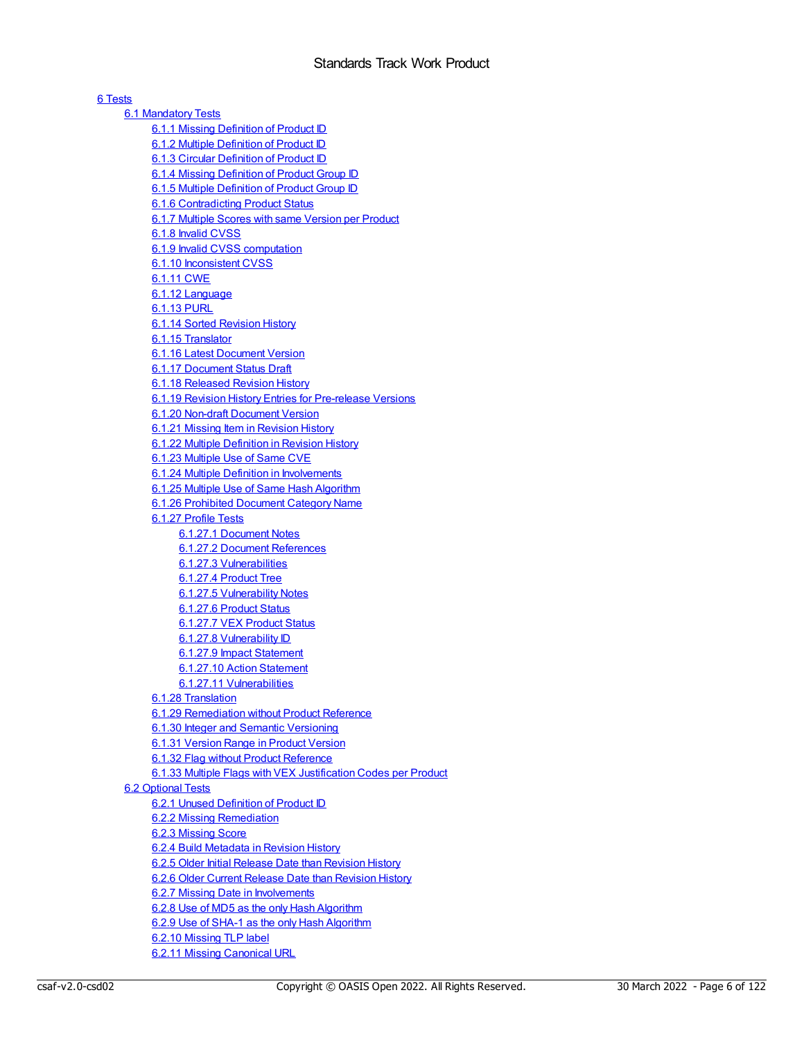| 6 Tests                                                                                      |
|----------------------------------------------------------------------------------------------|
| <b>6.1 Mandatory Tests</b>                                                                   |
| 6.1.1 Missing Definition of Product ID                                                       |
| 6.1.2 Multiple Definition of Product ID                                                      |
| 6.1.3 Circular Definition of Product ID                                                      |
| 6.1.4 Missing Definition of Product Group ID                                                 |
| 6.1.5 Multiple Definition of Product Group ID                                                |
| <b>6.1.6 Contradicting Product Status</b>                                                    |
| 6.1.7 Multiple Scores with same Version per Product                                          |
| 6.1.8 Invalid CVSS                                                                           |
| 6.1.9 Invalid CVSS computation<br>6.1.10 Inconsistent CVSS                                   |
| 6.1.11 CWE                                                                                   |
| 6.1.12 Language                                                                              |
| <u>6.1.13 PURL</u>                                                                           |
| 6.1.14 Sorted Revision History                                                               |
| 6.1.15 Translator                                                                            |
| 6.1.16 Latest Document Version                                                               |
| 6.1.17 Document Status Draft                                                                 |
| 6.1.18 Released Revision History                                                             |
| 6.1.19 Revision History Entries for Pre-release Versions                                     |
| 6.1.20 Non-draft Document Version                                                            |
| 6.1.21 Missing Item in Revision History                                                      |
| 6.1.22 Multiple Definition in Revision History                                               |
| 6.1.23 Multiple Use of Same CVE                                                              |
| 6.1.24 Multiple Definition in Involvements                                                   |
| 6.1.25 Multiple Use of Same Hash Algorithm                                                   |
| 6.1.26 Prohibited Document Category Name                                                     |
| 6.1.27 Profile Tests                                                                         |
| 6.1.27.1 Document Notes                                                                      |
| 6.1.27.2 Document References                                                                 |
| 6.1.27.3 Vulnerabilities                                                                     |
| 6.1.27.4 Product Tree                                                                        |
| 6.1.27.5 Vulnerability Notes<br>6.1.27.6 Product Status                                      |
| 6.1.27.7 VEX Product Status                                                                  |
| 6.1.27.8 Vulnerability ID                                                                    |
| 6.1.27.9 Impact Statement                                                                    |
| 6.1.27.10 Action Statement                                                                   |
| <u>6.1.27.11 Vulnerabilities</u>                                                             |
| 6.1.28 Translation                                                                           |
| 6.1.29 Remediation without Product Reference                                                 |
| 6.1.30 Integer and Semantic Versioning                                                       |
| 6.1.31 Version Range in Product Version                                                      |
| 6.1.32 Flag without Product Reference                                                        |
| 6.1.33 Multiple Flags with VEX Justification Codes per Product                               |
| 6.2 Optional Tests                                                                           |
| 6.2.1 Unused Definition of Product ID                                                        |
| 6.2.2 Missing Remediation                                                                    |
| 6.2.3 Missing Score                                                                          |
| 6.2.4 Build Metadata in Revision History                                                     |
| 6.2.5 Older Initial Release Date than Revision History                                       |
| 6.2.6 Older Current Release Date than Revision History                                       |
| 6.2.7 Missing Date in Involvements                                                           |
| 6.2.8 Use of MD5 as the only Hash Algorithm<br>6.2.9 Use of SHA-1 as the only Hash Algorithm |
| 6.2.10 Missing TLP label                                                                     |
| 6.2.11 Missing Canonical URL                                                                 |
|                                                                                              |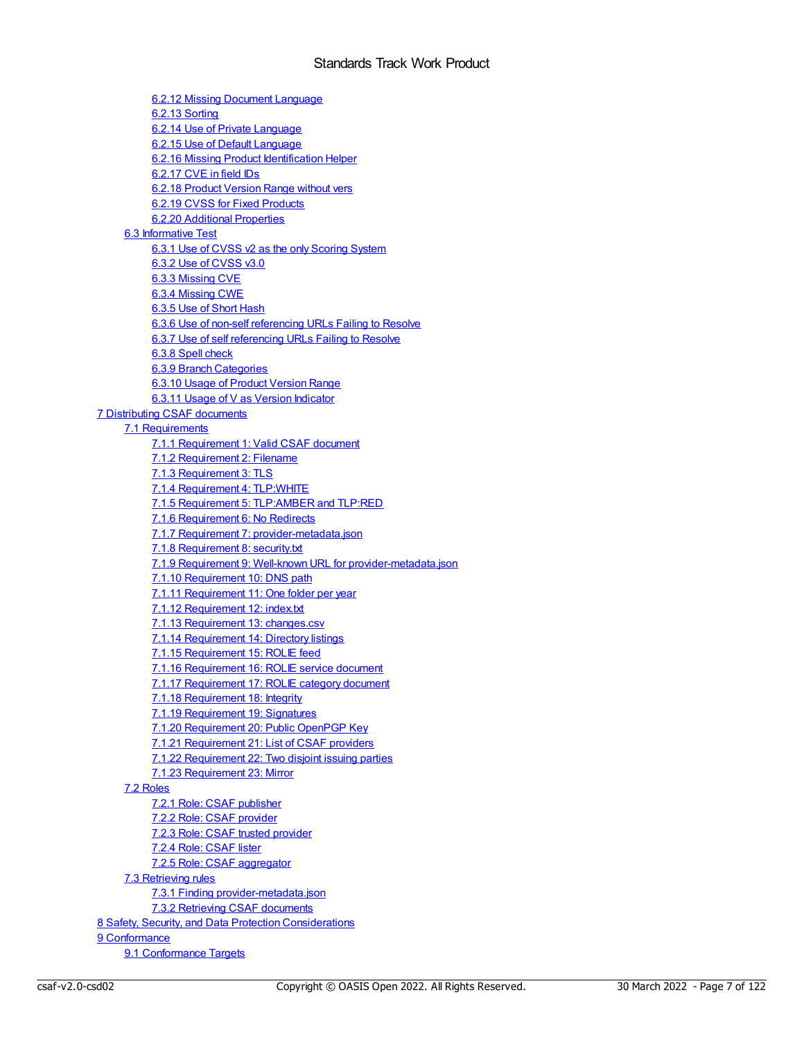6.2.12 Missing [Document](#page-82-0) Language 6.2.13 [Sorting](#page-82-1) 6.2.14 Use of Private [Language](#page-83-0) 6.2.15 Use of Default [Language](#page-83-1) 6.2.16 Missing Product [Identification](#page-83-2) Helper [6.2.17](#page-83-3) CVE in field IDs 6.2.18 Product [Version](#page-84-0) Range without vers 6.2.19 CVSS for Fixed [Products](#page-84-1) 6.2.20 Additional [Properties](#page-85-0) 6.3 [Informative](#page-85-1) Test 6.3.1 Use of CVSS v2 as the only [Scoring](#page-85-2) System 6.3.2 Use of [CVSS](#page-86-0) v3.0 6.3.3 [Missing](#page-86-1) CVE 6.3.4 [Missing](#page-87-0) CWE 6.3.5 Use of [Short](#page-87-1) Hash 6.3.6 Use of non-self [referencing](#page-88-0) URLs Failing to Resolve 6.3.7 Use of self [referencing](#page-88-1) URLs Failing to Resolve 6.3.8 Spell [check](#page-89-0) 6.3.9 Branch [Categories](#page-90-0) 6.3.10 Usage of Product [Version](#page-90-1) Range 6.3.11 Usage of V as Version [Indicator](#page-90-2) 7 [Distributing](#page-92-0) CSAF documents 7.1 [Requirements](#page-92-1) 7.1.1 [Requirement](#page-92-2) 1: Valid CSAF document 7.1.2 [Requirement](#page-92-3) 2: Filename 7.1.3 [Requirement](#page-92-4) 3: TLS 7.1.4 [Requirement](#page-92-5) 4: TLP:WHITE 7.1.5 Requirement 5: [TLP:AMBER](#page-92-6) and TLP:RED 7.1.6 [Requirement](#page-92-7) 6: No Redirects 7.1.7 Requirement 7: [provider-metadata.json](#page-92-8) 7.1.8 [Requirement](#page-93-0) 8: security.txt 7.1.9 Requirement 9: Well-known URL for [provider-metadata.json](#page-93-1) 7.1.10 [Requirement](#page-94-0) 10: DNS path 7.1.11 [Requirement](#page-94-1) 11: One folder per year 7.1.12 [Requirement](#page-94-2) 12: index.txt 7.1.13 [Requirement](#page-94-3) 13: changes.csv 7.1.14 [Requirement](#page-94-4) 14: Directory listings 7.1.15 [Requirement](#page-94-5) 15: ROLIE feed 7.1.16 [Requirement](#page-95-0) 16: ROLIE service document 7.1.17 [Requirement](#page-96-0) 17: ROLIE category document 7.1.18 [Requirement](#page-97-0) 18: Integrity 7.1.19 [Requirement](#page-97-1) 19: Signatures 7.1.20 [Requirement](#page-97-2) 20: Public OpenPGP Key 7.1.21 [Requirement](#page-97-3) 21: List of CSAF providers 7.1.22 [Requirement](#page-98-0) 22: Two disjoint issuing parties 7.1.23 [Requirement](#page-98-1) 23: Mirror 7.2 [Roles](#page-99-0) 7.2.1 Role: CSAF [publisher](#page-99-1) 7.2.2 Role: CSAF [provider](#page-99-2) 7.2.3 Role: CSAF trusted [provider](#page-100-0) 7.2.4 Role: [CSAF](#page-100-1) lister 7.2.5 Role: CSAF [aggregator](#page-100-2) 7.3 [Retrieving](#page-100-3) rules 7.3.1 Finding [provider-metadata.json](#page-100-4) 7.3.2 Retrieving CSAF [documents](#page-101-0) 8 Safety, Security, and Data Protection [Considerations](#page-102-0) 9 [Conformance](#page-103-0)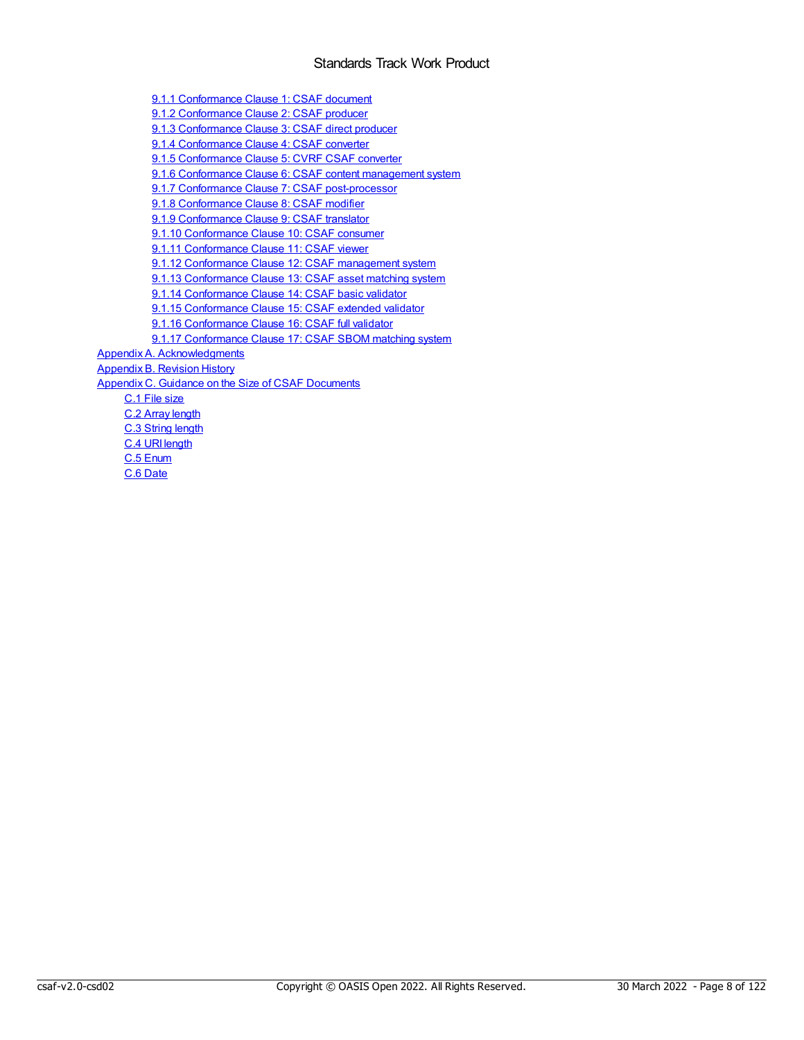9.1.1 [Conformance](#page-103-2) Clause 1: CSAF document 9.1.2 [Conformance](#page-103-3) Clause 2: CSAF producer 9.1.3 [Conformance](#page-104-0) Clause 3: CSAF direct producer 9.1.4 [Conformance](#page-104-1) Clause 4: CSAF converter 9.1.5 [Conformance](#page-104-2) Clause 5: CVRF CSAF converter 9.1.6 [Conformance](#page-105-0) Clause 6: CSAF content management system 9.1.7 Conformance Clause 7: CSAF [post-processor](#page-107-0) 9.1.8 [Conformance](#page-107-1) Clause 8: CSAF modifier 9.1.9 [Conformance](#page-107-2) Clause 9: CSAF translator 9.1.10 [Conformance](#page-108-0) Clause 10: CSAF consumer 9.1.11 [Conformance](#page-108-1) Clause 11: CSAF viewer 9.1.12 [Conformance](#page-108-2) Clause 12: CSAF management system 9.1.13 [Conformance](#page-108-3) Clause 13: CSAF asset matching system 9.1.14 [Conformance](#page-109-0) Clause 14: CSAF basic validator 9.1.15 [Conformance](#page-109-1) Clause 15: CSAF extended validator 9.1.16 [Conformance](#page-109-2) Clause 16: CSAF full validator 9.1.17 [Conformance](#page-109-3) Clause 17: CSAF SBOM matching system Appendix A. [Acknowledgments](#page-111-0) [Appendix](#page-115-0) B. Revision History Appendix C. Guidance on the Size of CSAF [Documents](#page-116-0) C.1 File [size](#page-116-1) C.2 Array [length](#page-116-2) C.3 [String](#page-117-0) length C.4 URI [length](#page-119-0)

C.5 [Enum](#page-120-0) C.6 [Date](#page-121-0)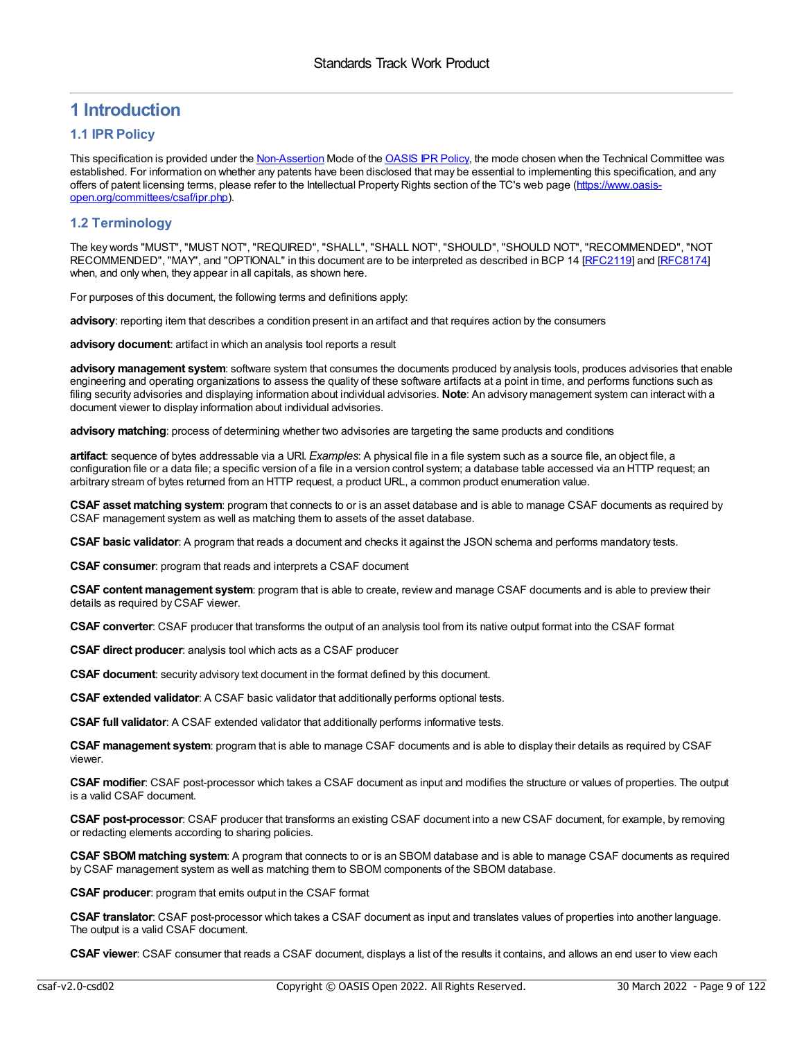## <span id="page-8-0"></span>**1 Introduction**

## <span id="page-8-1"></span>**1.1 IPR Policy**

This specification is provided under the [Non-Assertion](https://www.oasis-open.org/policies-guidelines/ipr/#Non-Assertion-Mode) Mode of the [OASIS](https://www.oasis-open.org/policies-guidelines/ipr/) IPR Policy, the mode chosen when the Technical Committee was established. For information on whether any patents have been disclosed that may be essential to implementing this specification, and any offers of patent licensing terms, please refer to the Intellectual Property Rights section of the TC's web page (https://www.oasis[open.org/committees/csaf/ipr.php\).](https://www.oasis-open.org/committees/csaf/ipr.php)

## <span id="page-8-2"></span>**1.2 Terminology**

The key words "MUST", "MUST NOT", "REQUIRED", "SHALL", "SHALL NOT", "SHOULD", "SHOULD NOT", "RECOMMENDED", "NOT RECOMMENDED", "MAY", and "OPTIONAL" in this document are to be interpreted as described in BCP 14 [[RFC2119](#page-10-1)] and [\[RFC8174](#page-11-1)] when, and only when, they appear in all capitals, as shown here.

For purposes of this document, the following terms and definitions apply:

**advisory**: reporting item that describes a condition present in an artifact and that requires action by the consumers

**advisory document**: artifact in which an analysis tool reports a result

**advisory management system**: software system that consumes the documents produced by analysis tools, produces advisories that enable engineering and operating organizations to assess the quality of these software artifacts at a point in time, and performs functions such as filing security advisories and displaying information about individual advisories. **Note**: An advisory management system can interact with a document viewer to display information about individual advisories.

**advisory matching**: process of determining whether two advisories are targeting the same products and conditions

**artifact**: sequence of bytes addressable via a URI. *Examples*: A physical file in a file system such as a source file, an object file, a configuration file or a data file; a specific version of a file in a version control system; a database table accessed via an HTTP request; an arbitrary stream of bytes returned from an HTTP request, a product URL, a common product enumeration value.

**CSAF asset matching system**: program that connects to or is an asset database and is able to manage CSAF documents as required by CSAF management system as well as matching them to assets of the asset database.

**CSAF basic validator**: A program that reads a document and checks it against the JSON schema and performs mandatory tests.

**CSAF consumer**: program that reads and interprets a CSAF document

**CSAF content management system**: program that is able to create, review and manage CSAF documents and is able to preview their details as required by CSAF viewer.

**CSAF converter**: CSAF producer that transforms the output of an analysis tool from its native output format into the CSAF format

**CSAF direct producer**: analysis tool which acts as a CSAF producer

**CSAF document**: security advisory text document in the format defined by this document.

**CSAF extended validator**: A CSAF basic validator that additionally performs optional tests.

**CSAF full validator**: A CSAF extended validator that additionally performs informative tests.

**CSAF management system**: program that is able to manage CSAF documents and is able to display their details as required by CSAF viewer.

**CSAF modifier**: CSAF post-processor which takes a CSAF document as input and modifies the structure or values of properties. The output is a valid CSAF document.

**CSAF post-processor**: CSAF producer that transforms an existing CSAF document into a new CSAF document, for example, by removing or redacting elements according to sharing policies.

**CSAF SBOMmatching system**: A program that connects to or is an SBOM database and is able to manage CSAF documents as required by CSAF management system as well as matching them to SBOM components of the SBOM database.

**CSAF producer**: program that emits output in the CSAF format

**CSAF translator**: CSAF post-processor which takes a CSAF document as input and translates values of properties into another language. The output is a valid CSAF document.

**CSAF viewer**: CSAF consumer that reads a CSAF document, displays a list of the results it contains, and allows an end user to view each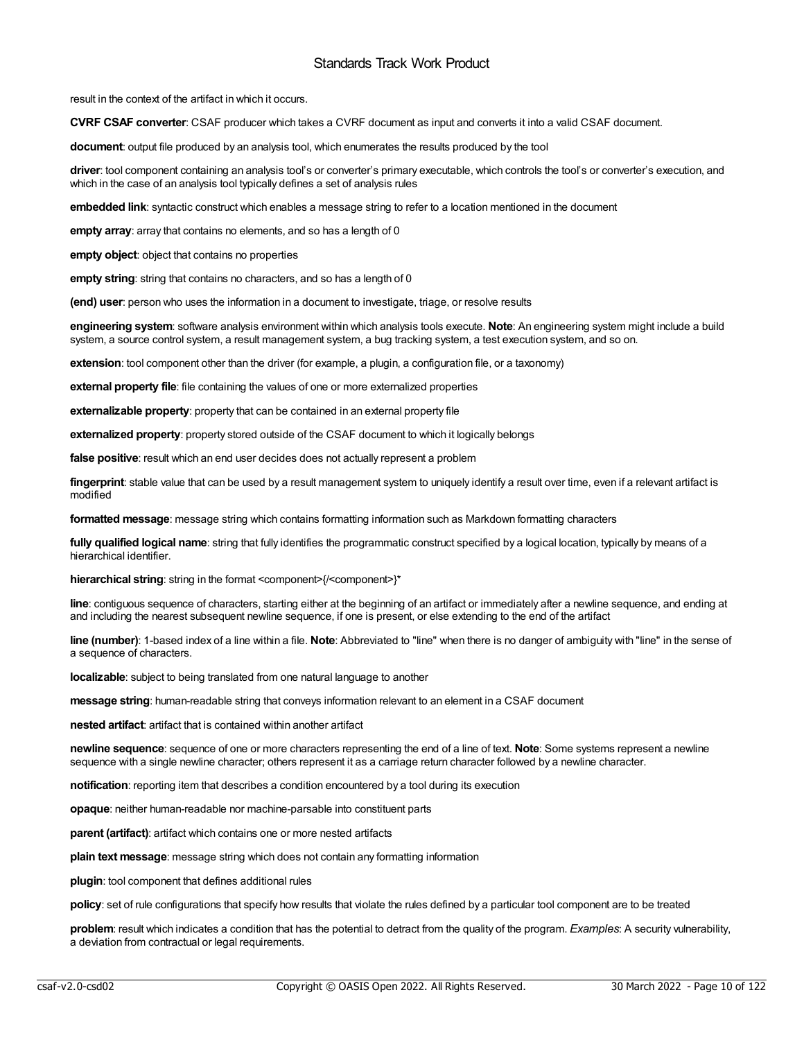result in the context of the artifact in which it occurs.

**CVRF CSAF converter**: CSAF producer which takes a CVRF document as input and converts it into a valid CSAF document.

**document**: output file produced by an analysis tool, which enumerates the results produced by the tool

**driver**: tool component containing an analysis tool's or converter's primary executable, which controls the tool's or converter's execution, and which in the case of an analysis tool typically defines a set of analysis rules

**embedded link**: syntactic construct which enables a message string to refer to a location mentioned in the document

**empty array**: array that contains no elements, and so has a length of 0

**empty object**: object that contains no properties

**empty string**: string that contains no characters, and so has a length of 0

**(end) user**: person who uses the information in a document to investigate, triage, or resolve results

**engineering system**: software analysis environment within which analysis tools execute. **Note**: An engineering system might include a build system, a source control system, a result management system, a bug tracking system, a test execution system, and so on.

**extension**: tool component other than the driver (for example, a plugin, a configuration file, or a taxonomy)

**external property file**: file containing the values of one or more externalized properties

**externalizable property**: property that can be contained in an external property file

**externalized property**: property stored outside of the CSAF document to which it logically belongs

**false positive**: result which an end user decides does not actually represent a problem

**fingerprint**: stable value that can be used by a result management system to uniquely identify a result over time, even if a relevant artifact is modified

**formatted message**: message string which contains formatting information such as Markdown formatting characters

**fully qualified logical name**: string that fully identifies the programmatic construct specified by a logical location, typically by means of a hierarchical identifier.

**hierarchical string**: string in the format <component>{/<component>}\*

**line**: contiguous sequence of characters, starting either at the beginning of an artifact or immediately after a newline sequence, and ending at and including the nearest subsequent newline sequence, if one is present, or else extending to the end of the artifact

**line (number)**: 1-based index of a line within a file. **Note**: Abbreviated to "line" when there is no danger of ambiguity with "line" in the sense of a sequence of characters.

**localizable**: subject to being translated from one natural language to another

**message string**: human-readable string that conveys information relevant to an element in a CSAF document

**nested artifact**: artifact that is contained within another artifact

**newline sequence**: sequence of one or more characters representing the end of a line of text. **Note**: Some systems represent a newline sequence with a single newline character; others represent it as a carriage return character followed by a newline character.

**notification**: reporting item that describes a condition encountered by a tool during its execution

**opaque**: neither human-readable nor machine-parsable into constituent parts

**parent (artifact)**: artifact which contains one or more nested artifacts

**plain text message**: message string which does not contain any formatting information

**plugin**: tool component that defines additional rules

**policy**: set of rule configurations that specify how results that violate the rules defined by a particular tool component are to be treated

**problem**: result which indicates a condition that has the potential to detract from the quality of the program. *Examples*: A security vulnerability, a deviation from contractual or legal requirements.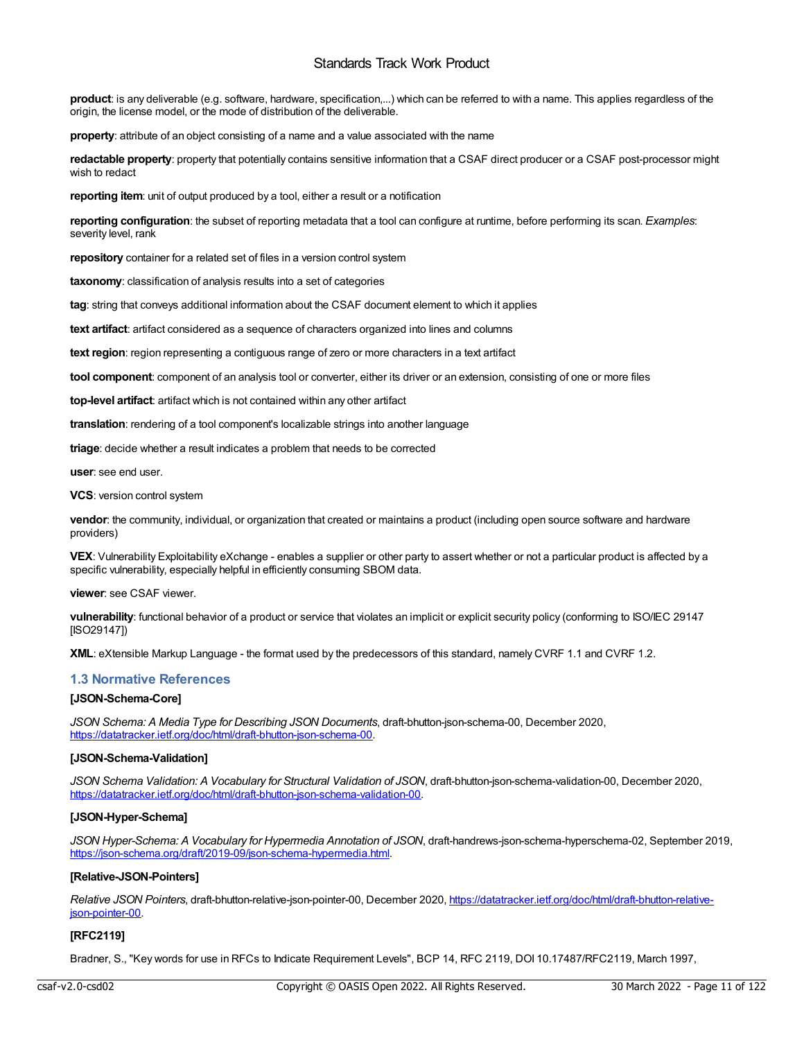**product**: is any deliverable (e.g. software, hardware, specification,...) which can be referred to with a name. This applies regardless of the origin, the license model, or the mode of distribution of the deliverable.

**property**: attribute of an object consisting of a name and a value associated with the name

**redactable property**: property that potentially contains sensitive information that a CSAF direct producer or a CSAF post-processor might wish to redact

**reporting item**: unit of output produced by a tool, either a result or a notification

**reporting configuration**: the subset of reporting metadata that a tool can configure at runtime, before performing its scan. *Examples*: severity level, rank

**repository** container for a related set of files in a version control system

**taxonomy**: classification of analysis results into a set of categories

**tag**: string that conveys additional information about the CSAF document element to which it applies

**text artifact**: artifact considered as a sequence of characters organized into lines and columns

**text region**: region representing a contiguous range of zero or more characters in a text artifact

**tool component**: component of an analysis tool or converter, either its driver or an extension, consisting of one or more files

**top-level artifact**: artifact which is not contained within any other artifact

**translation**: rendering of a tool component's localizable strings into another language

**triage**: decide whether a result indicates a problem that needs to be corrected

**user**: see end user.

**VCS**: version control system

**vendor**: the community, individual, or organization that created or maintains a product (including open source software and hardware providers)

**VEX**: Vulnerability Exploitability eXchange - enables a supplier or other party to assert whether or not a particular product is affected by a specific vulnerability, especially helpful in efficiently consuming SBOM data.

**viewer**: see CSAF viewer.

**vulnerability**: functional behavior of a product or service that violates an implicit or explicit security policy (conforming to ISO/IEC 29147 [ISO29147])

**XML**: eXtensible Markup Language - the format used by the predecessors of this standard, namely CVRF 1.1 and CVRF 1.2.

## <span id="page-10-0"></span>**1.3 Normative References**

## **[JSON-Schema-Core]**

*JSON Schema: A Media Type for Describing JSON Documents*, draft-bhutton-json-schema-00, December 2020, [https://datatracker.ietf.org/doc/html/draft-bhutton-json-schema-00.](https://datatracker.ietf.org/doc/html/draft-bhutton-json-schema-00)

## **[JSON-Schema-Validation]**

*JSON Schema Validation: A Vocabulary for Structural Validation of JSON*, draft-bhutton-json-schema-validation-00, December 2020, <https://datatracker.ietf.org/doc/html/draft-bhutton-json-schema-validation-00>.

## **[JSON-Hyper-Schema]**

*JSON Hyper-Schema: A Vocabulary for Hypermedia Annotation of JSON*, draft-handrews-json-schema-hyperschema-02, September 2019, <https://json-schema.org/draft/2019-09/json-schema-hypermedia.html>.

## **[Relative-JSON-Pointers]**

*Relative JSON Pointers*, draft-bhutton-relative-json-pointer-00, December 2020, [https://datatracker.ietf.org/doc/html/draft-bhutton-relative](https://datatracker.ietf.org/doc/html/draft-bhutton-relative-json-pointer-00)json-pointer-00.

## <span id="page-10-1"></span>**[RFC2119]**

Bradner, S., "Key words for use in RFCs to Indicate Requirement Levels", BCP 14, RFC 2119, DOI 10.17487/RFC2119, March 1997,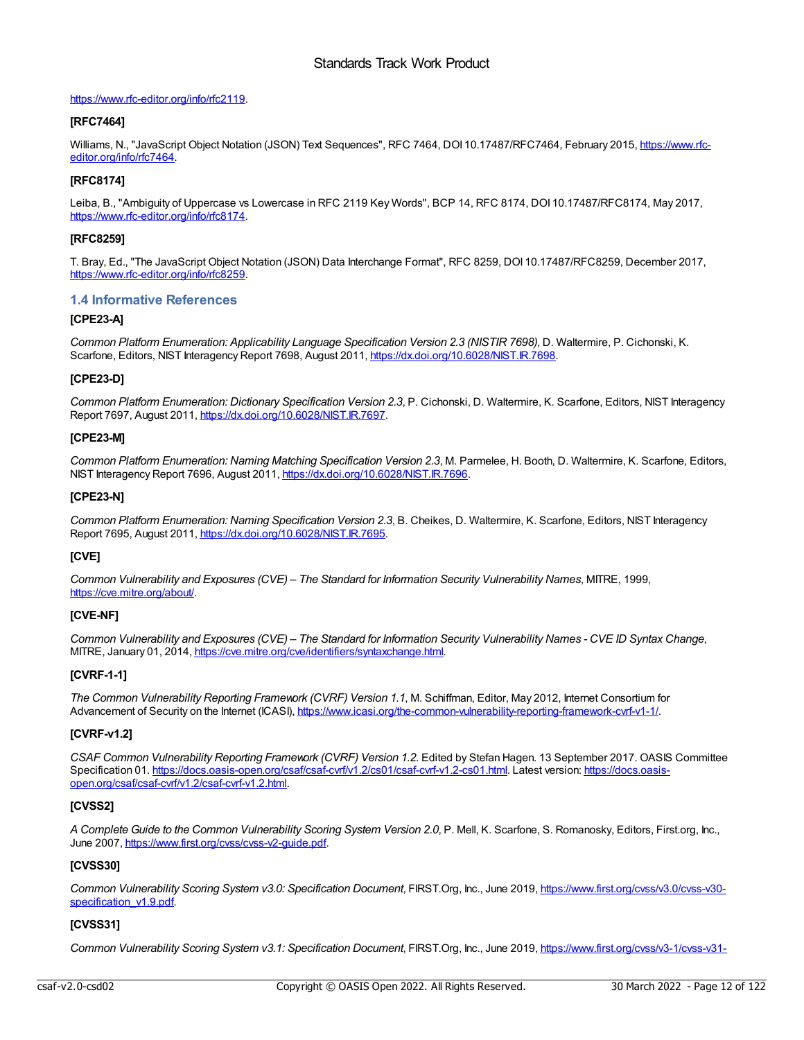## <https://www.rfc-editor.org/info/rfc2119>.

## **[RFC7464]**

Williams, N., "JavaScript Object Notation (JSON) Text Sequences", RFC 7464, DOI [10.17487/RFC7464,](https://www.rfc-editor.org/info/rfc7464) February 2015, https://www.rfceditor.org/info/rfc7464.

## <span id="page-11-1"></span>**[RFC8174]**

Leiba, B., "Ambiguity of Uppercase vs Lowercase in RFC 2119 Key Words", BCP 14, RFC 8174, DOI 10.17487/RFC8174, May 2017, <https://www.rfc-editor.org/info/rfc8174>.

## **[RFC8259]**

T. Bray, Ed., "The JavaScript Object Notation (JSON) Data Interchange Format", RFC 8259, DOI 10.17487/RFC8259, December 2017, <https://www.rfc-editor.org/info/rfc8259>.

## <span id="page-11-0"></span>**1.4 Informative References**

## **[CPE23-A]**

*Common Platform Enumeration: Applicability Language Specification Version 2.3 (NISTIR 7698)*, D. Waltermire, P. Cichonski, K. Scarfone, Editors, NIST Interagency Report 7698, August 2011, <https://dx.doi.org/10.6028/NIST.IR.7698>.

## **[CPE23-D]**

*Common Platform Enumeration: Dictionary Specification Version 2.3*, P. Cichonski, D. Waltermire, K. Scarfone, Editors, NIST Interagency Report 7697, August 2011, <https://dx.doi.org/10.6028/NIST.IR.7697>.

## **[CPE23-M]**

*Common Platform Enumeration: Naming Matching Specification Version 2.3*, M. Parmelee, H. Booth, D. Waltermire, K. Scarfone, Editors, NIST Interagency Report 7696, August 2011, <https://dx.doi.org/10.6028/NIST.IR.7696>.

## **[CPE23-N]**

*Common Platform Enumeration: Naming Specification Version 2.3*, B. Cheikes, D. Waltermire, K. Scarfone, Editors, NIST Interagency Report 7695, August 2011, <https://dx.doi.org/10.6028/NIST.IR.7695>.

## **[CVE]**

*Common Vulnerability and Exposures (CVE) – The Standard for Information Security Vulnerability Names*, MITRE, 1999, <https://cve.mitre.org/about/>.

## **[CVE-NF]**

Common Vulnerability and Exposures (CVE) - The Standard for Information Security Vulnerability Names - CVE ID Syntax Change, MITRE, January 01, 2014, <https://cve.mitre.org/cve/identifiers/syntaxchange.html>.

## **[CVRF-1-1]**

*The Common Vulnerability Reporting Framework (CVRF) Version 1.1*, M. Schiffman, Editor, May 2012, Internet Consortium for Advancement of Security on the Internet (ICASI), <https://www.icasi.org/the-common-vulnerability-reporting-framework-cvrf-v1-1/>.

## **[CVRF-v1.2]**

*CSAF Common Vulnerability Reporting Framework (CVRF) Version 1.2*. Edited by Stefan Hagen. 13 September 2017. OASIS Committee Specification 01. [https://docs.oasis-open.org/csaf/csaf-cvrf/v1.2/cs01/csaf-cvrf-v1.2-cs01.html.](https://docs.oasis-open.org/csaf/csaf-cvrf/v1.2/csaf-cvrf-v1.2.html) Latest version: https://docs.oasisopen.org/csaf/csaf-cvrf/v1.2/csaf-cvrf-v1.2.html.

## **[CVSS2]**

*A Complete Guide to the Common Vulnerability Scoring System Version 2.0*, P. Mell, K. Scarfone, S. Romanosky, Editors, First.org, Inc., June 2007, <https://www.first.org/cvss/cvss-v2-guide.pdf>.

## **[CVSS30]**

*Common Vulnerability Scoring System v3.0: Specification Document*, FIRST.Org, Inc., June 2019, [https://www.first.org/cvss/v3.0/cvss-v30](https://www.first.org/cvss/v3.0/cvss-v30-specification_v1.9.pdf) specification\_v1.9.pdf.

## **[CVSS31]**

*Common Vulnerability Scoring System v3.1: Specification Document*, FIRST.Org, Inc., June 2019, [https://www.first.org/cvss/v3-1/cvss-v31-](https://www.first.org/cvss/v3-1/cvss-v31-specification_r1.pdf)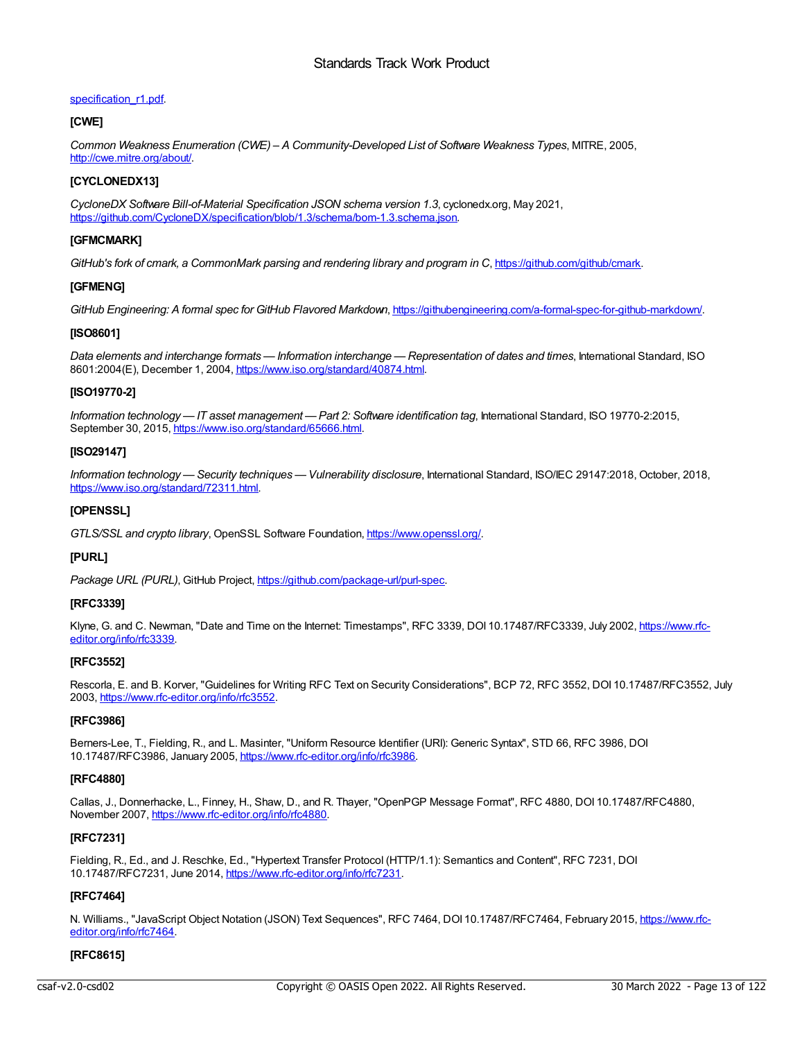## specification\_r1.pdf.

## **[CWE]**

*Common Weakness Enumeration (CWE) – A Community-Developed List of Software Weakness Types*, MITRE, 2005, [http://cwe.mitre.org/about/.](http://cwe.mitre.org/about/)

## **[CYCLONEDX13]**

*CycloneDX Software Bill-of-Material Specification JSON schema version 1.3*, cyclonedx.org, May 2021, <https://github.com/CycloneDX/specification/blob/1.3/schema/bom-1.3.schema.json>.

## **[GFMCMARK]**

*GitHub's fork of cmark, a CommonMark parsing and rendering library and program in C*, <https://github.com/github/cmark>.

## **[GFMENG]**

*GitHub Engineering: A formal spec for GitHub Flavored Markdown*, <https://githubengineering.com/a-formal-spec-for-github-markdown/>.

## **[ISO8601]**

Data elements and interchange formats — Information interchange — Representation of dates and times, International Standard, ISO 8601:2004(E), December 1, 2004, <https://www.iso.org/standard/40874.html>.

## **[ISO19770-2]**

*Information technology — IT asset management — Part 2: Software identification tag*, International Standard, ISO 19770-2:2015, September 30, 2015, <https://www.iso.org/standard/65666.html>.

## **[ISO29147]**

*Information technology — Security techniques — Vulnerability disclosure*, International Standard, ISO/IEC 29147:2018, October, 2018, <https://www.iso.org/standard/72311.html>.

## **[OPENSSL]**

*GTLS/SSL and crypto library*, OpenSSL Software Foundation, <https://www.openssl.org/>.

## **[PURL]**

*Package URL (PURL)*, GitHub Project, <https://github.com/package-url/purl-spec>.

## **[RFC3339]**

Klyne, G. and C. Newman, "Date and Time on the Internet: Timestamps", RFC 3339, DOI [10.17487/RFC3339,](https://www.rfc-editor.org/info/rfc3339) July 2002, https://www.rfceditor.org/info/rfc3339.

## **[RFC3552]**

Rescorla, E. and B. Korver, "Guidelines for Writing RFC Text on Security Considerations", BCP 72, RFC 3552, DOI 10.17487/RFC3552, July 2003, <https://www.rfc-editor.org/info/rfc3552>.

## **[RFC3986]**

Berners-Lee, T., Fielding, R., and L. Masinter, "Uniform Resource Identifier (URI): Generic Syntax", STD 66, RFC 3986, DOI 10.17487/RFC3986, January 2005, <https://www.rfc-editor.org/info/rfc3986>.

## **[RFC4880]**

Callas, J., Donnerhacke, L., Finney, H., Shaw, D., and R. Thayer, "OpenPGP Message Format", RFC 4880, DOI 10.17487/RFC4880, November 2007, <https://www.rfc-editor.org/info/rfc4880>.

## **[RFC7231]**

Fielding, R., Ed., and J. Reschke, Ed., "Hypertext Transfer Protocol (HTTP/1.1): Semantics and Content", RFC 7231, DOI 10.17487/RFC7231, June 2014, <https://www.rfc-editor.org/info/rfc7231>.

## **[RFC7464]**

N. Williams., "JavaScript Object Notation (JSON) Text Sequences", RFC 7464, DOI [10.17487/RFC7464,](https://www.rfc-editor.org/info/rfc7464) February 2015, https://www.rfceditor.org/info/rfc7464.

## **[RFC8615]**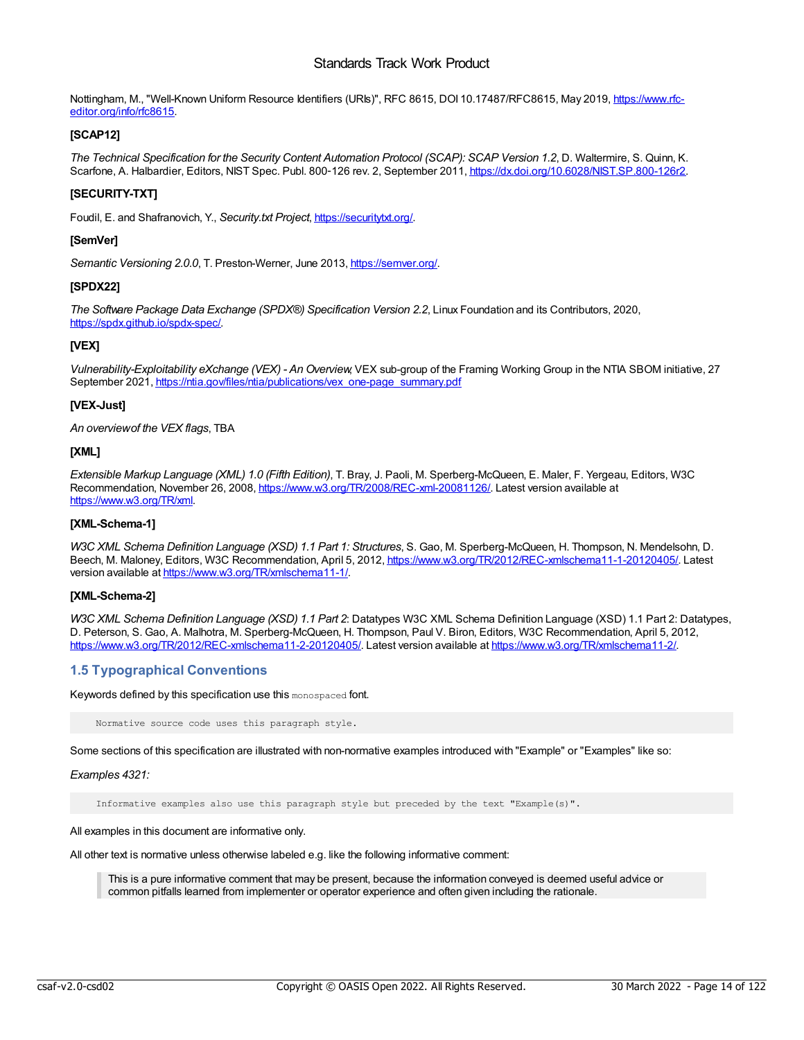Nottingham, M., "Well-Known Uniform Resource Identifiers (URIs)", RFC 8615, DOI [10.17487/RFC8615,](https://www.rfc-editor.org/info/rfc8615) May 2019, https://www.rfceditor.org/info/rfc8615.

## **[SCAP12]**

*The Technical Specification for the Security Content Automation Protocol (SCAP): SCAP Version 1.2*, D. Waltermire, S. Quinn, K. Scarfone, A. Halbardier, Editors, NIST Spec. Publ. 800-126 rev. 2, September 2011, <https://dx.doi.org/10.6028/NIST.SP.800-126r2>.

## **[SECURITY-TXT]**

Foudil, E. and Shafranovich, Y., *Security.txt Project*, <https://securitytxt.org/>.

## **[SemVer]**

*Semantic Versioning 2.0.0*, T. Preston-Werner, June 2013, <https://semver.org/>.

## **[SPDX22]**

*The Software Package Data Exchange (SPDX®) Specification Version 2.2*, Linux Foundation and its Contributors, 2020, <https://spdx.github.io/spdx-spec/>.

## **[VEX]**

*Vulnerability-Exploitability eXchange (VEX) - An Overview*, VEX sub-group of the Framing Working Group in the NTIA SBOM initiative, 27 September 2021, [https://ntia.gov/files/ntia/publications/vex\\_one-page\\_summary.pdf](https://ntia.gov/files/ntia/publications/vex_one-page_summary.pdf)

## **[VEX-Just]**

*An overviewof the VEX flags*, TBA

## **[XML]**

*Extensible Markup Language (XML) 1.0 (Fifth Edition)*, T. Bray, J. Paoli, M. Sperberg-McQueen, E. Maler, F. Yergeau, Editors, W3C Recommendation, November 26, 2008, <https://www.w3.org/TR/2008/REC-xml-20081126/>. Latest version available at <https://www.w3.org/TR/xml>.

## **[XML-Schema-1]**

*W3C XML Schema Definition Language (XSD) 1.1 Part 1: Structures*, S. Gao, M. Sperberg-McQueen, H. Thompson, N. Mendelsohn, D. Beech, M. Maloney, Editors, W3C Recommendation, April 5, 2012, <https://www.w3.org/TR/2012/REC-xmlschema11-1-20120405/>. Latest version available at <https://www.w3.org/TR/xmlschema11-1/>.

## **[XML-Schema-2]**

*W3C XML Schema Definition Language (XSD) 1.1 Part 2*: Datatypes W3C XML Schema Definition Language (XSD) 1.1 Part 2: Datatypes, D. Peterson, S. Gao, A. Malhotra, M. Sperberg-McQueen, H. Thompson, Paul V. Biron, Editors, W3C Recommendation, April 5, 2012, <https://www.w3.org/TR/2012/REC-xmlschema11-2-20120405/>. Latest version available at <https://www.w3.org/TR/xmlschema11-2/>.

## <span id="page-13-0"></span>**1.5 Typographical Conventions**

Keywords defined by this specification use this monospaced font.

Normative source code uses this paragraph style.

Some sections of this specification are illustrated with non-normative examples introduced with "Example" or "Examples" like so:

## *Examples 4321:*

Informative examples also use this paragraph style but preceded by the text "Example(s)".

All examples in this document are informative only.

All other text is normative unless otherwise labeled e.g. like the following informative comment:

This is a pure informative comment that may be present, because the information conveyed is deemed useful advice or common pitfalls learned from implementer or operator experience and often given including the rationale.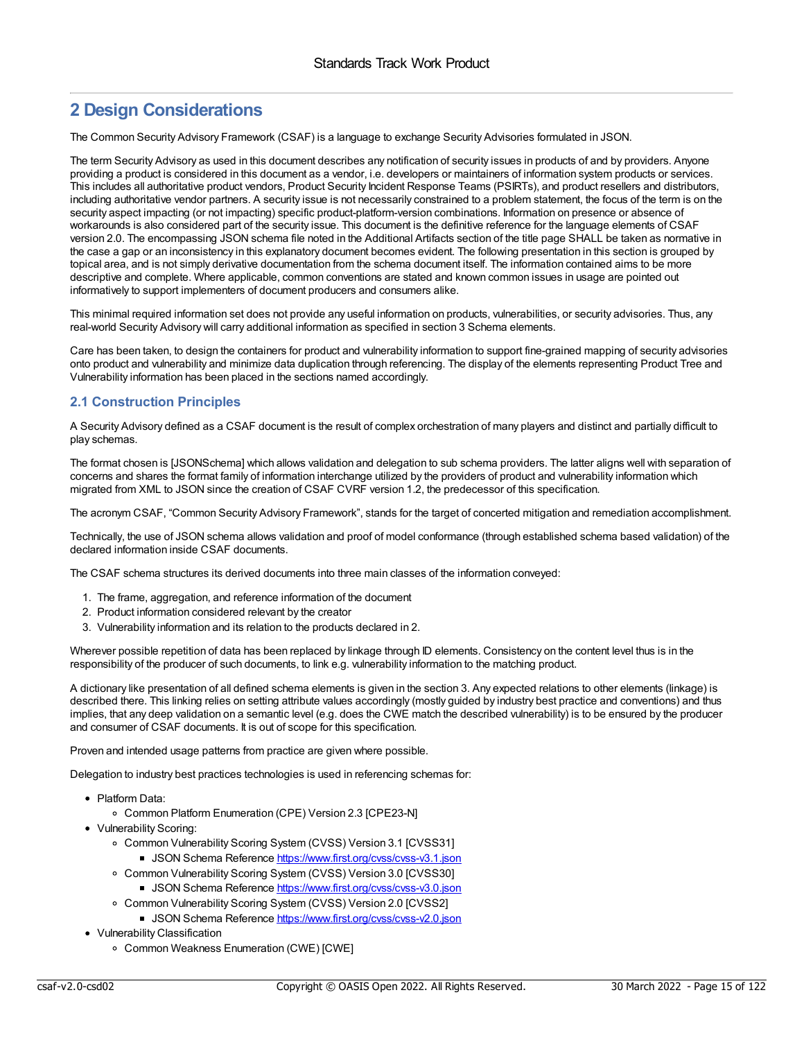## <span id="page-14-0"></span>**2 Design Considerations**

The Common Security Advisory Framework (CSAF) is a language to exchange Security Advisories formulated in JSON.

The term Security Advisory as used in this document describes any notification of security issues in products of and by providers. Anyone providing a product is considered in this document as a vendor, i.e. developers or maintainers of information system products or services. This includes all authoritative product vendors, Product Security Incident Response Teams (PSIRTs), and product resellers and distributors, including authoritative vendor partners. A security issue is not necessarily constrained to a problem statement, the focus of the term is on the security aspect impacting (or not impacting) specific product-platform-version combinations. Information on presence or absence of workarounds is also considered part of the security issue. This document is the definitive reference for the language elements of CSAF version 2.0. The encompassing JSON schema file noted in the Additional Artifacts section of the title page SHALL be taken as normative in the case a gap or an inconsistency in this explanatory document becomes evident. The following presentation in this section is grouped by topical area, and is not simply derivative documentation from the schema document itself. The information contained aims to be more descriptive and complete. Where applicable, common conventions are stated and known common issues in usage are pointed out informatively to support implementers of document producers and consumers alike.

This minimal required information set does not provide any useful information on products, vulnerabilities, or security advisories. Thus, any real-world Security Advisory will carry additional information as specified in section 3 Schema elements.

Care has been taken, to design the containers for product and vulnerability information to support fine-grained mapping of security advisories onto product and vulnerability and minimize data duplication through referencing. The display of the elements representing Product Tree and Vulnerability information has been placed in the sections named accordingly.

## <span id="page-14-1"></span>**2.1 Construction Principles**

A Security Advisory defined as a CSAF document is the result of complex orchestration of many players and distinct and partially difficult to play schemas.

The format chosen is [JSONSchema] which allows validation and delegation to sub schema providers. The latter aligns well with separation of concerns and shares the format family of information interchange utilized by the providers of product and vulnerability information which migrated from XML to JSON since the creation of CSAF CVRF version 1.2, the predecessor of this specification.

The acronym CSAF, "Common Security Advisory Framework", stands for the target of concerted mitigation and remediation accomplishment.

Technically, the use of JSON schema allows validation and proof of model conformance (through established schema based validation) of the declared information inside CSAF documents.

The CSAF schema structures its derived documents into three main classes of the information conveyed:

- 1. The frame, aggregation, and reference information of the document
- 2. Product information considered relevant by the creator
- 3. Vulnerability information and its relation to the products declared in 2.

Wherever possible repetition of data has been replaced by linkage through ID elements. Consistency on the content level thus is in the responsibility of the producer of such documents, to link e.g. vulnerability information to the matching product.

A dictionary like presentation of all defined schema elements is given in the section 3. Any expected relations to other elements (linkage) is described there. This linking relies on setting attribute values accordingly (mostly guided by industry best practice and conventions) and thus implies, that any deep validation on a semantic level (e.g. does the CWE match the described vulnerability) is to be ensured by the producer and consumer of CSAF documents. It is out of scope for this specification.

Proven and intended usage patterns from practice are given where possible.

Delegation to industry best practices technologies is used in referencing schemas for:

- Platform Data:
	- Common Platform Enumeration (CPE) Version 2.3 [CPE23-N]
- Vulnerability Scoring:
	- o Common Vulnerability Scoring System (CVSS) Version 3.1 [CVSS31]
		- JSON Schema Reference <https://www.first.org/cvss/cvss-v3.1.json>
	- o Common Vulnerability Scoring System (CVSS) Version 3.0 [CVSS30]
		- JSON Schema Reference <https://www.first.org/cvss/cvss-v3.0.json>
	- o Common Vulnerability Scoring System (CVSS) Version 2.0 [CVSS2]
		- JSON Schema Reference <https://www.first.org/cvss/cvss-v2.0.json>
- Vulnerability Classification
	- Common Weakness Enumeration (CWE) [CWE]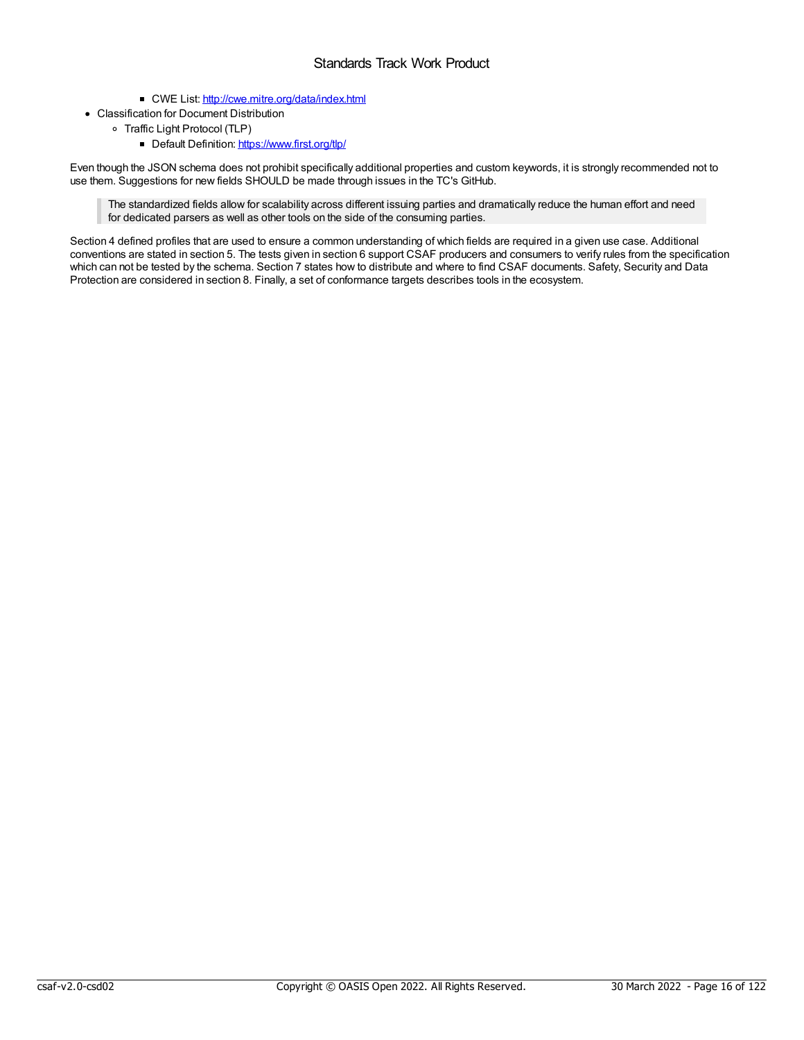- CWE List: <http://cwe.mitre.org/data/index.html>
- Classification for Document Distribution
	- Traffic Light Protocol (TLP)
		- Default Definition: <https://www.first.org/tlp/>

Even though the JSON schema does not prohibit specifically additional properties and custom keywords, it is strongly recommended not to use them. Suggestions for new fields SHOULD be made through issues in the TC's GitHub.

The standardized fields allow for scalability across different issuing parties and dramatically reduce the human effort and need for dedicated parsers as well as other tools on the side of the consuming parties.

Section 4 defined profiles that are used to ensure a common understanding of which fields are required in a given use case. Additional conventions are stated in section 5. The tests given in section 6 support CSAF producers and consumers to verify rules from the specification which can not be tested by the schema. Section 7 states how to distribute and where to find CSAF documents. Safety, Security and Data Protection are considered in section 8. Finally, a set of conformance targets describes tools in the ecosystem.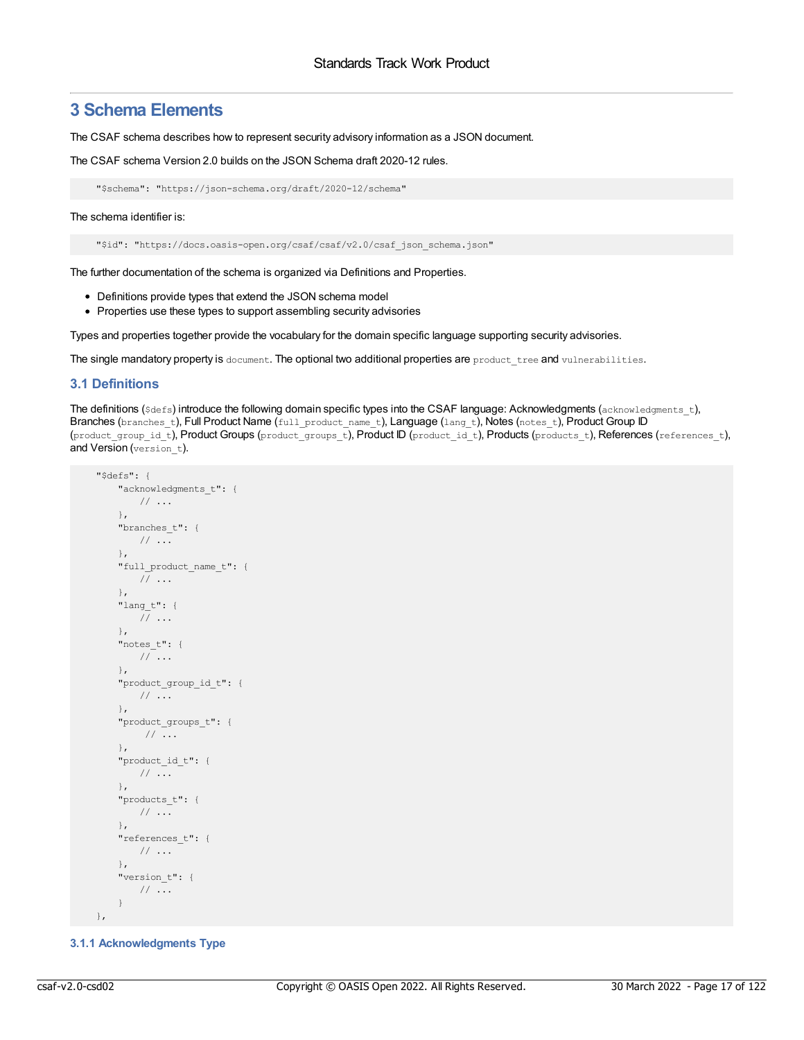## <span id="page-16-0"></span>**3 Schema Elements**

The CSAF schema describes how to represent security advisory information as a JSON document.

The CSAF schema Version 2.0 builds on the JSON Schema draft 2020-12 rules.

```
"$schema": "https://json-schema.org/draft/2020-12/schema"
```
The schema identifier is:

"\$id": "https://docs.oasis-open.org/csaf/csaf/v2.0/csaf\_json\_schema.json"

The further documentation of the schema is organized via Definitions and Properties.

- Definitions provide types that extend the JSON schema model
- Properties use these types to support assembling security advisories

Types and properties together provide the vocabulary for the domain specific language supporting security advisories.

The single mandatory property is document. The optional two additional properties are product\_tree and vulnerabilities.

## <span id="page-16-1"></span>**3.1 Definitions**

The definitions ( $$defs)$  introduce the following domain specific types into the CSAF language: Acknowledgments ( $a$ cknowledgments  $t$ ), Branches (branches\_t), Full Product Name (full\_product\_name\_t), Language (lang\_t), Notes (notes\_t), Product Group ID (product group id t), Product Groups (product groups t), Product ID (product id t), Products (products t), References (references t), and Version (version t).

```
"$defs": {
   "acknowledgments_t": {
     // ...
   },
   "branches_t": {
     // ...
   },
   "full_product_name_t": {
     // ...
   },
   "lang_t": {
     // ...
   },
   "notes_t": {
     // ...
   },
   "product group id t": {
     // ...
   },
   "product_groups_t": {
      // ...
   },
   "product_id_t": {
     // ...
   },
   "products_t": {
     // ...
   },
   "references_t": {
     // ...
   },
   "version t": {
     // ...
   }
},
```
<span id="page-16-2"></span>**3.1.1 Acknowledgments Type**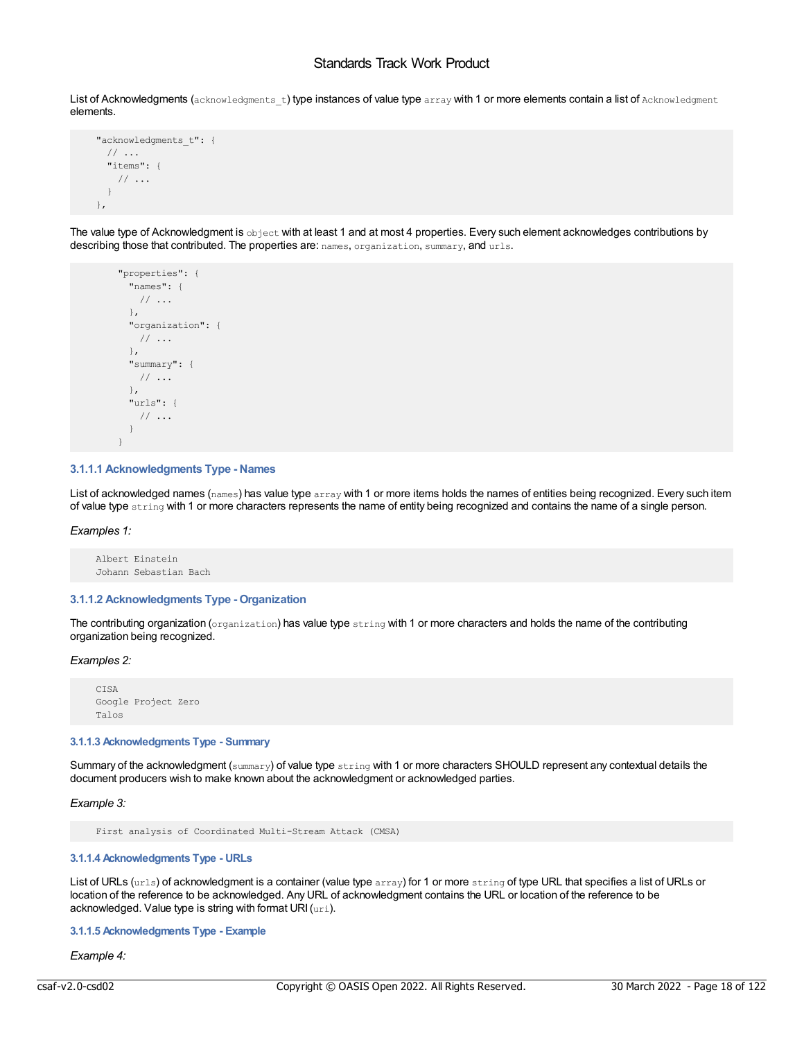List of Acknowledgments (acknowledgments t) type instances of value type array with 1 or more elements contain a list of Acknowledgment elements.

```
"acknowledgments t": {
 // ...
 "items": {
   // ...
 }
},
```
The value type of Acknowledgment is object with at least 1 and at most 4 properties. Every such element acknowledges contributions by describing those that contributed. The properties are: names, organization, summary, and urls.

```
"properties": {
 "names": {
  // ...
 },
 "organization": {
  // ...
 },
 "summary": {
  // ...
 },
 "urls": {
   // ...
 }
}
```
## <span id="page-17-0"></span>**3.1.1.1 Acknowledgments Type - Names**

List of acknowledged names (names) has value type array with 1 or more items holds the names of entities being recognized. Every such item of value type string with 1 or more characters represents the name of entity being recognized and contains the name of a single person.

*Examples 1:*

Albert Einstein Johann Sebastian Bach

## <span id="page-17-1"></span>**3.1.1.2 Acknowledgments Type - Organization**

The contributing organization (organization) has value type string with 1 or more characters and holds the name of the contributing organization being recognized.

#### *Examples 2:*

CISA Google Project Zero Talos

#### <span id="page-17-2"></span>**3.1.1.3 Acknowledgments Type - Summary**

Summary of the acknowledgment (summary) of value type string with 1 or more characters SHOULD represent any contextual details the document producers wish to make known about the acknowledgment or acknowledged parties.

*Example 3:*

First analysis of Coordinated Multi-Stream Attack (CMSA)

#### <span id="page-17-3"></span>**3.1.1.4 Acknowledgments Type - URLs**

List of URLs (urls) of acknowledgment is a container (value type array) for 1 or more string of type URL that specifies a list of URLs or location of the reference to be acknowledged. Any URL of acknowledgment contains the URL or location of the reference to be acknowledged. Value type is string with format URI (uri).

<span id="page-17-4"></span>**3.1.1.5 Acknowledgments Type - Example**

*Example 4:*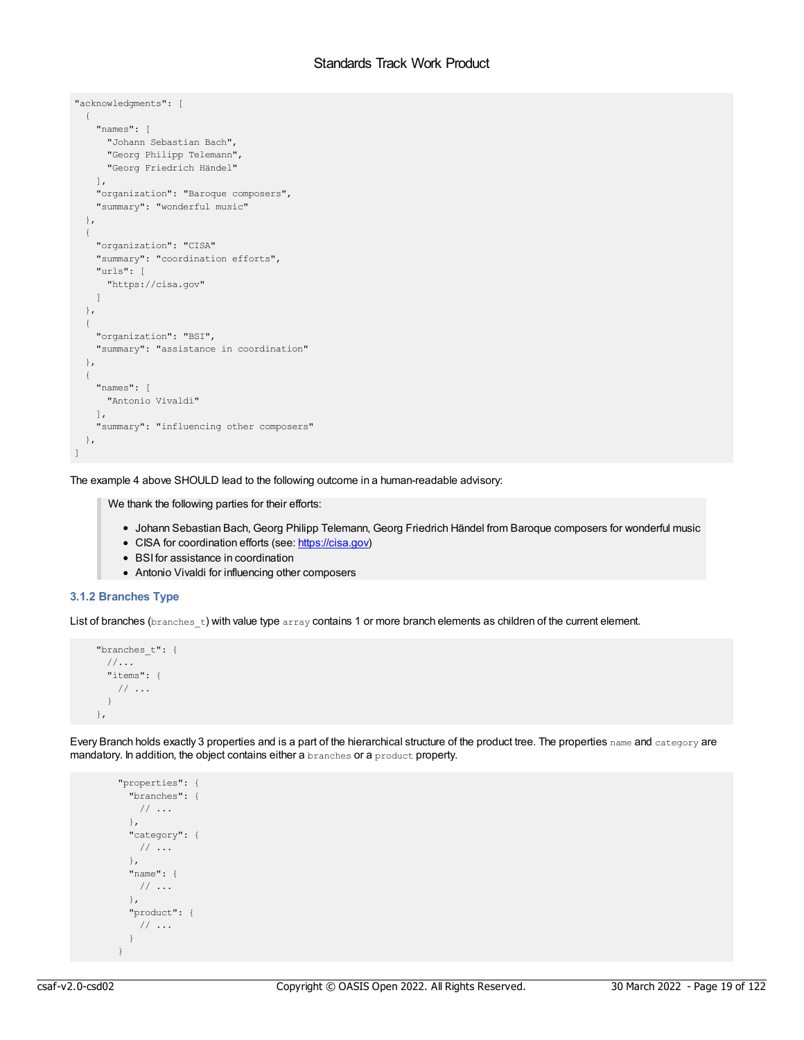```
"acknowledgments": [
 {
   "names": [
     "Johann Sebastian Bach",
     "Georg Philipp Telemann",
     "Georg Friedrich Händel"
   ],
   "organization": "Baroque composers",
    "summary": "wonderful music"
  },
  {
   "organization": "CISA"
   "summary": "coordination efforts",
   "urls": [
     "https://cisa.gov"
   \lceil},
  {
   "organization": "BSI",
   "summary": "assistance in coordination"
  },
  {
   "names": [
     "Antonio Vivaldi"
   ],
   "summary": "influencing other composers"
  },
\, ]
```
The example 4 above SHOULD lead to the following outcome in a human-readable advisory:

We thank the following parties for their efforts:

- Johann Sebastian Bach, Georg Philipp Telemann, Georg Friedrich Händel from Baroque composers for wonderful music
- CISA for coordination efforts (see: <https://cisa.gov>)
- BSI for assistance in coordination
- Antonio Vivaldi for influencing other composers

## <span id="page-18-0"></span>**3.1.2 Branches Type**

List of branches (branches\_t) with value type array contains 1 or more branch elements as children of the current element.

```
"branches_t": {
 //...
 "items": {
  // ...
 }
},
```
Every Branch holds exactly 3 properties and is a part of the hierarchical structure of the product tree. The properties name and category are mandatory. In addition, the object contains either a branches or a product property.

```
"properties": {
 "branches": {
  // ...
 },
 "category": {
  // ...
 },
 "name": {
  // ...
 },
 "product": {
  // ...
 }
}
```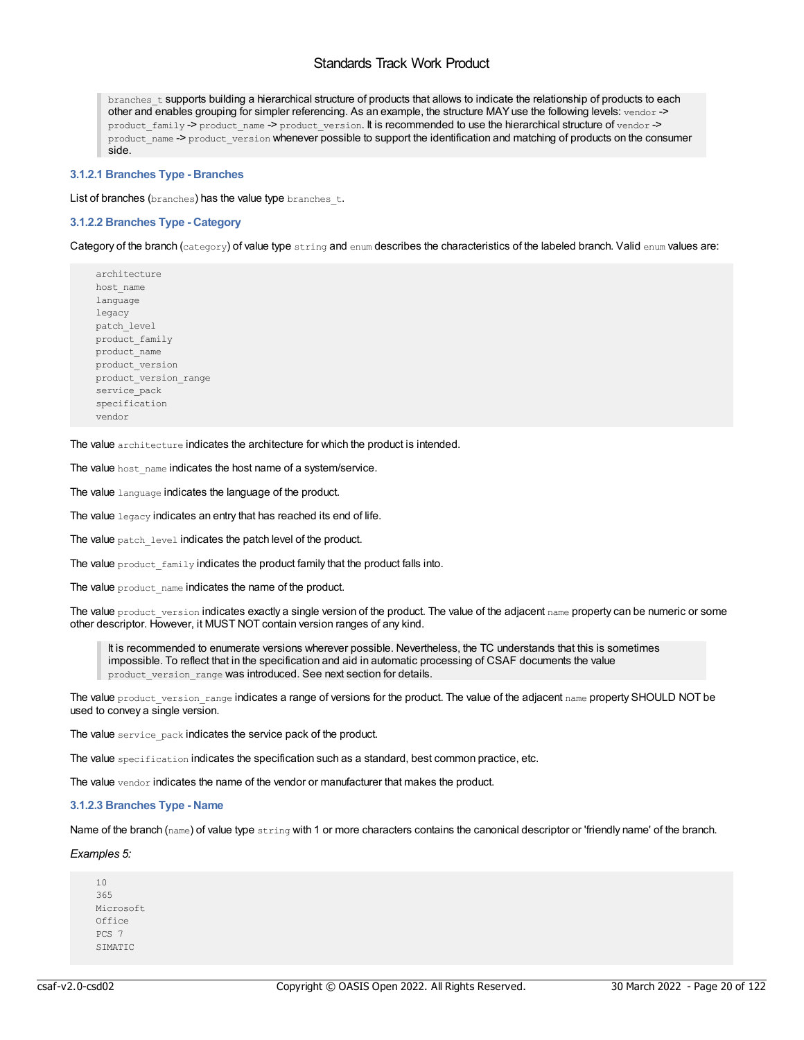branches t supports building a hierarchical structure of products that allows to indicate the relationship of products to each other and enables grouping for simpler referencing. As an example, the structure MAY use the following levels: vendor -> product\_family -> product\_name -> product\_version. It is recommended to use the hierarchical structure of vendor -> product\_name -> product\_version whenever possible to support the identification and matching of products on the consumer side.

## <span id="page-19-0"></span>**3.1.2.1 Branches Type - Branches**

List of branches (branches) has the value type branches t.

## <span id="page-19-1"></span>**3.1.2.2 Branches Type - Category**

Category of the branch (category) of value type string and enum describes the characteristics of the labeled branch. Valid enum values are:

architecture host\_name language legacy patch\_level product\_family product\_name product\_version product\_version\_range service\_pack specification vendor

The value architecture indicates the architecture for which the product is intended.

The value host name indicates the host name of a system/service.

The value language indicates the language of the product.

The value legacy indicates an entry that has reached its end of life.

The value patch level indicates the patch level of the product.

The value product family indicates the product family that the product falls into.

The value product name indicates the name of the product.

The value product version indicates exactly a single version of the product. The value of the adjacent  $n_{\text{ame}}$  property can be numeric or some other descriptor. However, it MUST NOT contain version ranges of any kind.

It is recommended to enumerate versions wherever possible. Nevertheless, the TC understands that this is sometimes impossible. To reflect that in the specification and aid in automatic processing of CSAF documents the value product version range was introduced. See next section for details.

The value product version range indicates a range of versions for the product. The value of the adjacent name property SHOULD NOT be used to convey a single version.

The value service pack indicates the service pack of the product.

The value specification indicates the specification such as a standard, best common practice, etc.

The value vendor indicates the name of the vendor or manufacturer that makes the product.

## <span id="page-19-2"></span>**3.1.2.3 Branches Type - Name**

Name of the branch (name) of value type  $string$  with 1 or more characters contains the canonical descriptor or 'friendly name' of the branch.

## *Examples 5:*

10 365 Microsoft  $Offine$ PCS 7 SIMATIC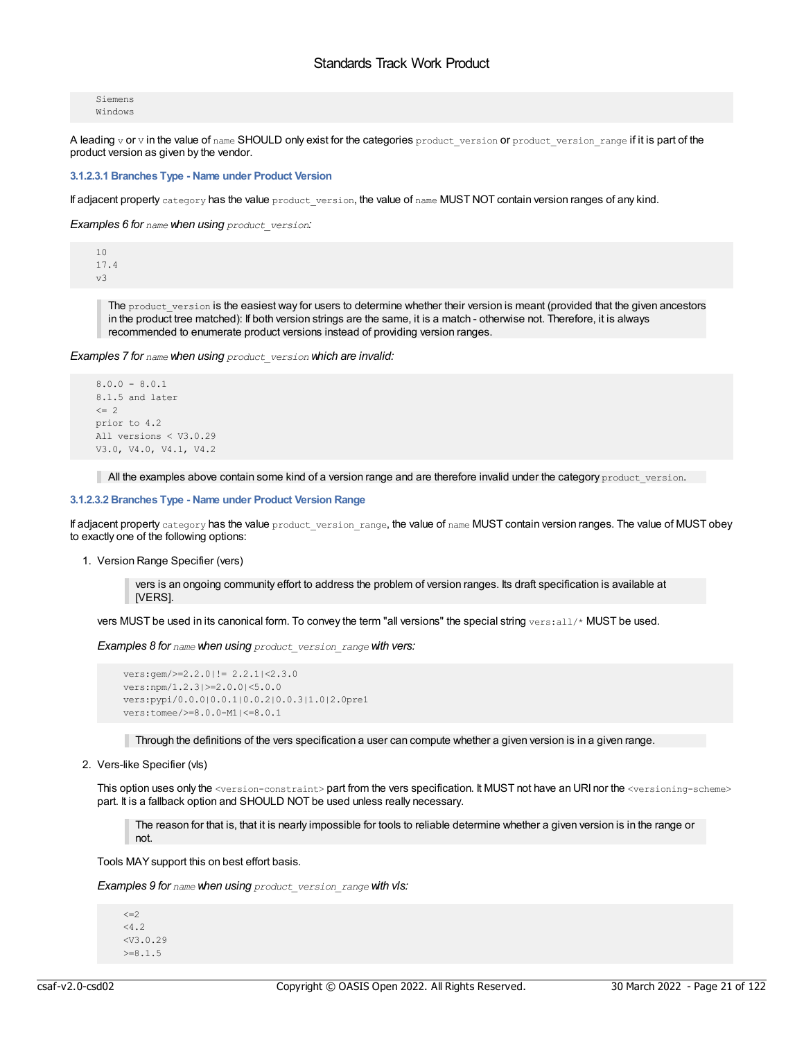Siemens Windows

A leading v or v in the value of name SHOULD only exist for the categories product\_version or product\_version\_range if it is part of the product version as given by the vendor.

#### <span id="page-20-0"></span>**3.1.2.3.1 Branches Type - Name under Product Version**

If adjacent property category has the value product\_version, the value of name MUST NOT contain version ranges of any kind.

*Examples 6 for name when using product\_version:*

 $1<sub>0</sub>$ 17.4 v3

> The product version is the easiest way for users to determine whether their version is meant (provided that the given ancestors in the product tree matched): If both version strings are the same, it is a match - otherwise not. Therefore, it is always recommended to enumerate product versions instead of providing version ranges.

*Examples 7 for name when using product\_version which are invalid:*

```
8.0.0 - 8.0.18.1.5 and later
\leq 2
prior to 4.2
All versions < V3.0.29
V3.0, V4.0, V4.1, V4.2
```
All the examples above contain some kind of a version range and are therefore invalid under the category product version.

#### <span id="page-20-1"></span>**3.1.2.3.2 Branches Type - Name under Product Version Range**

If adjacent property category has the value product version range, the value of name MUST contain version ranges. The value of MUST obey to exactly one of the following options:

#### 1. Version Range Specifier (vers)

vers is an ongoing community effort to address the problem of version ranges. Its draft specification is available at [VERS].

vers MUST be used in its canonical form. To convey the term "all versions" the special string vers: all/\* MUST be used.

*Examples 8 for name when using product\_version\_range with vers:*

```
vers:gem/>=2.2.0|!= 2.2.1|<2.3.0
vers:npm/1.2.3|>=2.0.0|<5.0.0
vers:pypi/0.0.0|0.0.1|0.0.2|0.0.3|1.0|2.0pre1
vers:tomee/>=8.0.0-M1|<=8.0.1
```
Through the definitions of the vers specification a user can compute whether a given version is in a given range.

## 2. Vers-like Specifier (vls)

This option uses only the <version-constraint> part from the vers specification. It MUST not have an URI nor the <versioning-scheme> part. It is a fallback option and SHOULD NOT be used unless really necessary.

The reason for that is, that it is nearly impossible for tools to reliable determine whether a given version is in the range or not.

Tools MAYsupport this on best effort basis.

*Examples 9 for name when using product\_version\_range with vls:*

```
\leq = 2< 4.2<V3.0.29
>=8.1.5
```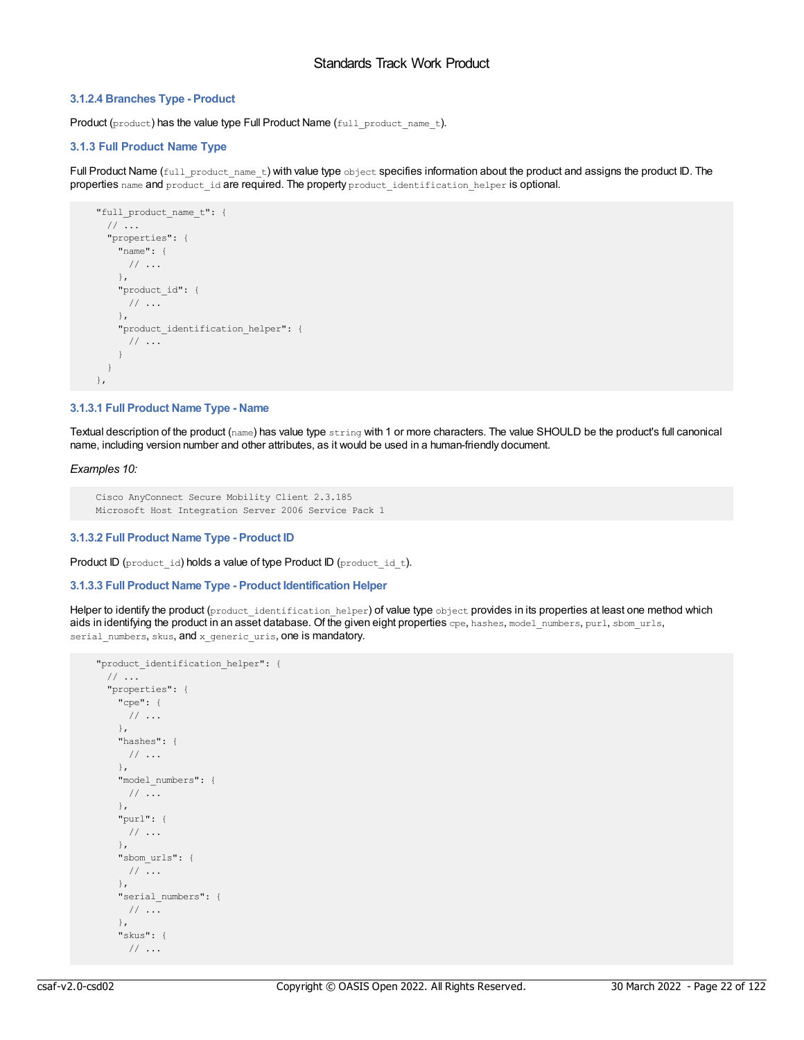## <span id="page-21-0"></span>**3.1.2.4 Branches Type - Product**

Product (product) has the value type Full Product Name (full\_product\_name\_t).

## <span id="page-21-1"></span>**3.1.3 Full Product Name Type**

Full Product Name (full\_product\_name\_t) with value type object specifies information about the product and assigns the product ID. The properties name and product id are required. The property product identification helper is optional.

```
"full product name t": {
 // ...
 "properties": {
   "name": {
     // ...
   },
   "product_id": {
     \frac{1}{2}...
   },
   "product_identification_helper": {
     // ...
   }
 }
},
```
## <span id="page-21-2"></span>**3.1.3.1 Full Product Name Type - Name**

Textual description of the product (name) has value type string with 1 or more characters. The value SHOULD be the product's full canonical name, including version number and other attributes, as it would be used in a human-friendly document.

*Examples 10:*

```
Cisco AnyConnect Secure Mobility Client 2.3.185
Microsoft Host Integration Server 2006 Service Pack 1
```
#### <span id="page-21-3"></span>**3.1.3.2 Full Product Name Type - Product ID**

Product ID (product\_id) holds a value of type Product ID (product\_id\_t).

#### <span id="page-21-4"></span>**3.1.3.3 Full Product Name Type - Product Identification Helper**

Helper to identify the product (product identification helper) of value type object provides in its properties at least one method which aids in identifying the product in an asset database. Of the given eight properties cpe, hashes, model numbers, purl, sbom urls, serial\_numbers, skus, and x\_generic\_uris, one is mandatory.

```
"product_identification_helper": {
// ...
 "properties": {
   "cpe": {
    // ...
   },
   "hashes": {
    // ...
   },
   "model_numbers": {
   // ...
   },
   "purl": {
    // ...
   },
   "sbom_urls": {
    // ...
   },
   "serial_numbers": {
    // ...
   },
   "skus": {
     // ...
```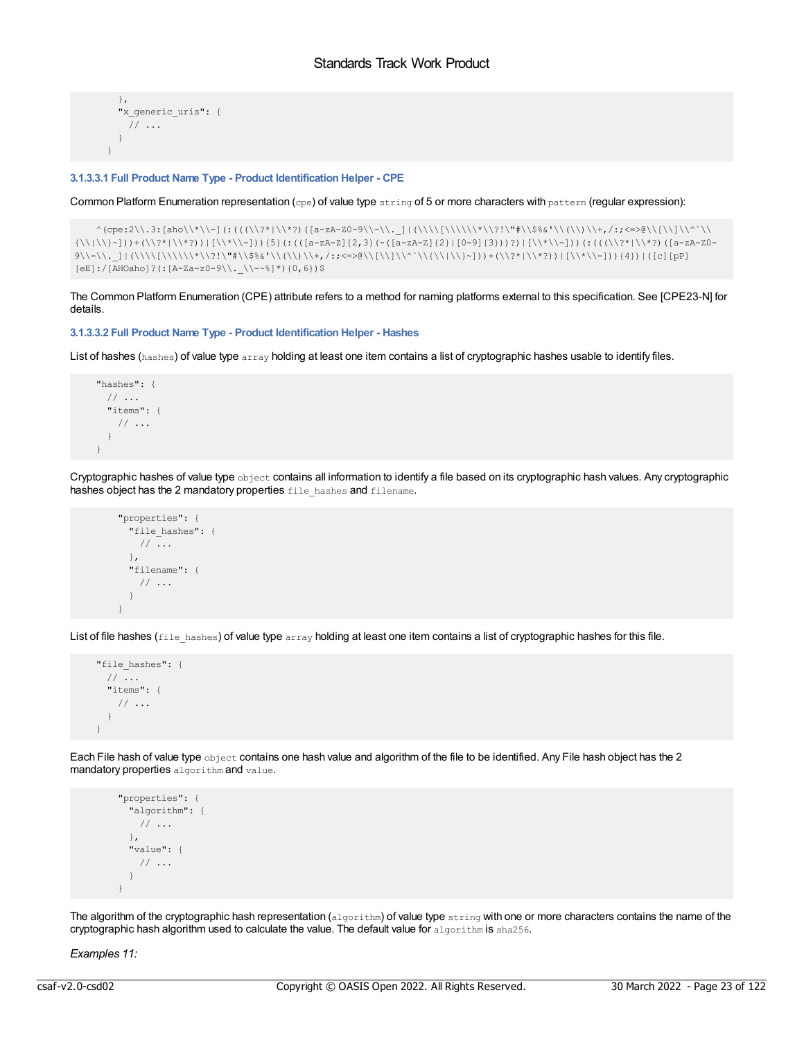```
},
 "x generic uris": {
  // ...
 }
}
```
#### <span id="page-22-0"></span>**3.1.3.3.1 Full Product Name Type - Product Identification Helper - CPE**

Common Platform Enumeration representation (cpe) of value type string of 5 or more characters with pattern (regular expression):

```
^(cpe:2\\.3:[aho\\*\\-](:(((\\?*|\\*?)([a-zA-Z0-9\\-\\._]|(\\\\[\\\\\\*\\?!\"#\\$%&'\\(\\)\\+,/:;<=>@\\[\\]\\^`\\
\{\|\|\|\|\|p\|_2\}) +(\\?*|\\*?))|[\\*\\-])) {5}(:(([a-zA-Z]{2,3}(-([a-zA-Z]{2}|[0-9]{3}))?)|[\\*\\-]))(:(((\\?*|\\*?)([a-zA-Z0-
9\|\lambda\|_{\mathcal{N}}\|\|\Lambda\|_{\mathcal{N}}\|\|\Lambda\|_{\mathcal{N}}\|\|\Lambda\|_{\mathcal{N}}\|\|\Lambda\|_{\mathcal{N}}\|\|\Lambda\|_{\mathcal{N}}\|\|\Lambda\|_{\mathcal{N}}\|\|\Lambda\|_{\mathcal{N}}\|\|\Lambda\|_{\mathcal{N}}\|\|\Lambda\|_{\mathcal{N}}\|\|\Lambda\|_{\mathcal{N}}\|\|\Lambda\|_{\mathcal{N}}\|\|\Lambda\|_{\mathcal{N}}\|\|\Lambda\|_{\mathcal{N}}\|\|\Lambda\|_{\mathcal{N}}\|\|\Lambda\|_{\mathcal{N}}\|\|\Lambda\|_{\mathcal{N[eE]:/[AHOaho]' (:[A-Za-z0-9\\.\ \\\-\sim^{8}]\times(0,6))$
```
The Common Platform Enumeration (CPE) attribute refers to a method for naming platforms external to this specification. See [CPE23-N] for details.

<span id="page-22-1"></span>**3.1.3.3.2 Full Product Name Type - Product Identification Helper - Hashes**

List of hashes (hashes) of value type array holding at least one item contains a list of cryptographic hashes usable to identify files.

```
"hashes": {
 // ...
  "items": {
  // ...
 }
}
```
Cryptographic hashes of value type object contains all information to identify a file based on its cryptographic hash values. Any cryptographic hashes object has the 2 mandatory properties file\_hashes and filename.

```
"properties": {
 "file hashes": {
  // ...
 },
 "filename": {
  // ...
 }
}
```
List of file hashes (file hashes) of value type array holding at least one item contains a list of cryptographic hashes for this file.

```
"file_hashes": {
 // ...
 "items": {
  // ...
 }
}
```
Each File hash of value type object contains one hash value and algorithm of the file to be identified. Any File hash object has the 2 mandatory properties algorithm and value.

```
"properties": {
 "algorithm": {
  // ...
 },
 "value": {
  // ...
 }
}
```
The algorithm of the cryptographic hash representation (algorithm) of value type string with one or more characters contains the name of the cryptographic hash algorithm used to calculate the value. The default value for  $\alpha$ lgorithm is sha256.

*Examples 11:*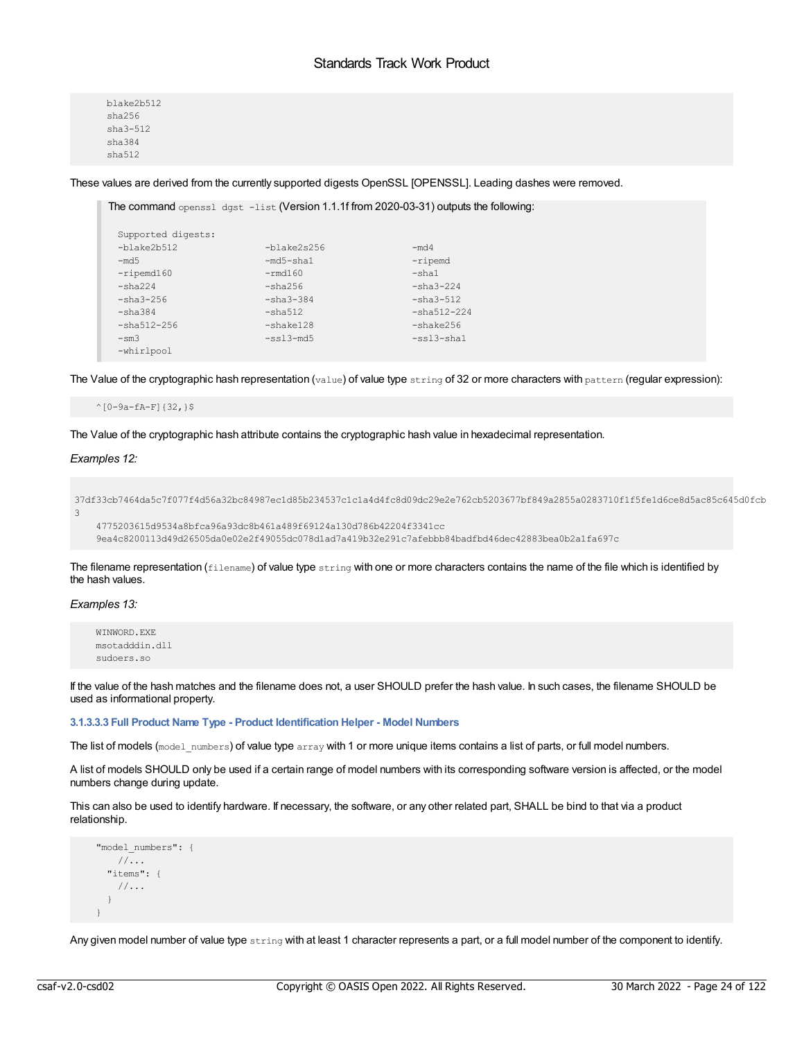blake2b512 sha256 sha3-512 sha384 sha512

These values are derived from the currently supported digests OpenSSL [OPENSSL]. Leading dashes were removed.

```
The command openssl dgst -list (Version 1.1.1f from 2020-03-31) outputs the following:
 Supported digests:
 -blake2b512 -blake2s256 -md4<br>-md5 -md5 -md5 -blake2s256 -md4 -md5
                  -md5-sha1 -ripemd
-ripemd160 -rmd160 -sha1
 -sha224 -sha256 -sha3-224
 -sha3-256 -sha3-384 -sha3-384 -sha3-512
 -sha384 -sha512 -sha512-224<br>-sha512-256 -shake128 -shake256
-sha512-256 -shake128 -shake256
 -ss13-md5 -ss13-cha1-whirlpool
```
The Value of the cryptographic hash representation (value) of value type string of 32 or more characters with pattern (regular expression):

 $^{\wedge}[0-9a-fA-F]{32,3}$ 

The Value of the cryptographic hash attribute contains the cryptographic hash value in hexadecimal representation.

## *Examples 12:*

```
37df33cb7464da5c7f077f4d56a32bc84987ec1d85b234537c1c1a4d4fc8d09dc29e2e762cb5203677bf849a2855a0283710f1f5fe1d6ce8d5ac85c645d0fcb
3
```

```
4775203615d9534a8bfca96a93dc8b461a489f69124a130d786b42204f3341cc
9ea4c8200113d49d26505da0e02e2f49055dc078d1ad7a419b32e291c7afebbb84badfbd46dec42883bea0b2a1fa697c
```
The filename representation ( $f$ ilename) of value type string with one or more characters contains the name of the file which is identified by the hash values.

## *Examples 13:*

```
WINWORD.EXE
msotadddin.dll
sudoers.so
```
If the value of the hash matches and the filename does not, a user SHOULD prefer the hash value. In such cases, the filename SHOULD be used as informational property.

<span id="page-23-0"></span>**3.1.3.3.3 Full Product Name Type - Product Identification Helper - Model Numbers**

The list of models (model\_numbers) of value type  $array$  with 1 or more unique items contains a list of parts, or full model numbers.

A list of models SHOULD only be used if a certain range of model numbers with its corresponding software version is affected, or the model numbers change during update.

This can also be used to identify hardware. If necessary, the software, or any other related part, SHALL be bind to that via a product relationship.

```
"model_numbers": {
  //...
  "items": {
   //...
  }
}
```
Any given model number of value type string with at least 1 character represents a part, or a full model number of the component to identify.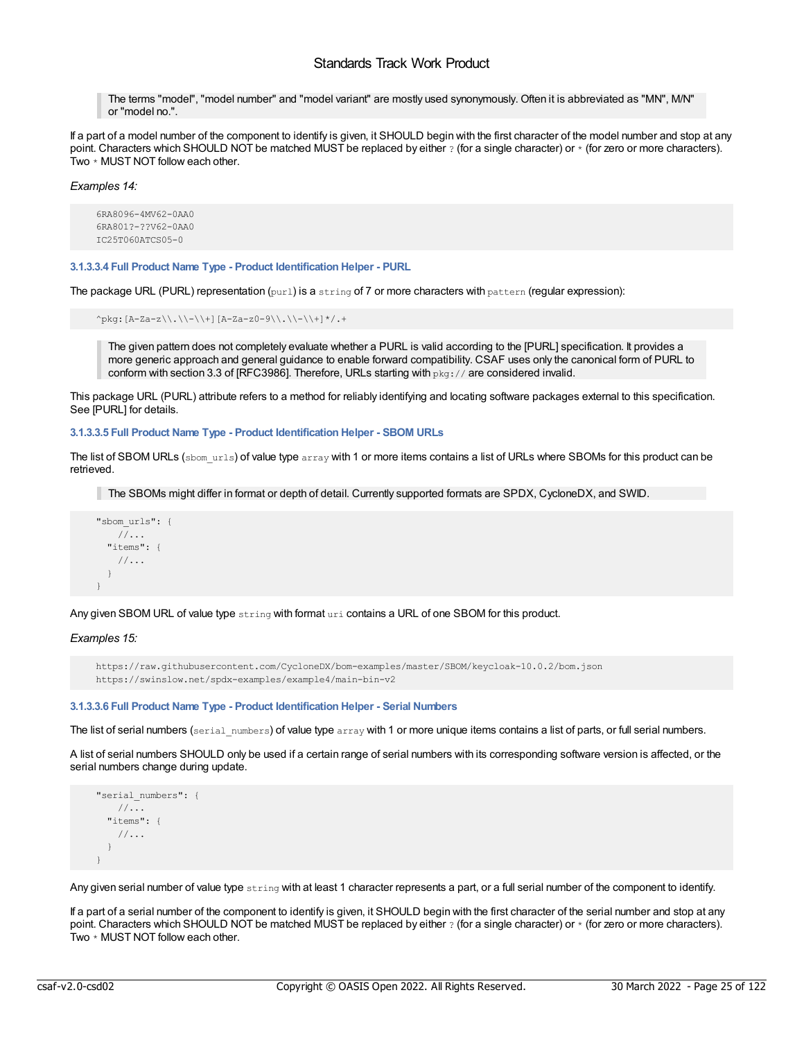The terms "model", "model number" and "model variant" are mostly used synonymously. Often it is abbreviated as "MN", M/N" or "model no.".

If a part of a model number of the component to identify is given, it SHOULD begin with the first character of the model number and stop at any point. Characters which SHOULD NOT be matched MUST be replaced by either  $\gamma$  (for a single character) or  $\ast$  (for zero or more characters). Two \* MUST NOT follow each other.

*Examples 14:*

```
6RA8096-4MV62-0AA0
6RA801?-??V62-0AA0
IC25T060ATCS05-0
```
<span id="page-24-0"></span>**3.1.3.3.4 Full Product Name Type - Product Identification Helper - PURL**

The package URL (PURL) representation (purl) is a string of 7 or more characters with pattern (regular expression):

```
^pkg:[A-Za-z\\.\\-\\+][A-Za-z0-9\\.\\-\\+]*/.+
```
The given pattern does not completely evaluate whether a PURL is valid according to the [PURL] specification. It provides a more generic approach and general guidance to enable forward compatibility. CSAF uses only the canonical form of PURL to conform with section 3.3 of [RFC3986]. Therefore, URLs starting with  $pkg:7/$  are considered invalid.

This package URL (PURL) attribute refers to a method for reliably identifying and locating software packages external to this specification. See [PURL] for details.

<span id="page-24-1"></span>**3.1.3.3.5 Full Product Name Type - Product Identification Helper - SBOM URLs**

The list of SBOM URLs (sbom\_urls) of value type  $\arctan$  with 1 or more items contains a list of URLs where SBOMs for this product can be retrieved.

The SBOMs might differ in format or depth of detail. Currently supported formats are SPDX, CycloneDX, and SWID.

```
"sbom_urls": {
   //...
  "items": {
   //...
 }
}
```
Any given SBOM URL of value type string with format uri contains a URL of one SBOM for this product.

*Examples 15:*

https://raw.githubusercontent.com/CycloneDX/bom-examples/master/SBOM/keycloak-10.0.2/bom.json https://swinslow.net/spdx-examples/example4/main-bin-v2

#### <span id="page-24-2"></span>**3.1.3.3.6 Full Product Name Type - Product Identification Helper - Serial Numbers**

The list of serial numbers (serial numbers) of value type array with 1 or more unique items contains a list of parts, or full serial numbers.

A list of serial numbers SHOULD only be used if a certain range of serial numbers with its corresponding software version is affected, or the serial numbers change during update.

```
"serial_numbers": {
  //...
 "items": {
   //...
 }
}
```
Any given serial number of value type string with at least 1 character represents a part, or a full serial number of the component to identify.

If a part of a serial number of the component to identify is given, it SHOULD begin with the first character of the serial number and stop at any point. Characters which SHOULD NOT be matched MUST be replaced by either  $\gamma$  (for a single character) or  $\ast$  (for zero or more characters). Two \* MUST NOT follow each other.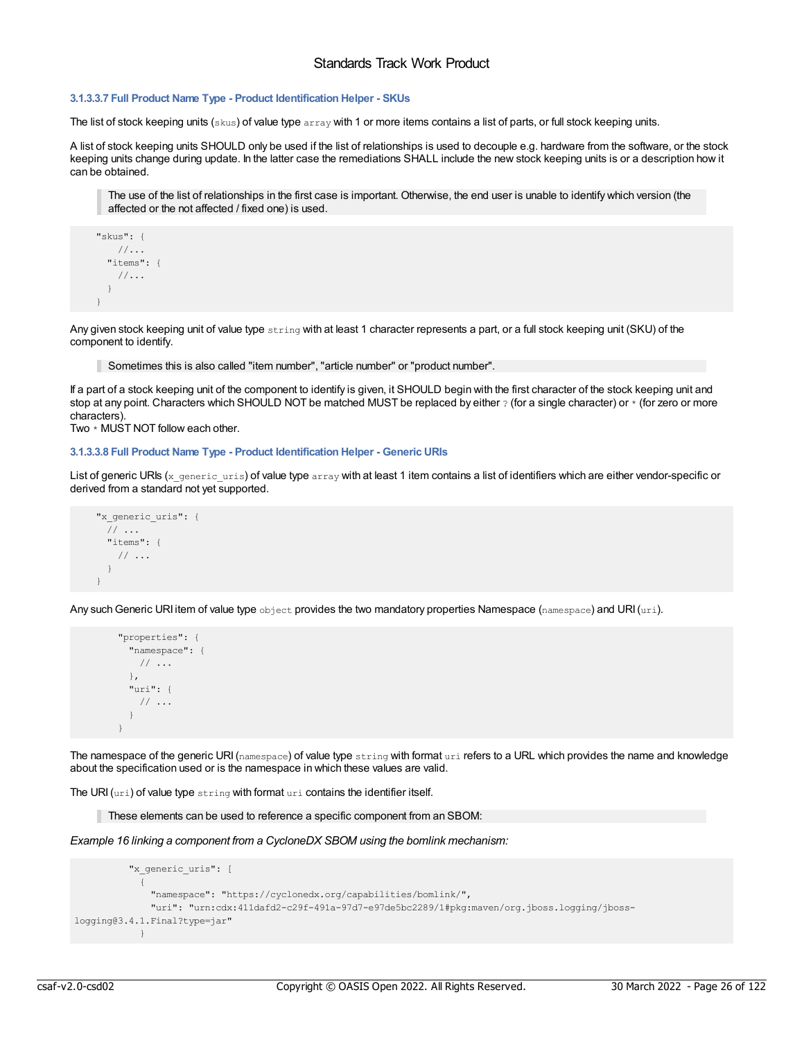## <span id="page-25-0"></span>**3.1.3.3.7 Full Product Name Type - Product Identification Helper - SKUs**

The list of stock keeping units ( $\rm{skys}$ ) of value type  $\rm{array}$  with 1 or more items contains a list of parts, or full stock keeping units.

A list of stock keeping units SHOULD only be used if the list of relationships is used to decouple e.g. hardware from the software, or the stock keeping units change during update. In the latter case the remediations SHALL include the new stock keeping units is or a description how it can be obtained.

The use of the list of relationships in the first case is important. Otherwise, the end user is unable to identify which version (the affected or the not affected / fixed one) is used.

```
"skus": {
   //...
 "items": {
   //...
  }
}
```
Any given stock keeping unit of value type string with at least 1 character represents a part, or a full stock keeping unit (SKU) of the component to identify.

Sometimes this is also called "item number", "article number" or "product number".

If a part of a stock keeping unit of the component to identify is given, it SHOULD begin with the first character of the stock keeping unit and stop at any point. Characters which SHOULD NOT be matched MUST be replaced by either ? (for a single character) or \* (for zero or more characters).

Two \* MUST NOT follow each other.

#### <span id="page-25-1"></span>**3.1.3.3.8 Full Product Name Type - Product Identification Helper - Generic URIs**

List of generic URIs ( $x$  generic uris) of value type array with at least 1 item contains a list of identifiers which are either vendor-specific or derived from a standard not yet supported.

```
"x generic uris": {
 // ...
 "items": {
   // ...
 }
}
```
Any such Generic URI item of value type object provides the two mandatory properties Namespace (namespace) and URI $(\text{uri})$ .

```
"properties": {
  "namespace": {
   \frac{1}{2}...
 },
 "uri": {
   // ...
 }
}
```
The namespace of the generic URI (namespace) of value type  $string$  with format  $uri$  refers to a URL which provides the name and knowledge about the specification used or is the namespace in which these values are valid.

The URI  $(uri)$  of value type string with format uri contains the identifier itself.

These elements can be used to reference a specific component from an SBOM:

*Example 16 linking a component from a CycloneDX SBOM using the bomlink mechanism:*

```
"x generic uris": [
            {
              "namespace": "https://cyclonedx.org/capabilities/bomlink/",
              "uri": "urn:cdx:411dafd2-c29f-491a-97d7-e97de5bc2289/1#pkg:maven/org.jboss.logging/jboss-
logging@3.4.1.Final?type=jar"
            }
```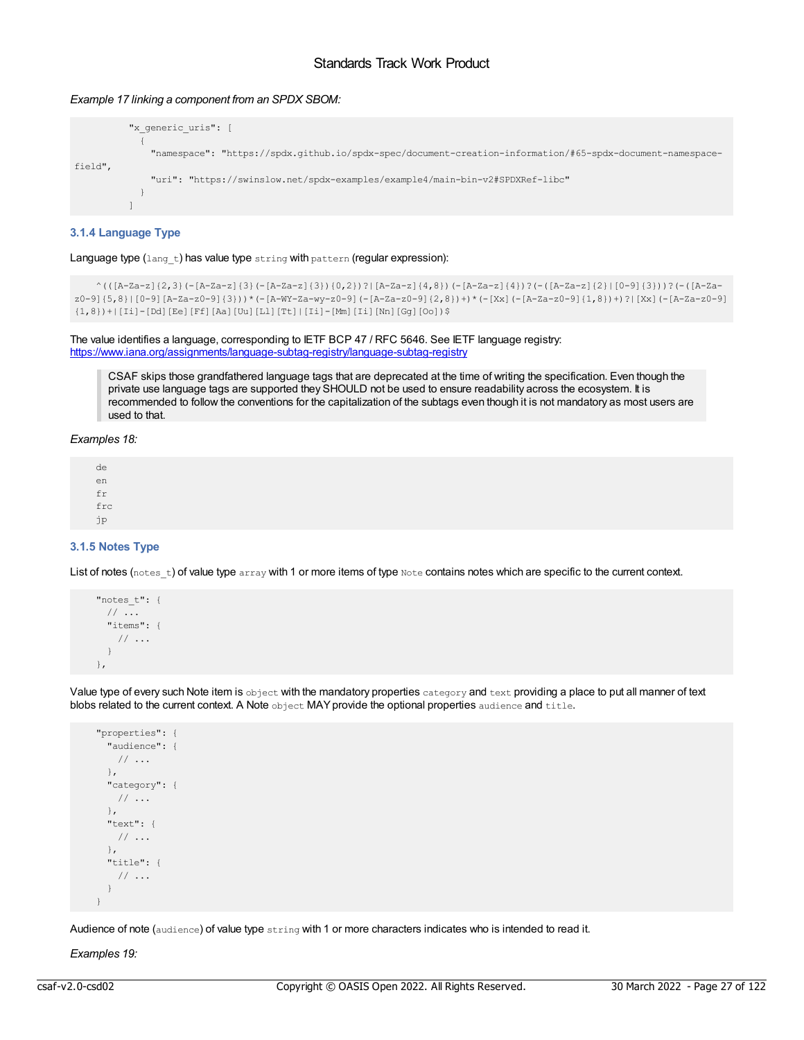## *Example 17 linking a component from an SPDX SBOM:*

```
"x_generic_uris": [
           {
             "namespace": "https://spdx.github.io/spdx-spec/document-creation-information/#65-spdx-document-namespace-
field",
             "uri": "https://swinslow.net/spdx-examples/example4/main-bin-v2#SPDXRef-libc"
           }
          ]
```
## <span id="page-26-0"></span>**3.1.4 Language Type**

Language type (lang\_t) has value type string with pattern (regular expression):

```
^(([A-Za-z]{2,3}(-[A-Za-z]{3}(-[A-Za-z]{3}){0,2})?|[A-Za-z]{4,8})(-[A-Za-z]{4})?(-([A-Za-z]{2}|[0-9]{3}))?(-([A-Za-
z0-9]{5,8}|[0-9][A-Za-z0-9]{3}))*(-[A-WY-Za-wy-z0-9](-[A-Za-z0-9]{2,8})+)*(-[Xx](-[A-Za-z0-9]{1,8})+)?|[Xx](-[A-Za-z0-9]
{1,8})+|[Ii]-[Dd][Ee][Ff][Aa][Uu][Ll][Tt]|[Ii]-[Mm][Ii][Nn][Gg][Oo])$
```
The value identifies a language, corresponding to IETF BCP 47 / RFC 5646. See IETF language registry: <https://www.iana.org/assignments/language-subtag-registry/language-subtag-registry>

CSAF skips those grandfathered language tags that are deprecated at the time of writing the specification. Even though the private use language tags are supported they SHOULD not be used to ensure readability across the ecosystem. It is recommended to follow the conventions for the capitalization of the subtags even though it is not mandatory as most users are used to that.

#### *Examples 18:*

de en fr frc jp

## <span id="page-26-1"></span>**3.1.5 Notes Type**

List of notes (notes t) of value type array with 1 or more items of type Note contains notes which are specific to the current context.

```
"notes_t": {
  // ...
  "items": {
    \frac{1}{2}...
  }
},
```
Value type of every such Note item is object with the mandatory properties category and text providing a place to put all manner of text blobs related to the current context. A Note object MAY provide the optional properties audience and title.

```
"properties": {
 "audience": {
  // ...
 },
 "category": {
  // ...
 },
 "text": {
  // ...
 },
 "title": {
  // ...
 }
}
```
Audience of note (audience) of value type string with 1 or more characters indicates who is intended to read it.

*Examples 19:*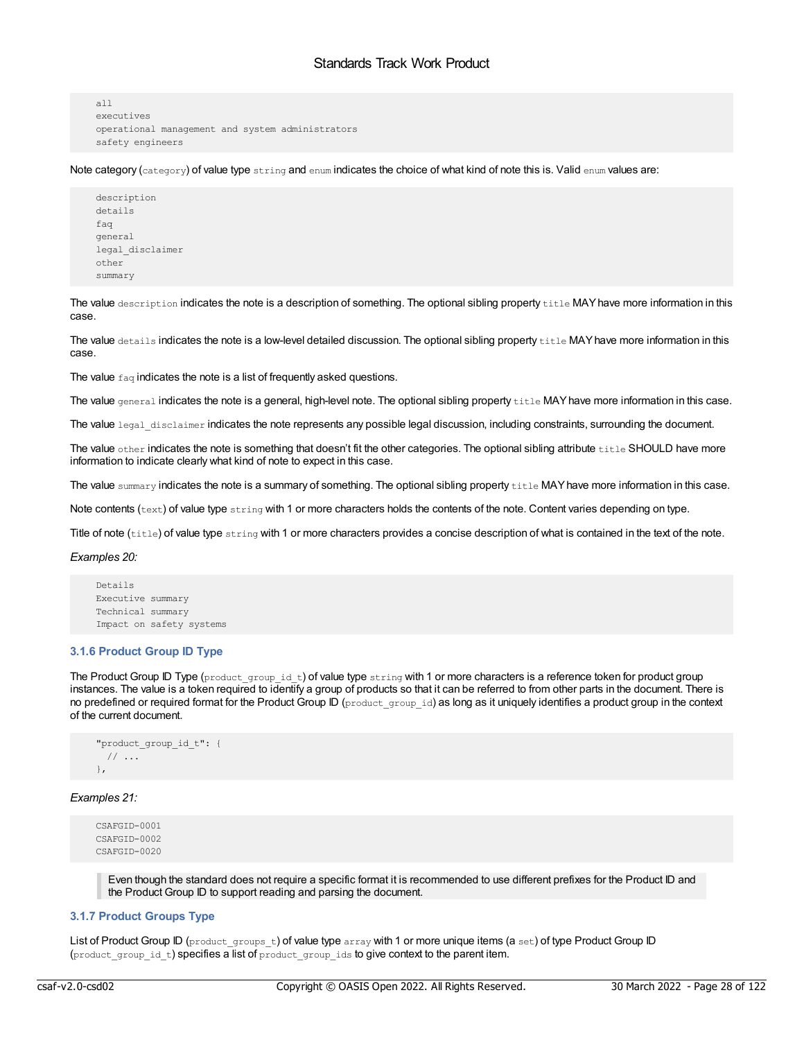```
all
executives
operational management and system administrators
safety engineers
```
Note category ( $\text{category}$ ) of value type  $\text{string}$  and  $\text{enum}$  indicates the choice of what kind of note this is. Valid  $\text{enum}$  values are:

```
description
details
faq
general
legal_disclaimer
other
summary
```
The value description indicates the note is a description of something. The optional sibling property title MAY have more information in this case.

The value details indicates the note is a low-level detailed discussion. The optional sibling property title MAY have more information in this case.

The value  $fag$  indicates the note is a list of frequently asked questions.

The value general indicates the note is a general, high-level note. The optional sibling property title MAY have more information in this case.

The value legal disclaimer indicates the note represents any possible legal discussion, including constraints, surrounding the document.

The value other indicates the note is something that doesn't fit the other categories. The optional sibling attribute title SHOULD have more information to indicate clearly what kind of note to expect in this case.

The value summary indicates the note is a summary of something. The optional sibling property title MAY have more information in this case.

Note contents ( $text{text}$ ) of value type  $string$  with 1 or more characters holds the contents of the note. Content varies depending on type.

Title of note (title) of value type string with 1 or more characters provides a concise description of what is contained in the text of the note.

#### *Examples 20:*

```
Details
Executive summary
Technical summary
Impact on safety systems
```
## <span id="page-27-0"></span>**3.1.6 Product Group ID Type**

The Product Group ID Type (product\_group\_id\_t) of value type string with 1 or more characters is a reference token for product group instances. The value is a token required to identify a group of products so that it can be referred to from other parts in the document. There is no predefined or required format for the Product Group ID (product group id) as long as it uniquely identifies a product group in the context of the current document.

```
"product_group_id_t": {
 // ...
},
```
## *Examples 21:*

```
CSAFGID-0001
CSAFGID-0002
CSAFGID-0020
```
Even though the standard does not require a specific format it is recommended to use different prefixes for the Product ID and the Product Group ID to support reading and parsing the document.

## <span id="page-27-1"></span>**3.1.7 Product Groups Type**

List of Product Group ID (product groups t) of value type array with 1 or more unique items (a set) of type Product Group ID (product\_group\_id\_t) specifies a list of product\_group\_ids to give context to the parent item.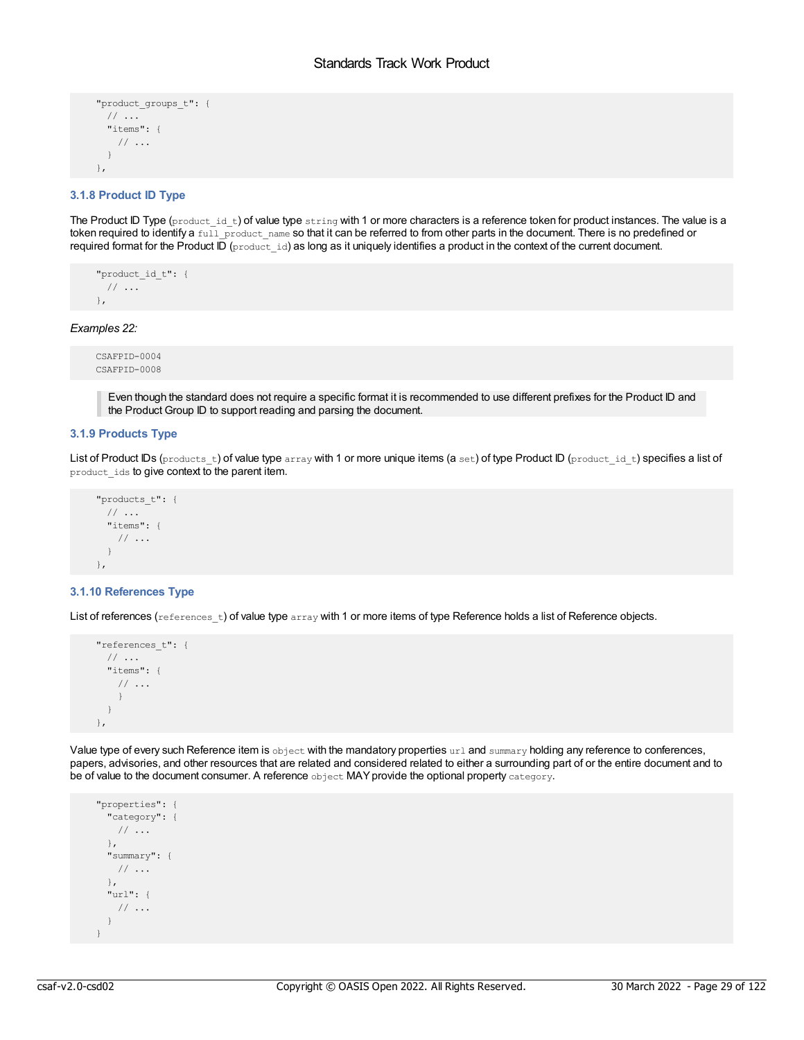```
"product_groups_t": {
 // ...
 "items": {
  // ...
 }
},
```
## <span id="page-28-0"></span>**3.1.8 Product ID Type**

The Product ID Type (product id t) of value type string with 1 or more characters is a reference token for product instances. The value is a token required to identify a full product\_name so that it can be referred to from other parts in the document. There is no predefined or required format for the Product ID (product id) as long as it uniquely identifies a product in the context of the current document.

```
"product id t": {
 // ...
},
```
*Examples 22:*

```
CSAFPID-0004
CSAFPID-0008
```
Even though the standard does not require a specific format it is recommended to use different prefixes for the Product ID and the Product Group ID to support reading and parsing the document.

## <span id="page-28-1"></span>**3.1.9 Products Type**

List of Product IDs (products\_t) of value type array with 1 or more unique items (a set) of type Product ID (product\_id\_t) specifies a list of product\_ids to give context to the parent item.

```
"products_t": {
 // ...
 "items": {
   // ...
 }
},
```
#### <span id="page-28-2"></span>**3.1.10 References Type**

List of references  $(r$  eferences  $t)$  of value type  $r$  array with 1 or more items of type Reference holds a list of Reference objects.

```
"references_t": {
 // ...
 "items": {
  // ...
  }
 }
},
```
Value type of every such Reference item is object with the mandatory properties url and summary holding any reference to conferences, papers, advisories, and other resources that are related and considered related to either a surrounding part of or the entire document and to be of value to the document consumer. A reference object MAY provide the optional property category.

```
"properties": {
 "category": {
  // ...
 },
 "summary": {
  // ...
 },
 "url": {
  // ...
 }
}
```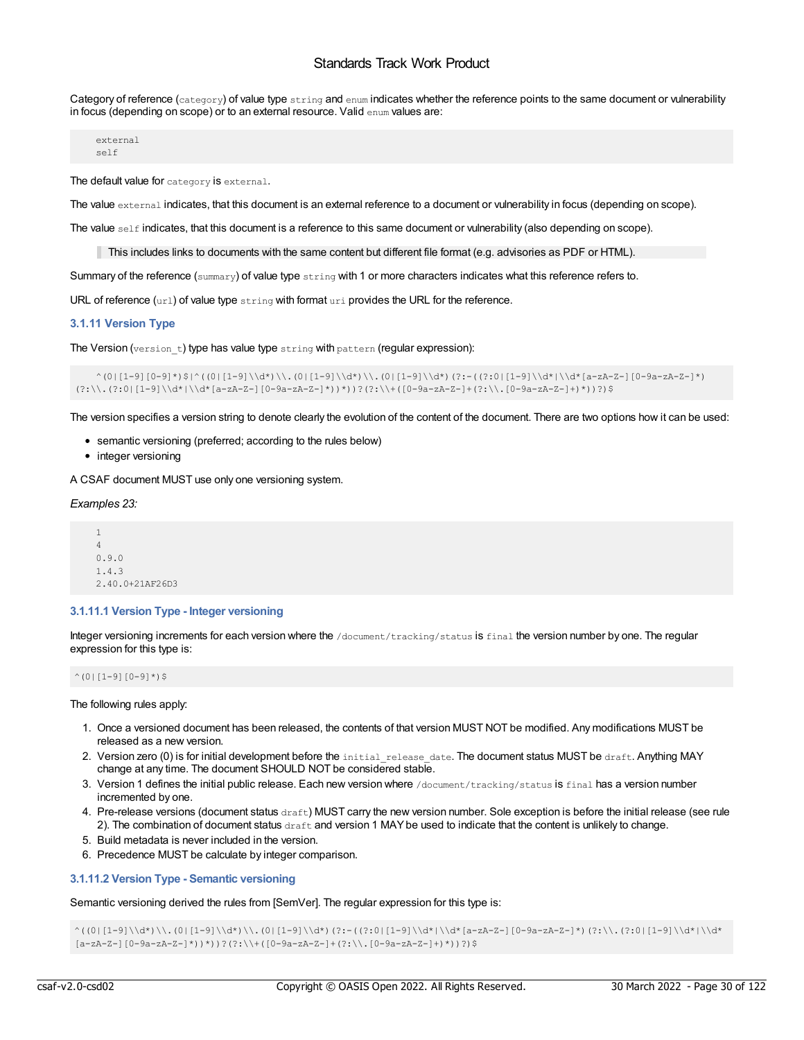Category of reference (category) of value type string and enum indicates whether the reference points to the same document or vulnerability in focus (depending on scope) or to an external resource. Valid enum values are:

external self

The default value for category is external.

The value external indicates, that this document is an external reference to a document or vulnerability in focus (depending on scope).

The value  $\text{self}$  indicates, that this document is a reference to this same document or vulnerability (also depending on scope).

This includes links to documents with the same content but different file format (e.g. advisories as PDF or HTML).

Summary of the reference ( $\text{summaxy}$ ) of value type  $\text{string}$  with 1 or more characters indicates what this reference refers to.

URL of reference  $(urt)$  of value type  $string$  with format  $uri$  provides the URL for the reference.

## <span id="page-29-0"></span>**3.1.11 Version Type**

The Version (version t) type has value type string with pattern (regular expression):

```
\wedge^{\,}_1\,(0\,|\,1-9]\,\{0-9\}\,\gamma\,\}|\wedge^{\,}_2\,(0\,|\,1-9]\,\backslash\mathrm{d}\,\gamma\,\backslash\backslash\,,\ (0\,|\,1-9]\,\backslash\mathrm{d}\,\gamma\,\backslash\backslash\,,\ (0\,|\,1-9]\,\backslash\mathrm{d}\,\gamma\,\backslash\backslash\}(?\colon\backslash\backslash\colon(?\colon0\mid[1-9]\setminus\backslash\backslash\backslash\backslash\backslash\backslash\backslash\{a-zA-Z-1\}\mid\backslash\backslash\backslash\backslash\} ) ) ?(?:\\+([0-9a-zA-Z-]+(?:\\.[0-9a-zA-Z-]+)*))?)$
```
The version specifies a version string to denote clearly the evolution of the content of the document. There are two options how it can be used:

- semantic versioning (preferred; according to the rules below)
- integer versioning

A CSAF document MUST use only one versioning system.

*Examples 23:*

1 4 0.9.0 1.4.3 2.40.0+21AF26D3

## <span id="page-29-1"></span>**3.1.11.1 Version Type - Integer versioning**

Integer versioning increments for each version where the /document/tracking/status is final the version number by one. The regular expression for this type is:

 $^{\wedge}$ (0|[1-9][0-9]\*)\$

The following rules apply:

- 1. Once a versioned document has been released, the contents of that version MUST NOT be modified. Any modifications MUST be released as a new version.
- 2. Version zero (0) is for initial development before the initial\_release\_date. The document status MUST be draft. Anything MAY change at any time. The document SHOULD NOT be considered stable.
- 3. Version 1 defines the initial public release. Each new version where /document/tracking/status is final has a version number incremented by one.
- 4. Pre-release versions (document status draft) MUST carry the new version number. Sole exception is before the initial release (see rule 2). The combination of document status  $drafft$  and version 1 MAY be used to indicate that the content is unlikely to change.
- 5. Build metadata is never included in the version.
- 6. Precedence MUST be calculate by integer comparison.

## <span id="page-29-2"></span>**3.1.11.2 Version Type - Semantic versioning**

Semantic versioning derived the rules from [SemVer]. The regular expression for this type is:

```
\wedge((0|[1-9]\\d*)\\.(0|[1-9]\\d*)\\.(0|[1-9]\\d*)\\.(0|[1-9]\\d*)\\d*[a-zA-Z-][0-9a-zA-Z-]*)(?:\\.(?:0|[1-9]\\d*|\\d*
[a-zA-Z-](0-9a-zA-Z-]'')')')?(?:\\+([0-9a-zA-Z-]'+(?:\\\(0-9a-zA-Z-]'+)''))?)$
```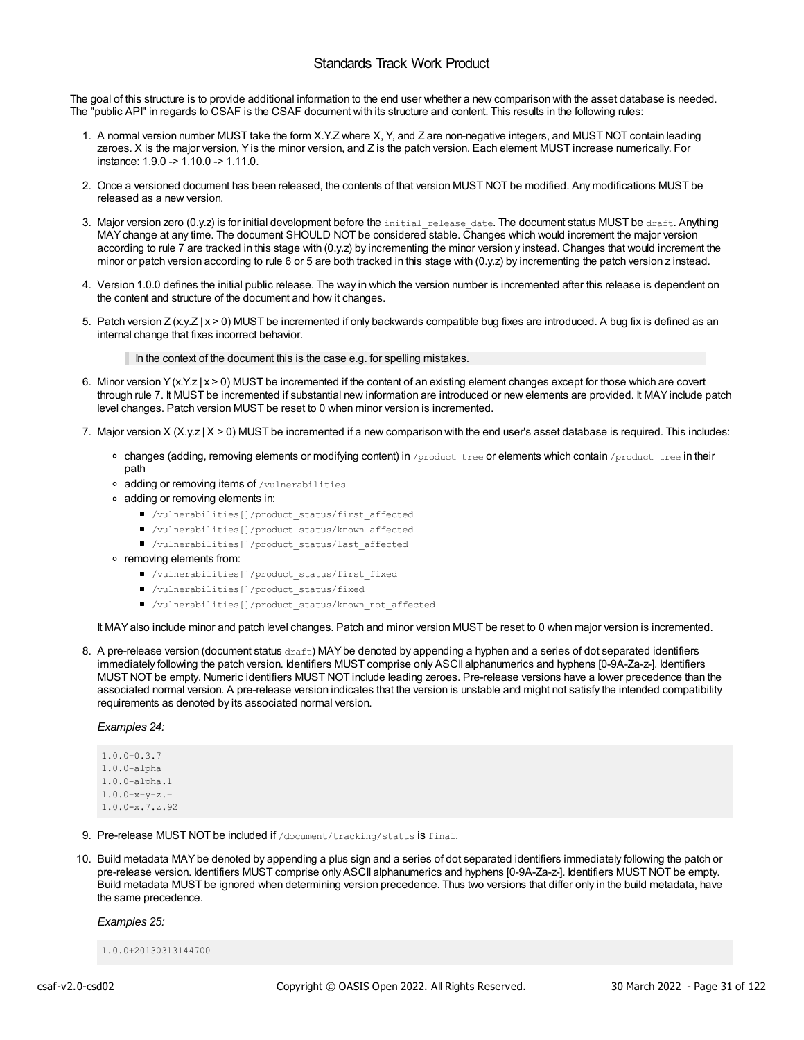The goal of this structure is to provide additional information to the end user whether a new comparison with the asset database is needed. The "public API" in regards to CSAF is the CSAF document with its structure and content. This results in the following rules:

- 1. A normal version number MUST take the form X.Y.Z where X, Y, and Z are non-negative integers, and MUST NOT contain leading zeroes. X is the major version, Yis the minor version, and Z is the patch version. Each element MUST increase numerically. For instance: 1.9.0 -> 1.10.0 -> 1.11.0.
- 2. Once a versioned document has been released, the contents of that version MUST NOT be modified. Any modifications MUST be released as a new version.
- 3. Major version zero (0.y.z) is for initial development before the initial\_release\_date. The document status MUST be draft. Anything MAYchange at any time. The document SHOULD NOT be considered stable. Changes which would increment the major version according to rule 7 are tracked in this stage with (0.y.z) by incrementing the minor version y instead. Changes that would increment the minor or patch version according to rule 6 or 5 are both tracked in this stage with (0.y.z) by incrementing the patch version z instead.
- 4. Version 1.0.0 defines the initial public release. The way in which the version number is incremented after this release is dependent on the content and structure of the document and how it changes.
- 5. Patch version Z (x.y.Z | x > 0) MUST be incremented if only backwards compatible bug fixes are introduced. A bug fix is defined as an internal change that fixes incorrect behavior.

In the context of the document this is the case e.g. for spelling mistakes.

- 6. Minor version Y(x.Y.z | x > 0) MUST be incremented if the content of an existing element changes except for those which are covert through rule 7. It MUST be incremented if substantial new information are introduced or new elements are provided. It MAYinclude patch level changes. Patch version MUST be reset to 0 when minor version is incremented.
- 7. Major version X (X.y.z | X > 0) MUST be incremented if a new comparison with the end user's asset database is required. This includes:
	- o changes (adding, removing elements or modifying content) in /product tree or elements which contain /product tree in their path
	- adding or removing items of /vulnerabilities
	- adding or removing elements in:
		- /vulnerabilities[]/product\_status/first\_affected
		- /vulnerabilities[]/product\_status/known\_affected
		- /vulnerabilities[]/product\_status/last\_affected
	- removing elements from:
		- /vulnerabilities[]/product\_status/first\_fixed
		- /vulnerabilities[]/product\_status/fixed
		- /vulnerabilities[]/product\_status/known\_not\_affected

It MAYalso include minor and patch level changes. Patch and minor version MUST be reset to 0 when major version is incremented.

8. A pre-release version (document status draft) MAY be denoted by appending a hyphen and a series of dot separated identifiers immediately following the patch version. Identifiers MUST comprise only ASCII alphanumerics and hyphens [0-9A-Za-z-]. Identifiers MUST NOT be empty. Numeric identifiers MUST NOT include leading zeroes. Pre-release versions have a lower precedence than the associated normal version. A pre-release version indicates that the version is unstable and might not satisfy the intended compatibility requirements as denoted by its associated normal version.

## *Examples 24:*

1.0.0-0.3.7 1.0.0-alpha 1.0.0-alpha.1 1.0.0-x-y-z.– 1.0.0-x.7.z.92

- 9. Pre-release MUST NOT be included if /document/tracking/status is final.
- 10. Build metadata MAYbe denoted by appending a plus sign and a series of dot separated identifiers immediately following the patch or pre-release version. Identifiers MUST comprise only ASCII alphanumerics and hyphens [0-9A-Za-z-]. Identifiers MUST NOT be empty. Build metadata MUST be ignored when determining version precedence. Thus two versions that differ only in the build metadata, have the same precedence.

*Examples 25:*

1.0.0+20130313144700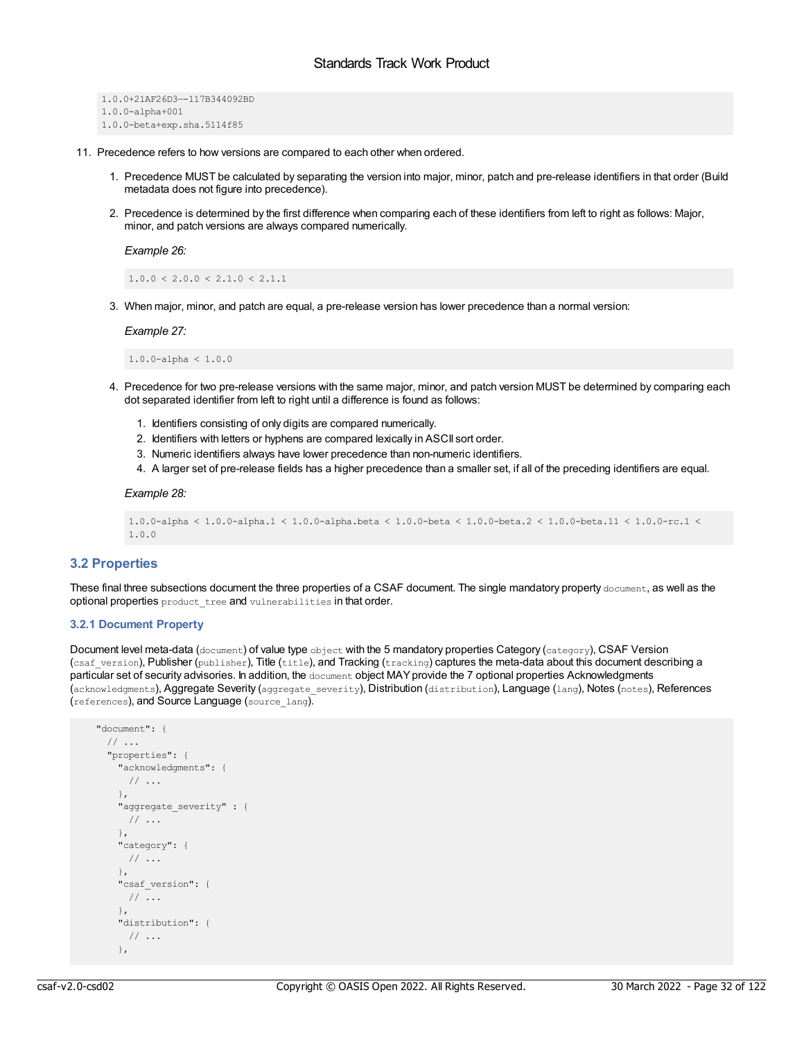```
1.0.0+21AF26D3—-117B344092BD
1.0.0-alpha+001
1.0.0-beta+exp.sha.5114f85
```
- 11. Precedence refers to how versions are compared to each other when ordered.
	- 1. Precedence MUST be calculated by separating the version into major, minor, patch and pre-release identifiers in that order (Build metadata does not figure into precedence).
	- 2. Precedence is determined by the first difference when comparing each of these identifiers from left to right as follows: Major, minor, and patch versions are always compared numerically.

*Example 26:*

 $1.0.0 \leq 2.0.0 \leq 2.1.0 \leq 2.1.1$ 

3. When major, minor, and patch are equal, a pre-release version has lower precedence than a normal version:

*Example 27:*

1.0.0-alpha < 1.0.0

- 4. Precedence for two pre-release versions with the same major, minor, and patch version MUST be determined by comparing each dot separated identifier from left to right until a difference is found as follows:
	- 1. Identifiers consisting of only digits are compared numerically.
	- 2. Identifiers with letters or hyphens are compared lexically in ASCII sort order.
	- 3. Numeric identifiers always have lower precedence than non-numeric identifiers.
	- 4. A larger set of pre-release fields has a higher precedence than a smaller set, if all of the preceding identifiers are equal.

#### *Example 28:*

```
1.0.0-alpha < 1.0.0-alpha.1 < 1.0.0-alpha.beta < 1.0.0-beta < 1.0.0-beta.2 < 1.0.0-beta.11 < 1.0.0-rc.1 <
1.0.0
```
## <span id="page-31-0"></span>**3.2 Properties**

These final three subsections document the three properties of a CSAF document. The single mandatory property document, as well as the optional properties product\_tree and vulnerabilities in that order.

## <span id="page-31-1"></span>**3.2.1 Document Property**

Document level meta-data (document) of value type object with the 5 mandatory properties Category (category), CSAF Version  $(c_{\text{sat}}$  version), Publisher (publisher), Title (title), and Tracking (tracking) captures the meta-data about this document describing a particular set of security advisories. In addition, the document object MAY provide the 7 optional properties Acknowledgments (acknowledgments), Aggregate Severity (aggregate\_severity), Distribution (distribution), Language (lang), Notes (notes), References (references), and Source Language (source\_lang).

```
"document": {
 // ...
  "properties": {
   "acknowledgments": {
    // ...
   },
   "aggregate severity" : {
    // ...
   },
    "category": {
     // ...
    },
   "csaf version": {
     // ...
   },
   "distribution": {
     // ...
    },
```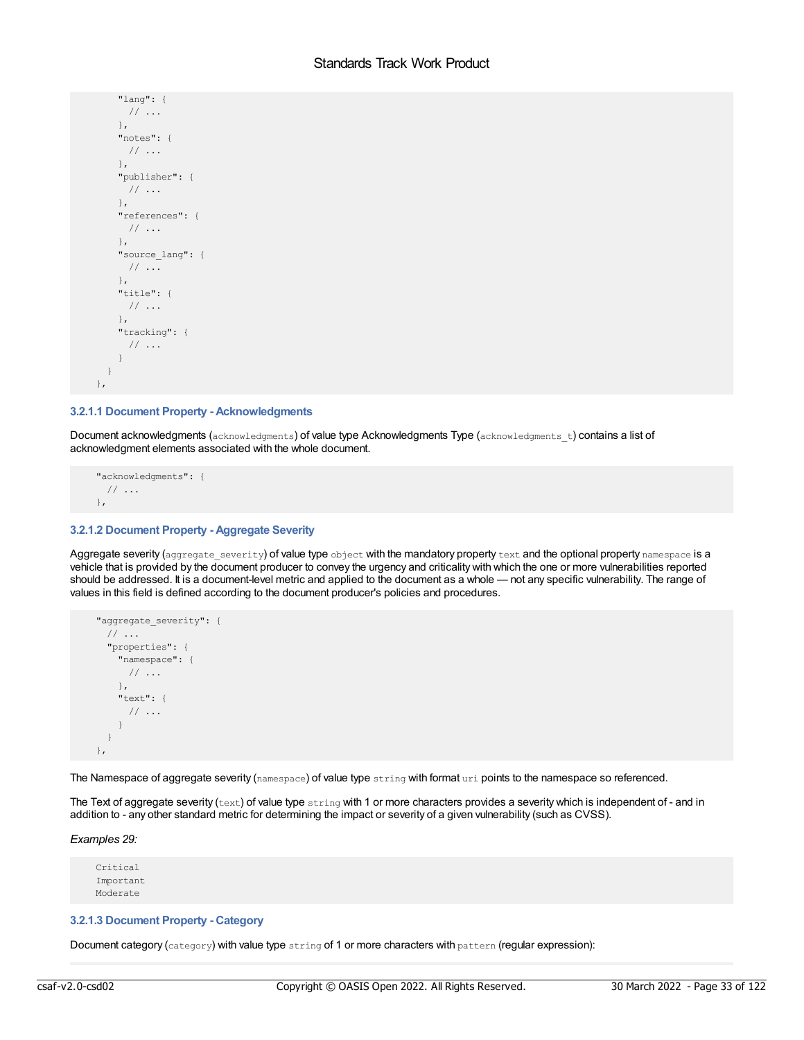```
"lang": {
    // ...
   },
   "notes": {
    // ...
   },
   "publisher": {
    // ...
   },
   "references": {
    // ...
   },
   "source_lang": {
    // ...
   },
   "title": {
    // ...
   },
   "tracking": {
    // ...
   }
 }
},
```
## <span id="page-32-0"></span>**3.2.1.1 Document Property - Acknowledgments**

Document acknowledgments (acknowledgments) of value type Acknowledgments Type (acknowledgments t) contains a list of acknowledgment elements associated with the whole document.

```
"acknowledgments": {
 \frac{1}{2}...
},
```
## <span id="page-32-1"></span>**3.2.1.2 Document Property - Aggregate Severity**

Aggregate severity (aggregate severity) of value type object with the mandatory property text and the optional property namespace is a vehicle that is provided by the document producer to convey the urgency and criticality with which the one or more vulnerabilities reported should be addressed. It is a document-level metric and applied to the document as a whole — not any specific vulnerability. The range of values in this field is defined according to the document producer's policies and procedures.



The Namespace of aggregate severity (namespace) of value type string with format uri points to the namespace so referenced.

The Text of aggregate severity (text) of value type string with 1 or more characters provides a severity which is independent of - and in addition to - any other standard metric for determining the impact or severity of a given vulnerability (such as CVSS).

## *Examples 29:*

Critical Important Moderate

## <span id="page-32-2"></span>**3.2.1.3 Document Property - Category**

Document category (category) with value type string of 1 or more characters with pattern (regular expression):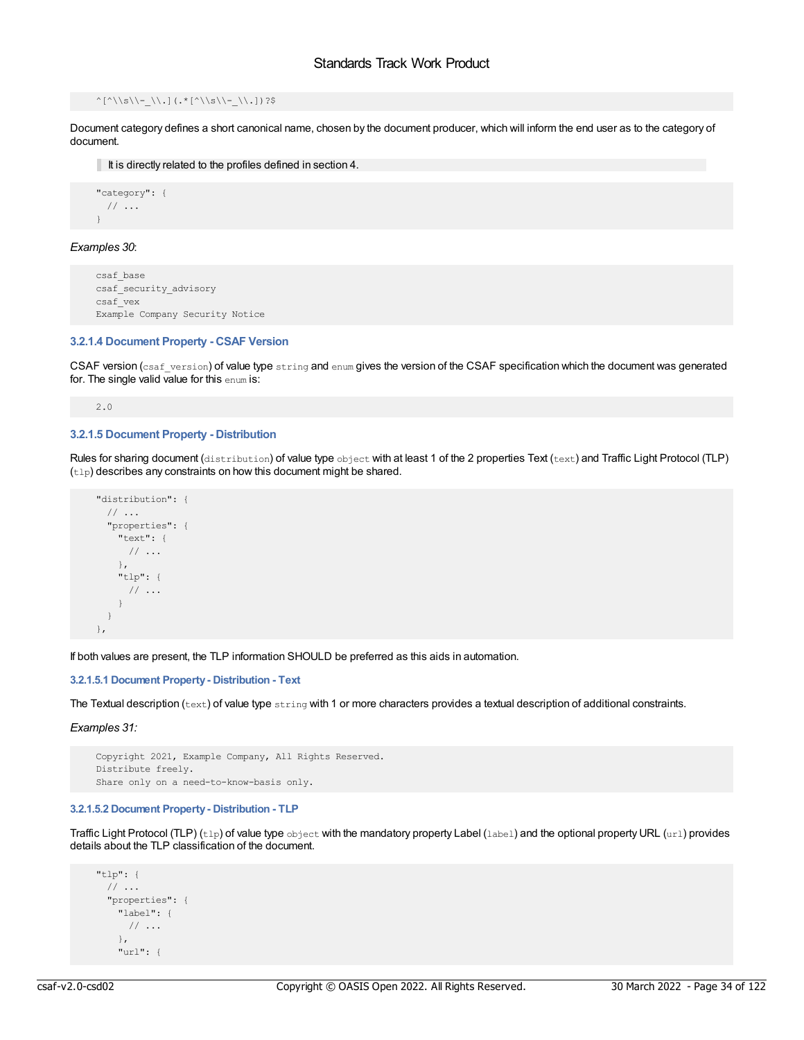## $\hat{\Lambda}^{\star}$  ^[^\\s\\-\_\\.](.\*[^\\s\\-\_\\.])?\$

Document category defines a short canonical name, chosen by the document producer, which will inform the end user as to the category of document.

It is directly related to the profiles defined in section 4.

```
"category": {
 // ...
}
```
## *Examples 30*:

```
csaf_base
csaf_security_advisory
csaf_vex
Example Company Security Notice
```
## <span id="page-33-0"></span>**3.2.1.4 Document Property - CSAF Version**

CSAF version (csaf version) of value type string and enum gives the version of the CSAF specification which the document was generated for. The single valid value for this enum is:

2.0

## <span id="page-33-1"></span>**3.2.1.5 Document Property - Distribution**

Rules for sharing document (distribution) of value type object with at least 1 of the 2 properties Text (text) and Traffic Light Protocol (TLP)  $(t1p)$  describes any constraints on how this document might be shared.

```
"distribution": {
 // ...
 "properties": {
   "text": {
     // ...
   },
   "tlp": {
    // ...
   }
 }
},
```
If both values are present, the TLP information SHOULD be preferred as this aids in automation.

## <span id="page-33-2"></span>**3.2.1.5.1 Document Property- Distribution - Text**

The Textual description ( $text{text}$ ) of value type  $\text{string}$  with 1 or more characters provides a textual description of additional constraints.

*Examples 31:*

```
Copyright 2021, Example Company, All Rights Reserved.
Distribute freely.
Share only on a need-to-know-basis only.
```
## <span id="page-33-3"></span>**3.2.1.5.2 Document Property- Distribution - TLP**

Traffic Light Protocol (TLP) (tlp) of value type object with the mandatory property Label (label) and the optional property URL (url) provides details about the TLP classification of the document.

```
"tlp": {
 // ...
  "properties": {
   "label": {
     // ...
   },
    "url": {
```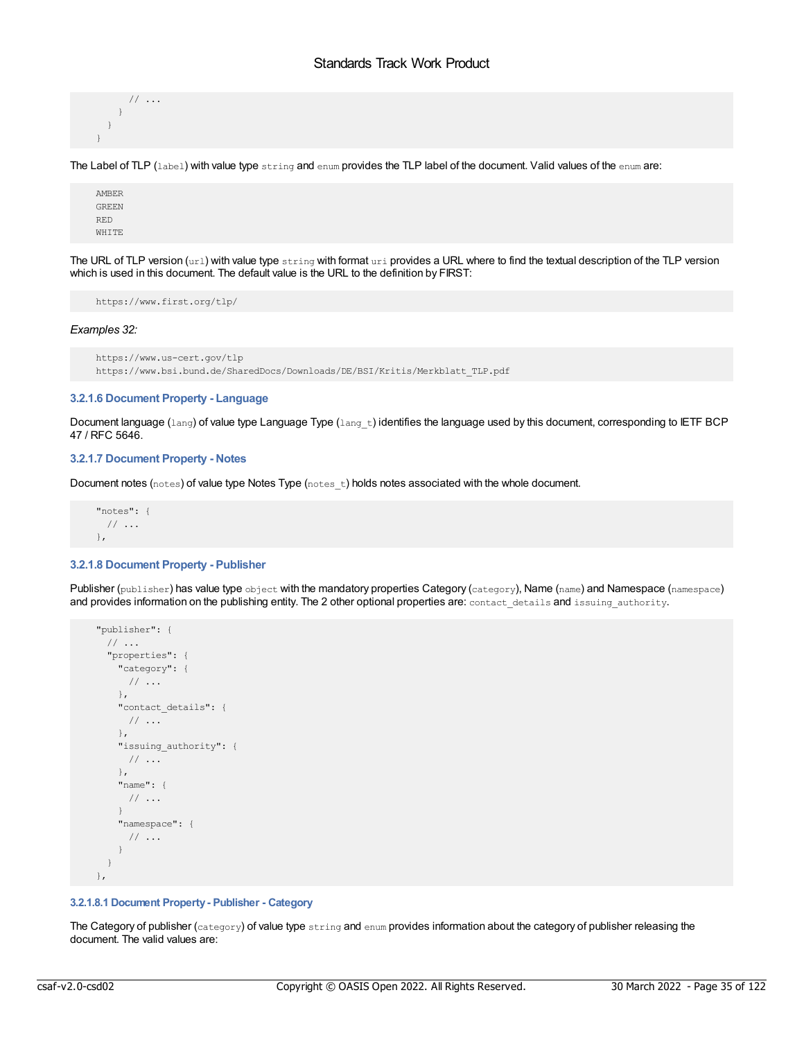```
// ...
  }
 }
}
```
The Label of TLP (label) with value type string and enum provides the TLP label of the document. Valid values of the enum are:

```
AMBER
GREEN
RED
WHITE
```
The URL of TLP version (url) with value type string with format uri provides a URL where to find the textual description of the TLP version which is used in this document. The default value is the URL to the definition by FIRST:

https://www.first.org/tlp/

#### *Examples 32:*

```
https://www.us-cert.gov/tlp
https://www.bsi.bund.de/SharedDocs/Downloads/DE/BSI/Kritis/Merkblatt_TLP.pdf
```
## <span id="page-34-0"></span>**3.2.1.6 Document Property - Language**

Document language ( $lang$ ) of value type Language Type ( $lang$  t) identifies the language used by this document, corresponding to IETF BCP 47 / RFC 5646.

## <span id="page-34-1"></span>**3.2.1.7 Document Property - Notes**

Document notes (notes) of value type Notes Type (notes\_t) holds notes associated with the whole document.

```
"notes": {
 // ...
},
```
## <span id="page-34-2"></span>**3.2.1.8 Document Property - Publisher**

Publisher (publisher) has value type object with the mandatory properties Category (category), Name (name) and Namespace (namespace) and provides information on the publishing entity. The 2 other optional properties are: contact details and issuing authority.

```
"publisher": {
 // ...
 "properties": {
   "category": {
    // ...
   },
   "contact_details": {
    // ...
   },
   "issuing_authority": {
    // ...
   },
   "name": {
    // ...
   }
   "namespace": {
    // ...
   }
 }
},
```
## <span id="page-34-3"></span>**3.2.1.8.1 Document Property- Publisher - Category**

The Category of publisher (category) of value type string and enum provides information about the category of publisher releasing the document. The valid values are: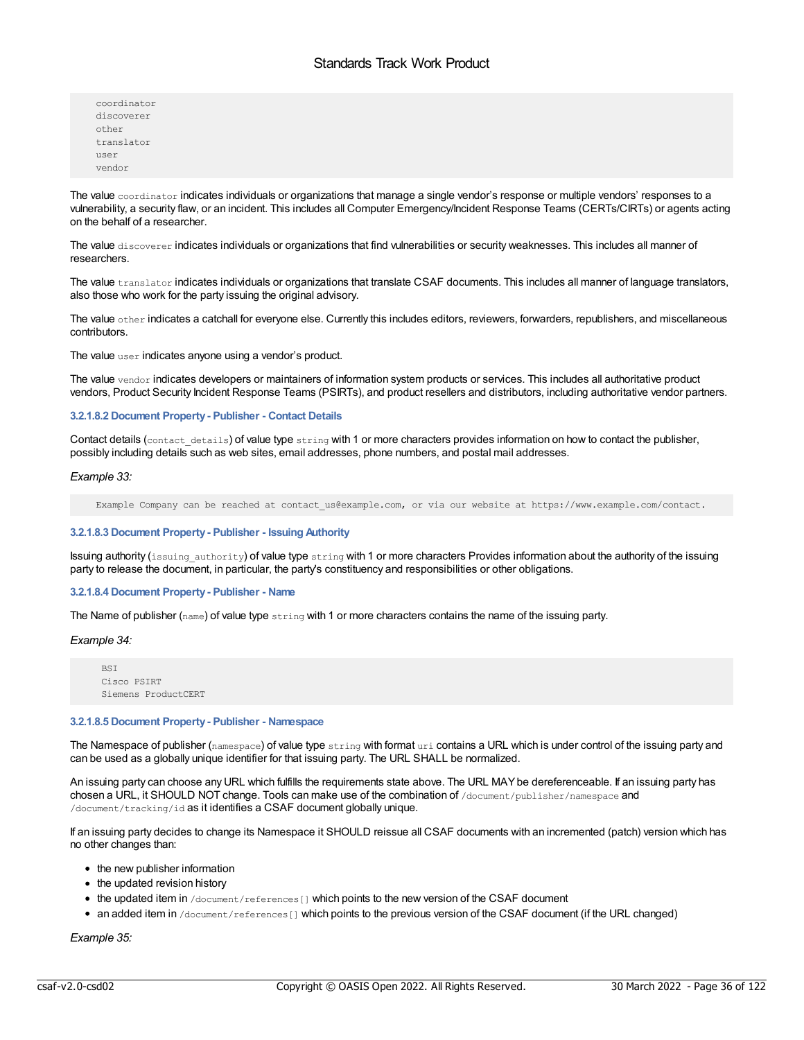coordinator discoverer other translator user vendor

The value coordinator indicates individuals or organizations that manage a single vendor's response or multiple vendors' responses to a vulnerability, a security flaw, or an incident. This includes all Computer Emergency/Incident Response Teams (CERTs/CIRTs) or agents acting on the behalf of a researcher.

The value discoverer indicates individuals or organizations that find vulnerabilities or security weaknesses. This includes all manner of researchers.

The value translator indicates individuals or organizations that translate CSAF documents. This includes all manner of language translators, also those who work for the party issuing the original advisory.

The value other indicates a catchall for everyone else. Currently this includes editors, reviewers, forwarders, republishers, and miscellaneous contributors.

The value user indicates anyone using a vendor's product.

The value vendor indicates developers or maintainers of information system products or services. This includes all authoritative product vendors, Product Security Incident Response Teams (PSIRTs), and product resellers and distributors, including authoritative vendor partners.

#### <span id="page-35-0"></span>**3.2.1.8.2 Document Property- Publisher - Contact Details**

Contact details (contact details) of value type string with 1 or more characters provides information on how to contact the publisher, possibly including details such as web sites, email addresses, phone numbers, and postal mail addresses.

#### *Example 33:*

Example Company can be reached at contact us@example.com, or via our website at https://www.example.com/contact.

#### <span id="page-35-1"></span>**3.2.1.8.3 Document Property- Publisher - Issuing Authority**

Issuing authority (issuing authority) of value type string with 1 or more characters Provides information about the authority of the issuing party to release the document, in particular, the party's constituency and responsibilities or other obligations.

#### <span id="page-35-2"></span>**3.2.1.8.4 Document Property- Publisher - Name**

The Name of publisher (name) of value type string with 1 or more characters contains the name of the issuing party.

## *Example 34:*

BSI Cisco PSIRT Siemens ProductCERT

## <span id="page-35-3"></span>**3.2.1.8.5 Document Property- Publisher - Namespace**

The Namespace of publisher (namespace) of value type  $string$  with format uri contains a URL which is under control of the issuing party and can be used as a globally unique identifier for that issuing party. The URL SHALL be normalized.

An issuing party can choose any URL which fulfills the requirements state above. The URL MAY be dereferenceable. If an issuing party has chosen a URL, it SHOULD NOT change. Tools can make use of the combination of /document/publisher/namespace and /document/tracking/id as it identifies a CSAF document globally unique.

If an issuing party decides to change its Namespace it SHOULD reissue all CSAF documents with an incremented (patch) version which has no other changes than:

- the new publisher information
- the updated revision history
- $\bullet$  the updated item in /document/references [] which points to the new version of the CSAF document
- an added item in /document/references [] which points to the previous version of the CSAF document (if the URL changed)

*Example 35:*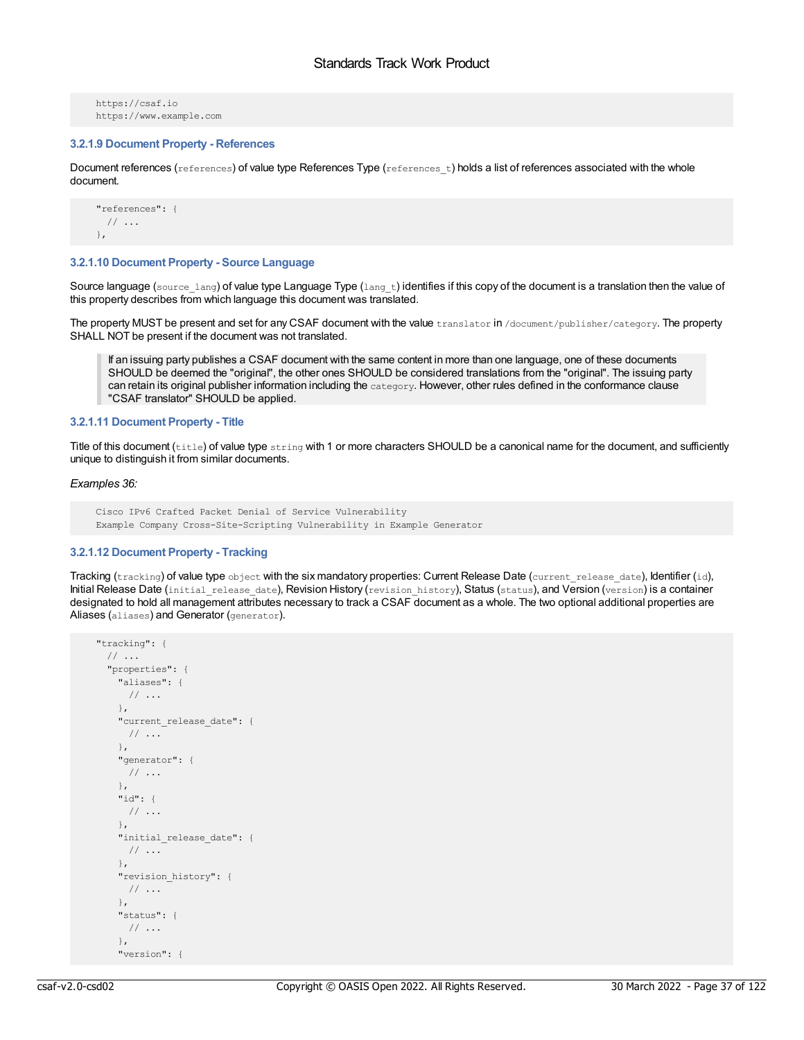```
https://csaf.io
https://www.example.com
```
# **3.2.1.9 Document Property - References**

Document references (references) of value type References Type (references t) holds a list of references associated with the whole document.

```
"references": {
 // ...
},
```
### **3.2.1.10 Document Property - Source Language**

Source language (source\_lang) of value type Language Type (lang\_t) identifies if this copy of the document is a translation then the value of this property describes from which language this document was translated.

The property MUST be present and set for any CSAF document with the value translator in /document/publisher/category. The property SHALL NOT be present if the document was not translated.

If an issuing party publishes a CSAF document with the same content in more than one language, one of these documents SHOULD be deemed the "original", the other ones SHOULD be considered translations from the "original". The issuing party can retain its original publisher information including the category. However, other rules defined in the conformance clause "CSAF translator" SHOULD be applied.

#### **3.2.1.11 Document Property - Title**

Title of this document (title) of value type string with 1 or more characters SHOULD be a canonical name for the document, and sufficiently unique to distinguish it from similar documents.

### *Examples 36:*

```
Cisco IPv6 Crafted Packet Denial of Service Vulnerability
Example Company Cross-Site-Scripting Vulnerability in Example Generator
```
# **3.2.1.12 Document Property - Tracking**

Tracking (tracking) of value type object with the six mandatory properties: Current Release Date (current release date), Identifier (id), Initial Release Date (initial release date), Revision History (revision history), Status (status), and Version (version) is a container designated to hold all management attributes necessary to track a CSAF document as a whole. The two optional additional properties are Aliases (aliases) and Generator (generator).

```
"tracking": {
 \frac{1}{2}...
  "properties": {
   "aliases": {
     // ...
   },
    "current release date": {
     // ...
    },
    "generator": {
     // ...
    },
    "id": {
     // ...
    },
    "initial_release_date": {
    // ...
   },
    "revision history": {
     // ...
    },
    "status": {
     // ...
    },
    "version": {
```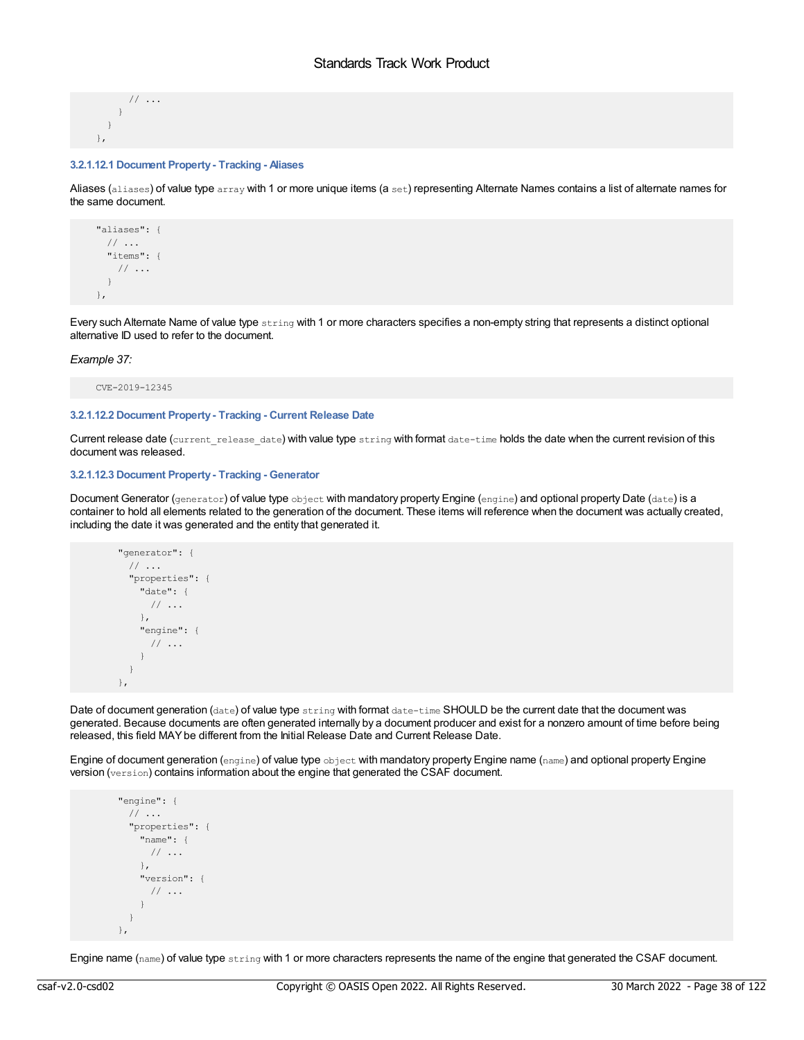```
// ...
  }
 }
},
```
# **3.2.1.12.1 Document Property- Tracking - Aliases**

Aliases (aliases) of value type array with 1 or more unique items (a set) representing Alternate Names contains a list of alternate names for the same document.

```
"aliases": {
 // ...
 "items": {
  // ...
 }
},
```
Every such Alternate Name of value type string with 1 or more characters specifies a non-empty string that represents a distinct optional alternative ID used to refer to the document.

#### *Example 37:*

CVE-2019-12345

#### **3.2.1.12.2 Document Property- Tracking - Current Release Date**

Current release date (current release date) with value type string with format date-time holds the date when the current revision of this document was released.

# **3.2.1.12.3 Document Property- Tracking - Generator**

Document Generator (generator) of value type object with mandatory property Engine (engine) and optional property Date (date) is a container to hold all elements related to the generation of the document. These items will reference when the document was actually created, including the date it was generated and the entity that generated it.

```
"generator": {
 // ...
 "properties": {
   "date": {
    // ...
   },
   "engine": {
    // ...
   }
 }
},
```
Date of document generation (date) of value type string with format date-time SHOULD be the current date that the document was generated. Because documents are often generated internally by a document producer and exist for a nonzero amount of time before being released, this field MAY be different from the Initial Release Date and Current Release Date.

Engine of document generation (engine) of value type object with mandatory property Engine name (name) and optional property Engine version (version) contains information about the engine that generated the CSAF document.

```
"engine": {
 // ...
 "properties": {
   "name": {
    // ...
   },
   "version": {
    // ...
   }
 }
},
```
Engine name (name) of value type string with 1 or more characters represents the name of the engine that generated the CSAF document.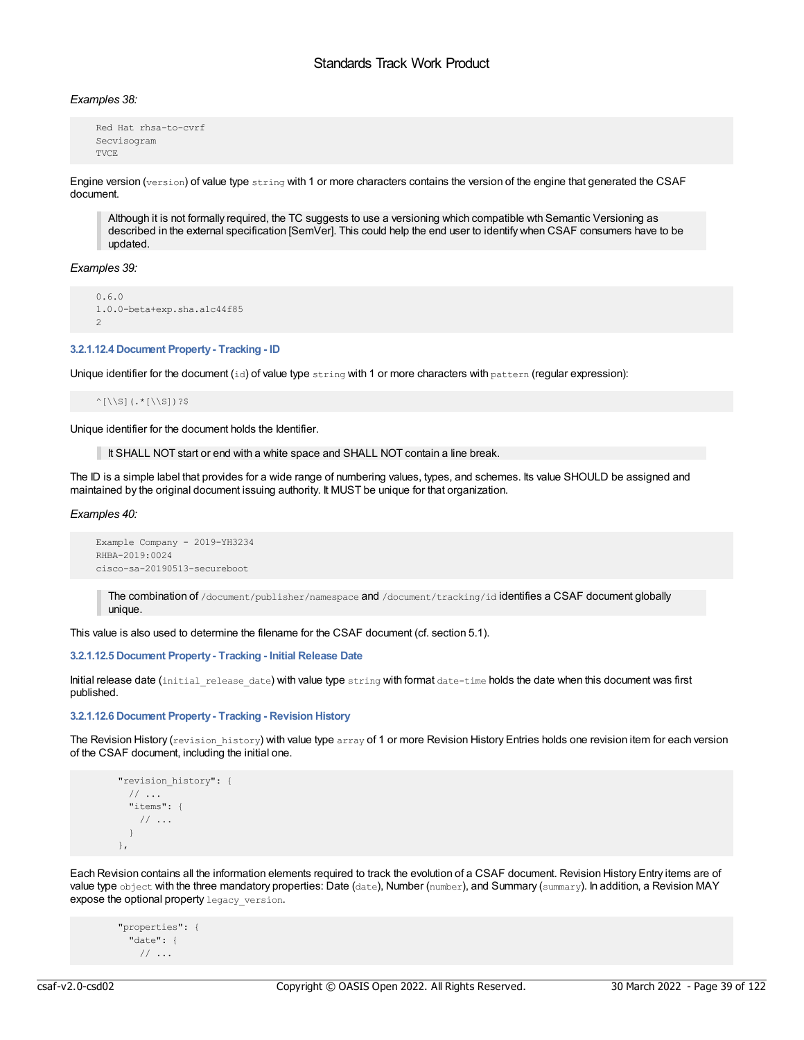# *Examples 38:*

```
Red Hat rhsa-to-cvrf
Secvisogram
TVCE
```
Engine version (version) of value type string with 1 or more characters contains the version of the engine that generated the CSAF document.

Although it is not formally required, the TC suggests to use a versioning which compatible wth Semantic Versioning as described in the external specification [SemVer]. This could help the end user to identify when CSAF consumers have to be updated.

*Examples 39:*

```
0.6.0
1.0.0-beta+exp.sha.a1c44f85
2
```
# **3.2.1.12.4 Document Property- Tracking - ID**

Unique identifier for the document  $(id)$  of value type string with 1 or more characters with pattern (regular expression):

 $^{\wedge}$ [\\S](.\*[\\S])?\$

Unique identifier for the document holds the Identifier.

It SHALL NOT start or end with a white space and SHALL NOT contain a line break.

The ID is a simple label that provides for a wide range of numbering values, types, and schemes. Its value SHOULD be assigned and maintained by the original document issuing authority. It MUST be unique for that organization.

*Examples 40:*

```
Example Company - 2019-YH3234
RHBA-2019:0024
cisco-sa-20190513-secureboot
```
The combination of /document/publisher/namespace and /document/tracking/id identifies a CSAF document globally unique.

This value is also used to determine the filename for the CSAF document (cf. section 5.1).

### **3.2.1.12.5 Document Property- Tracking - Initial Release Date**

Initial release date (initial release date) with value type string with format date-time holds the date when this document was first published.

### **3.2.1.12.6 Document Property- Tracking - Revision History**

The Revision History (revision history) with value type array of 1 or more Revision History Entries holds one revision item for each version of the CSAF document, including the initial one.

```
"revision history": {
 // ...
 "items": {
   // ...
  }
},
```
Each Revision contains all the information elements required to track the evolution of a CSAF document. Revision History Entry items are of value type object with the three mandatory properties: Date (date), Number (number), and Summary (summary). In addition, a Revision MAY expose the optional property legacy version.

```
"properties": {
 "date": {
    // ...
```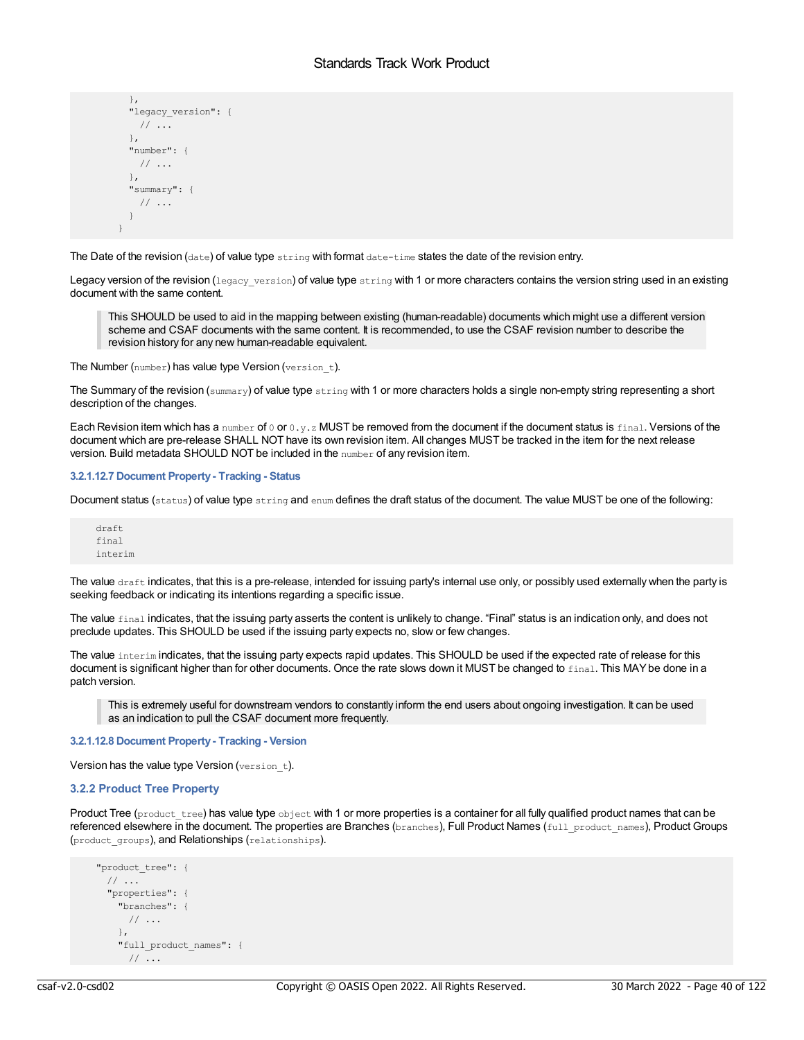```
},
 "legacy version": {
   // ...
 },
 "number": {
  // ...
 },
 "summary": {
   // ...
 }
}
```
The Date of the revision (date) of value type string with format date-time states the date of the revision entry.

Legacy version of the revision (legacy version) of value type string with 1 or more characters contains the version string used in an existing document with the same content.

This SHOULD be used to aid in the mapping between existing (human-readable) documents which might use a different version scheme and CSAF documents with the same content. It is recommended, to use the CSAF revision number to describe the revision history for any new human-readable equivalent.

The Number (number) has value type Version (version t).

The Summary of the revision ( $\text{summary}$ ) of value type  $\text{string}$  with 1 or more characters holds a single non-empty string representing a short description of the changes.

Each Revision item which has a number of 0 or 0.y.z MUST be removed from the document if the document status is final. Versions of the document which are pre-release SHALL NOT have its own revision item. All changes MUST be tracked in the item for the next release version. Build metadata SHOULD NOT be included in the number of any revision item.

# **3.2.1.12.7 Document Property- Tracking - Status**

Document status (status) of value type string and enum defines the draft status of the document. The value MUST be one of the following:

draft final interim

The value  $draff$  indicates, that this is a pre-release, intended for issuing party's internal use only, or possibly used externally when the party is seeking feedback or indicating its intentions regarding a specific issue.

The value final indicates, that the issuing party asserts the content is unlikely to change. "Final" status is an indication only, and does not preclude updates. This SHOULD be used if the issuing party expects no, slow or few changes.

The value interim indicates, that the issuing party expects rapid updates. This SHOULD be used if the expected rate of release for this document is significant higher than for other documents. Once the rate slows down it MUST be changed to final. This MAY be done in a patch version.

This is extremely useful for downstream vendors to constantly inform the end users about ongoing investigation. It can be used as an indication to pull the CSAF document more frequently.

**3.2.1.12.8 Document Property- Tracking - Version**

Version has the value type Version (version\_t).

# **3.2.2 Product Tree Property**

Product Tree (product tree) has value type object with 1 or more properties is a container for all fully qualified product names that can be referenced elsewhere in the document. The properties are Branches (branches), Full Product Names (full product names), Product Groups (product\_groups), and Relationships (relationships).

```
"product_tree": {
 // ...
  "properties": {
   "branches": {
     // ...
   },
   "full_product_names": {
     // ...
```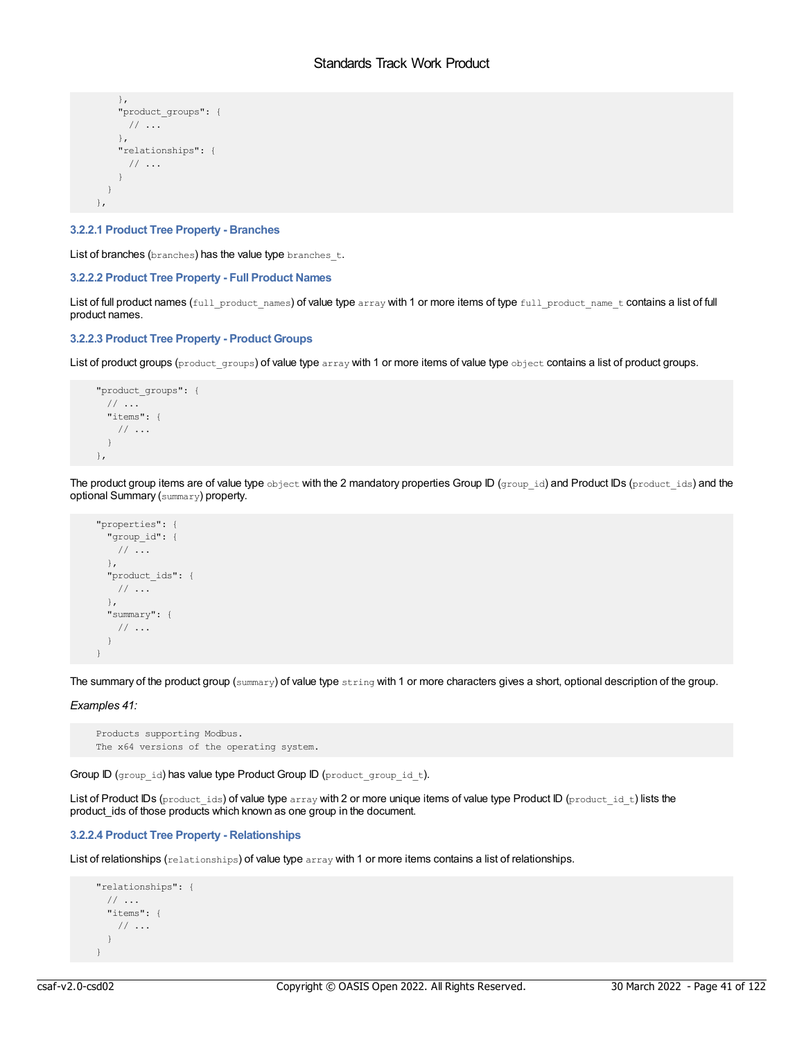```
},
   "product_groups": {
    // ...
   },
   "relationships": {
    // ...
   }
 }
},
```
# **3.2.2.1 Product Tree Property - Branches**

List of branches (branches) has the value type branches t.

### **3.2.2.2 Product Tree Property - Full Product Names**

List of full product names (full product names) of value type array with 1 or more items of type full product name t contains a list of full product names.

# **3.2.2.3 Product Tree Property - Product Groups**

List of product groups (product groups) of value type array with 1 or more items of value type object contains a list of product groups.

```
"product_groups": {
 // ...
 "items": {
   // ...
 }
},
```
The product group items are of value type object with the 2 mandatory properties Group ID (group\_id) and Product IDs (product\_ids) and the optional Summary (summary) property.

```
"properties": {
 "group_id": {
  // ...
 },
 "product_ids": {
  // ...
 },
 "summary": {
  // ...
 }
}
```
The summary of the product group (summary) of value type string with 1 or more characters gives a short, optional description of the group.

*Examples 41:*

```
Products supporting Modbus.
The x64 versions of the operating system.
```
Group ID (group id) has value type Product Group ID (product group id t).

List of Product IDs (product\_ids) of value type array with 2 or more unique items of value type Product ID (product\_id\_t) lists the product ids of those products which known as one group in the document.

# **3.2.2.4 Product Tree Property - Relationships**

List of relationships (relationships) of value type array with 1 or more items contains a list of relationships.

```
"relationships": {
 // ...
 "items": {
   // ...
 }
}
```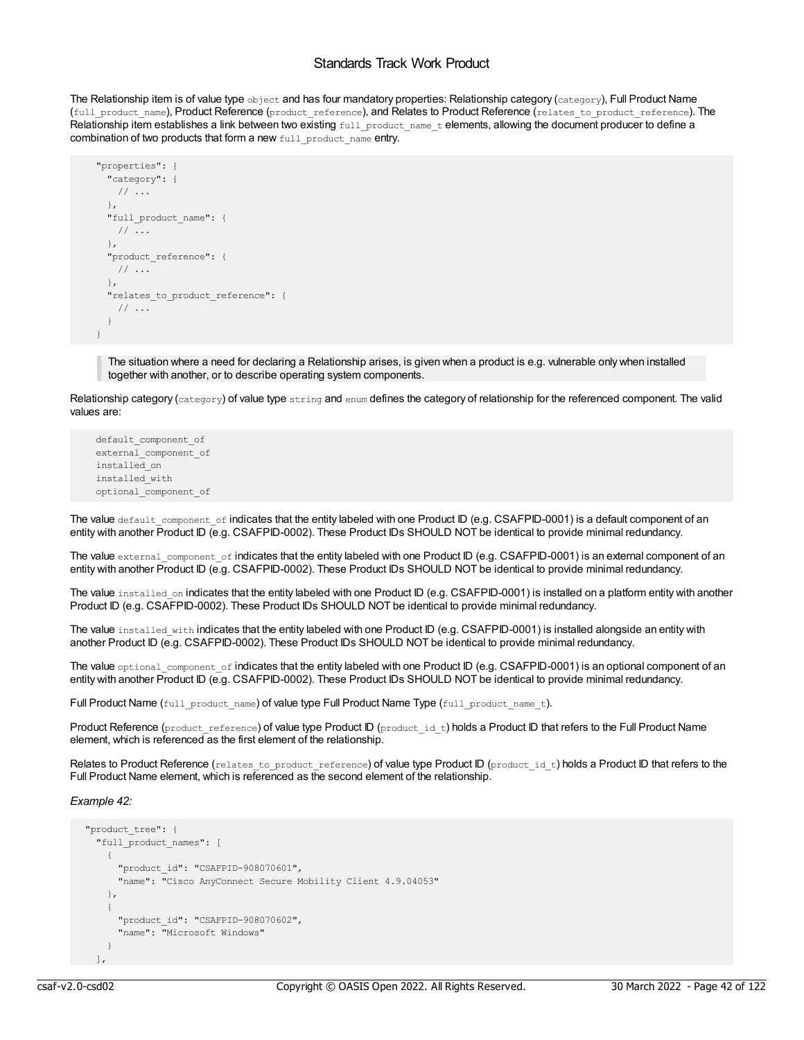The Relationship item is of value type object and has four mandatory properties: Relationship category (category), Full Product Name (full\_product\_name), Product Reference (product\_reference), and Relates to Product Reference (relates\_to\_product\_reference). The Relationship item establishes a link between two existing full\_product\_name\_t elements, allowing the document producer to define a combination of two products that form a new full product name entry.

```
"properties": {
  "category": {
   // ...
  },
 "full product name": {
  // ...
  },
  "product_reference": {
   // ...
  },
  "relates to product reference": {
  // ...
 }
}
```
The situation where a need for declaring a Relationship arises, is given when a product is e.g. vulnerable only when installed together with another, or to describe operating system components.

Relationship category (category) of value type string and enum defines the category of relationship for the referenced component. The valid values are:

```
default_component_of
external_component_of
installed_on
installed_with
optional_component_of
```
The value default component of indicates that the entity labeled with one Product ID (e.g. CSAFPID-0001) is a default component of an entity with another Product ID (e.g. CSAFPID-0002). These Product IDs SHOULD NOT be identical to provide minimal redundancy.

The value external component of indicates that the entity labeled with one Product ID (e.g. CSAFPID-0001) is an external component of an entity with another Product ID (e.g. CSAFPID-0002). These Product IDs SHOULD NOT be identical to provide minimal redundancy.

The value installed on indicates that the entity labeled with one Product ID (e.g. CSAFPID-0001) is installed on a platform entity with another Product ID (e.g. CSAFPID-0002). These Product IDs SHOULD NOT be identical to provide minimal redundancy.

The value installed with indicates that the entity labeled with one Product ID (e.g. CSAFPID-0001) is installed alongside an entity with another Product ID (e.g. CSAFPID-0002). These Product IDs SHOULD NOT be identical to provide minimal redundancy.

The value optional component of indicates that the entity labeled with one Product ID (e.g. CSAFPID-0001) is an optional component of an entity with another Product ID (e.g. CSAFPID-0002). These Product IDs SHOULD NOT be identical to provide minimal redundancy.

Full Product Name (full product name) of value type Full Product Name Type (full product name t).

Product Reference (product reference) of value type Product ID (product id t) holds a Product ID that refers to the Full Product Name element, which is referenced as the first element of the relationship.

Relates to Product Reference (relates\_to\_product\_reference) of value type Product ID (product id t) holds a Product ID that refers to the Full Product Name element, which is referenced as the second element of the relationship.

*Example 42:*

```
"product_tree": {
 "full_product_names": [
    {
     "product_id": "CSAFPID-908070601",
     "name": "Cisco AnyConnect Secure Mobility Client 4.9.04053"
   },
    {
     "product_id": "CSAFPID-908070602",
     "name": "Microsoft Windows"
   }
 ],
```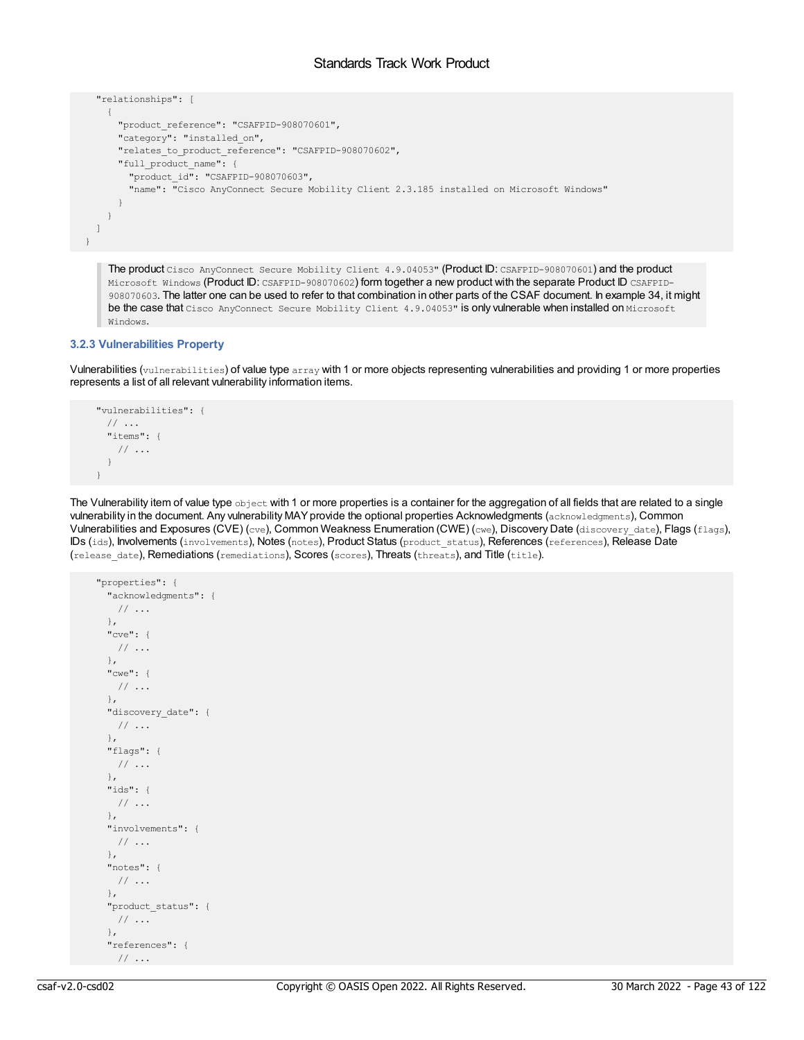```
"relationships": [
    {
     "product_reference": "CSAFPID-908070601",
     "category": "installed on",
     "relates_to_product_reference": "CSAFPID-908070602",
     "full_product_name": {
       "product_id": "CSAFPID-908070603",
       "name": "Cisco AnyConnect Secure Mobility Client 2.3.185 installed on Microsoft Windows"
     }
   }
 ]
}
```
The product Cisco AnyConnect Secure Mobility Client 4.9.04053" (Product ID: CSAFPID-908070601) and the product Microsoft Windows (Product ID: CSAFPID-908070602) form together a new product with the separate Product ID CSAFPID-908070603. The latter one can be used to refer to that combination in other parts of the CSAF document. In example 34, it might be the case that Cisco AnyConnect Secure Mobility Client 4.9.04053" is only vulnerable when installed on Microsoft Windows.

# **3.2.3 Vulnerabilities Property**

Vulnerabilities (vulnerabilities) of value type array with 1 or more objects representing vulnerabilities and providing 1 or more properties represents a list of all relevant vulnerability information items.

```
"vulnerabilities": {
 // ...
 "items": {
  // ...
 }
}
```
The Vulnerability item of value type object with 1 or more properties is a container for the aggregation of all fields that are related to a single vulnerability in the document. Any vulnerability MAYprovide the optional properties Acknowledgments (acknowledgments), Common Vulnerabilities and Exposures (CVE) (cve), Common Weakness Enumeration (CWE) (cwe), Discovery Date (discovery date), Flags (flags), IDs (ids), Involvements (involvements), Notes (notes), Product Status (product\_status), References (references), Release Date (release\_date), Remediations (remediations), Scores (scores), Threats (threats), and Title (title).

```
"properties": {
 "acknowledgments": {
  // ...
 },
 "cve": {
  // ...
 },
 "cwe": {
  // ...
 },
 "discovery_date": {
 // ...
 },
 "flags": {
  // ...
 },
 "ids": {
  // ...
 },
 "involvements": {
  // ...
 },
 "notes": {
  // ...
 },
 "product_status": {
  // ...
 },
 "references": {
  // ...
```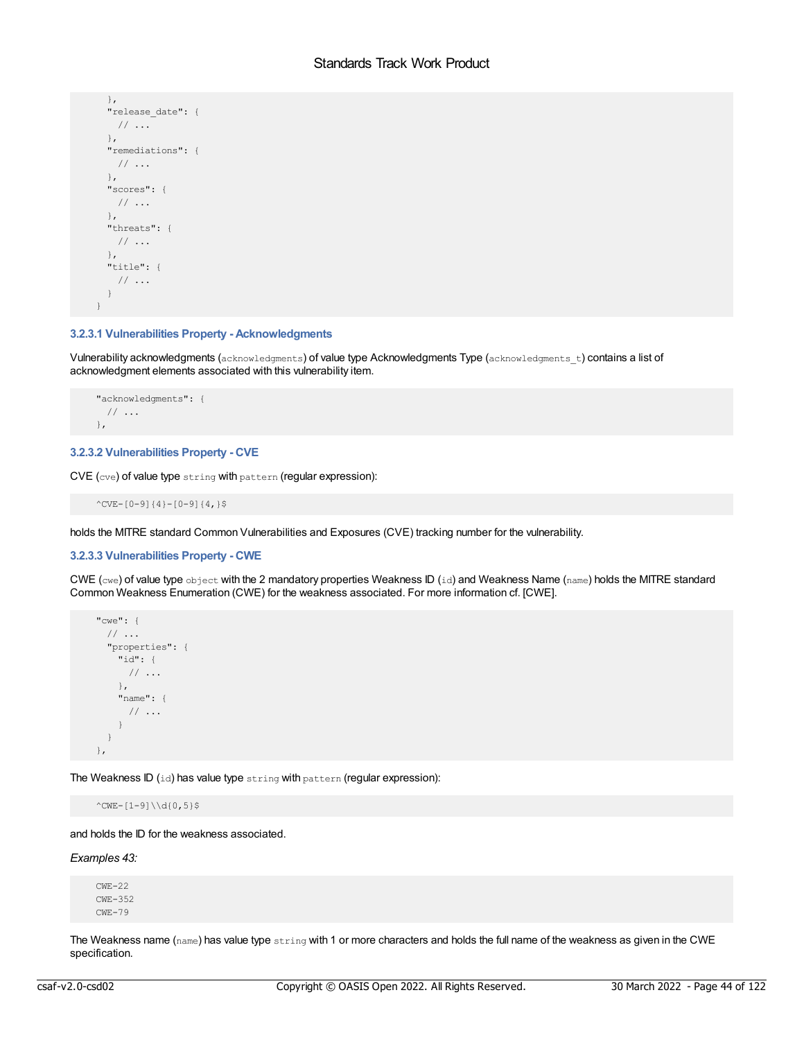```
},
 "release_date": {
  // ...
 },
 "remediations": {
  // ...
 },
 "scores": {
  // ...
 },
 "threats": {
  // ...
 },
 "title": {
  // ...
 }
}
```
# **3.2.3.1 Vulnerabilities Property - Acknowledgments**

Vulnerability acknowledgments (acknowledgments) of value type Acknowledgments Type (acknowledgments\_t) contains a list of acknowledgment elements associated with this vulnerability item.

```
"acknowledgments": {
 // ...
},
```
# **3.2.3.2 Vulnerabilities Property - CVE**

CVE (cve) of value type string with pattern (regular expression):

^CVE-[0-9]{4}-[0-9]{4,}\$

holds the MITRE standard Common Vulnerabilities and Exposures (CVE) tracking number for the vulnerability.

# **3.2.3.3 Vulnerabilities Property - CWE**

CWE (cwe) of value type object with the 2 mandatory properties Weakness ID (id) and Weakness Name (name) holds the MITRE standard Common Weakness Enumeration (CWE) for the weakness associated. For more information cf. [CWE].

```
"cwe": {
 // ...
 "properties": {
   "id": {
     // ...
   },
   "name": {
    // ...
   }
 }
},
```
The Weakness ID (id) has value type string with pattern (regular expression):

 $^{\circ}$ CWE-[1-9]\\d{0,5}\$

and holds the ID for the weakness associated.

### *Examples 43:*

CWE-22 CWE-352 CWE-79

The Weakness name ( $name$ ) has value type  $string$  with 1 or more characters and holds the full name of the weakness as given in the CWE specification.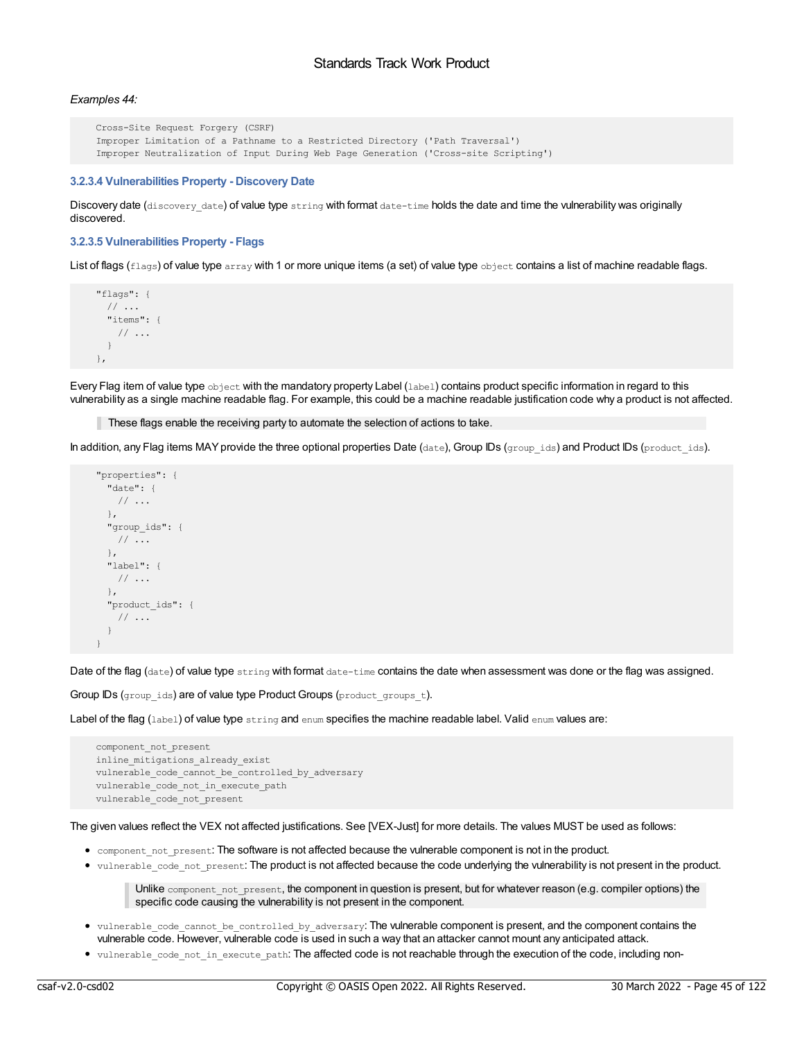# *Examples 44:*

```
Cross-Site Request Forgery (CSRF)
Improper Limitation of a Pathname to a Restricted Directory ('Path Traversal')
Improper Neutralization of Input During Web Page Generation ('Cross-site Scripting')
```
### **3.2.3.4 Vulnerabilities Property - Discovery Date**

Discovery date (discovery date) of value type string with format date-time holds the date and time the vulnerability was originally discovered.

#### **3.2.3.5 Vulnerabilities Property - Flags**

List of flags (flags) of value type array with 1 or more unique items (a set) of value type object contains a list of machine readable flags.

```
"flags": {
 // ...
  "items": {
   // ...
  }
},
```
Every Flag item of value type object with the mandatory property Label (label) contains product specific information in regard to this vulnerability as a single machine readable flag. For example, this could be a machine readable justification code why a product is not affected.

These flags enable the receiving party to automate the selection of actions to take.

In addition, any Flag items MAY provide the three optional properties Date (date), Group IDs (group\_ids) and Product IDs (product\_ids).

```
"properties": {
 "date": {
  // ...
 },
 "group_ids": {
   // ...
 },
 "label": {
  // ...
 },
 "product_ids": {
  // ...
 }
}
```
Date of the flag (date) of value type string with format date-time contains the date when assessment was done or the flag was assigned.

Group IDs (group ids) are of value type Product Groups (product groups t).

Label of the flag (label) of value type string and enum specifies the machine readable label. Valid enum values are:

```
component_not_present
inline_mitigations_already_exist
vulnerable_code_cannot_be_controlled_by_adversary
vulnerable code not in execute path
vulnerable code not present
```
The given values reflect the VEX not affected justifications. See [VEX-Just] for more details. The values MUST be used as follows:

- component not present: The software is not affected because the vulnerable component is not in the product.
- vulnerable code not present: The product is not affected because the code underlying the vulnerability is not present in the product.

Unlike component\_not\_present, the component in question is present, but for whatever reason (e.g. compiler options) the specific code causing the vulnerability is not present in the component.

- vulnerable\_code\_cannot\_be\_controlled\_by\_adversary: The vulnerable component is present, and the component contains the vulnerable code. However, vulnerable code is used in such a way that an attacker cannot mount any anticipated attack.
- vulnerable\_code\_not\_in\_execute\_path: The affected code is not reachable through the execution of the code, including non-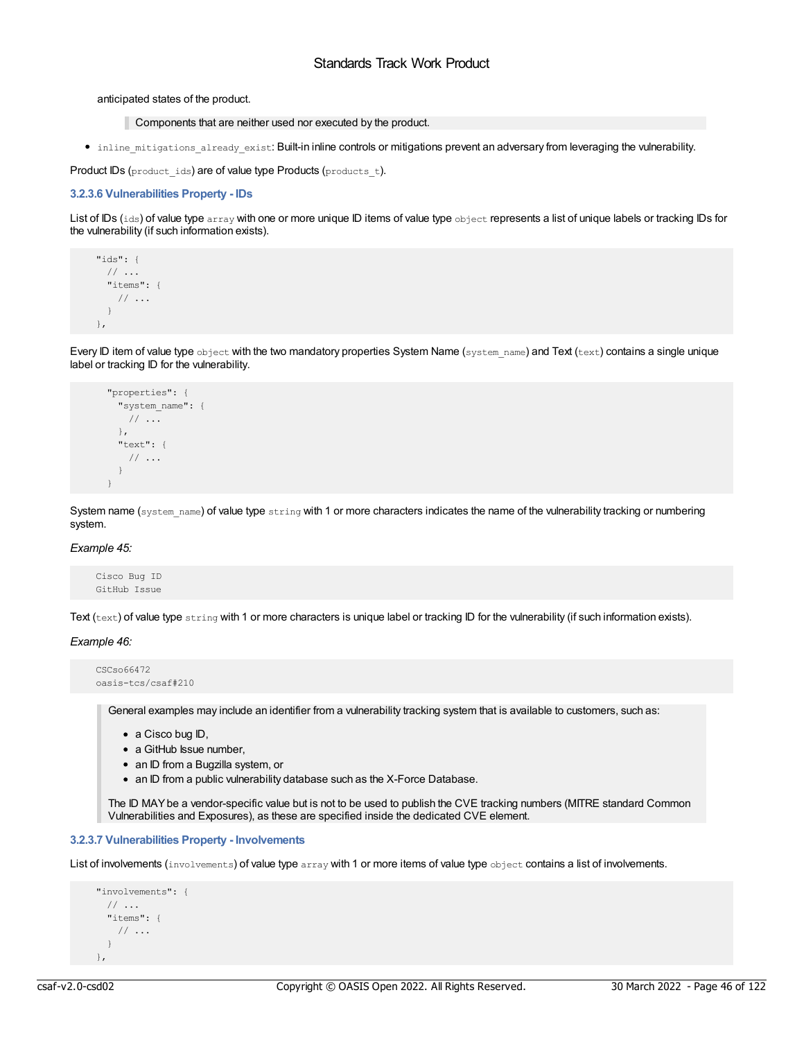### anticipated states of the product.

- Components that are neither used nor executed by the product.
- inline mitigations already exist: Built-in inline controls or mitigations prevent an adversary from leveraging the vulnerability.

Product IDs (product ids) are of value type Products (products t).

# **3.2.3.6 Vulnerabilities Property - IDs**

List of IDs (ids) of value type array with one or more unique ID items of value type object represents a list of unique labels or tracking IDs for the vulnerability (if such information exists).

```
"ids": {
 // ...
 "items": {
  // ...
 }
},
```
Every ID item of value type object with the two mandatory properties System Name (system name) and Text (text) contains a single unique label or tracking ID for the vulnerability.

```
"properties": {
 "system_name": {
  // ...
 },
 "text": {
  // ...
 }
}
```
System name (system name) of value type string with 1 or more characters indicates the name of the vulnerability tracking or numbering system.

### *Example 45:*

Cisco Bug ID GitHub Issue

Text (text) of value type string with 1 or more characters is unique label or tracking ID for the vulnerability (if such information exists).

# *Example 46:*

```
CSCso66472
oasis-tcs/csaf#210
```
General examples may include an identifier from a vulnerability tracking system that is available to customers, such as:

- a Cisco bug ID,
- a GitHub Issue number.
- an ID from a Bugzilla system, or
- an ID from a public vulnerability database such as the X-Force Database.

The ID MAYbe a vendor-specific value but is not to be used to publish the CVE tracking numbers (MITRE standard Common Vulnerabilities and Exposures), as these are specified inside the dedicated CVE element.

# **3.2.3.7 Vulnerabilities Property - Involvements**

List of involvements (involvements) of value type array with 1 or more items of value type object contains a list of involvements.

```
"involvements": {
 // ...
 "items": {
   // ...
  }
},
```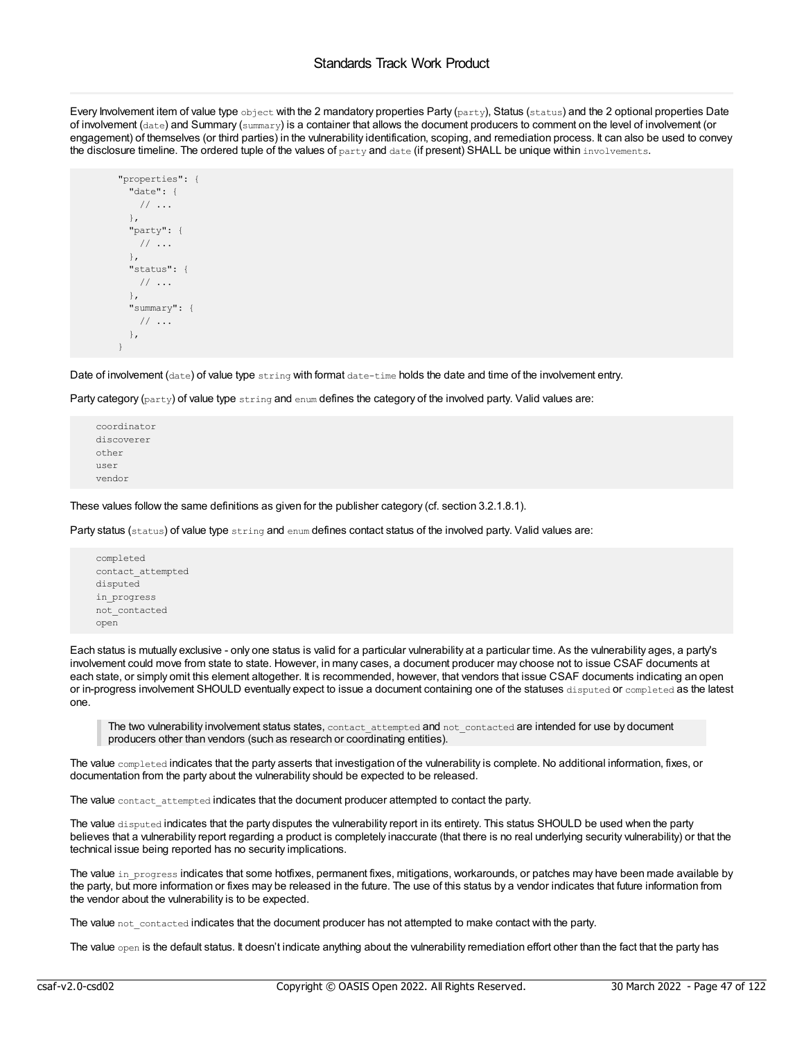Every Involvement item of value type object with the 2 mandatory properties Party (party), Status (status) and the 2 optional properties Date of involvement (date) and Summary (summary) is a container that allows the document producers to comment on the level of involvement (or engagement) of themselves (or third parties) in the vulnerability identification, scoping, and remediation process. It can also be used to convey the disclosure timeline. The ordered tuple of the values of party and date (if present) SHALL be unique within involvements.

```
"properties": {
 "date": {
  // ...
 },
 "party": {
  // ...
 },
 "status": {
  // ...
 },
 "summary": {
  // ...
 },
}
```
Date of involvement (date) of value type string with format date-time holds the date and time of the involvement entry.

Party category ( $_{\text{party}}$ ) of value type  $_{\text{string}}$  and  $_{\text{enum}}$  defines the category of the involved party. Valid values are:

coordinator discoverer other user vendor

These values follow the same definitions as given for the publisher category (cf. section 3.2.1.8.1).

Party status (status) of value type string and enum defines contact status of the involved party. Valid values are:

```
completed
contact_attempted
disputed
in_progress
not_contacted
open
```
Each status is mutually exclusive - only one status is valid for a particular vulnerability at a particular time. As the vulnerability ages, a party's involvement could move from state to state. However, in many cases, a document producer may choose not to issue CSAF documents at each state, or simply omit this element altogether. It is recommended, however, that vendors that issue CSAF documents indicating an open or in-progress involvement SHOULD eventually expect to issue a document containing one of the statuses disputed or completed as the latest one.

The two vulnerability involvement status states, contact\_attempted and not\_contacted are intended for use by document producers other than vendors (such as research or coordinating entities).

The value completed indicates that the party asserts that investigation of the vulnerability is complete. No additional information, fixes, or documentation from the party about the vulnerability should be expected to be released.

The value contact attempted indicates that the document producer attempted to contact the party.

The value disputed indicates that the party disputes the vulnerability report in its entirety. This status SHOULD be used when the party believes that a vulnerability report regarding a product is completely inaccurate (that there is no real underlying security vulnerability) or that the technical issue being reported has no security implications.

The value in progress indicates that some hotfixes, permanent fixes, mitigations, workarounds, or patches may have been made available by the party, but more information or fixes may be released in the future. The use of this status by a vendor indicates that future information from the vendor about the vulnerability is to be expected.

The value not contacted indicates that the document producer has not attempted to make contact with the party.

The value  $open$  is the default status. It doesn't indicate anything about the vulnerability remediation effort other than the fact that the party has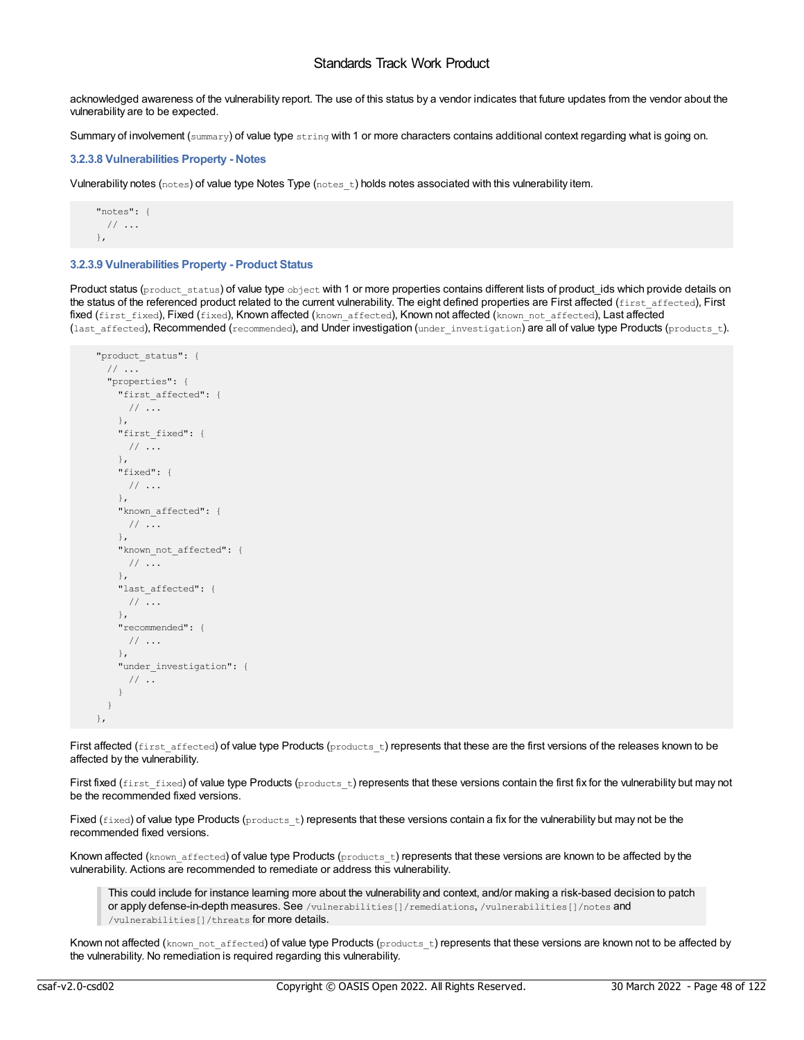acknowledged awareness of the vulnerability report. The use of this status by a vendor indicates that future updates from the vendor about the vulnerability are to be expected.

Summary of involvement (summary) of value type string with 1 or more characters contains additional context regarding what is going on.

# **3.2.3.8 Vulnerabilities Property - Notes**

Vulnerability notes (notes) of value type Notes Type  $(n \text{otes } t)$  holds notes associated with this vulnerability item.

```
"notes": {
 // ...
},
```
# **3.2.3.9 Vulnerabilities Property - Product Status**

Product status (product status) of value type object with 1 or more properties contains different lists of product ids which provide details on the status of the referenced product related to the current vulnerability. The eight defined properties are First affected (first\_affected), First fixed (first fixed), Fixed (fixed), Known affected (known affected), Known not affected (known not affected), Last affected (last affected), Recommended (recommended), and Under investigation (under investigation) are all of value type Products (products t).

```
"product_status": {
 // ...
  "properties": {
   "first_affected": {
     // ...
   },
   "first fixed": {
    // ...
   },
   "fixed": {
     // ...
    },
    "known_affected": {
     // ...
   },
   "known_not_affected": {
    // ...
   },
   "last affected": {
    // ...
   },
   "recommended": {
    // ...
   },
   "under investigation": {
     // ..
   }
 }
},
```
First affected (first\_affected) of value type Products (products t) represents that these are the first versions of the releases known to be affected by the vulnerability.

First fixed (first fixed) of value type Products (products  $t$ ) represents that these versions contain the first fix for the vulnerability but may not be the recommended fixed versions.

Fixed ( $fixed$ ) of value type Products ( $products$  t) represents that these versions contain a fix for the vulnerability but may not be the recommended fixed versions.

Known affected (known affected) of value type Products (products t) represents that these versions are known to be affected by the vulnerability. Actions are recommended to remediate or address this vulnerability.

This could include for instance learning more about the vulnerability and context, and/or making a risk-based decision to patch or apply defense-in-depth measures. See /vulnerabilities[]/remediations, /vulnerabilities[]/notes and /vulnerabilities[]/threats for more details.

Known not affected (known not affected) of value type Products (products t) represents that these versions are known not to be affected by the vulnerability. No remediation is required regarding this vulnerability.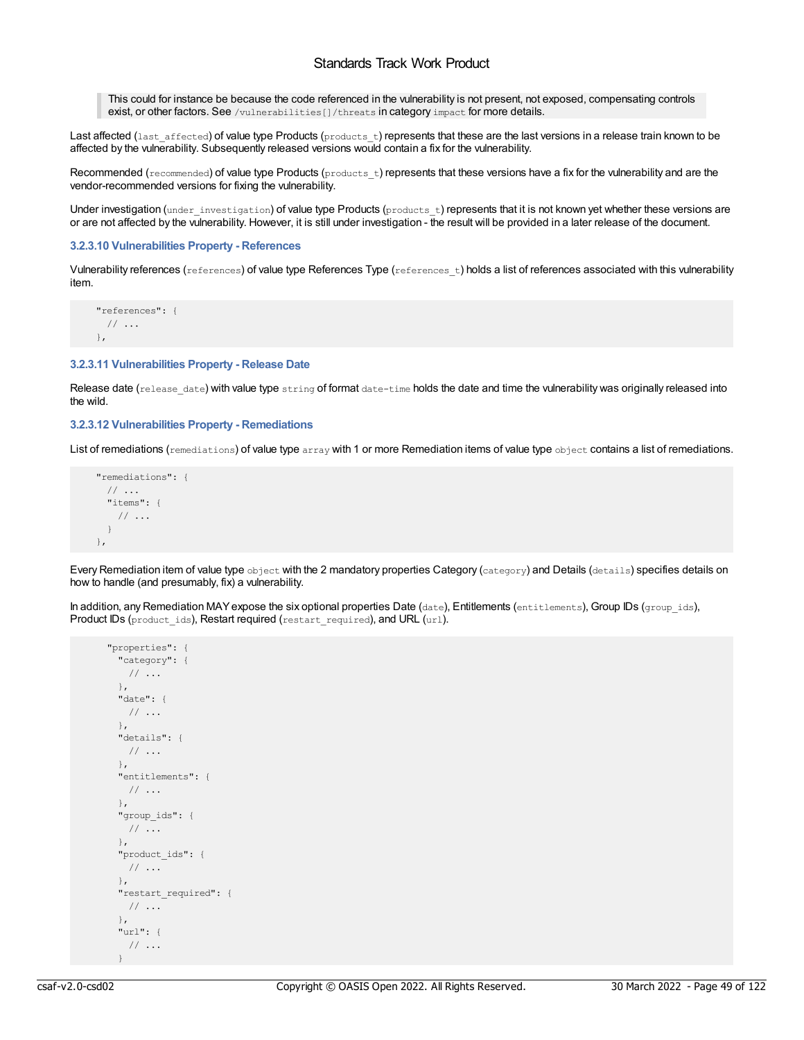This could for instance be because the code referenced in the vulnerability is not present, not exposed, compensating controls exist, or other factors. See /vulnerabilities[]/threats in category impact for more details.

Last affected (last\_affected) of value type Products (products\_t) represents that these are the last versions in a release train known to be affected by the vulnerability. Subsequently released versions would contain a fix for the vulnerability.

Recommended ( $recommended$ ) of value type Products ( $prox$  t) represents that these versions have a fix for the vulnerability and are the vendor-recommended versions for fixing the vulnerability.

Under investigation (under investigation) of value type Products (products t) represents that it is not known yet whether these versions are or are not affected by the vulnerability. However, it is still under investigation - the result will be provided in a later release of the document.

# **3.2.3.10 Vulnerabilities Property - References**

Vulnerability references (references) of value type References Type (references t) holds a list of references associated with this vulnerability item.

```
"references": {
 // ...
},
```
#### **3.2.3.11 Vulnerabilities Property - Release Date**

Release date (release date) with value type string of format date-time holds the date and time the vulnerability was originally released into the wild.

### **3.2.3.12 Vulnerabilities Property - Remediations**

List of remediations (remediations) of value type array with 1 or more Remediation items of value type object contains a list of remediations.

```
"remediations": {
 // ...
 "items": {
  // ...
 }
},
```
Every Remediation item of value type object with the 2 mandatory properties Category (category) and Details (details) specifies details on how to handle (and presumably, fix) a vulnerability.

In addition, any Remediation MAY expose the six optional properties Date (date), Entitlements (entitlements), Group IDs (group ids), Product IDs (product\_ids), Restart required (restart\_required), and URL (url).

```
"properties": {
  "category": {
   // ...
 },
 "date": {
  // ...
 },
 "details": {
  // ...
 },
 "entitlements": {
   // ...
  },
 "group_ids": {
   // ...
  },
 "product_ids": {
   // ...
  },
 "restart required": {
  // ...
 },
 "url": {
   // ...
  }
```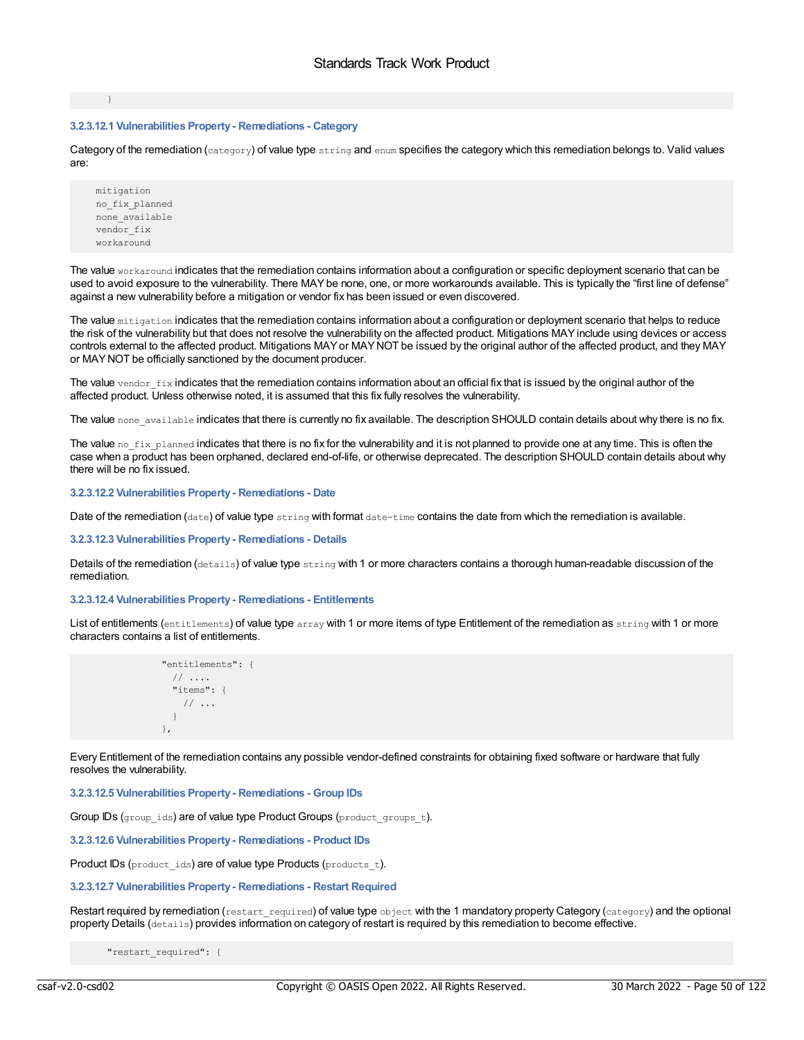}

### **3.2.3.12.1 Vulnerabilities Property- Remediations - Category**

Category of the remediation (category) of value type string and enum specifies the category which this remediation belongs to. Valid values are:

mitigation no\_fix\_planned none\_available vendor fix workaround

The value workaround indicates that the remediation contains information about a configuration or specific deployment scenario that can be used to avoid exposure to the vulnerability. There MAYbe none, one, or more workarounds available. This is typically the "first line of defense" against a new vulnerability before a mitigation or vendor fix has been issued or even discovered.

The value mitigation indicates that the remediation contains information about a configuration or deployment scenario that helps to reduce the risk of the vulnerability but that does not resolve the vulnerability on the affected product. Mitigations MAYinclude using devices or access controls external to the affected product. Mitigations MAYor MAYNOT be issued by the original author of the affected product, and they MAY or MAYNOT be officially sanctioned by the document producer.

The value vendor  $fix$  indicates that the remediation contains information about an official fix that is issued by the original author of the affected product. Unless otherwise noted, it is assumed that this fix fully resolves the vulnerability.

The value none available indicates that there is currently no fix available. The description SHOULD contain details about why there is no fix.

The value no  $fix$  planned indicates that there is no fix for the vulnerability and it is not planned to provide one at any time. This is often the case when a product has been orphaned, declared end-of-life, or otherwise deprecated. The description SHOULD contain details about why there will be no fix issued.

#### **3.2.3.12.2 Vulnerabilities Property- Remediations - Date**

Date of the remediation (date) of value type string with format date-time contains the date from which the remediation is available.

# **3.2.3.12.3 Vulnerabilities Property- Remediations - Details**

Details of the remediation (details) of value type string with 1 or more characters contains a thorough human-readable discussion of the remediation.

### **3.2.3.12.4 Vulnerabilities Property- Remediations - Entitlements**

List of entitlements (entitlements) of value type array with 1 or more items of type Entitlement of the remediation as string with 1 or more characters contains a list of entitlements.

```
"entitlements": {
 // ....
  "items": {
   // ...
 }
},
```
Every Entitlement of the remediation contains any possible vendor-defined constraints for obtaining fixed software or hardware that fully resolves the vulnerability.

**3.2.3.12.5 Vulnerabilities Property- Remediations - Group IDs**

Group IDs (group ids) are of value type Product Groups (product groups t).

**3.2.3.12.6 Vulnerabilities Property- Remediations - Product IDs**

Product IDs (product ids) are of value type Products (products t).

### **3.2.3.12.7 Vulnerabilities Property- Remediations - Restart Required**

Restart required by remediation (restart\_required) of value type object with the 1 mandatory property Category (category) and the optional property Details (details) provides information on category of restart is required by this remediation to become effective.

"restart\_required": {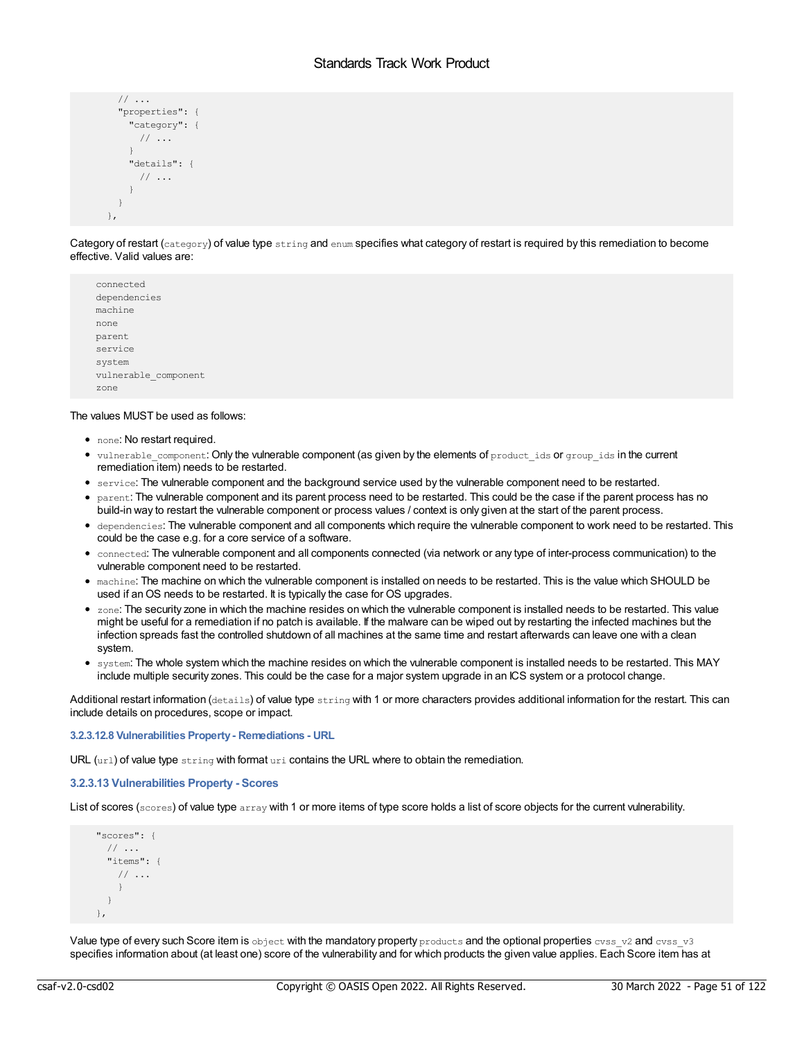```
// ...
  "properties": {
    "category": {
     // ...
    }
    "details": {
     // ...
    }
 }
},
```
Category of restart (category) of value type string and enum specifies what category of restart is required by this remediation to become effective. Valid values are:

connected dependencies machine none parent service system vulnerable\_component zone

# The values MUST be used as follows:

- none: No restart required.
- vulnerable component: Only the vulnerable component (as given by the elements of product ids or group ids in the current remediation item) needs to be restarted.
- service: The vulnerable component and the background service used by the vulnerable component need to be restarted.
- parent: The vulnerable component and its parent process need to be restarted. This could be the case if the parent process has no build-in way to restart the vulnerable component or process values / context is only given at the start of the parent process.
- dependencies: The vulnerable component and all components which require the vulnerable component to work need to be restarted. This could be the case e.g. for a core service of a software.
- connected: The vulnerable component and all components connected (via network or any type of inter-process communication) to the vulnerable component need to be restarted.
- machine: The machine on which the vulnerable component is installed on needs to be restarted. This is the value which SHOULD be used if anOS needs to be restarted. It is typically the case for OS upgrades.
- zone: The security zone in which the machine resides on which the vulnerable component is installed needs to be restarted. This value might be useful for a remediation if no patch is available. If the malware can be wiped out by restarting the infected machines but the infection spreads fast the controlled shutdown of all machines at the same time and restart afterwards can leave one with a clean system.
- system: The whole system which the machine resides on which the vulnerable component is installed needs to be restarted. This MAY include multiple security zones. This could be the case for a major system upgrade in an ICS system or a protocol change.

Additional restart information (details) of value type string with 1 or more characters provides additional information for the restart. This can include details on procedures, scope or impact.

### **3.2.3.12.8 Vulnerabilities Property- Remediations - URL**

URL (url) of value type string with format uri contains the URL where to obtain the remediation.

# **3.2.3.13 Vulnerabilities Property - Scores**

List of scores (scores) of value type array with 1 or more items of type score holds a list of score objects for the current vulnerability.

```
"scores": {
 // ...
 "items": {
   // ...
    }
 }
},
```
Value type of every such Score item is object with the mandatory property products and the optional properties cvss\_v2 and cvss\_v3 specifies information about (at least one) score of the vulnerability and for which products the given value applies. Each Score item has at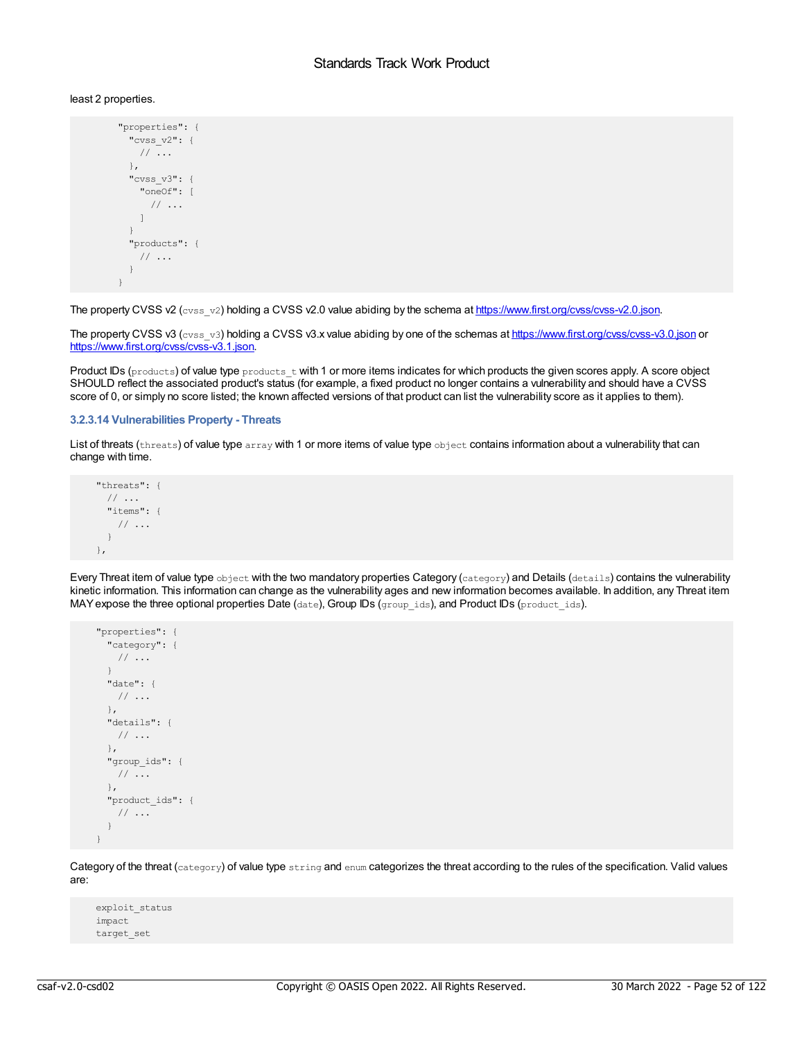### least 2 properties.

```
"properties": {
 "cvss_v2": {
  // ...
 },
 "cvss_v3": {
   "oneOf": [
    // ...
  ]
 }
 "products": {
  // ...
 }
}
```
The property CVSS v2 (cvss-v2) holding a CVSS v2.0 value abiding by the schema at <https://www.first.org/cvss/cvss-v2.0.json>.

The property CVSS v3 (cvss\_v3) holding a CVSS v3.x value abiding by one of the schemas at <https://www.first.org/cvss/cvss-v3.0.json> or <https://www.first.org/cvss/cvss-v3.1.json>.

Product IDs (products) of value type products  $t$  with 1 or more items indicates for which products the given scores apply. A score object SHOULD reflect the associated product's status (for example, a fixed product no longer contains a vulnerability and should have a CVSS score of 0, or simply no score listed; the known affected versions of that product can list the vulnerability score as it applies to them).

### **3.2.3.14 Vulnerabilities Property - Threats**

List of threats (threats) of value type array with 1 or more items of value type object contains information about a vulnerability that can change with time.

```
"threats": {
 // ...
 "items": {
  // ...
 }
},
```
Every Threat item of value type object with the two mandatory properties Category (category) and Details (details) contains the vulnerability kinetic information. This information can change as the vulnerability ages and new information becomes available. In addition, any Threat item MAY expose the three optional properties Date (date), Group IDs (group ids), and Product IDs (product ids).

```
"properties": {
 "category": {
  // ...
 }
 "date": {
  // ...
 },
 "details": {
  // ...
 },
 "group_ids": {
  // ...
 },
 "product_ids": {
  // ...
 }
}
```
Category of the threat (category) of value type string and enum categorizes the threat according to the rules of the specification. Valid values are:

```
exploit_status
impact
target_set
```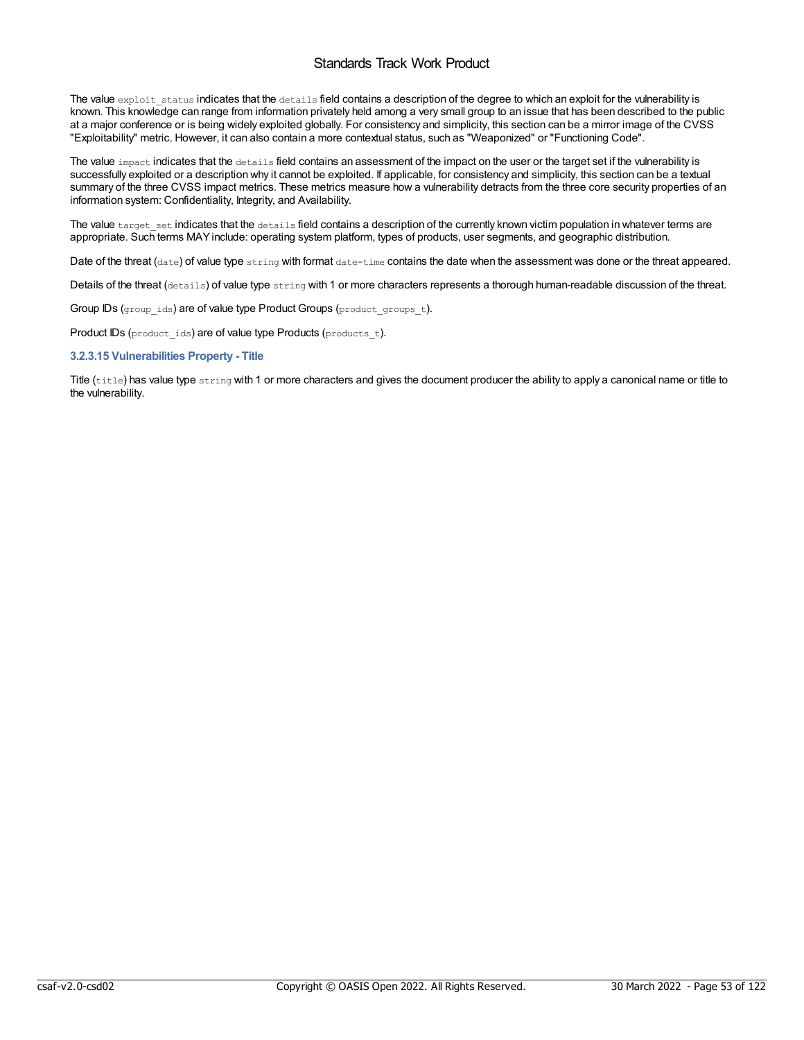The value exploit status indicates that the details field contains a description of the degree to which an exploit for the vulnerability is known. This knowledge can range from information privately held among a very small group to an issue that has been described to the public at a major conference or is being widely exploited globally. For consistency and simplicity, this section can be a mirror image of the CVSS "Exploitability" metric. However, it can also contain a more contextual status, such as "Weaponized" or "Functioning Code".

The value impact indicates that the details field contains an assessment of the impact on the user or the target set if the vulnerability is successfully exploited or a description why it cannot be exploited. If applicable, for consistency and simplicity, this section can be a textual summary of the three CVSS impact metrics. These metrics measure how a vulnerability detracts from the three core security properties of an information system: Confidentiality, Integrity, and Availability.

The value target\_set indicates that the details field contains a description of the currently known victim population in whatever terms are appropriate. Such terms MAYinclude: operating system platform, types of products, user segments, and geographic distribution.

Date of the threat (date) of value type string with format date-time contains the date when the assessment was done or the threat appeared.

Details of the threat (details) of value type string with 1 or more characters represents a thorough human-readable discussion of the threat.

Group IDs (group  $ids$ ) are of value type Product Groups (product groups  $t$ ).

Product IDs (product\_ids) are of value type Products (products\_t).

**3.2.3.15 Vulnerabilities Property - Title**

Title (title) has value type string with 1 or more characters and gives the document producer the ability to apply a canonical name or title to the vulnerability.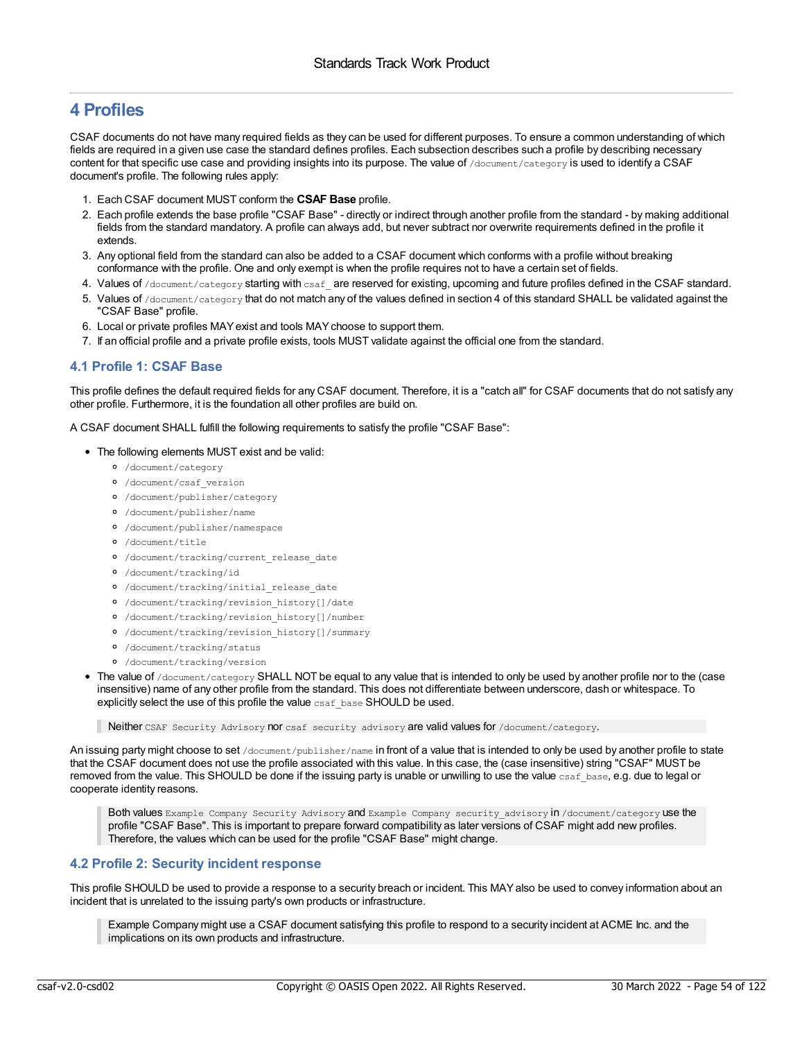# **4 Profiles**

CSAF documents do not have many required fields as they can be used for different purposes. To ensure a common understanding of which fields are required in a given use case the standard defines profiles. Each subsection describes such a profile by describing necessary content for that specific use case and providing insights into its purpose. The value of /document/category is used to identify a CSAF document's profile. The following rules apply:

- 1. Each CSAF document MUST conform the **CSAF Base** profile.
- 2. Each profile extends the base profile "CSAF Base" directly or indirect through another profile from the standard by making additional fields from the standard mandatory. A profile can always add, but never subtract nor overwrite requirements defined in the profile it extends.
- 3. Any optional field from the standard can also be added to a CSAF document which conforms with a profile without breaking conformance with the profile. One and only exempt is when the profile requires not to have a certain set of fields.
- 4. Values of /document/category starting with csaf are reserved for existing, upcoming and future profiles defined in the CSAF standard.
- 5. Values of /document/category that do not match any of the values defined in section 4 of this standard SHALL be validated against the "CSAF Base" profile.
- 6. Local or private profiles MAYexist and tools MAYchoose to support them.
- 7. If an official profile and a private profile exists, tools MUST validate against the official one from the standard.

# **4.1 Profile 1: CSAF Base**

This profile defines the default required fields for any CSAF document. Therefore, it is a "catch all" for CSAF documents that do not satisfy any other profile. Furthermore, it is the foundation all other profiles are build on.

A CSAF document SHALL fulfill the following requirements to satisfy the profile "CSAF Base":

- The following elements MUST exist and be valid:
	- /document/category
	- /document/csaf\_version
	- /document/publisher/category
	- /document/publisher/name
	- /document/publisher/namespace
	- /document/title
	- /document/tracking/current\_release\_date
	- /document/tracking/id
	- /document/tracking/initial\_release\_date
	- /document/tracking/revision\_history[]/date
	- /document/tracking/revision\_history[]/number
	- /document/tracking/revision\_history[]/summary
	- /document/tracking/status
	- /document/tracking/version
- The value of /document/category SHALL NOT be equal to any value that is intended to only be used by another profile nor to the (case insensitive) name of any other profile from the standard. This does not differentiate between underscore, dash or whitespace. To explicitly select the use of this profile the value csaf base SHOULD be used.

Neither CSAF Security Advisory nor csaf security advisory are valid values for /document/category.

An issuing party might choose to set /document/publisher/name in front of a value that is intended to only be used by another profile to state that the CSAF document does not use the profile associated with this value. In this case, the (case insensitive) string "CSAF" MUST be removed from the value. This SHOULD be done if the issuing party is unable or unwilling to use the value  $csaf$  base, e.g. due to legal or cooperate identity reasons.

Both values Example Company Security Advisory and Example Company security advisory in /document/category use the profile "CSAF Base". This is important to prepare forward compatibility as later versions of CSAF might add new profiles. Therefore, the values which can be used for the profile "CSAF Base" might change.

# **4.2 Profile 2: Security incident response**

This profile SHOULD be used to provide a response to a security breach or incident. This MAYalso be used to convey information about an incident that is unrelated to the issuing party's own products or infrastructure.

Example Company might use a CSAF document satisfying this profile to respond to a security incident at ACME Inc. and the implications on its own products and infrastructure.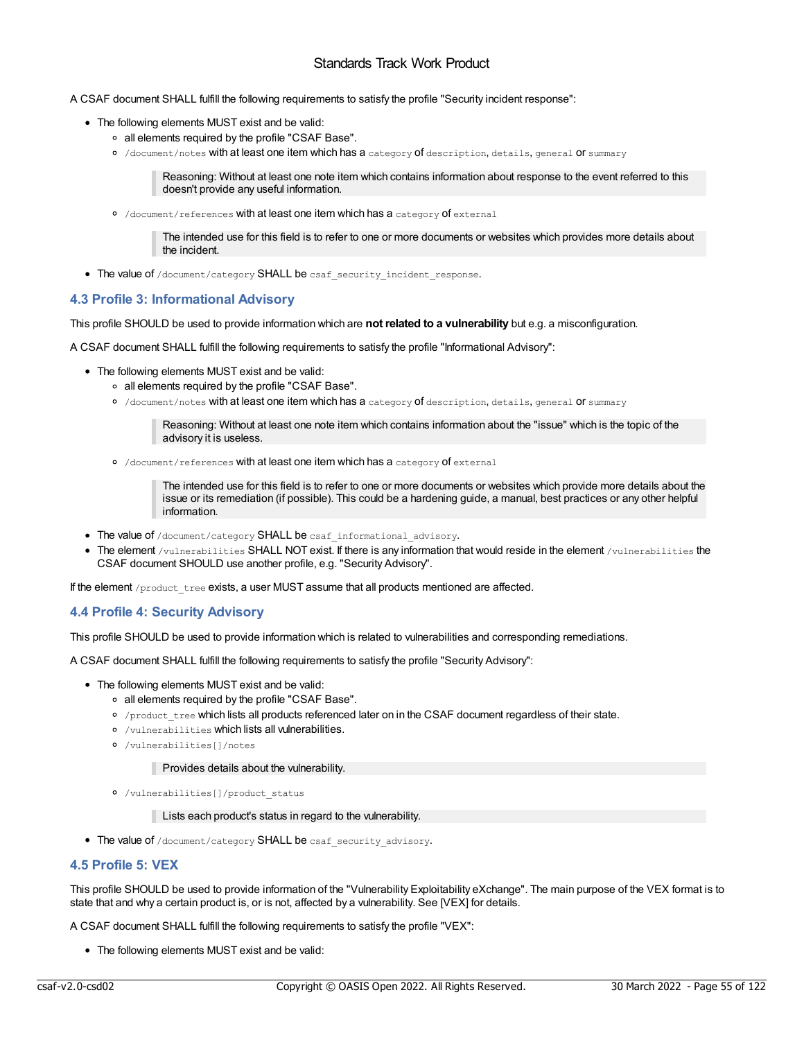A CSAF document SHALL fulfill the following requirements to satisfy the profile "Security incident response":

- The following elements MUST exist and be valid:
	- all elements required by the profile "CSAF Base".
	- o /document/notes with at least one item which has a category of description, details, general or summary

Reasoning: Without at least one note item which contains information about response to the event referred to this doesn't provide any useful information.

o /document/references with at least one item which has a category of external

The intended use for this field is to refer to one or more documents or websites which provides more details about the incident.

• The value of /document/category SHALL be csaf\_security\_incident\_response.

# **4.3 Profile 3: Informational Advisory**

This profile SHOULD be used to provide information which are **not related to a vulnerability** but e.g. a misconfiguration.

A CSAF document SHALL fulfill the following requirements to satisfy the profile "Informational Advisory":

- The following elements MUST exist and be valid:
	- all elements required by the profile "CSAF Base".
	- /document/notes with at least one item which has a category of description, details, general or summary

Reasoning: Without at least one note item which contains information about the "issue" which is the topic of the advisory it is useless.

/document/references with at least one item which has a category of external

The intended use for this field is to refer to one or more documents or websites which provide more details about the issue or its remediation (if possible). This could be a hardening guide, a manual, best practices or any other helpful information.

- The value of /document/category SHALL be csaf\_informational\_advisory.
- The element /vulnerabilities SHALL NOT exist. If there is any information that would reside in the element /vulnerabilities the CSAF document SHOULD use another profile, e.g. "Security Advisory".

If the element /product\_tree exists, a user MUST assume that all products mentioned are affected.

# **4.4 Profile 4: Security Advisory**

This profile SHOULD be used to provide information which is related to vulnerabilities and corresponding remediations.

A CSAF document SHALL fulfill the following requirements to satisfy the profile "Security Advisory":

- The following elements MUST exist and be valid:
	- all elements required by the profile "CSAF Base".
	- o /product\_tree which lists all products referenced later on in the CSAF document regardless of their state.
	- /vulnerabilities which lists all vulnerabilities.
	- /vulnerabilities[]/notes

**Provides details about the vulnerability.** 

/vulnerabilities[]/product\_status

Lists each product's status in regard to the vulnerability.

• The value of /document/category SHALL be csaf security advisory.

# **4.5 Profile 5: VEX**

This profile SHOULD be used to provide information of the "Vulnerability Exploitability eXchange". The main purpose of the VEX format is to state that and why a certain product is, or is not, affected by a vulnerability. See [VEX] for details.

A CSAF document SHALL fulfill the following requirements to satisfy the profile "VEX":

The following elements MUST exist and be valid: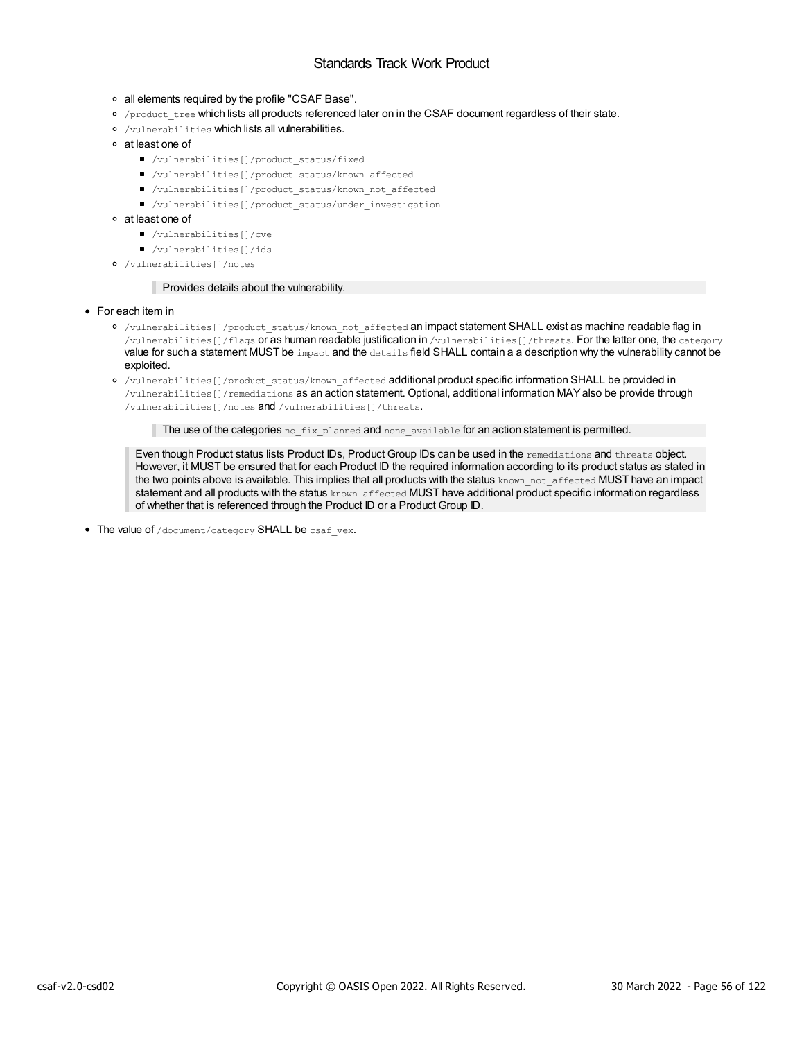- all elements required by the profile "CSAF Base".
- o /product tree which lists all products referenced later on in the CSAF document regardless of their state.
- /vulnerabilities which lists all vulnerabilities.
- at least one of
	- /vulnerabilities[]/product\_status/fixed
	- /vulnerabilities[]/product\_status/known\_affected
	- /vulnerabilities[]/product\_status/known\_not\_affected
	- /vulnerabilities[]/product\_status/under\_investigation
- at least one of
	- /vulnerabilities[]/cve
	- /vulnerabilities[]/ids
- /vulnerabilities[]/notes

### **Provides details about the vulnerability.**

#### For each item in

- o /vulnerabilities[]/product status/known not affected an impact statement SHALL exist as machine readable flag in /vulnerabilities[]/flags or as human readable justification in /vulnerabilities[]/threats. For the latter one, the category value for such a statement MUST be impact and the details field SHALL contain a a description why the vulnerability cannot be exploited.
- o /vulnerabilities[]/product status/known affected additional product specific information SHALL be provided in /vulnerabilities[]/remediations as an action statement. Optional, additional information MAYalso be provide through /vulnerabilities[]/notes and /vulnerabilities[]/threats.

The use of the categories no  $fix$  planned and none available for an action statement is permitted.

Even though Product status lists Product IDs, Product Group IDs can be used in the remediations and threats object. However, it MUST be ensured that for each Product ID the required information according to its product status as stated in the two points above is available. This implies that all products with the status known not affected MUST have an impact statement and all products with the status known affected MUST have additional product specific information regardless of whether that is referenced through the Product ID or a Product Group ID.

• The value of /document/category SHALL be csaf vex.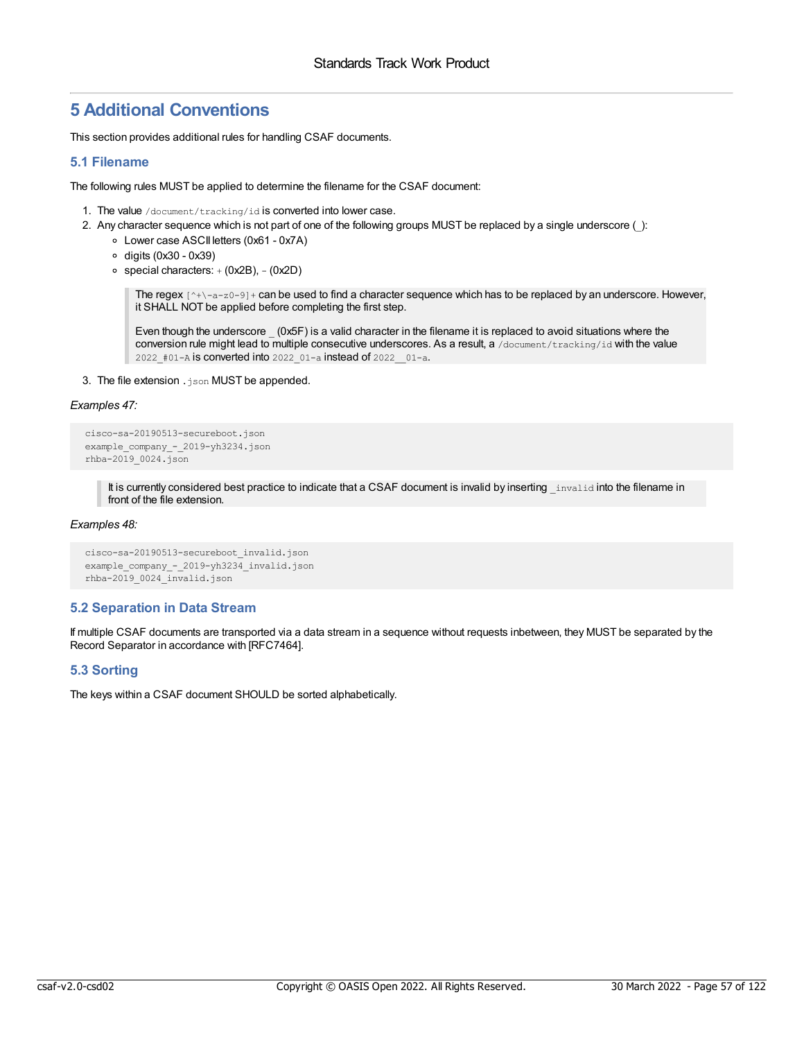# **5 Additional Conventions**

This section provides additional rules for handling CSAF documents.

# **5.1 Filename**

The following rules MUST be applied to determine the filename for the CSAF document:

- 1. The value /document/tracking/id is converted into lower case.
- 2. Any character sequence which is not part of one of the following groups MUST be replaced by a single underscore ():
	- Lower case ASCII letters (0x61 0x7A)
	- $\circ$  digits (0x30 0x39)
	- $\circ$  special characters:  $+$  (0x2B),  $-$  (0x2D)

The regex  $[^{\wedge}+\text{a-z0-9}]+$  can be used to find a character sequence which has to be replaced by an underscore. However, it SHALL NOT be applied before completing the first step.

Even though the underscore \_ (0x5F) is a valid character in the filename it is replaced to avoid situations where the conversion rule might lead to multiple consecutive underscores. As a result, a /document/tracking/id with the value 2022\_#01-A is converted into 2022\_01-a instead of 2022\_\_01-a.

3. The file extension . json MUST be appended.

# *Examples 47:*

```
cisco-sa-20190513-secureboot.json
example_company_-_2019-yh3234.json
rhba-2019_0024.json
```
It is currently considered best practice to indicate that a CSAF document is invalid by inserting invalid into the filename in front of the file extension.

# *Examples 48:*

```
cisco-sa-20190513-secureboot_invalid.json
example company - 2019-yh3234 invalid.json
rhba-2019_0024_invalid.json
```
# **5.2 Separation in Data Stream**

If multiple CSAF documents are transported via a data stream in a sequence without requests inbetween, they MUST be separated by the Record Separator in accordance with [RFC7464].

# **5.3 Sorting**

The keys within a CSAF document SHOULD be sorted alphabetically.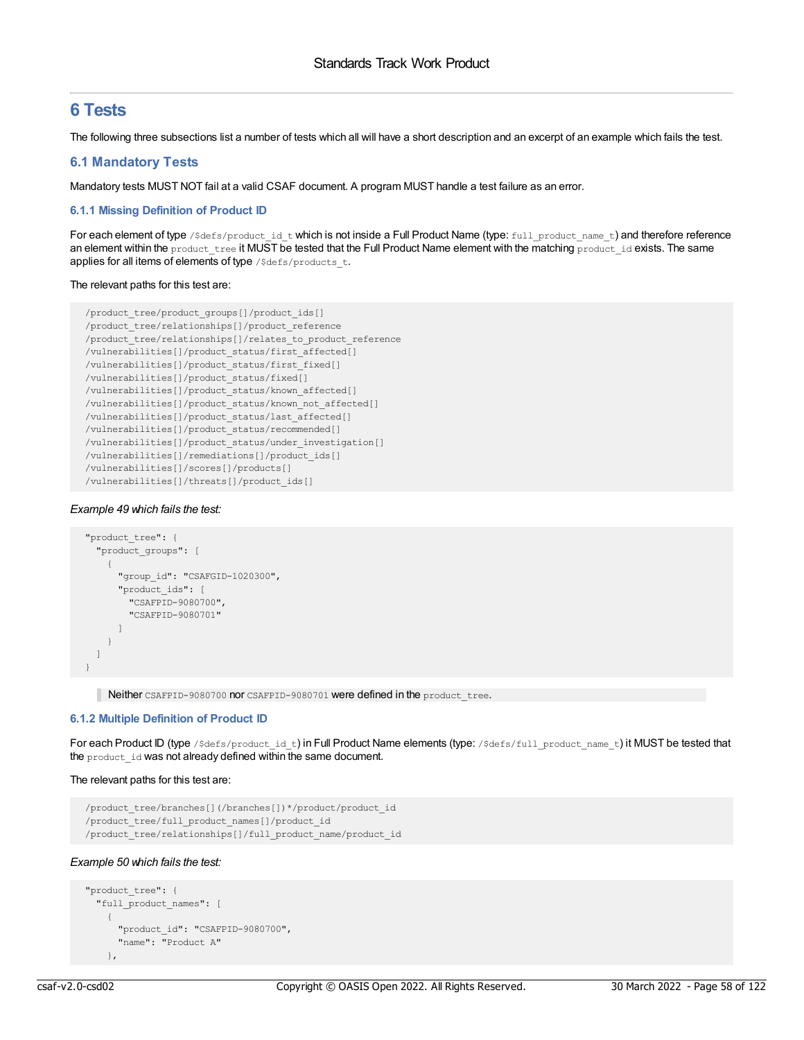# **6 Tests**

The following three subsections list a number of tests which all will have a short description and an excerpt of an example which fails the test.

# **6.1 Mandatory Tests**

Mandatory tests MUST NOT fail at a valid CSAF document. A program MUST handle a test failure as an error.

# **6.1.1 Missing Definition of Product ID**

For each element of type /\$defs/product\_id\_t which is not inside a Full Product Name (type: full\_product\_name\_t) and therefore reference an element within the product tree it MUST be tested that the Full Product Name element with the matching product id exists. The same applies for all items of elements of type /\$defs/products\_t.

# The relevant paths for this test are:

```
/product_tree/product_groups[]/product_ids[]
/product_tree/relationships[]/product_reference
/product_tree/relationships[]/relates_to_product_reference
/vulnerabilities[]/product_status/first_affected[]
/vulnerabilities[]/product_status/first_fixed[]
/vulnerabilities[]/product_status/fixed[]
/vulnerabilities[]/product_status/known_affected[]
/vulnerabilities[]/product_status/known_not_affected[]
/vulnerabilities[]/product_status/last_affected[]
/vulnerabilities[]/product_status/recommended[]
/vulnerabilities[]/product_status/under_investigation[]
/vulnerabilities[]/remediations[]/product_ids[]
/vulnerabilities[]/scores[]/products[]
/vulnerabilities[]/threats[]/product_ids[]
```
# *Example 49 which fails the test:*

```
"product_tree": {
  "product_groups": [
   \{"group_id": "CSAFGID-1020300",
     "product_ids": [
       "CSAFPID-9080700",
       "CSAFPID-9080701"
     ]
   }
 ]
}
```
Neither CSAFPID-9080700 nor CSAFPID-9080701 were defined in the product\_tree.

# **6.1.2 Multiple Definition of Product ID**

For each Product ID (type /\$defs/product\_id\_t) in Full Product Name elements (type: /\$defs/full\_product\_name\_t) it MUST be tested that the product id was not already defined within the same document.

# The relevant paths for this test are:

```
/product_tree/branches[](/branches[])*/product/product_id
/product_tree/full_product_names[]/product_id
/product_tree/relationships[]/full_product_name/product_id
```
# *Example 50 which fails the test:*

```
"product_tree": {
 "full_product_names": [
    {
      "product_id": "CSAFPID-9080700",
      "name": "Product A"
    },
```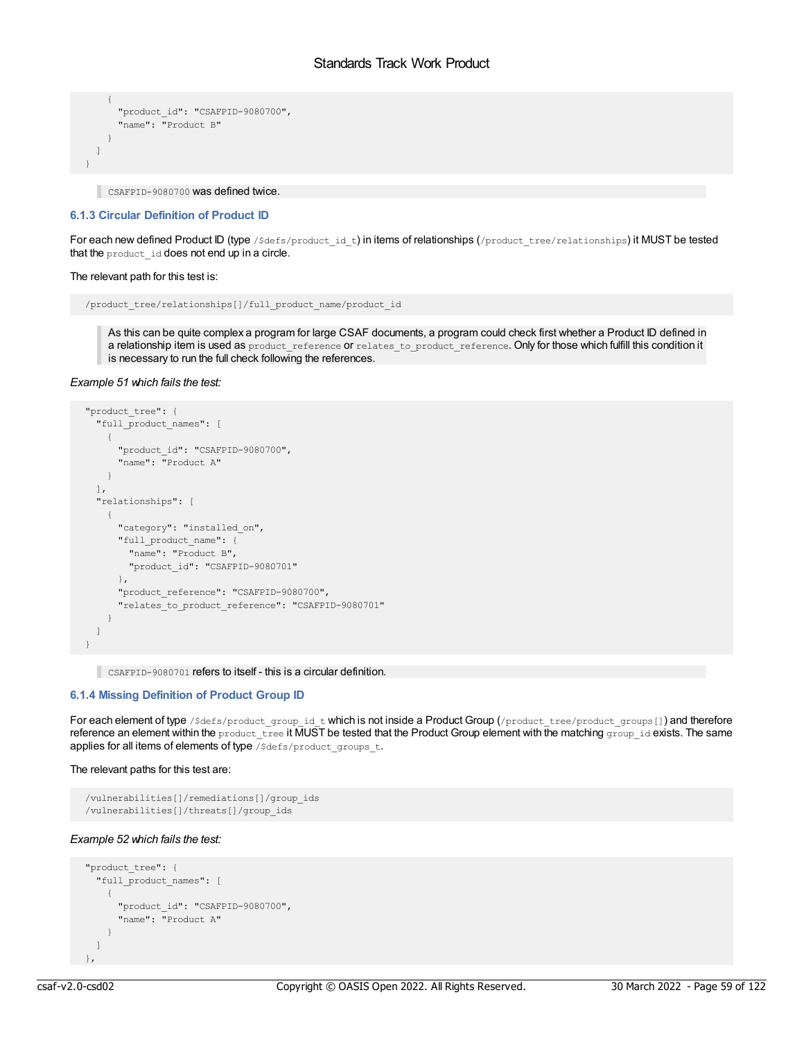```
{
      "product_id": "CSAFPID-9080700",
      "name": "Product B"
    }
 ]
}
```
CSAFPID-9080700 was defined twice.

### **6.1.3 Circular Definition of Product ID**

For each new defined Product ID (type /\$defs/product\_id\_t) in items of relationships (/product\_tree/relationships) it MUST be tested that the product\_id does not end up in a circle.

#### The relevant path for this test is:

```
/product_tree/relationships[]/full_product_name/product_id
```
As this can be quite complex a program for large CSAF documents, a program could check first whether a Product ID defined in a relationship item is used as product\_reference or relates\_to\_product\_reference. Only for those which fulfill this condition it is necessary to run the full check following the references.

### *Example 51 which fails the test:*

```
"product_tree": {
 "full_product_names": [
   {
      "product_id": "CSAFPID-9080700",
      "name": "Product A"
   }
 \frac{1}{2},
  "relationships": [
   \left\{ \right."category": "installed_on",
     "full product name": {
       "name": "Product B",
        "product_id": "CSAFPID-9080701"
     },
     "product_reference": "CSAFPID-9080700",
      "relates_to_product_reference": "CSAFPID-9080701"
    }
 ]
}
```
CSAFPID-9080701 refers to itself - this is a circular definition.

#### **6.1.4 Missing Definition of Product Group ID**

For each element of type /\$defs/product group id t which is not inside a Product Group (/product tree/product groups[]) and therefore reference an element within the product tree it MUST be tested that the Product Group element with the matching group id exists. The same applies for all items of elements of type /\$defs/product\_groups\_t.

#### The relevant paths for this test are:

```
/vulnerabilities[]/remediations[]/group_ids
/vulnerabilities[]/threats[]/group_ids
```
# *Example 52 which fails the test:*

```
"product_tree": {
  "full product names": [
   {
     "product_id": "CSAFPID-9080700",
     "name": "Product A"
   }
  \, \,},
```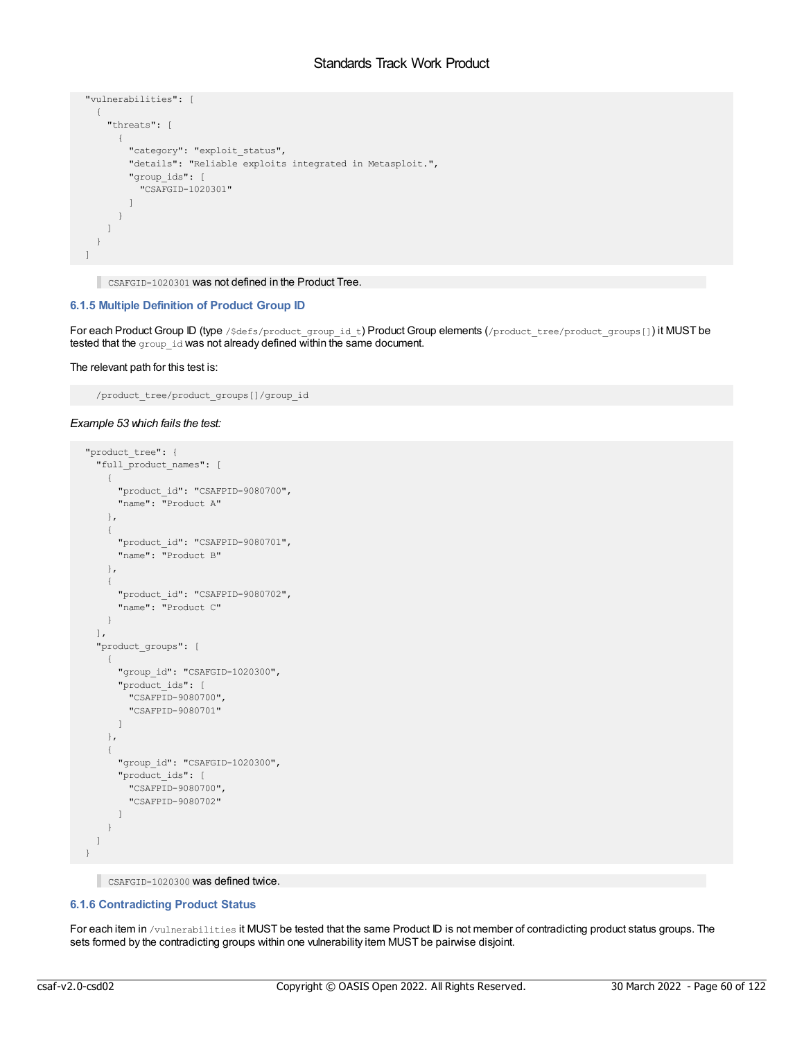```
"vulnerabilities": [
 {
   "threats": [
     {
       "category": "exploit_status",
       "details": "Reliable exploits integrated in Metasploit.",
      "group_ids": [
         "CSAFGID-1020301"
       ]
     }
   ]
 }
]
```
CSAFGID-1020301 was not defined in the Product Tree.

# **6.1.5 Multiple Definition of Product Group ID**

For each Product Group ID (type /\$defs/product\_group\_id\_t) Product Group elements (/product\_tree/product\_groups[]) it MUST be tested that the group\_id was not already defined within the same document.

The relevant path for this test is:

/product\_tree/product\_groups[]/group\_id

### *Example 53 which fails the test:*

```
"product_tree": {
  "full product names": [
   {
     "product_id": "CSAFPID-9080700",
     "name": "Product A"
   },
   {
     "product_id": "CSAFPID-9080701",
     "name": "Product B"
   },
    {
     "product_id": "CSAFPID-9080702",
     "name": "Product C"
   }
  ],
  "product_groups": [
   \left\{ \right."group_id": "CSAFGID-1020300",
      "product_ids": [
       "CSAFPID-9080700",
       "CSAFPID-9080701"
     \Box},
   {
     "group_id": "CSAFGID-1020300",
     "product_ids": [
       "CSAFPID-9080700",
       "CSAFPID-9080702"
     \Box}
 ]
}
```
CSAFGID-1020300 was defined twice.

# **6.1.6 Contradicting Product Status**

For each item in /vulnerabilities it MUST be tested that the same Product ID is not member of contradicting product status groups. The sets formed by the contradicting groups within one vulnerability item MUST be pairwise disjoint.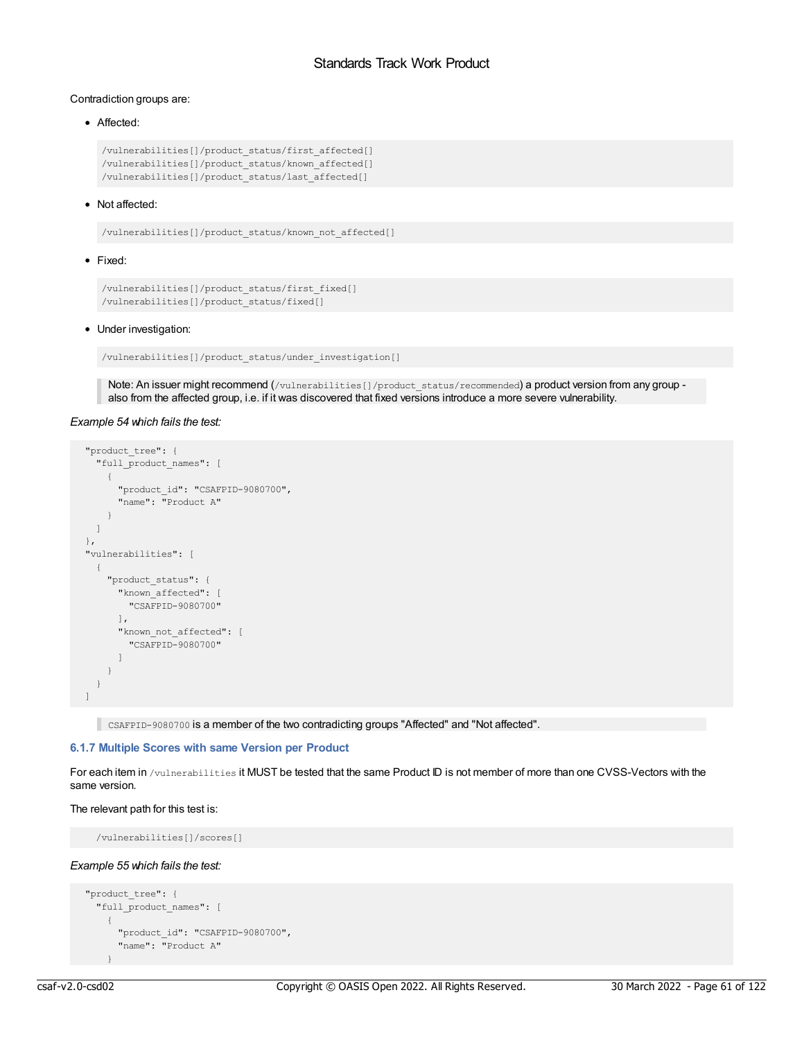# Contradiction groups are:

# • Affected:

```
/vulnerabilities[]/product_status/first_affected[]
/vulnerabilities[]/product_status/known_affected[]
/vulnerabilities[]/product_status/last_affected[]
```
# • Not affected:

/vulnerabilities[]/product\_status/known\_not\_affected[]

### • Fixed:

```
/vulnerabilities[]/product_status/first_fixed[]
/vulnerabilities[]/product_status/fixed[]
```
### • Under investigation:

/vulnerabilities[]/product\_status/under\_investigation[]

Note: An issuer might recommend (/vulnerabilities[]/product\_status/recommended) a product version from any group also from the affected group, i.e. if it was discovered that fixed versions introduce a more severe vulnerability.

### *Example 54 which fails the test:*

```
"product_tree": {
  "full_product_names": [
   {
     "product_id": "CSAFPID-9080700",
     "name": "Product A"
   }
 ]
},
"vulnerabilities": [
 {
   "product_status": {
     "known_affected": [
       "CSAFPID-9080700"
     ],
     "known_not_affected": [
       "CSAFPID-9080700"
     ]
    }
  }
]
```
CSAFPID-9080700 is a member of the two contradicting groups "Affected" and "Not affected".

# **6.1.7 Multiple Scores with same Version per Product**

For each item in /vulnerabilities it MUST be tested that the same Product ID is not member of more than one CVSS-Vectors with the same version.

### The relevant path for this test is:

/vulnerabilities[]/scores[]

### *Example 55 which fails the test:*

```
"product_tree": {
 "full_product_names": [
    {
     "product_id": "CSAFPID-9080700",
     "name": "Product A"
    }
```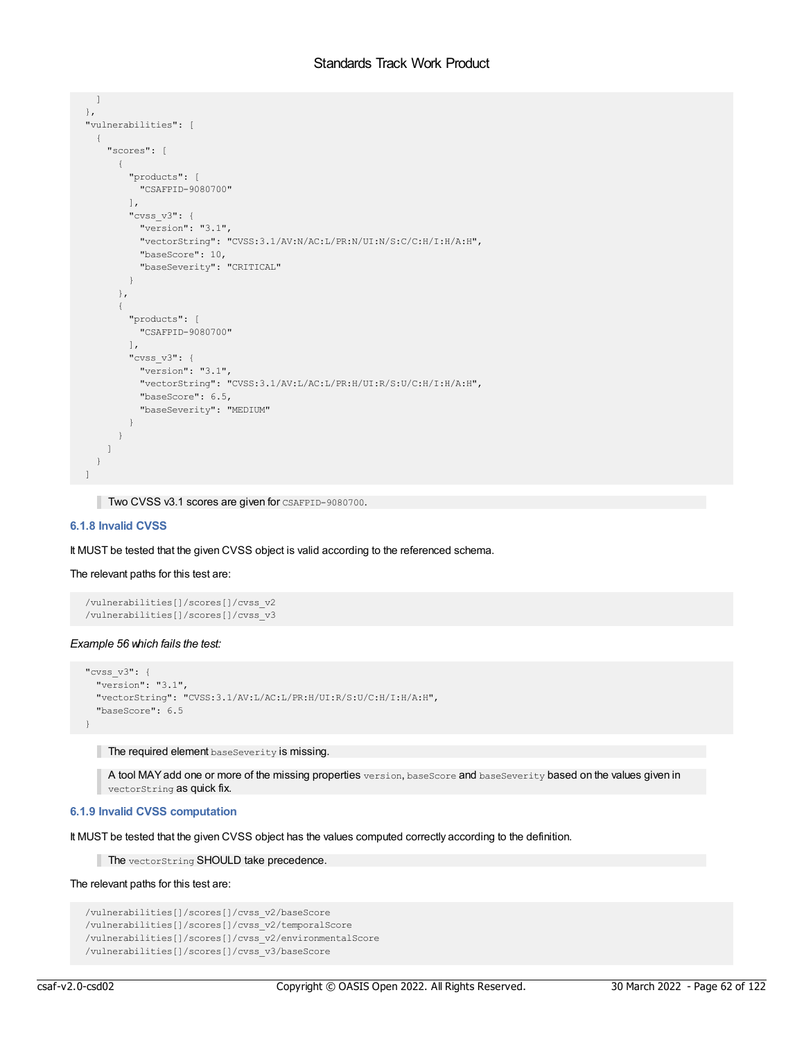```
]
},
"vulnerabilities": [
  {
    "scores": [
     {
        "products": [
         "CSAFPID-9080700"
        ],
        "cvss_v3": {
         "version": "3.1",
         "vectorString": "CVSS:3.1/AV:N/AC:L/PR:N/UI:N/S:C/C:H/I:H/A:H",
         "baseScore": 10,
         "baseSeverity": "CRITICAL"
       }
      },
      {
        "products": [
         "CSAFPID-9080700"
        \frac{1}{2},
        "cvss_v3": {
         "version": "3.1",
         "vectorString": "CVSS:3.1/AV:L/AC:L/PR:H/UI:R/S:U/C:H/I:H/A:H",
         "baseScore": 6.5,
          "baseSeverity": "MEDIUM"
        }
     }
   ]
 }
]
```
Two CVSS v3.1 scores are given for CSAFPID-9080700.

# **6.1.8 Invalid CVSS**

It MUST be tested that the given CVSS object is valid according to the referenced schema.

# The relevant paths for this test are:

```
/vulnerabilities[]/scores[]/cvss_v2
/vulnerabilities[]/scores[]/cvss_v3
```
# *Example 56 which fails the test:*

```
"cvss_v3": {
 "version": "3.1",
 "vectorString": "CVSS:3.1/AV:L/AC:L/PR:H/UI:R/S:U/C:H/I:H/A:H",
 "baseScore": 6.5
}
```
The required element baseSeverity is missing.

A tool MAY add one or more of the missing properties version, baseScore and baseSeverity based on the values given in vectorString as quick fix.

# **6.1.9 Invalid CVSS computation**

It MUST be tested that the given CVSS object has the values computed correctly according to the definition.

The vectorString SHOULD take precedence.

# The relevant paths for this test are:

```
/vulnerabilities[]/scores[]/cvss_v2/baseScore
/vulnerabilities[]/scores[]/cvss_v2/temporalScore
/vulnerabilities[]/scores[]/cvss_v2/environmentalScore
/vulnerabilities[]/scores[]/cvss_v3/baseScore
```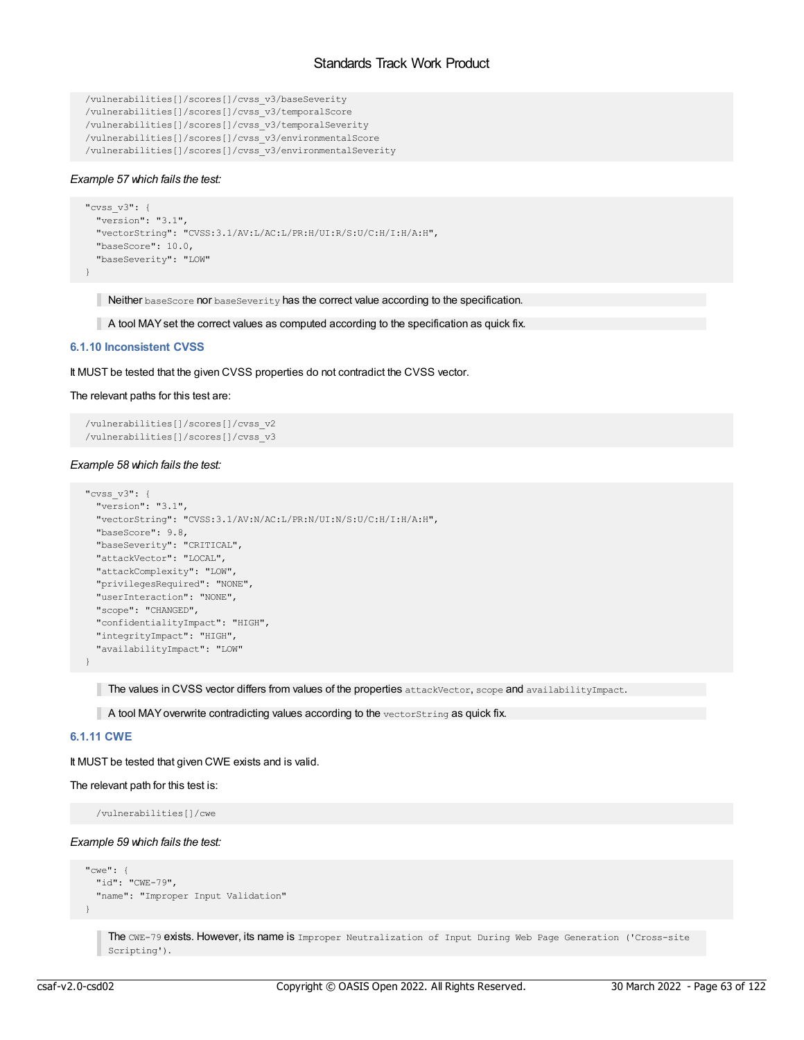```
/vulnerabilities[]/scores[]/cvss_v3/baseSeverity
/vulnerabilities[]/scores[]/cvss_v3/temporalScore
/vulnerabilities[]/scores[]/cvss_v3/temporalSeverity
/vulnerabilities[]/scores[]/cvss_v3/environmentalScore
/vulnerabilities[]/scores[]/cvss_v3/environmentalSeverity
```
# *Example 57 which fails the test:*

```
"cvss_v3": {
 "version": "3.1",
 "vectorString": "CVSS:3.1/AV:L/AC:L/PR:H/UI:R/S:U/C:H/I:H/A:H",
 "baseScore": 10.0,
 "baseSeverity": "LOW"
}
```
Neither baseScore nor baseSeverity has the correct value according to the specification.

A tool MAYset the correct values as computed according to the specification as quick fix.

# **6.1.10 Inconsistent CVSS**

It MUST be tested that the given CVSS properties do not contradict the CVSS vector.

# The relevant paths for this test are:

```
/vulnerabilities[]/scores[]/cvss_v2
/vulnerabilities[]/scores[]/cvss_v3
```
# *Example 58 which fails the test:*

```
"cvss_v3": {
 "version": "3.1",
  "vectorString": "CVSS:3.1/AV:N/AC:L/PR:N/UI:N/S:U/C:H/I:H/A:H",
 "baseScore": 9.8,
 "baseSeverity": "CRITICAL",
 "attackVector": "LOCAL",
 "attackComplexity": "LOW",
 "privilegesRequired": "NONE",
 "userInteraction": "NONE",
 "scope": "CHANGED",
 "confidentialityImpact": "HIGH",
 "integrityImpact": "HIGH",
 "availabilityImpact": "LOW"
}
```
The values in CVSS vector differs from values of the properties attackVector, scope and availabilityImpact.

 $\blacksquare$  A tool MAY overwrite contradicting values according to the vectorString as quick fix.

# **6.1.11 CWE**

It MUST be tested that given CWE exists and is valid.

The relevant path for this test is:

/vulnerabilities[]/cwe

# *Example 59 which fails the test:*

```
"cwe": {
 "id": "CWE-79",
 "name": "Improper Input Validation"
}
```
The CWE-79 exists. However, its name is Improper Neutralization of Input During Web Page Generation ('Cross-site Scripting').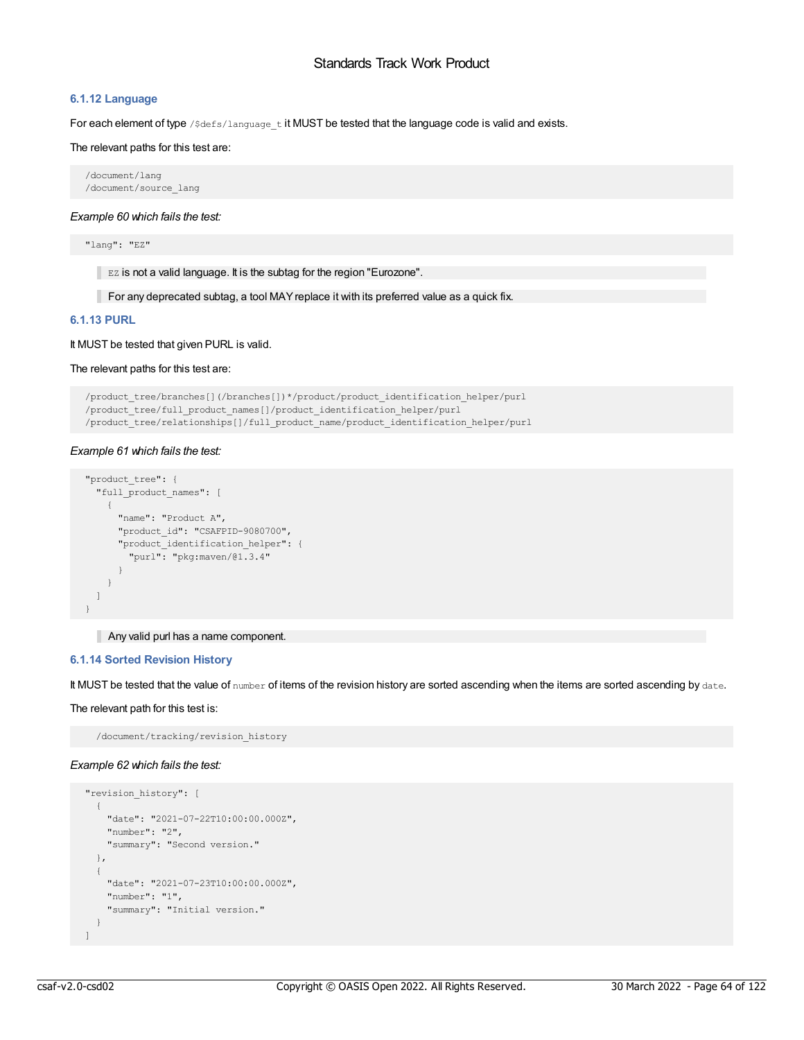# **6.1.12 Language**

For each element of type / $\frac{2}{3}$ defs/language\_t it MUST be tested that the language code is valid and exists.

The relevant paths for this test are:

/document/lang /document/source\_lang

*Example 60 which fails the test:*

"lang": "EZ"

EZ is not a valid language. It is the subtag for the region "Eurozone".

For any deprecated subtag, a tool MAY replace it with its preferred value as a quick fix.

# **6.1.13 PURL**

It MUST be tested that given PURL is valid.

# The relevant paths for this test are:

```
/product_tree/branches[](/branches[])*/product/product_identification_helper/purl
/product_tree/full_product_names[]/product_identification_helper/purl
/product_tree/relationships[]/full_product_name/product_identification_helper/purl
```
# *Example 61 which fails the test:*

```
"product_tree": {
 "full_product_names": [
   {
    "name": "Product A",
    "product_id": "CSAFPID-9080700",
    "product_identification_helper": {
       "purl": "pkg:maven/@1.3.4"
     }
   }
 ]
}
```
# Any valid purl has a name component.

# **6.1.14 Sorted Revision History**

It MUST be tested that the value of number of items of the revision history are sorted ascending when the items are sorted ascending by date.

The relevant path for this test is:

/document/tracking/revision\_history

# *Example 62 which fails the test:*

```
"revision_history": [
 {
   "date": "2021-07-22T10:00:00.000Z",
   "number": "2",
    "summary": "Second version."
 },
 {
   "date": "2021-07-23T10:00:00.000Z",
   "number": "1",
    "summary": "Initial version."
 }
\mathbf{I}
```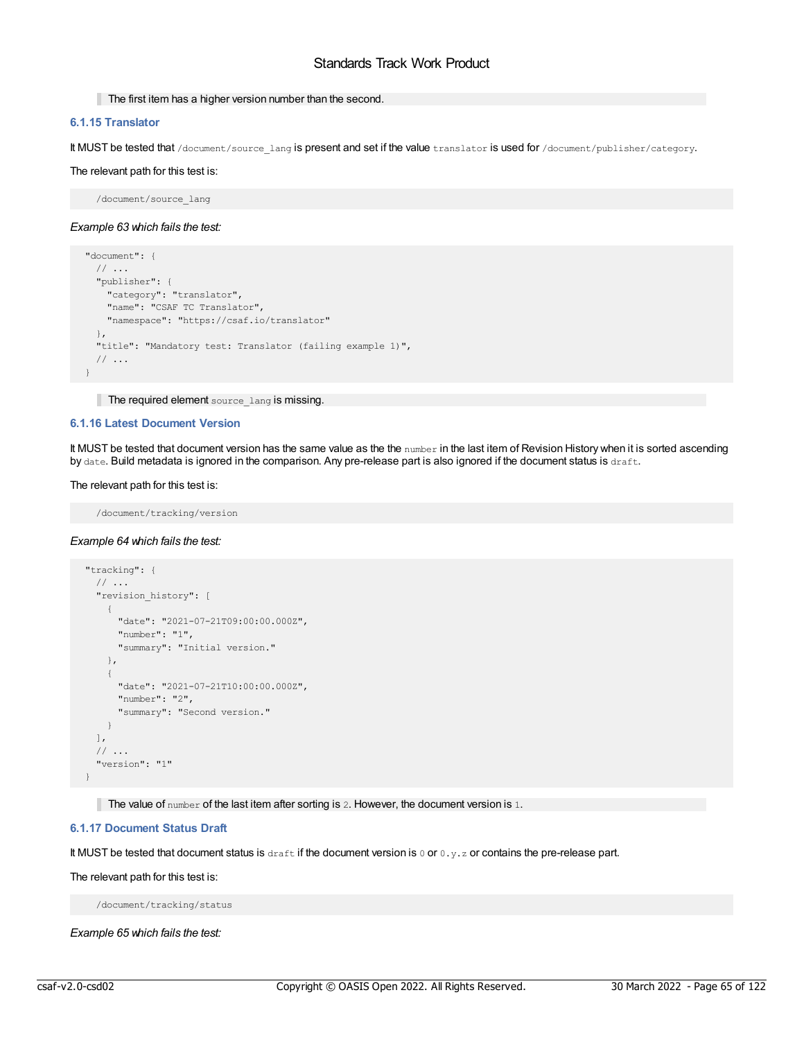# The first item has a higher version number than the second.

# **6.1.15 Translator**

It MUST be tested that /document/source\_lang is present and set if the value translator is used for /document/publisher/category.

### The relevant path for this test is:

/document/source\_lang

### *Example 63 which fails the test:*

```
"document": {
 // ...
 "publisher": {
   "category": "translator",
   "name": "CSAF TC Translator",
   "namespace": "https://csaf.io/translator"
 },
 "title": "Mandatory test: Translator (failing example 1)",
 // ...
}
```
The required element source\_lang is missing.

### **6.1.16 Latest Document Version**

It MUST be tested that document version has the same value as the the number in the last item of Revision History when it is sorted ascending by date. Build metadata is ignored in the comparison. Any pre-release part is also ignored if the document status is draft.

#### The relevant path for this test is:

/document/tracking/version

# *Example 64 which fails the test:*

```
"tracking": {
 // ...
  "revision history": [
   {
     "date": "2021-07-21T09:00:00.000Z",
     "number": "1",
     "summary": "Initial version."
   },
   \left\{ \right."date": "2021-07-21T10:00:00.000Z",
     "number": "2",
     "summary": "Second version."
   }
 ],
 // ...
  "version": "1"
}
```
The value of  $number$  of the last item after sorting is 2. However, the document version is 1.

# **6.1.17 Document Status Draft**

It MUST be tested that document status is draft if the document version is 0 or 0.y.z or contains the pre-release part.

#### The relevant path for this test is:

/document/tracking/status

*Example 65 which fails the test:*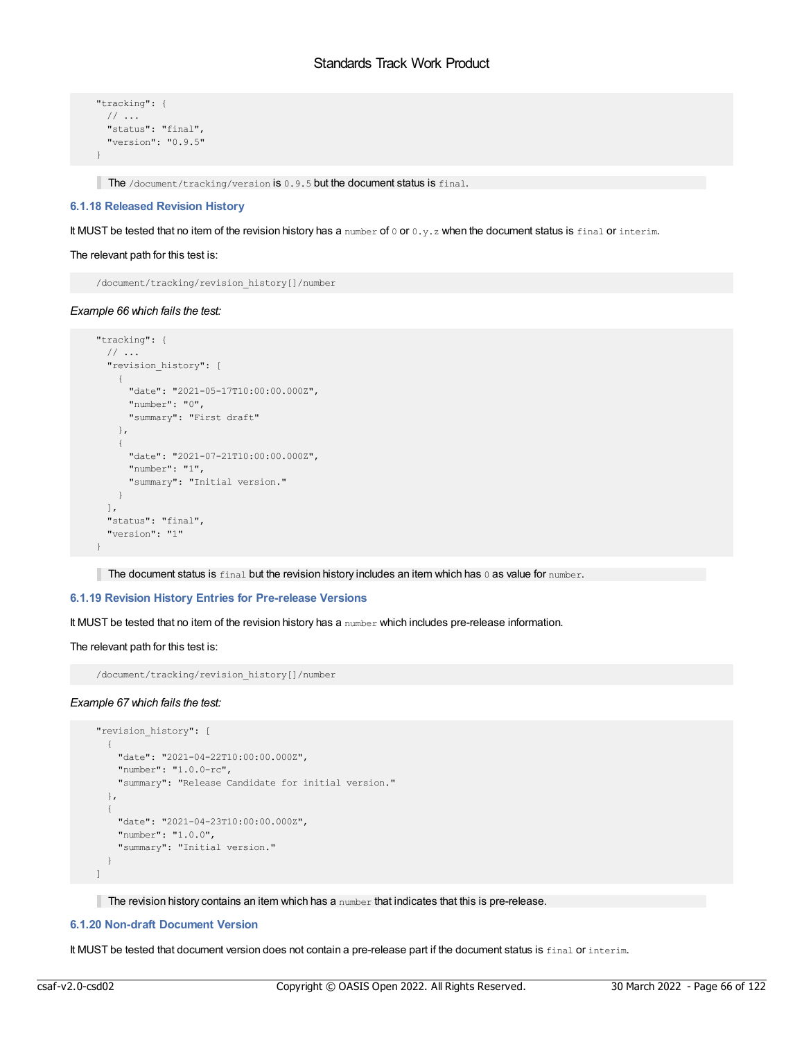```
"tracking": {
 // ...
 "status": "final",
 "version": "0.9.5"
}
```
The /document/tracking/version is 0.9.5 but the document status is final.

# **6.1.18 Released Revision History**

It MUST be tested that no item of the revision history has a number of 0 or 0.y.z when the document status is final or interim.

### The relevant path for this test is:

/document/tracking/revision\_history[]/number

# *Example 66 which fails the test:*

```
"tracking": {
 // ...
  "revision_history": [
    \left\{ \right."date": "2021-05-17T10:00:00.000Z",
     "number": "0",
      "summary": "First draft"
   },
    {
      "date": "2021-07-21T10:00:00.000Z",
     "number": "1",
     "summary": "Initial version."
   }
 \left| \cdot \right|"status": "final",
 "version": "1"
}
```
The document status is  $final$  but the revision history includes an item which has  $0$  as value for number.

# **6.1.19 Revision History Entries for Pre-release Versions**

It MUST be tested that no item of the revision history has a number which includes pre-release information.

# The relevant path for this test is:

/document/tracking/revision\_history[]/number

#### *Example 67 which fails the test:*

```
"revision_history": [
 \left\{ \right."date": "2021-04-22T10:00:00.000Z",
    "number": "1.0.0-rc",
    "summary": "Release Candidate for initial version."
  },
  {
   "date": "2021-04-23T10:00:00.000Z",
   "number": "1.0.0",
   "summary": "Initial version."
 }
]
```
The revision history contains an item which has a number that indicates that this is pre-release.

# **6.1.20 Non-draft Document Version**

It MUST be tested that document version does not contain a pre-release part if the document status is final or interim.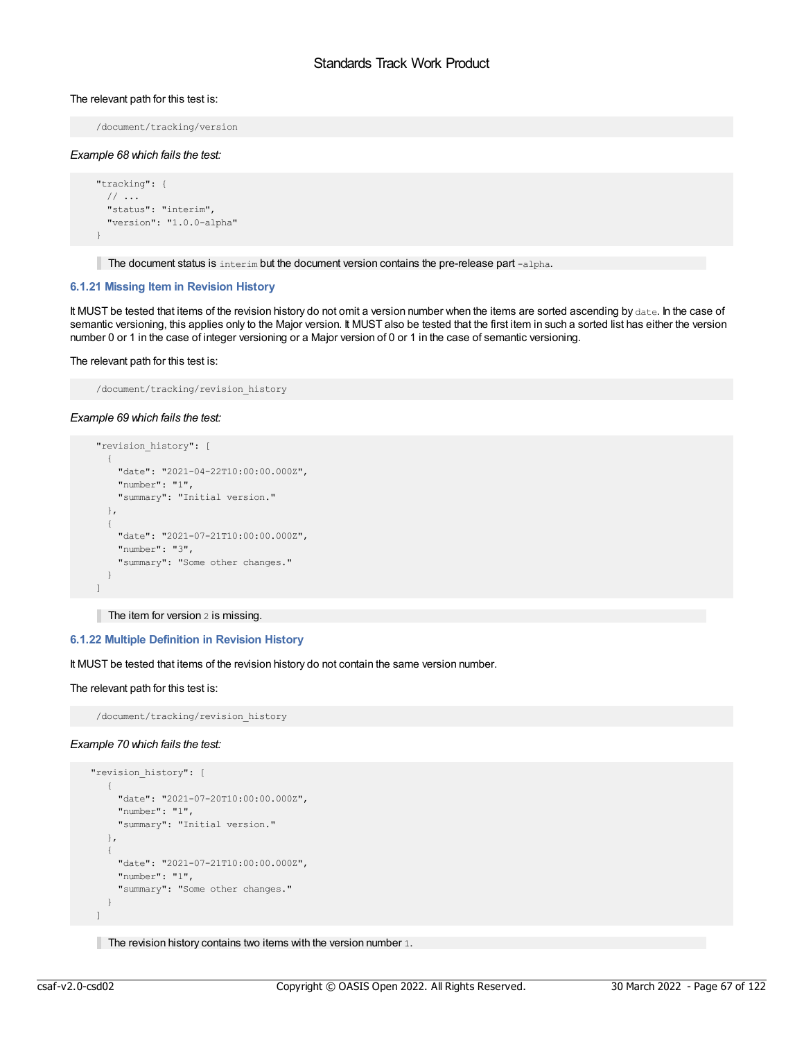### The relevant path for this test is:

/document/tracking/version

#### *Example 68 which fails the test:*

```
"tracking": {
 // ...
  "status": "interim",
  "version": "1.0.0-alpha"
}
```
The document status is  $interim$  but the document version contains the pre-release part  $-alpha$ .

### **6.1.21 Missing Item in Revision History**

It MUST be tested that items of the revision history do not omit a version number when the items are sorted ascending by date. In the case of semantic versioning, this applies only to the Major version. It MUST also be tested that the first item in such a sorted list has either the version number 0 or 1 in the case of integer versioning or a Major version of 0 or 1 in the case of semantic versioning.

#### The relevant path for this test is:

```
/document/tracking/revision_history
```
### *Example 69 which fails the test:*

```
"revision_history": [
 {
   "date": "2021-04-22T10:00:00.000Z",
   "number": "1",
   "summary": "Initial version."
 },
 \left\{ \right."date": "2021-07-21T10:00:00.000Z",
   "number": "3",
   "summary": "Some other changes."
 }
]
```
The item for version 2 is missing.

# **6.1.22 Multiple Definition in Revision History**

It MUST be tested that items of the revision history do not contain the same version number.

```
The relevant path for this test is:
```

```
/document/tracking/revision_history
```
# *Example 70 which fails the test:*

```
"revision_history": [
  \left\{ \begin{array}{c} \end{array} \right."date": "2021-07-20T10:00:00.000Z",
     "number": "1",
     "summary": "Initial version."
   },
   {
     "date": "2021-07-21T10:00:00.000Z",
     "number": "1",
     "summary": "Some other changes."
   }
 \, \,
```
The revision history contains two items with the version number 1.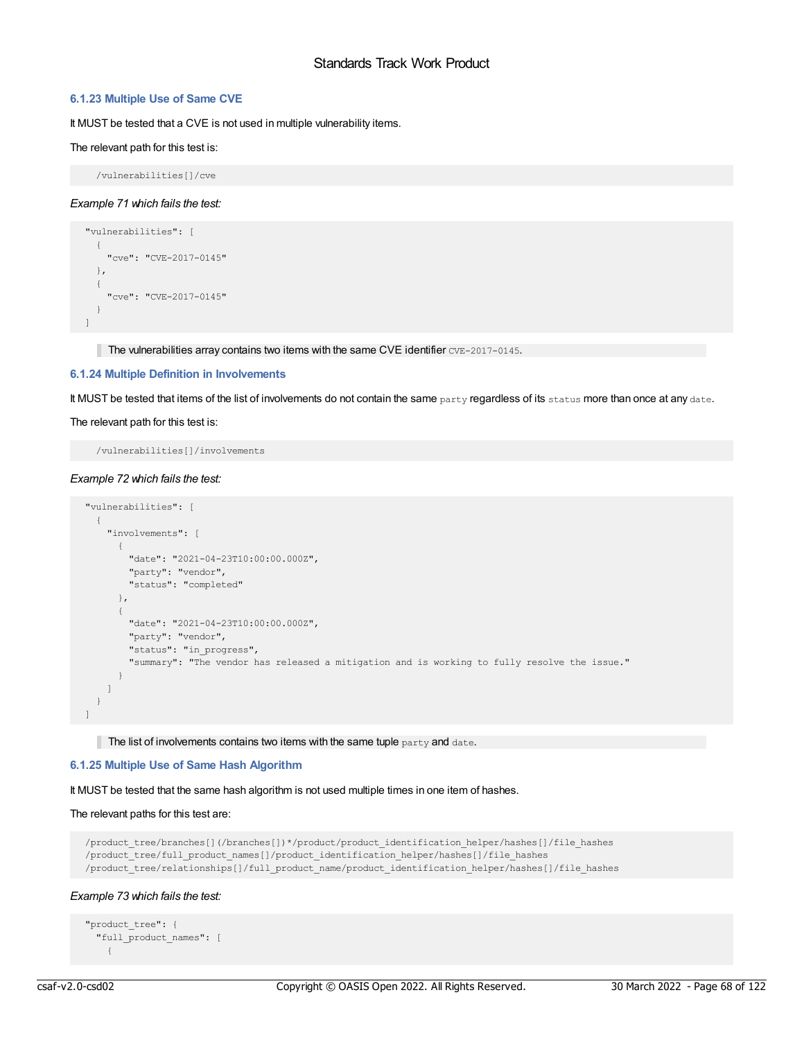# **6.1.23 Multiple Use of Same CVE**

It MUST be tested that a CVE is not used in multiple vulnerability items.

### The relevant path for this test is:

/vulnerabilities[]/cve

### *Example 71 which fails the test:*

```
"vulnerabilities": [
  {
    "cve": "CVE-2017-0145"
  },
  {
   "cve": "CVE-2017-0145"
  }
\mathbb{L}
```
The vulnerabilities array contains two items with the same CVE identifier  $CVE-2017-0145$ .

# **6.1.24 Multiple Definition in Involvements**

It MUST be tested that items of the list of involvements do not contain the same party regardless of its status more than once at any date.

#### The relevant path for this test is:

/vulnerabilities[]/involvements

### *Example 72 which fails the test:*

```
"vulnerabilities": [
 {
   "involvements": [
     {
       "date": "2021-04-23T10:00:00.000Z",
       "party": "vendor",
       "status": "completed"
     },
     {
       "date": "2021-04-23T10:00:00.000Z",
       "party": "vendor",
       "status": "in_progress",
       "summary": "The vendor has released a mitigation and is working to fully resolve the issue."
     }
   \Box}
]
```
The list of involvements contains two items with the same tuple  $party$  and date.

# **6.1.25 Multiple Use of Same Hash Algorithm**

It MUST be tested that the same hash algorithm is not used multiple times in one item of hashes.

### The relevant paths for this test are:

```
/product_tree/branches[](/branches[])*/product/product_identification_helper/hashes[]/file_hashes
/product_tree/full_product_names[]/product_identification_helper/hashes[]/file_hashes
/product_tree/relationships[]/full_product_name/product_identification_helper/hashes[]/file_hashes
```
# *Example 73 which fails the test:*

```
"product_tree": {
  "full_product_names": [
   {
```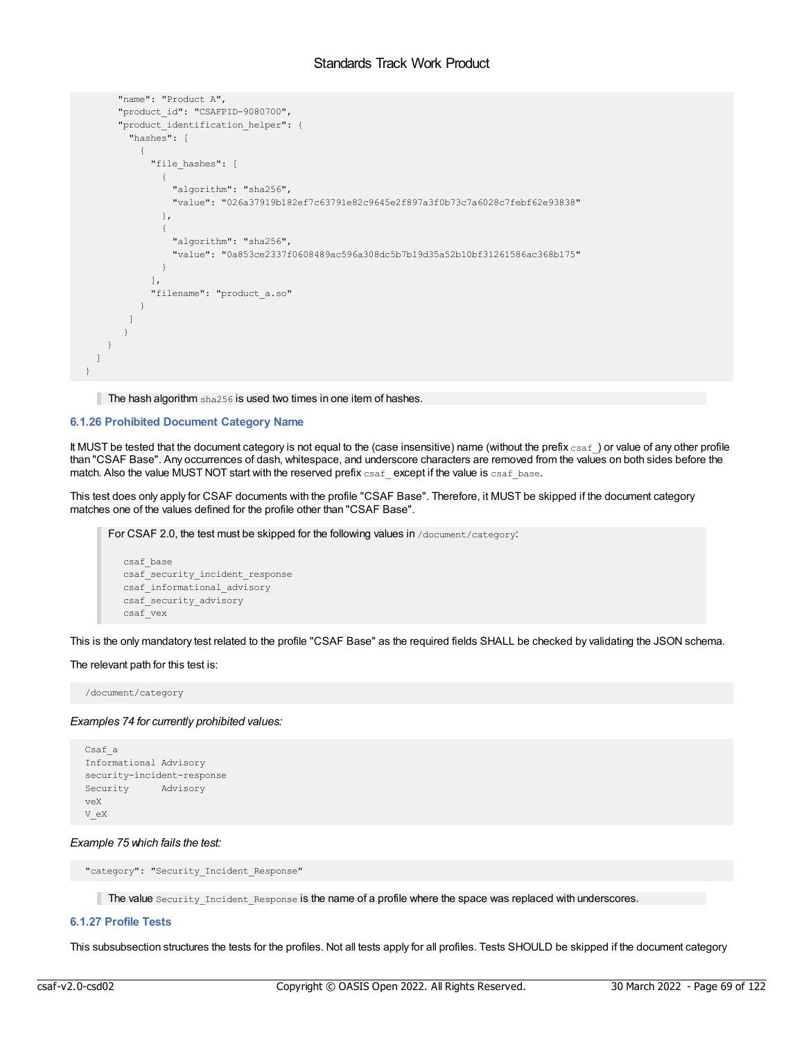```
"name": "Product A",
      "product id": "CSAFPID-9080700",
      "product_identification_helper": {
        "hashes": [
          {
            "file hashes": [
              \left\{ \right."algorithm": "sha256",
                "value": "026a37919b182ef7c63791e82c9645e2f897a3f0b73c7a6028c7febf62e93838"
              },
              {
                "algorithm": "sha256",
                "value": "0a853ce2337f0608489ac596a308dc5b7b19d35a52b10bf31261586ac368b175"
              }
            ],
            "filename": "product_a.so"
          }
        ]
       }
    }
 ]
}
```
The hash algorithm sha256 is used two times in one item of hashes.

# **6.1.26 Prohibited Document Category Name**

It MUST be tested that the document category is not equal to the (case insensitive) name (without the prefix  $csaf$ ) or value of any other profile than "CSAF Base". Any occurrences of dash, whitespace, and underscore characters are removed from the values on both sides before the match. Also the value MUST NOT start with the reserved prefix  $csaf$  except if the value is  $csaf$  base.

This test does only apply for CSAF documents with the profile "CSAF Base". Therefore, it MUST be skipped if the document category matches one of the values defined for the profile other than "CSAF Base".

For CSAF 2.0, the test must be skipped for the following values in /document/category:

```
csaf_base
csaf_security_incident_response
csaf_informational_advisory
csaf_security_advisory
csaf_vex
```
This is the only mandatory test related to the profile "CSAF Base" as the required fields SHALL be checked by validating the JSON schema.

#### The relevant path for this test is:

/document/category

# *Examples 74 for currently prohibited values:*

```
Csaf_a
Informational Advisory
security-incident-response
Security Advisory
veX
V_eX
```
# *Example 75 which fails the test:*

"category": "Security Incident Response"

The value Security Incident Response is the name of a profile where the space was replaced with underscores.

# **6.1.27 Profile Tests**

This subsubsection structures the tests for the profiles. Not all tests apply for all profiles. Tests SHOULD be skipped if the document category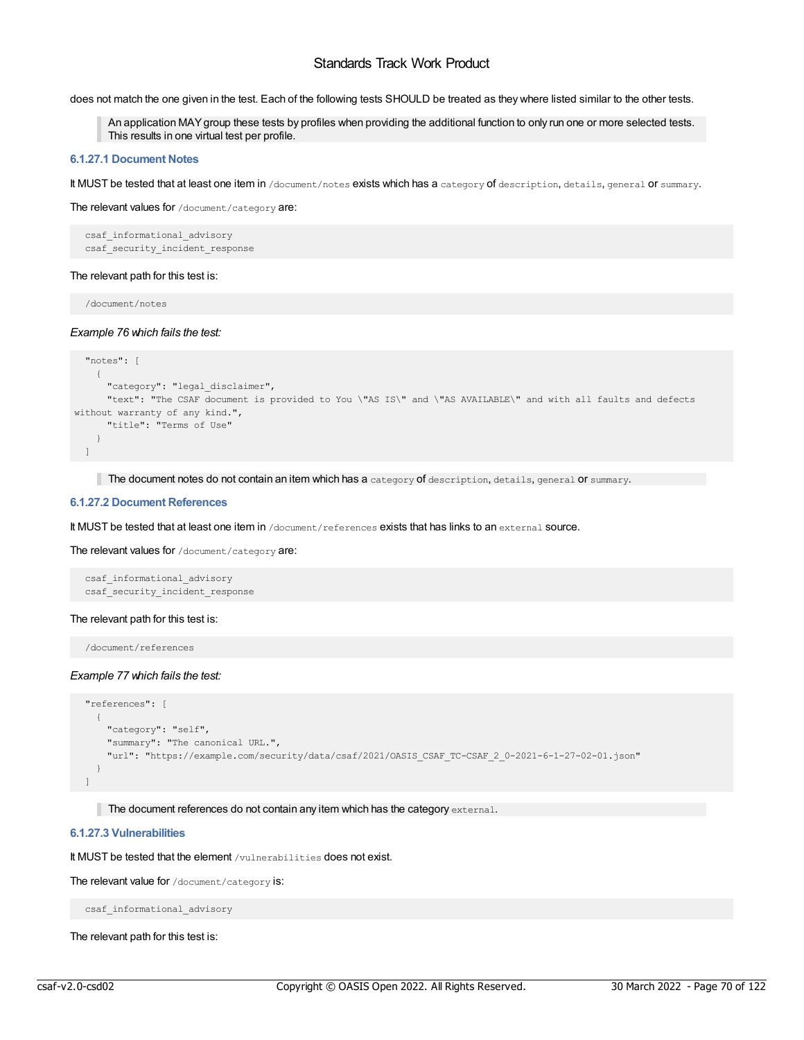does not match the one given in the test. Each of the following tests SHOULD be treated as they where listed similar to the other tests.

An application MAYgroup these tests by profiles when providing the additional function to only run one or more selected tests. This results in one virtual test per profile.

# **6.1.27.1 Document Notes**

It MUST be tested that at least one item in /document/notes exists which has a category of description, details, general or summary.

The relevant values for /document/category are:

csaf\_informational\_advisory csaf security incident response

#### The relevant path for this test is:

/document/notes

#### *Example 76 which fails the test:*

```
"notes": [
    {
     "category": "legal_disclaimer",
     "text": "The CSAF document is provided to You \"AS IS\" and \"AS AVAILABLE\" and with all faults and defects
without warranty of any kind.",
     "title": "Terms of Use"
   }
 \Box
```
The document notes do not contain an item which has a category of description, details, general or summary.

#### **6.1.27.2 Document References**

It MUST be tested that at least one item in /document/references exists that has links to an external source.

The relevant values for /document/category are:

```
csaf_informational_advisory
csaf_security_incident_response
```
### The relevant path for this test is:

/document/references

#### *Example 77 which fails the test:*

```
"references": [
  {
   "category": "self",
    "summary": "The canonical URL.",
    "url": "https://example.com/security/data/csaf/2021/OASIS_CSAF_TC-CSAF_2_0-2021-6-1-27-02-01.json"
  }
]
```
The document references do not contain any item which has the category  $ext{external}$ .

# **6.1.27.3 Vulnerabilities**

It MUST be tested that the element /vulnerabilities does not exist.

The relevant value for /document/category is:

csaf\_informational\_advisory

The relevant path for this test is: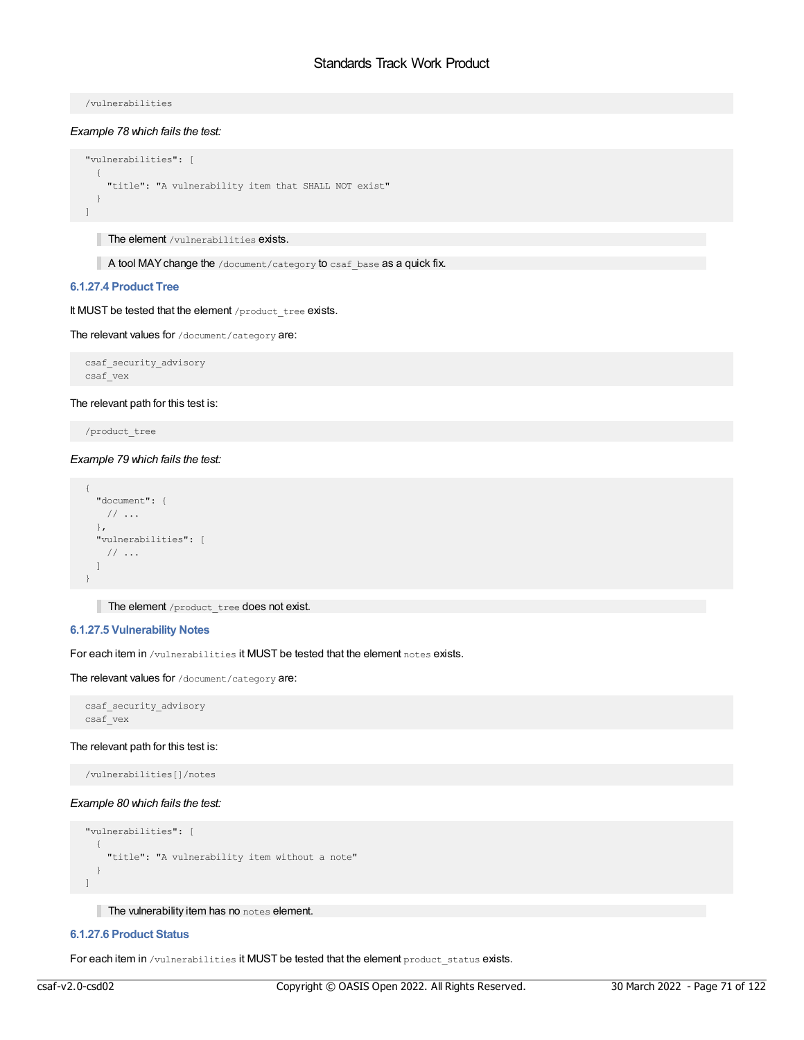/vulnerabilities

*Example 78 which fails the test:*

```
"vulnerabilities": [
 \{"title": "A vulnerability item that SHALL NOT exist"
  }
]
```
The element /vulnerabilities exists.

A tool MAY change the /document/category to csaf\_base as a quick fix.

### **6.1.27.4 Product Tree**

It MUST be tested that the element /product\_tree exists.

The relevant values for /document/category are:

csaf\_security\_advisory csaf\_vex

# The relevant path for this test is:

/product\_tree

*Example 79 which fails the test:*

```
{
 "document": {
  // ...
 },
 "vulnerabilities": [
  // ...
 ]
}
```
The element /product\_tree does not exist.

# **6.1.27.5 Vulnerability Notes**

For each item in /vulnerabilities it MUST be tested that the element notes exists.

The relevant values for /document/category are:

```
csaf_security_advisory
csaf_vex
```
### The relevant path for this test is:

/vulnerabilities[]/notes

# *Example 80 which fails the test:*

```
"vulnerabilities": [
  {
   "title": "A vulnerability item without a note"
 }
]
```
The vulnerability item has no notes element.

### **6.1.27.6 Product Status**

For each item in /vulnerabilities it MUST be tested that the element product status exists.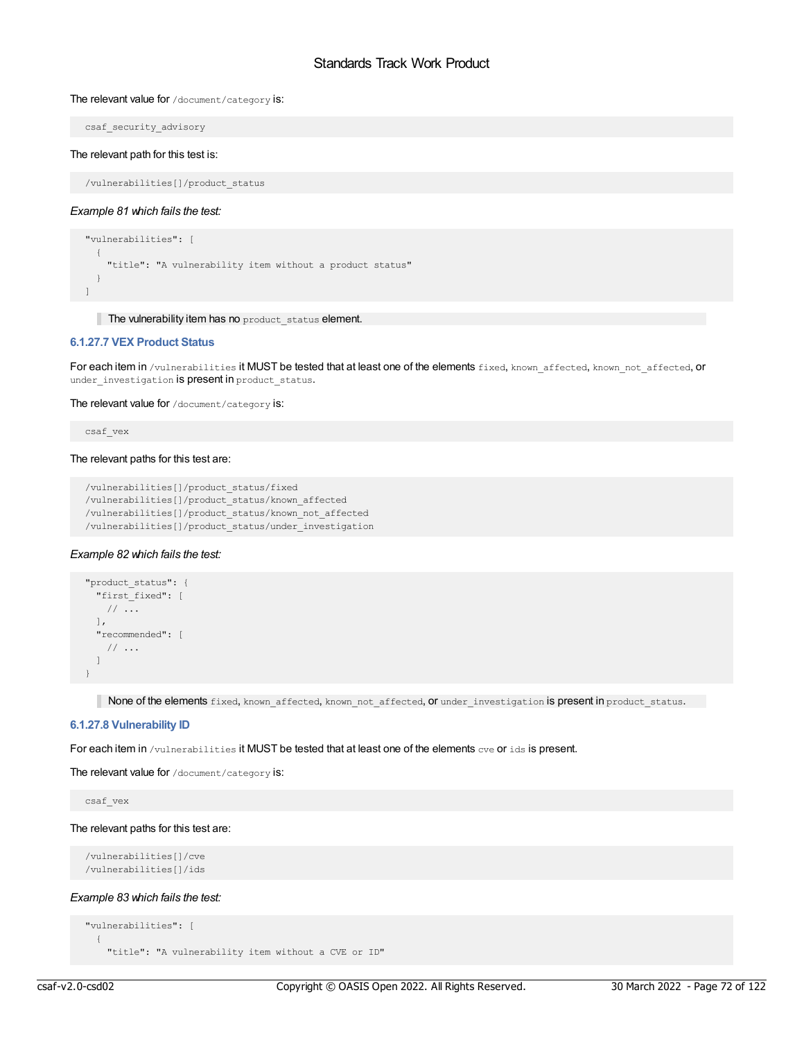### The relevant value for /document/category is:

csaf\_security\_advisory

### The relevant path for this test is:

/vulnerabilities[]/product\_status

### *Example 81 which fails the test:*

```
"vulnerabilities": [
 {
   "title": "A vulnerability item without a product status"
 }
]
```
The vulnerability item has no product\_status element.

# **6.1.27.7 VEX Product Status**

For each item in /vulnerabilities it MUST be tested that at least one of the elements fixed, known affected, known not affected, or under investigation is present in product status.

The relevant value for /document/category is:

csaf\_vex

### The relevant paths for this test are:

```
/vulnerabilities[]/product_status/fixed
/vulnerabilities[]/product_status/known_affected
/vulnerabilities[]/product_status/known_not_affected
/vulnerabilities[]/product_status/under_investigation
```
# *Example 82 which fails the test:*

```
"product_status": {
 "first_fixed": [
   // ...
 ],
 "recommended": [
   // ...
 \Box}
```
None of the elements fixed, known\_affected, known\_not\_affected, or under\_investigation is present in product\_status.

# **6.1.27.8 Vulnerability ID**

For each item in /vulnerabilities it MUST be tested that at least one of the elements cve or ids is present.

The relevant value for /document/category is:

csaf\_vex

#### The relevant paths for this test are:

```
/vulnerabilities[]/cve
/vulnerabilities[]/ids
```
# *Example 83 which fails the test:*

```
"vulnerabilities": [
  {
    "title": "A vulnerability item without a CVE or ID"
```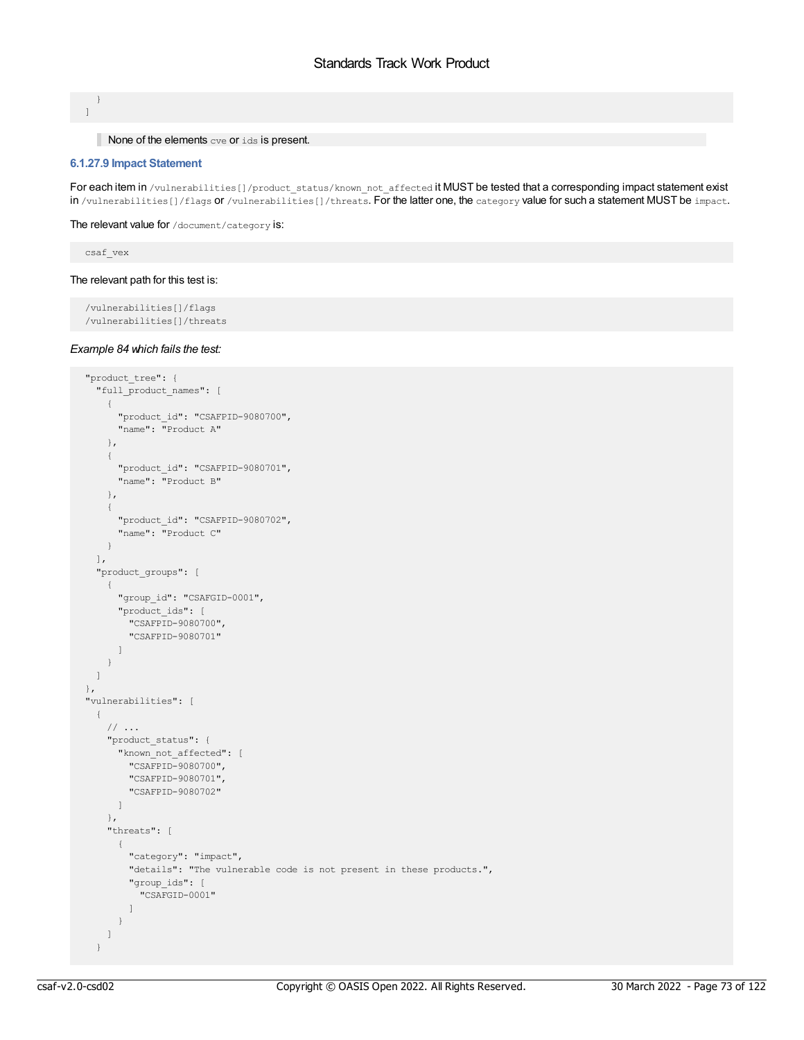} ]

### None of the elements cve or ids is present.

### **6.1.27.9 Impact Statement**

For each item in /vulnerabilities[]/product\_status/known\_not\_affected it MUST be tested that a corresponding impact statement exist in /vulnerabilities[]/flags or /vulnerabilities[]/threats. For the latter one, the category value for such a statement MUST be impact.

The relevant value for /document/category is:

csaf\_vex

# The relevant path for this test is:

```
/vulnerabilities[]/flags
/vulnerabilities[]/threats
```
#### *Example 84 which fails the test:*

```
"product_tree": {
 "full_product_names": [
   \left\{ \right."product_id": "CSAFPID-9080700",
      "name": "Product A"
    },
    {
     "product_id": "CSAFPID-9080701",
     "name": "Product B"
    },
   \left\{ \right."product_id": "CSAFPID-9080702",
     "name": "Product C"
   }
 \frac{1}{\sqrt{2}}"product_groups": [
   {
     "group_id": "CSAFGID-0001",
      "product_ids": [
        "CSAFPID-9080700",
        "CSAFPID-9080701"
     ]
    }
 ]
},
"vulnerabilities": [
 {
   // ...
    "product_status": {
     "known_not_affected": [
       "CSAFPID-9080700",
       "CSAFPID-9080701",
        "CSAFPID-9080702"
     ]
    },
    "threats": [
     \left\{ \right."category": "impact",
       "details": "The vulnerable code is not present in these products.",
        "group_ids": [
         "CSAFGID-0001"
        ]
      }
    ]
  }
```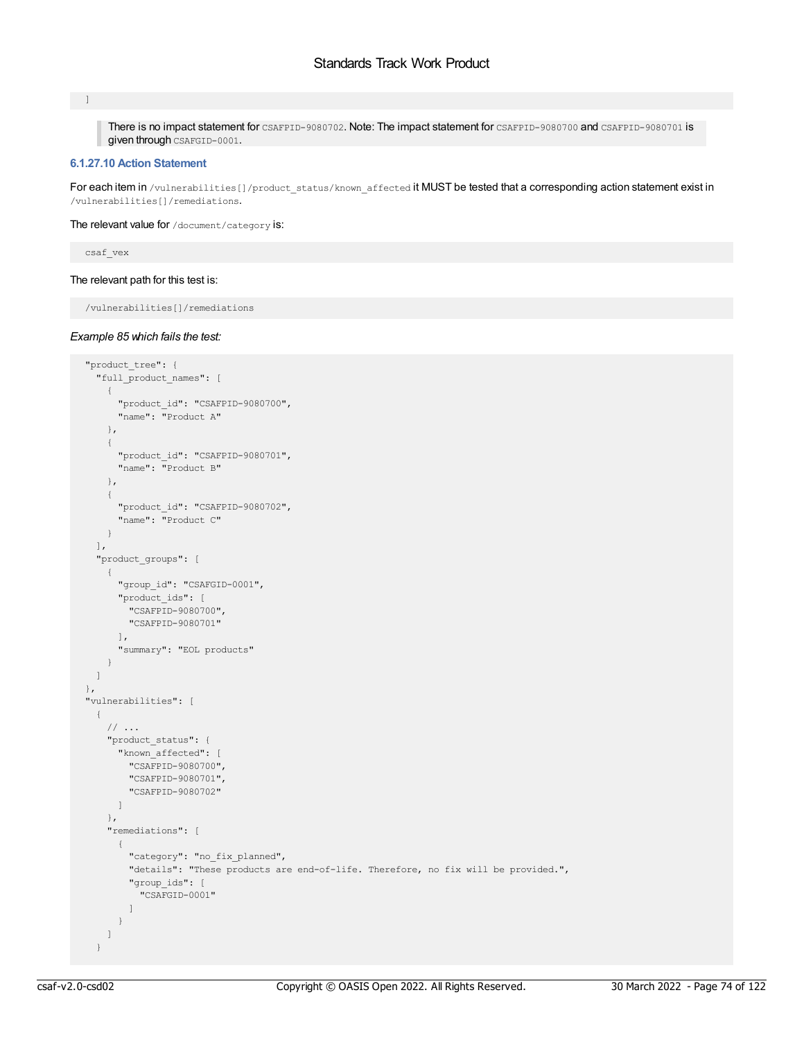#### $\Box$

There is no impact statement for CSAFPID-9080702. Note: The impact statement for CSAFPID-9080700 and CSAFPID-9080701 is given through CSAFGID-0001.

# **6.1.27.10 Action Statement**

For each item in /vulnerabilities[]/product\_status/known\_affected it MUST be tested that a corresponding action statement exist in /vulnerabilities[]/remediations.

#### The relevant value for /document/category is:

csaf\_vex

# The relevant path for this test is:

/vulnerabilities[]/remediations

### *Example 85 which fails the test:*

```
"product_tree": {
 "full_product_names": [
   {
     "product_id": "CSAFPID-9080700",
     "name": "Product A"
   },
    {
     "product_id": "CSAFPID-9080701",
     "name": "Product B"
   },
   {
     "product_id": "CSAFPID-9080702",
     "name": "Product C"
   }
 \frac{1}{2},
  "product_groups": [
   {
     "group_id": "CSAFGID-0001",
     "product_ids": [
       "CSAFPID-9080700",
       "CSAFPID-9080701"
     ],
      "summary": "EOL products"
    }
 ]
},
"vulnerabilities": [
 {
   // ...
   "product_status": {
     "known_affected": [
       "CSAFPID-9080700",
       "CSAFPID-9080701",
       "CSAFPID-9080702"
     \Box},
    "remediations": [
     \left\{ \right."category": "no_fix_planned",
       "details": "These products are end-of-life. Therefore, no fix will be provided.",
       "group_ids": [
         "CSAFGID-0001"
       ]
      }
   ]
  }
```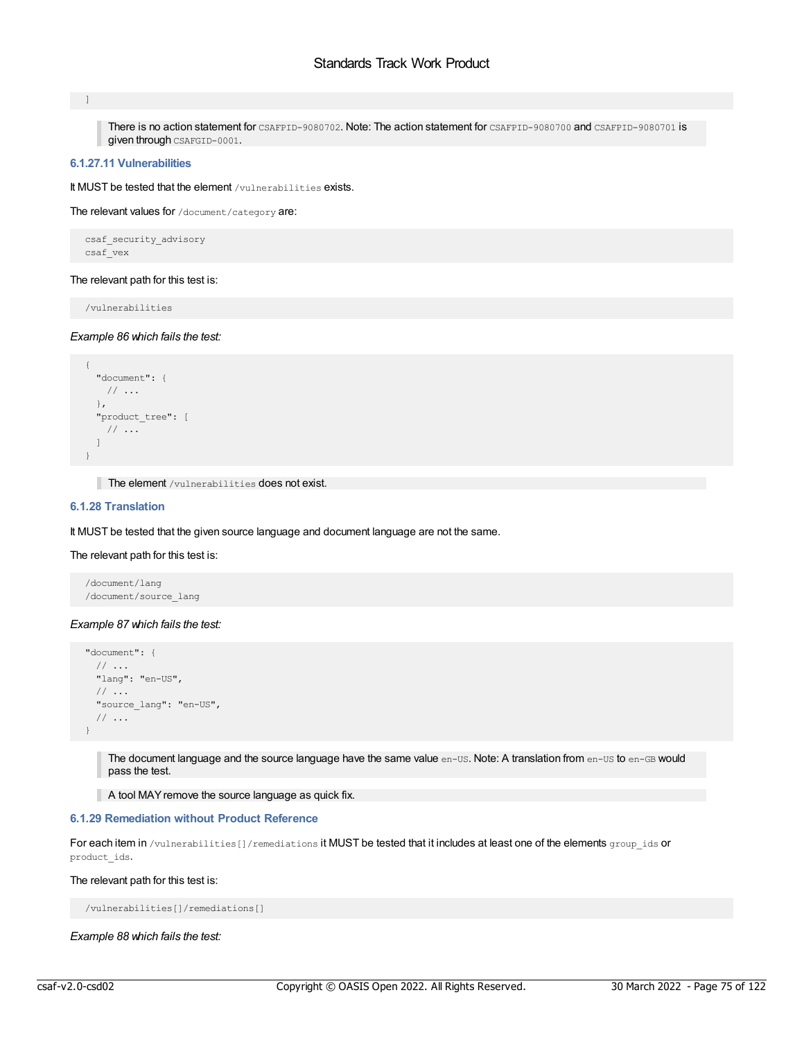#### $\blacksquare$

There is no action statement for CSAFPID-9080702. Note: The action statement for CSAFPID-9080700 and CSAFPID-9080701 is given through CSAFGID-0001.

# **6.1.27.11 Vulnerabilities**

It MUST be tested that the element /vulnerabilities exists.

The relevant values for /document/category are:

```
csaf_security_advisory
csaf_vex
```
# The relevant path for this test is:

/vulnerabilities

### *Example 86 which fails the test:*

```
{
 "document": {
  // ...
 },
 "product_tree": [
  // ...
 ]
}
```
The element /vulnerabilities does not exist.

# **6.1.28 Translation**

It MUST be tested that the given source language and document language are not the same.

### The relevant path for this test is:

/document/lang /document/source\_lang

## *Example 87 which fails the test:*

```
"document": {
 // ...
 "lang": "en-US",
 // ...
 "source_lang": "en-US",
 // ...
}
```
The document language and the source language have the same value en-US. Note: A translation from en-US to en-GB would pass the test.

A tool MAY remove the source language as quick fix.

### **6.1.29 Remediation without Product Reference**

For each item in /vulnerabilities[]/remediations it MUST be tested that it includes at least one of the elements group\_ids or product\_ids.

### The relevant path for this test is:

/vulnerabilities[]/remediations[]

*Example 88 which fails the test:*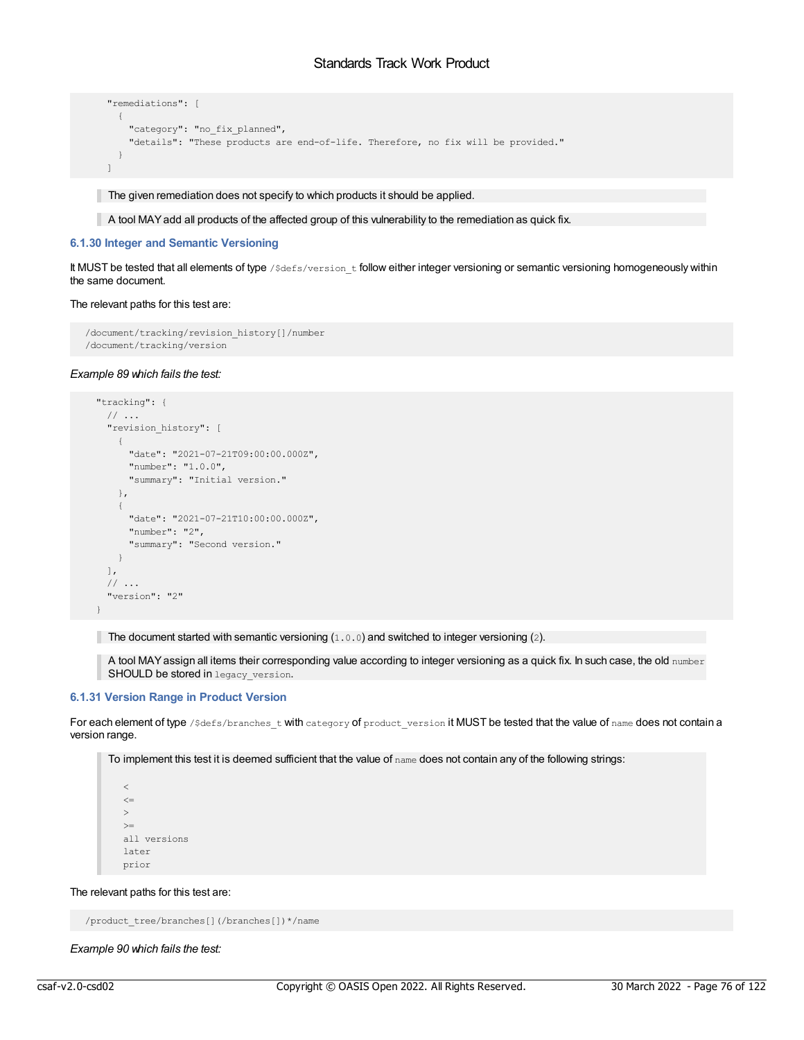```
"remediations": [
 {
   "category": "no fix planned",
   "details": "These products are end-of-life. Therefore, no fix will be provided."
  }
\mathbf{I}
```
The given remediation does not specify to which products it should be applied.

A tool MAYadd all products of the affected group of this vulnerability to the remediation as quick fix.

# **6.1.30 Integer and Semantic Versioning**

It MUST be tested that all elements of type /\$defs/version t follow either integer versioning or semantic versioning homogeneously within the same document.

### The relevant paths for this test are:

```
/document/tracking/revision_history[]/number
/document/tracking/version
```
### *Example 89 which fails the test:*

```
"tracking": {
 // ...
  "revision_history": [
   {
     "date": "2021-07-21T09:00:00.000Z",
     "number": "1.0.0",
      "summary": "Initial version."
   },
    {
     "date": "2021-07-21T10:00:00.000Z",
     "number": "2",
     "summary": "Second version."
   }
 ],
  \frac{1}{2}...
  "version": "2"
}
```
The document started with semantic versioning  $(1.0.0)$  and switched to integer versioning  $(2)$ .

A tool MAYassign all items their corresponding value according to integer versioning as a quick fix. In such case, the old number SHOULD be stored in legacy\_version.

# **6.1.31 Version Range in Product Version**

For each element of type /\$defs/branches\_t with category of product\_version it MUST be tested that the value of name does not contain a version range.

To implement this test it is deemed sufficient that the value of name does not contain any of the following strings:

 $\,<$  $\epsilon$  $\geq$  $>=$ all versions later prior

The relevant paths for this test are:

/product\_tree/branches[](/branches[])\*/name

*Example 90 which fails the test:*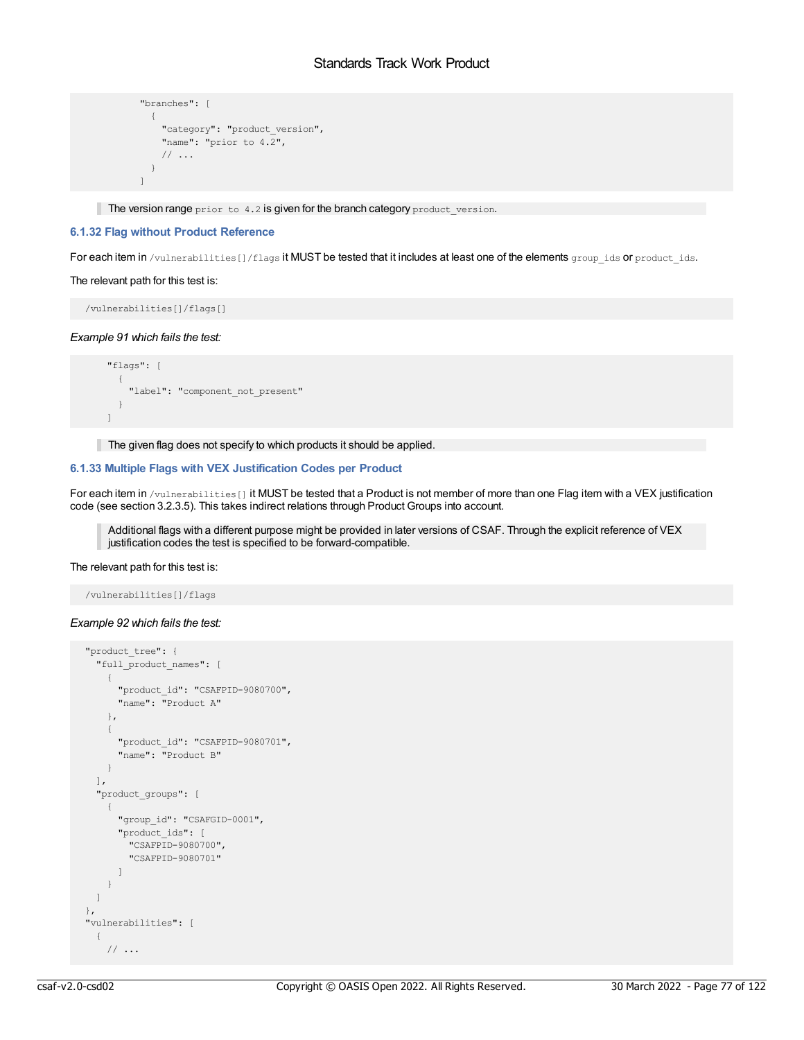```
"branches": [
 \{"category": "product version",
   "name": "prior to 4.2",
   // ...
 }
]
```
The version range  $prior$  to  $4.2$  is given for the branch category  $product\_version$ .

# **6.1.32 Flag without Product Reference**

For each item in /vulnerabilities[]/flags it MUST be tested that it includes at least one of the elements group ids or product ids.

### The relevant path for this test is:

/vulnerabilities[]/flags[]

### *Example 91 which fails the test:*

```
"flags": [
  \left\{ \right."label": "component_not_present"
  }
\mathbf{I}
```
The given flag does not specify to which products it should be applied.

# **6.1.33 Multiple Flags with VEX Justification Codes per Product**

For each item in /vulnerabilities[] it MUST be tested that a Product is not member of more than one Flag item with a VEX justification code (see section 3.2.3.5). This takes indirect relations through Product Groups into account.

Additional flags with a different purpose might be provided in later versions of CSAF. Through the explicit reference of VEX justification codes the test is specified to be forward-compatible.

#### The relevant path for this test is:

/vulnerabilities[]/flags

## *Example 92 which fails the test:*

```
"product_tree": {
 "full_product_names": [
    {
     "product_id": "CSAFPID-9080700",
     "name": "Product A"
    },
   \left\{ \right."product_id": "CSAFPID-9080701",
     "name": "Product B"
   }
  \frac{1}{2}"product_groups": [
    {
     "group_id": "CSAFGID-0001",
     "product_ids": [
        "CSAFPID-9080700",
        "CSAFPID-9080701"
     ]
    }
 ]
},
"vulnerabilities": [
 {
    // ...
```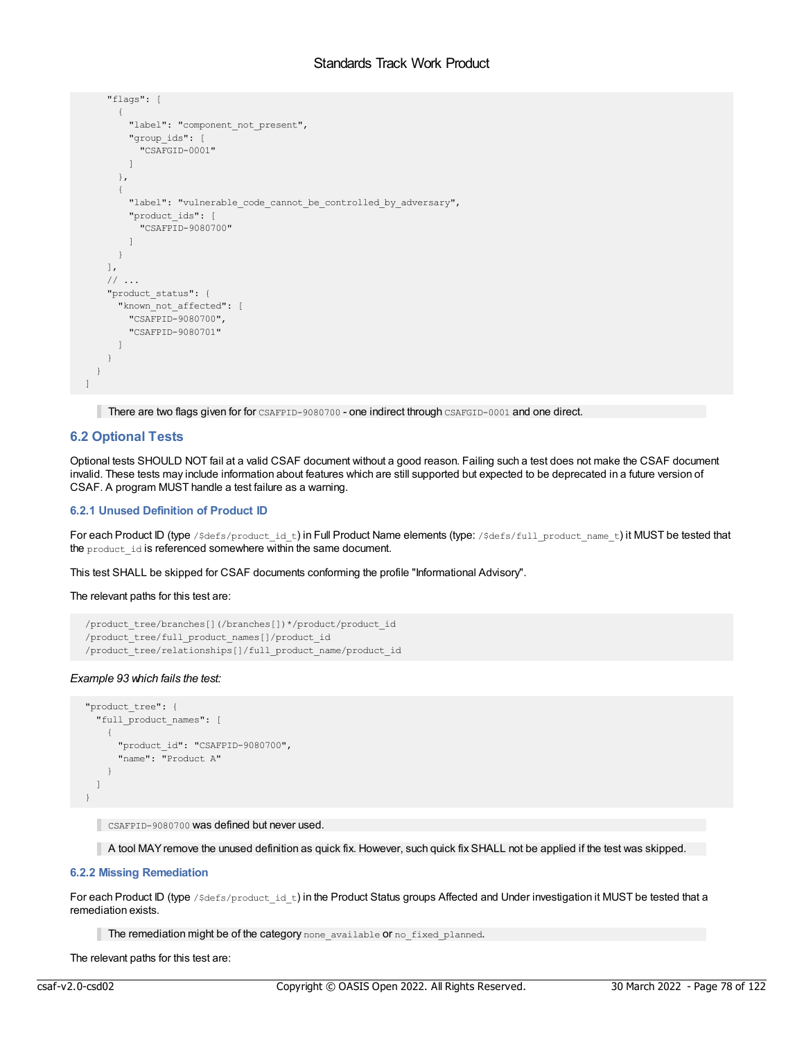```
"flags": [
      {
        "label": "component not present",
        "group_ids": [
          "CSAFGID-0001"
        ]
      },
      {
        "label": "vulnerable_code_cannot_be_controlled_by_adversary",
        "product_ids": [
          "CSAFPID-9080700"
        ]
     }
    \frac{1}{2},
    // ...
    "product_status": {
     "known not affected": [
        "CSAFPID-9080700",
        "CSAFPID-9080701"
     ]
   }
 }
]
```
There are two flags given for for CSAFPID-9080700 - one indirect through CSAFGID-0001 and one direct.

# **6.2 Optional Tests**

Optional tests SHOULD NOT fail at a valid CSAF document without a good reason. Failing such a test does not make the CSAF document invalid. These tests may include information about features which are still supported but expected to be deprecated in a future version of CSAF. A program MUST handle a test failure as a warning.

# **6.2.1 Unused Definition of Product ID**

For each Product ID (type /\$defs/product\_id\_t) in Full Product Name elements (type: /\$defs/full\_product\_name\_t) it MUST be tested that the product id is referenced somewhere within the same document.

This test SHALL be skipped for CSAF documents conforming the profile "Informational Advisory".

The relevant paths for this test are:

```
/product_tree/branches[](/branches[])*/product/product_id
/product_tree/full_product_names[]/product_id
/product_tree/relationships[]/full_product_name/product_id
```
# *Example 93 which fails the test:*

```
"product_tree": {
 "full_product_names": [
    {
     "product_id": "CSAFPID-9080700",
     "name": "Product A"
   }
 ]
}
```
CSAFPID-9080700 was defined but never used.

A tool MAYremove the unused definition as quick fix. However, such quick fix SHALL not be applied if the test was skipped.

# **6.2.2 Missing Remediation**

For each Product ID (type  $\beta$ defs/product id t) in the Product Status groups Affected and Under investigation it MUST be tested that a remediation exists.

The remediation might be of the category none available or no fixed planned.

The relevant paths for this test are: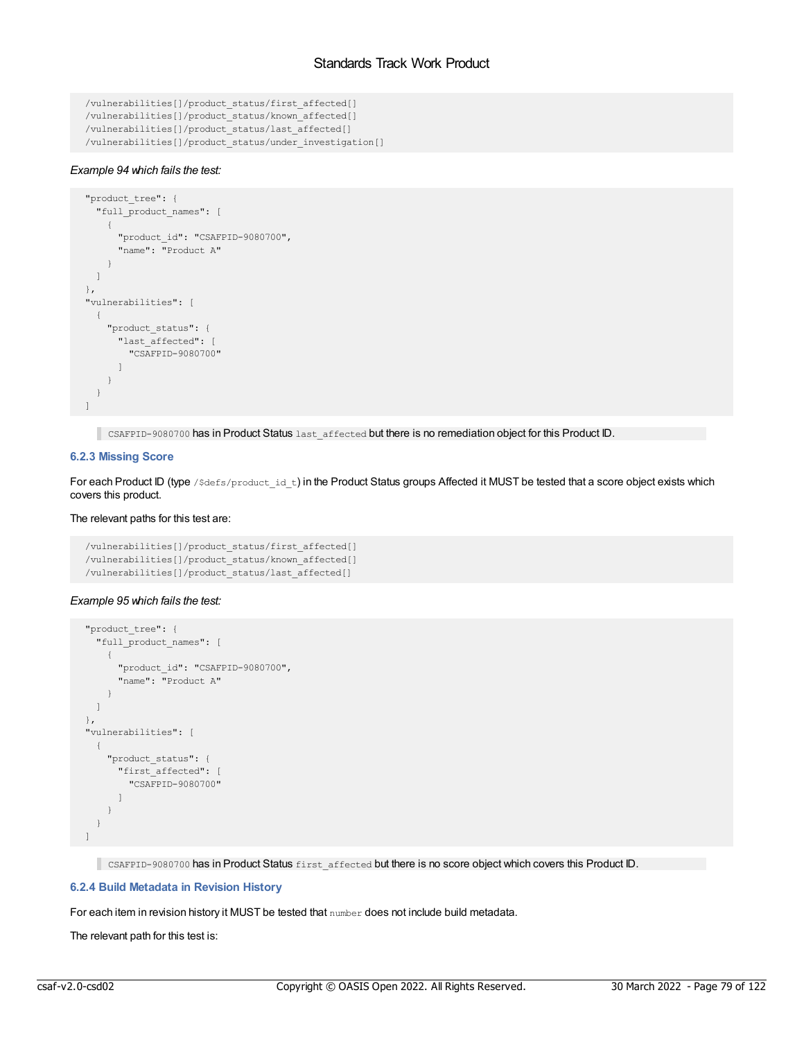```
/vulnerabilities[]/product_status/first_affected[]
/vulnerabilities[]/product_status/known_affected[]
/vulnerabilities[]/product_status/last_affected[]
/vulnerabilities[]/product_status/under_investigation[]
```
# *Example 94 which fails the test:*

```
"product_tree": {
 "full product names": [
    {
     "product_id": "CSAFPID-9080700",
     "name": "Product A"
   }
 ]
},
"vulnerabilities": [
 {
   "product_status": {
     "last_affected": [
       "CSAFPID-9080700"
     ]
   }
 }
\, \, \,
```
CSAFPID-9080700 has in Product Status last\_affected but there is no remediation object for this Product ID.

# **6.2.3 Missing Score**

For each Product ID (type /\$defs/product id t) in the Product Status groups Affected it MUST be tested that a score object exists which covers this product.

# The relevant paths for this test are:

```
/vulnerabilities[]/product_status/first_affected[]
/vulnerabilities[]/product_status/known_affected[]
/vulnerabilities[]/product_status/last_affected[]
```
## *Example 95 which fails the test:*

```
"product_tree": {
 "full_product_names": [
   {
     "product_id": "CSAFPID-9080700",
     "name": "Product A"
   }
 \Box},
"vulnerabilities": [
 {
   "product_status": {
     "first_affected": [
       "CSAFPID-9080700"
     ]
   }
 }
]
```
CSAFPID-9080700 has in Product Status first\_affected but there is no score object which covers this Product ID.

# **6.2.4 Build Metadata in Revision History**

For each item in revision history it MUST be tested that number does not include build metadata.

The relevant path for this test is: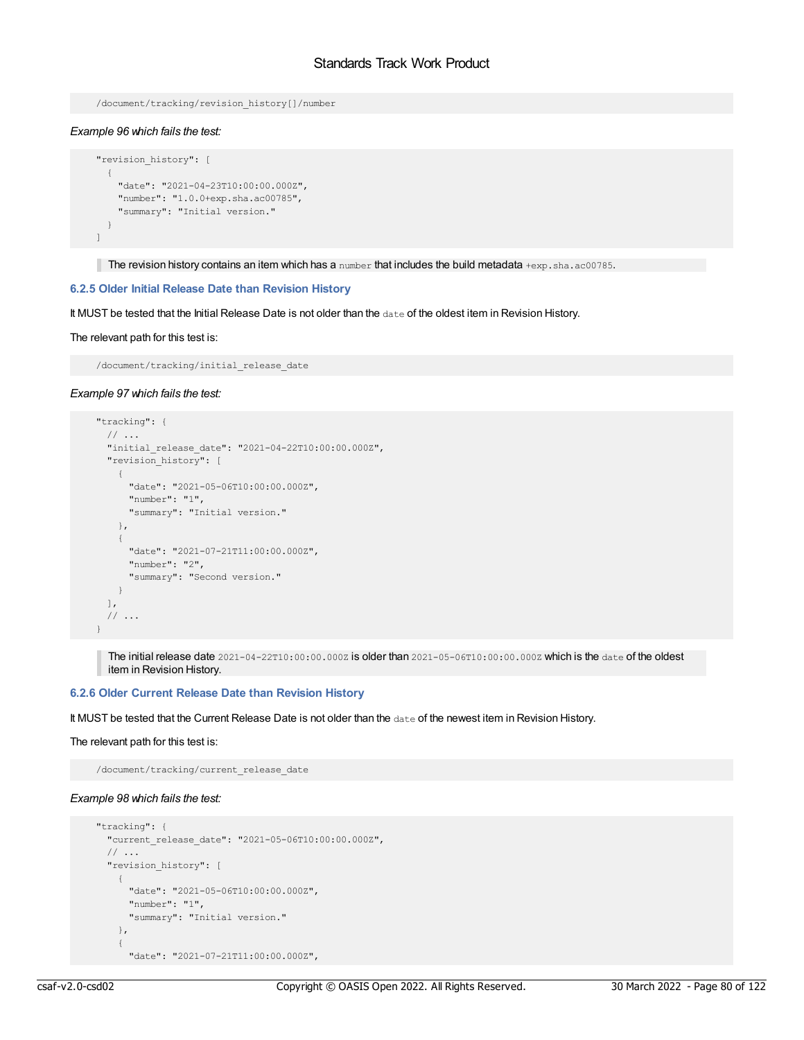```
/document/tracking/revision_history[]/number
```
## *Example 96 which fails the test:*

```
"revision history": [
 \{"date": "2021-04-23T10:00:00.000Z",
   "number": "1.0.0+exp.sha.ac00785",
   "summary": "Initial version."
 }
]
```
The revision history contains an item which has a number that includes the build metadata +exp.sha.ac00785.

# **6.2.5 Older Initial Release Date than Revision History**

It MUST be tested that the Initial Release Date is not older than the date of the oldest item in Revision History.

#### The relevant path for this test is:

/document/tracking/initial release date

#### *Example 97 which fails the test:*

```
"tracking": {
 // ...
  "initial_release_date": "2021-04-22T10:00:00.000Z",
  "revision history": [
   \left\{ \right."date": "2021-05-06T10:00:00.000Z",
      "number": "1",
      "summary": "Initial version."
    },
    {
      "date": "2021-07-21T11:00:00.000Z",
     "number": "2",
      "summary": "Second version."
   }
 \left| \cdot \right|// ...
}
```
The initial release date 2021-04-22T10:00:00.000Z is older than 2021-05-06T10:00:00.000Z which is the date of the oldest item in Revision History.

### **6.2.6 Older Current Release Date than Revision History**

It MUST be tested that the Current Release Date is not older than the date of the newest item in Revision History.

#### The relevant path for this test is:

/document/tracking/current\_release\_date

### *Example 98 which fails the test:*

```
"tracking": {
 "current_release_date": "2021-05-06T10:00:00.000Z",
  // ...
  "revision_history": [
   {
     "date": "2021-05-06T10:00:00.000Z",
     "number": "1",
     "summary": "Initial version."
   },
    {
      "date": "2021-07-21T11:00:00.000Z",
```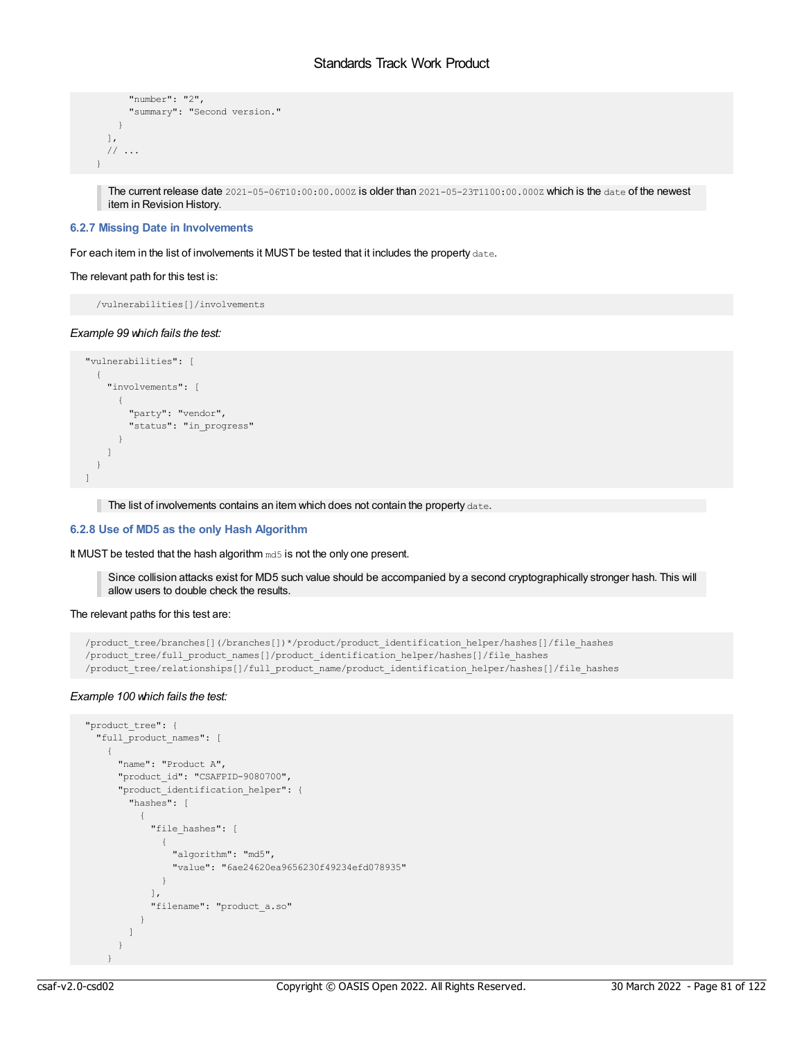```
"number": "2",
      "summary": "Second version."
   }
 ],
 // ...
}
```
The current release date  $2021-05-06T10:00:00.000Z$  is older than  $2021-05-23T1100:00.000Z$  which is the date of the newest item in Revision History.

### **6.2.7 Missing Date in Involvements**

For each item in the list of involvements it MUST be tested that it includes the property date.

#### The relevant path for this test is:

/vulnerabilities[]/involvements

### *Example 99 which fails the test:*

```
"vulnerabilities": [
  {
   "involvements": [
     {
       "party": "vendor",
       "status": "in_progress"
     }
   ]
 }
\, \,
```
The list of involvements contains an item which does not contain the property date.

# **6.2.8 Use of MD5 as the only Hash Algorithm**

It MUST be tested that the hash algorithm md5 is not the only one present.

Since collision attacks exist for MD5 such value should be accompanied by a second cryptographically stronger hash. This will allow users to double check the results.

The relevant paths for this test are:

```
/product_tree/branches[](/branches[])*/product/product_identification_helper/hashes[]/file_hashes
/product_tree/full_product_names[]/product_identification_helper/hashes[]/file_hashes
/product_tree/relationships[]/full_product_name/product_identification_helper/hashes[]/file_hashes
```
### *Example 100 which fails the test:*

```
"product_tree": {
 "full_product_names": [
    {
     "name": "Product A",
      "product_id": "CSAFPID-9080700",
      "product_identification_helper": {
        "hashes": [
          {
            "file hashes": [
             \left\{ \right."algorithm": "md5",
                "value": "6ae24620ea9656230f49234efd078935"
              }
            ],
            "filename": "product_a.so"
          }
        \, \, \,}
    }
```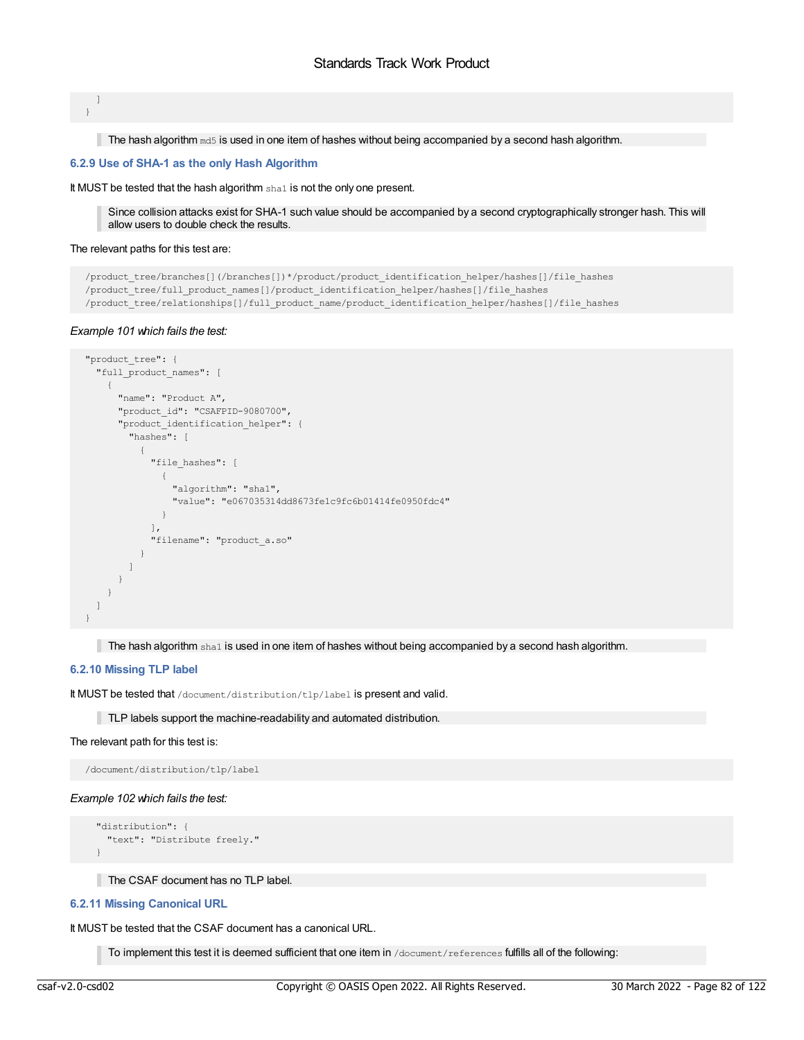] }

The hash algorithm  $m d5$  is used in one item of hashes without being accompanied by a second hash algorithm.

### **6.2.9 Use of SHA-1 as the only Hash Algorithm**

It MUST be tested that the hash algorithm shall is not the only one present.

Since collision attacks exist for SHA-1 such value should be accompanied by a second cryptographically stronger hash. This will allow users to double check the results.

#### The relevant paths for this test are:

```
/product_tree/branches[](/branches[])*/product/product_identification_helper/hashes[]/file_hashes
/product_tree/full_product_names[]/product_identification_helper/hashes[]/file_hashes
/product_tree/relationships[]/full_product_name/product_identification_helper/hashes[]/file_hashes
```
### *Example 101 which fails the test:*

```
"product_tree": {
  "full_product_names": [
    {
     "name": "Product A",
     "product_id": "CSAFPID-9080700",
      "product_identification_helper": {
        "hashes": [
          {
            "file_hashes": [
             {
                "algorithm": "sha1",
                "value": "e067035314dd8673fe1c9fc6b01414fe0950fdc4"
             }
            \cdot"filename": "product_a.so"
          }
        ]
      }
    }
 \, ]
}
```
The hash algorithm sha1 is used in one item of hashes without being accompanied by a second hash algorithm.

# **6.2.10 Missing TLP label**

It MUST be tested that /document/distribution/tlp/label is present and valid.

TLP labels support the machine-readability and automated distribution.

#### The relevant path for this test is:

/document/distribution/tlp/label

#### *Example 102 which fails the test:*

```
"distribution": {
 "text": "Distribute freely."
}
```
The CSAF document has no TLP label.

#### **6.2.11 Missing Canonical URL**

It MUST be tested that the CSAF document has a canonical URL.

To implement this test it is deemed sufficient that one item in /document/references fulfills all of the following: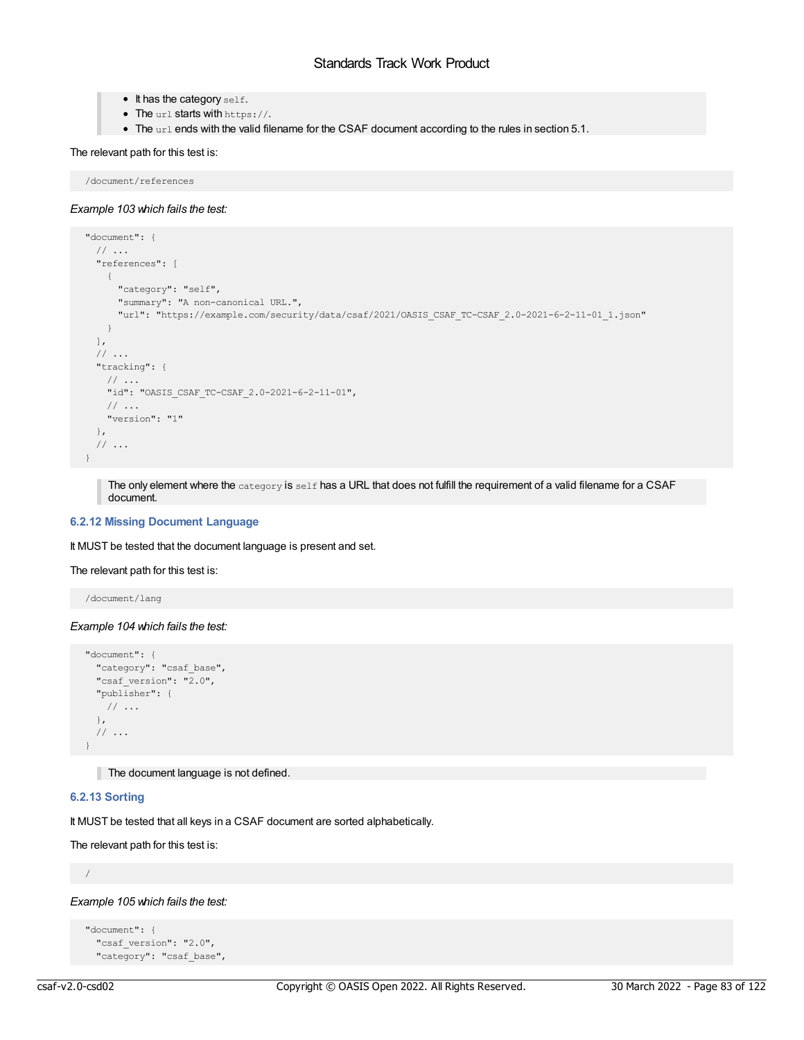- $\bullet$  It has the category self.
- The url starts with https://.
- The url ends with the valid filename for the CSAF document according to the rules in section 5.1.

# The relevant path for this test is:

/document/references

# *Example 103 which fails the test:*

```
"document": {
 // ...
 "references": [
   \{"category": "self",
    "summary": "A non-canonical URL.",
     "url": "https://example.com/security/data/csaf/2021/OASIS_CSAF_TC-CSAF_2.0-2021-6-2-11-01_1.json"
   }
 \frac{1}{2},
  // ...
 "tracking": {
   // ...
   "id": "OASIS_CSAF_TC-CSAF_2.0-2021-6-2-11-01",
   // ...
   "version": "1"
 },
 \frac{1}{2}...
}
```
The only element where the category is self has a URL that does not fulfill the requirement of a valid filename for a CSAF document.

# **6.2.12 Missing Document Language**

It MUST be tested that the document language is present and set.

The relevant path for this test is:

/document/lang

*Example 104 which fails the test:*

```
"document": {
 "category": "csaf base",
 "csaf version": "2.0",
 "publisher": {
   // ...
 },
 // ...
}
```
The document language is not defined.

# **6.2.13 Sorting**

It MUST be tested that all keys in a CSAF document are sorted alphabetically.

The relevant path for this test is:

/

*Example 105 which fails the test:*

```
"document": {
 "csaf version": "2.0",
 "category": "csaf_base",
```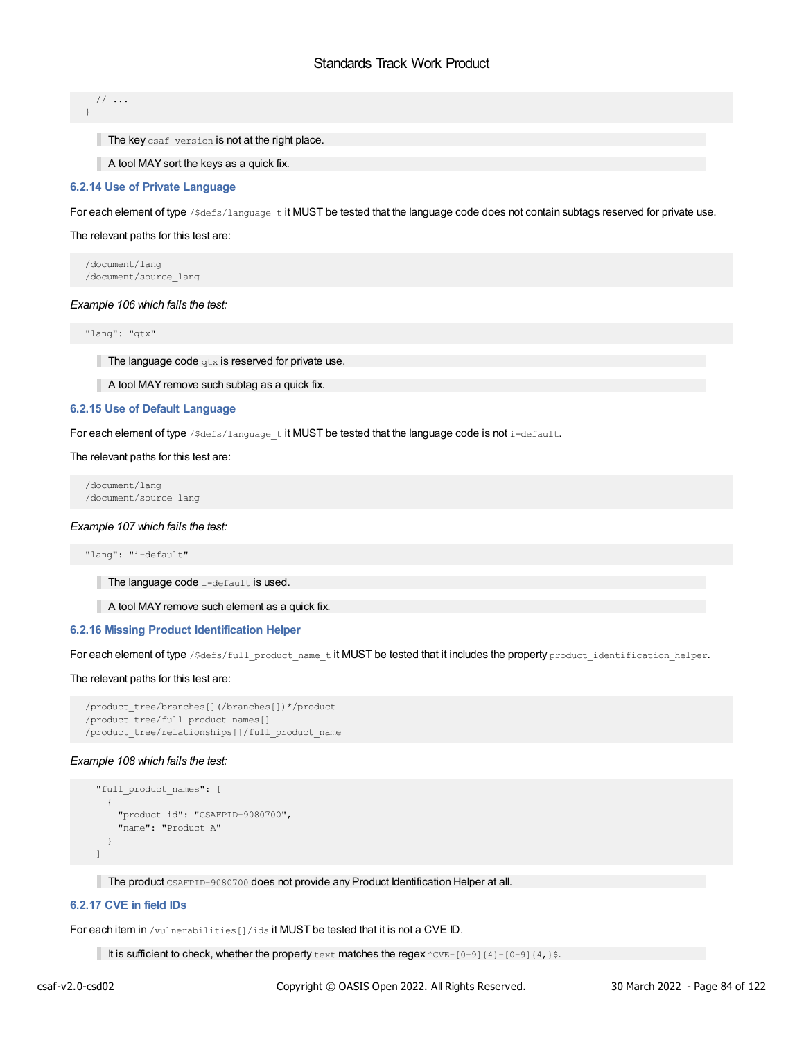// ... }

 $\blacksquare$  The key csaf version is not at the right place.

A tool MAYsort the keys as a quick fix.

# **6.2.14 Use of Private Language**

For each element of type / \$defs/language\_t it MUST be tested that the language code does not contain subtags reserved for private use.

### The relevant paths for this test are:

/document/lang /document/source\_lang

### *Example 106 which fails the test:*

"lang": "qtx"

The language code  $qtx$  is reserved for private use.

A tool MAY remove such subtag as a quick fix.

## **6.2.15 Use of Default Language**

For each element of type /\$defs/language tit MUST be tested that the language code is not i-default.

### The relevant paths for this test are:

/document/lang /document/source\_lang

### *Example 107 which fails the test:*

"lang": "i-default"

The language code i-default is used.

A tool MAY remove such element as a quick fix.

# **6.2.16 Missing Product Identification Helper**

For each element of type /\$defs/full\_product\_name\_t it MUST be tested that it includes the property product\_identification\_helper.

### The relevant paths for this test are:

```
/product_tree/branches[](/branches[])*/product
/product_tree/full_product_names[]
/product_tree/relationships[]/full_product_name
```
## *Example 108 which fails the test:*

```
"full product names": [
  {
    "product_id": "CSAFPID-9080700",
    "name": "Product A"
  }
\lceil
```
The product CSAFPID-9080700 does not provide any Product Identification Helper at all.

# **6.2.17 CVE in field IDs**

For each item in /vulnerabilities[]/ids it MUST be tested that it is not a CVE ID.

It is sufficient to check, whether the property  $text$  text matches the regex  $\text{CVE-[0-9]{4}-[0-9]{4}}$ .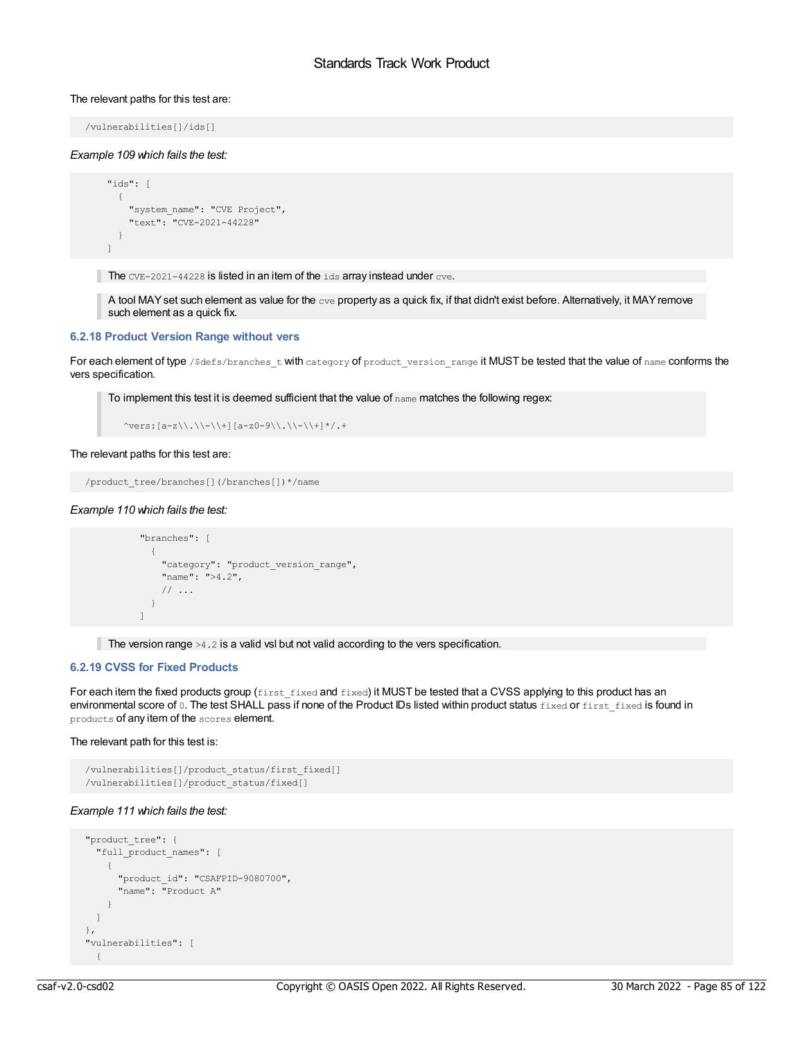### The relevant paths for this test are:

/vulnerabilities[]/ids[]

### *Example 109 which fails the test:*

```
"ids": [
 {
   "system_name": "CVE Project",
    "text": "CVE-2021-44228"
 }
]
```
The  $CVE-2021-44228$  is listed in an item of the  $idS$  array instead under  $cve$ .

A tool MAY set such element as value for the  $_{\text{cve}}$  property as a quick fix, if that didn't exist before. Alternatively, it MAY remove such element as a quick fix.

## **6.2.18 Product Version Range without vers**

For each element of type /\$defs/branches\_t with category of product\_version\_range it MUST be tested that the value of name conforms the vers specification.

To implement this test it is deemed sufficient that the value of name matches the following regex:

```
\text{``vers:} [a-z\\.\\-\\+][a-z0-9\\.\\-\\+]*/.+
```
### The relevant paths for this test are:

/product\_tree/branches[](/branches[])\*/name

### *Example 110 which fails the test:*

```
"branches": [
  {
    "category": "product_version_range",
    "name": ">4.2",
    // ...
  }
\lceil
```
The version range  $>4.2$  is a valid vsl but not valid according to the vers specification.

# **6.2.19 CVSS for Fixed Products**

For each item the fixed products group (first\_fixed and fixed) it MUST be tested that a CVSS applying to this product has an environmental score of 0. The test SHALL pass if none of the Product IDs listed within product status fixed or first fixed is found in products of any item of the scores element.

### The relevant path for this test is:

```
/vulnerabilities[]/product_status/first_fixed[]
/vulnerabilities[]/product_status/fixed[]
```
# *Example 111 which fails the test:*

```
"product_tree": {
  "full_product_names": [
   {
     "product_id": "CSAFPID-9080700",
     "name": "Product A"
   }
 \, ]
},
"vulnerabilities": [
 {
```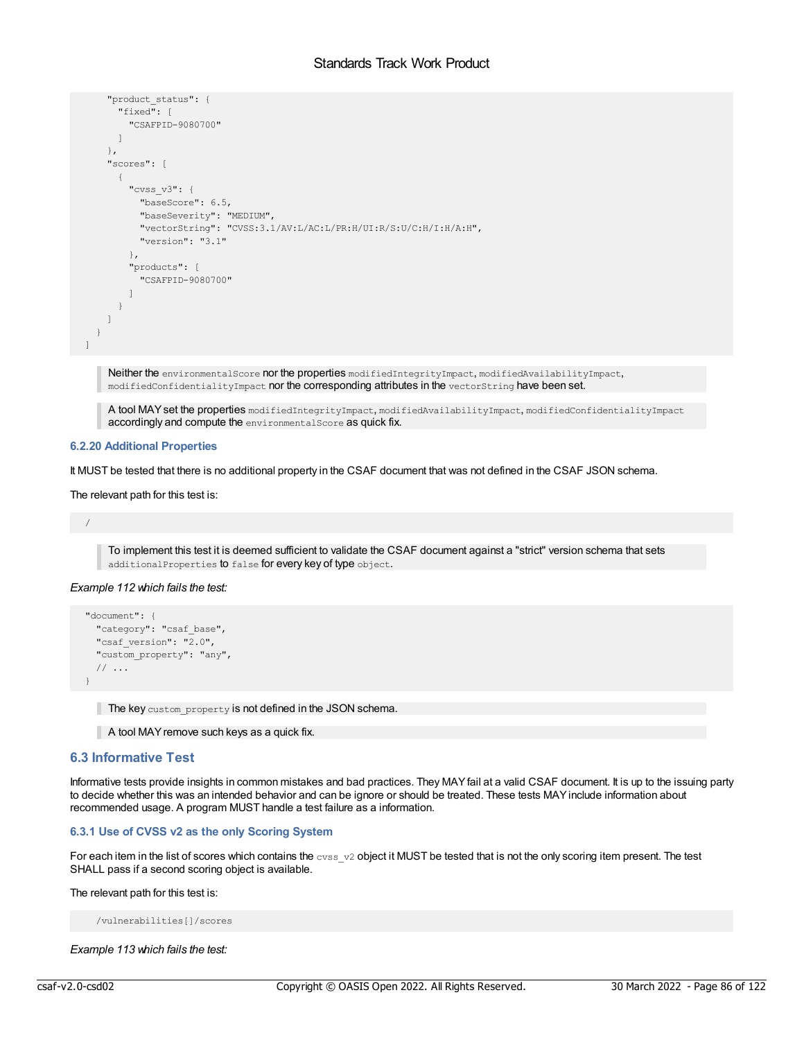```
"product_status": {
      "fixed": [
       "CSAFPID-9080700"
     ]
    },
    "scores": [
     {
        "cvss_v3": {
         "baseScore": 6.5,
          "baseSeverity": "MEDIUM",
          "vectorString": "CVSS:3.1/AV:L/AC:L/PR:H/UI:R/S:U/C:H/I:H/A:H",
         "version": "3.1"
       },
        "products": [
         "CSAFPID-9080700"
       ]
     }
   ]
  }
]
```
Neither the environmentalScore nor the properties modifiedIntegrityImpact, modifiedAvailabilityImpact, modifiedConfidentialityImpact nor the corresponding attributes in the vectorString have been set.

A tool MAYset the properties modifiedIntegrityImpact, modifiedAvailabilityImpact, modifiedConfidentialityImpact accordingly and compute the environmentalScore as quick fix.

# **6.2.20 Additional Properties**

It MUST be tested that there is no additional property in the CSAF document that was not defined in the CSAF JSON schema.

The relevant path for this test is:

```
/
```
To implement this test it is deemed sufficient to validate the CSAF document against a "strict" version schema that sets additionalProperties to false for every key of type object.

## *Example 112 which fails the test:*

```
"document": {
 "category": "csaf_base",
 "csaf version": "2.0",
 "custom property": "any",
 // ...
}
```
The key custom\_property is not defined in the JSON schema.

A tool MAY remove such keys as a quick fix.

# **6.3 Informative Test**

Informative tests provide insights in common mistakes and bad practices. They MAYfail at a valid CSAF document. It is up to the issuing party to decide whether this was an intended behavior and can be ignore or should be treated. These tests MAY include information about recommended usage. A program MUST handle a test failure as a information.

## **6.3.1 Use of CVSS v2 as the only Scoring System**

For each item in the list of scores which contains the  $\cos y$  object it MUST be tested that is not the only scoring item present. The test SHALL pass if a second scoring object is available.

The relevant path for this test is:

/vulnerabilities[]/scores

*Example 113 which fails the test:*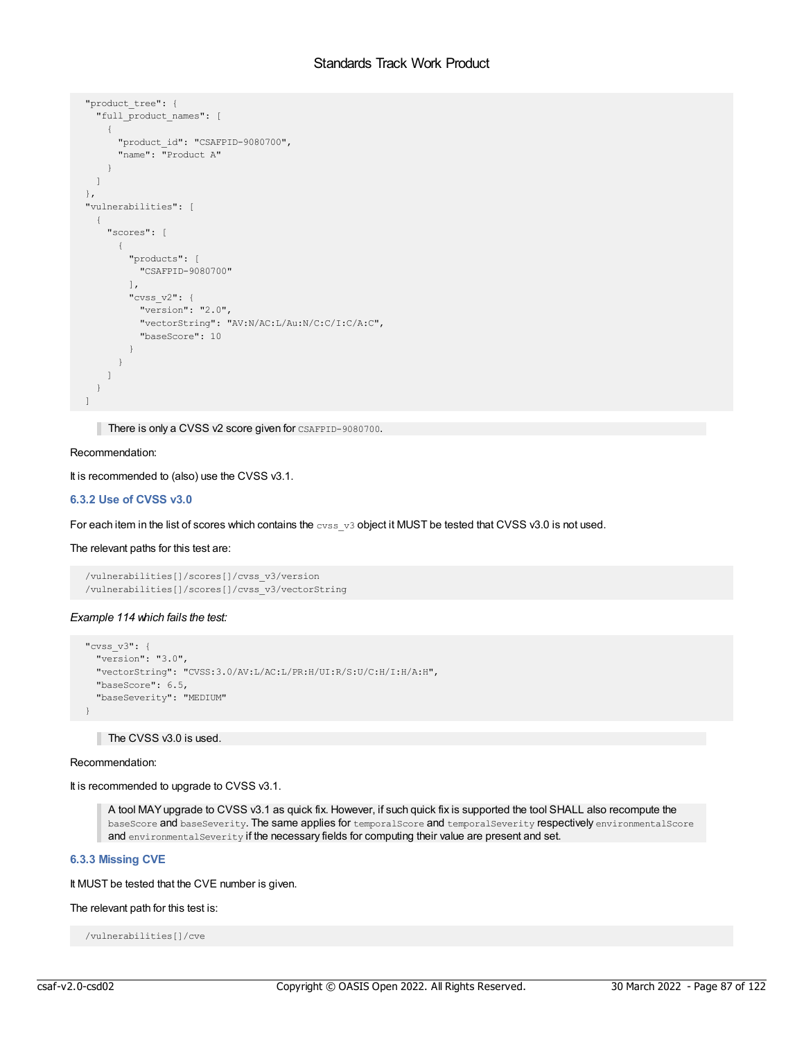```
"product_tree": {
  "full_product_names": [
   {
      "product_id": "CSAFPID-9080700",
      "name": "Product A"
    }
 \Box},
"vulnerabilities": [
  {
    "scores": [
     {
        "products": [
          "CSAFPID-9080700"
        \frac{1}{2}"cvss_v2": {
          "version": "2.0",
         "vectorString": "AV:N/AC:L/Au:N/C:C/I:C/A:C",
         "baseScore": 10
       }
     }
   \Box}
\begin{array}{c} \end{array}
```
There is only a CVSS v2 score given for CSAFPID-9080700.

# Recommendation:

It is recommended to (also) use the CVSS v3.1.

# **6.3.2 Use of CVSS v3.0**

For each item in the list of scores which contains the cvss\_v3 object it MUST be tested that CVSS v3.0 is not used.

### The relevant paths for this test are:

```
/vulnerabilities[]/scores[]/cvss_v3/version
/vulnerabilities[]/scores[]/cvss_v3/vectorString
```
### *Example 114 which fails the test:*

```
"cvss_v3": {
 "version": "3.0",
  "vectorString": "CVSS:3.0/AV:L/AC:L/PR:H/UI:R/S:U/C:H/I:H/A:H",
 "baseScore": 6.5,
 "baseSeverity": "MEDIUM"
}
```
# The CVSS v3.0 is used.

#### Recommendation:

It is recommended to upgrade to CVSS v3.1.

A tool MAYupgrade to CVSS v3.1 as quick fix. However, if such quick fix is supported the tool SHALL also recompute the baseScore and baseSeverity. The same applies for temporalScore and temporalSeverity respectively environmentalScore and environmentalSeverity if the necessary fields for computing their value are present and set.

# **6.3.3 Missing CVE**

It MUST be tested that the CVE number is given.

# The relevant path for this test is:

```
/vulnerabilities[]/cve
```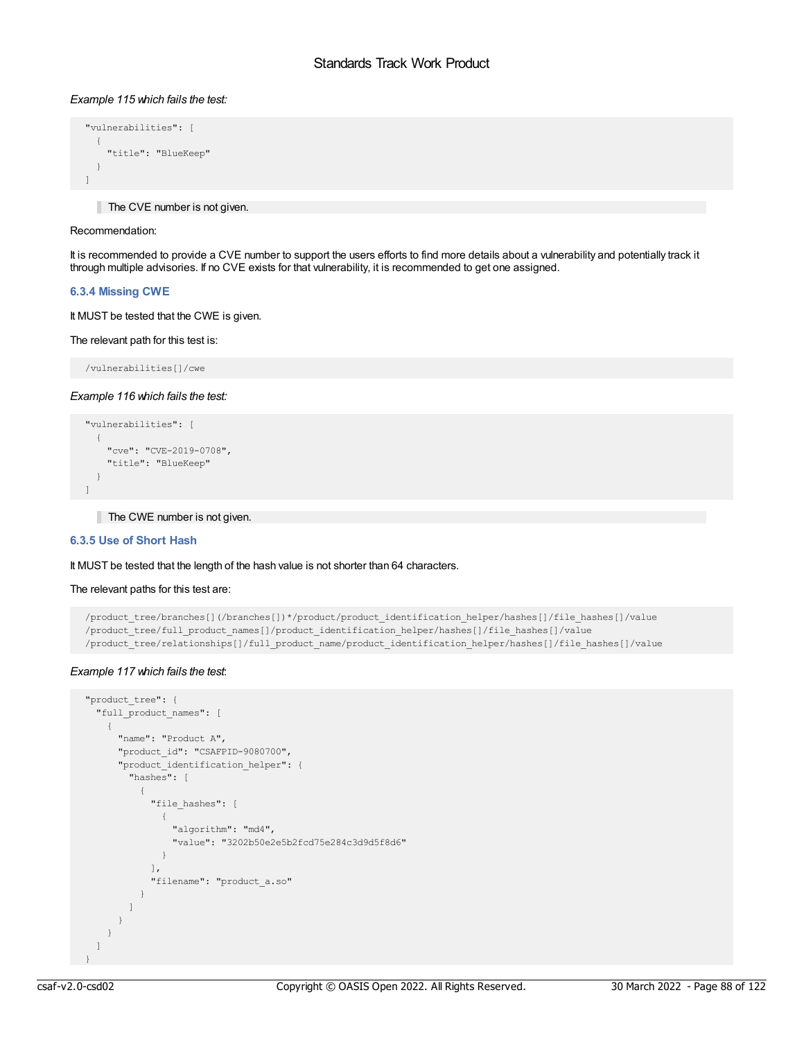# *Example 115 which fails the test:*

```
"vulnerabilities": [
 \left\{ \right."title": "BlueKeep"
  }
]
```
The CVE number is not given.

# Recommendation:

It is recommended to provide a CVE number to support the users efforts to find more details about a vulnerability and potentially track it through multiple advisories. If no CVE exists for that vulnerability, it is recommended to get one assigned.

## **6.3.4 Missing CWE**

It MUST be tested that the CWE is given.

### The relevant path for this test is:

/vulnerabilities[]/cwe

### *Example 116 which fails the test:*

```
"vulnerabilities": [
 \left\{ \right."cve": "CVE-2019-0708",
    "title": "BlueKeep"
 }
]
```
The CWE number is not given.

# **6.3.5 Use of Short Hash**

### It MUST be tested that the length of the hash value is not shorter than 64 characters.

#### The relevant paths for this test are:

```
/product_tree/branches[](/branches[])*/product/product_identification_helper/hashes[]/file_hashes[]/value
/product tree/full product names[]/product identification helper/hashes[]/file hashes[]/value
/product_tree/relationships[]/full_product_name/product_identification_helper/hashes[]/file_hashes[]/value
```
## *Example 117 which fails the test*:

```
"product_tree": {
 "full_product_names": [
   {
     "name": "Product A",
     "product_id": "CSAFPID-9080700",
     "product_identification_helper": {
       "hashes": [
          {
            "file_hashes": [
             \left\{ \right."algorithm": "md4",
               "value": "3202b50e2e5b2fcd75e284c3d9d5f8d6"
             }
           ],
            "filename": "product_a.so"
          }
       ]
     }
   }
 ]
}
```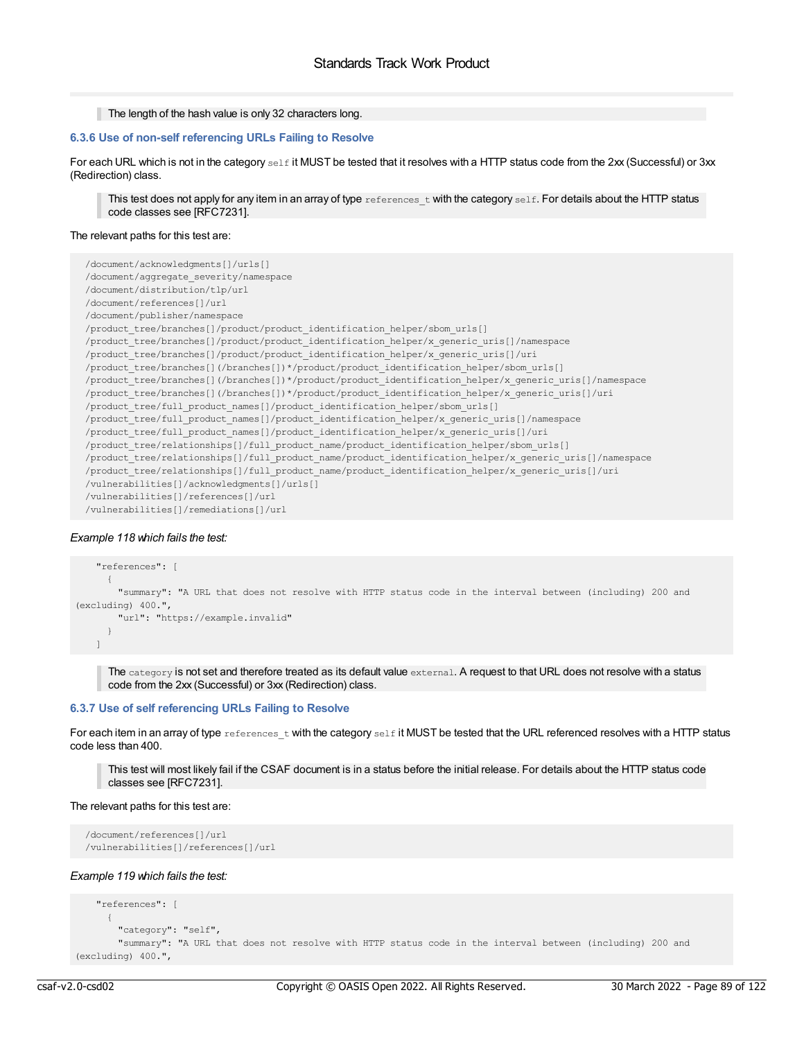```
The length of the hash value is only 32 characters long.
```
# **6.3.6 Use of non-self referencing URLs Failing to Resolve**

For each URL which is not in the category  $\frac{s}{1}$  it MUST be tested that it resolves with a HTTP status code from the 2xx (Successful) or 3xx (Redirection) class.

This test does not apply for any item in an array of type  $r$  eferences twith the category self. For details about the HTTP status code classes see [RFC7231].

## The relevant paths for this test are:

| /document/acknowledgments[]/urls[]                                                                       |
|----------------------------------------------------------------------------------------------------------|
| /document/aggregate severity/namespace                                                                   |
| /document/distribution/tlp/url                                                                           |
| /document/references[]/url                                                                               |
| /document/publisher/namespace                                                                            |
| /product tree/branches[]/product/product identification helper/sbom urls[]                               |
| /product_tree/branches[]/product/product_identification_helper/x_generic_uris[]/namespace                |
| /product tree/branches[]/product/product identification helper/x generic uris[]/uri                      |
| /product tree/branches[](/branches[])*/product/product identification helper/sbom urls[]                 |
| /product tree/branches[](/branches[])*/product/product identification helper/x generic uris[]/namespace  |
| /product_tree/branches[](/branches[])*/product/product_identification_helper/x generic uris[]/uri        |
| /product tree/full product names[]/product identification helper/sbom urls[]                             |
| /product tree/full product names[]/product identification helper/x generic uris[]/namespace              |
| /product tree/full product names[]/product identification helper/x generic uris[]/uri                    |
| /product tree/relationships[]/full product name/product identification helper/sbom urls[]                |
| /product tree/relationships[]/full product name/product identification helper/x generic uris[]/namespace |
| /product tree/relationships[]/full product name/product identification helper/x generic uris[]/uri       |
| /vulnerabilities[]/acknowledgments[]/urls[]                                                              |
| /vulnerabilities[]/references[]/url                                                                      |
| /vulnerabilities[]/remediations[]/url                                                                    |

# *Example 118 which fails the test:*

```
"references": [
     {
       "summary": "A URL that does not resolve with HTTP status code in the interval between (including) 200 and
(excluding) 400.",
       "url": "https://example.invalid"
     }
   \lceil
```
The category is not set and therefore treated as its default value external. A request to that URL does not resolve with a status code from the 2xx (Successful) or 3xx (Redirection) class.

# **6.3.7 Use of self referencing URLs Failing to Resolve**

For each item in an array of type references t with the category self it MUST be tested that the URL referenced resolves with a HTTP status code less than 400.

This test will most likely fail if the CSAF document is in a status before the initial release. For details about the HTTP status code classes see [RFC7231].

## The relevant paths for this test are:

```
/document/references[]/url
/vulnerabilities[]/references[]/url
```
## *Example 119 which fails the test:*

```
"references": [
      {
       "category": "self",
       "summary": "A URL that does not resolve with HTTP status code in the interval between (including) 200 and
(excluding) 400.",
```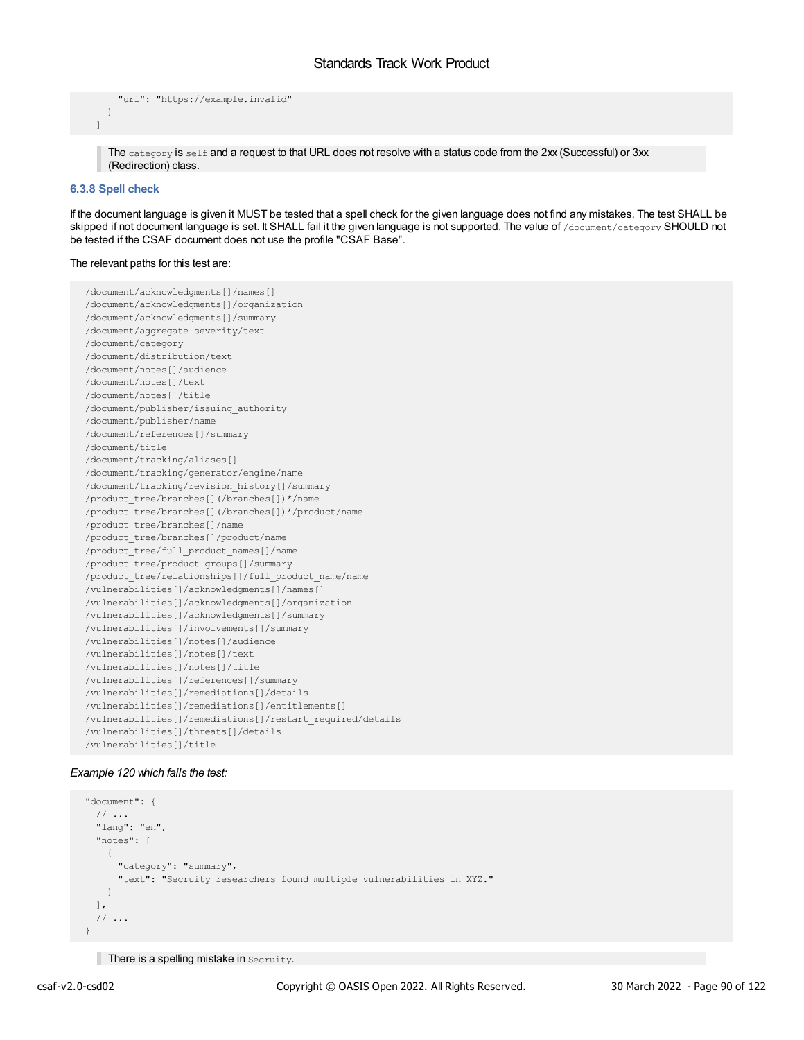```
"url": "https://example.invalid"
  }
]
```
The category is self and a request to that URL does not resolve with a status code from the 2xx (Successful) or 3xx (Redirection) class.

# **6.3.8 Spell check**

If the document language is given it MUST be tested that a spell check for the given language does not find any mistakes. The test SHALL be skipped if not document language is set. It SHALL fail it the given language is not supported. The value of /document/category SHOULD not be tested if the CSAF document does not use the profile "CSAF Base".

### The relevant paths for this test are:

```
/document/acknowledgments[]/names[]
/document/acknowledgments[]/organization
/document/acknowledgments[]/summary
/document/aggregate_severity/text
/document/category
/document/distribution/text
/document/notes[]/audience
/document/notes[]/text
/document/notes[]/title
/document/publisher/issuing_authority
/document/publisher/name
/document/references[]/summary
/document/title
/document/tracking/aliases[]
/document/tracking/generator/engine/name
/document/tracking/revision_history[]/summary
/product_tree/branches[](/branches[])*/name
/product_tree/branches[](/branches[])*/product/name
/product_tree/branches[]/name
/product_tree/branches[]/product/name
/product_tree/full_product_names[]/name
/product_tree/product_groups[]/summary
/product_tree/relationships[]/full_product_name/name
/vulnerabilities[]/acknowledgments[]/names[]
/vulnerabilities[]/acknowledgments[]/organization
/vulnerabilities[]/acknowledgments[]/summary
/vulnerabilities[]/involvements[]/summary
/vulnerabilities[]/notes[]/audience
/vulnerabilities[]/notes[]/text
/vulnerabilities[]/notes[]/title
/vulnerabilities[]/references[]/summary
/vulnerabilities[]/remediations[]/details
/vulnerabilities[]/remediations[]/entitlements[]
/vulnerabilities[]/remediations[]/restart_required/details
/vulnerabilities[]/threats[]/details
/vulnerabilities[]/title
```
## *Example 120 which fails the test:*

```
"document": {
 // ...
  "lang": "en",
  "notes": [
   \left\{ \right."category": "summary",
      "text": "Secruity researchers found multiple vulnerabilities in XYZ."
   }
 \frac{1}{2}// ...
}
```
There is a spelling mistake in Secruity.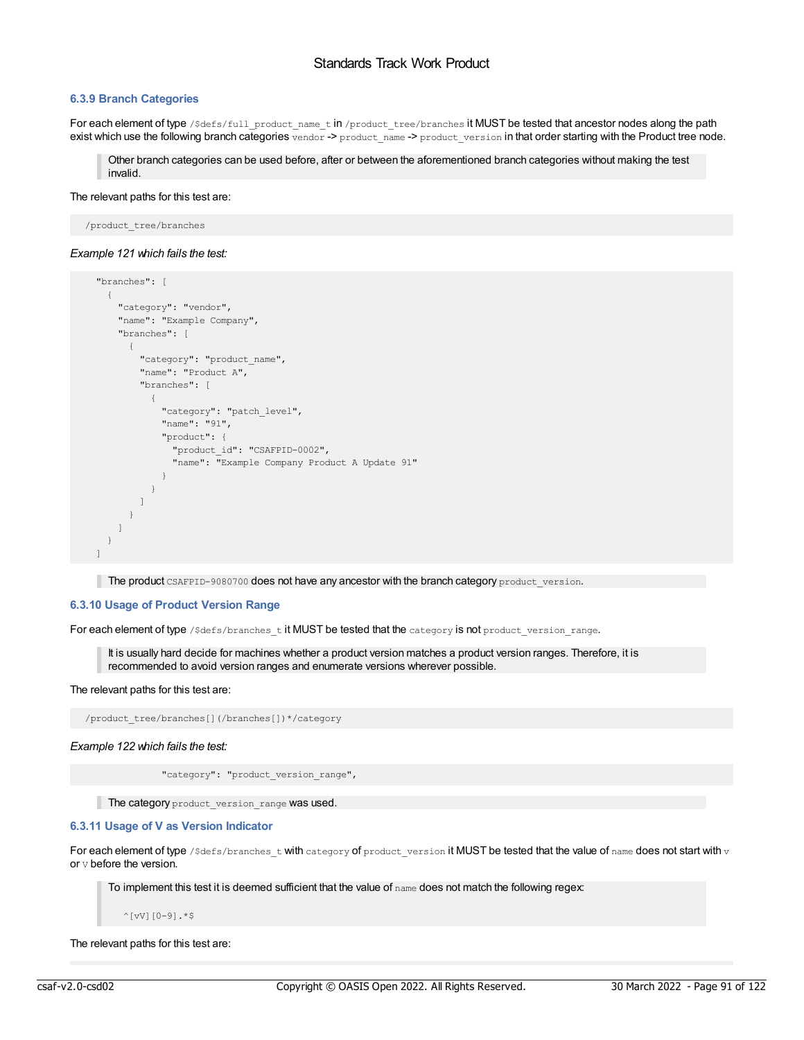# **6.3.9 Branch Categories**

For each element of type /\$defs/full\_product\_name\_t in /product\_tree/branches it MUST be tested that ancestor nodes along the path exist which use the following branch categories vendor -> product\_name -> product\_version in that order starting with the Product tree node.

Other branch categories can be used before, after or between the aforementioned branch categories without making the test invalid.

#### The relevant paths for this test are:

/product\_tree/branches

#### *Example 121 which fails the test:*

```
"branches": [
 {
   "category": "vendor",
    "name": "Example Company",
    "branches": [
      \left\{ \right."category": "product_name",
        "name": "Product A",
        "branches": [
         {
            "category": "patch level",
            "name": "91",
            "product": {
              "product_id": "CSAFPID-0002",
              "name": "Example Company Product A Update 91"
            }
          }
       ]
     }
   ]
 }
]
```
The product CSAFPID-9080700 does not have any ancestor with the branch category product version.

# **6.3.10 Usage of Product Version Range**

For each element of type /\$defs/branches\_t it MUST be tested that the category is not product\_version\_range.

It is usually hard decide for machines whether a product version matches a product version ranges. Therefore, it is recommended to avoid version ranges and enumerate versions wherever possible.

### The relevant paths for this test are:

/product\_tree/branches[](/branches[])\*/category

*Example 122 which fails the test:*

"category": "product\_version\_range",

The category product version range was used.

# **6.3.11 Usage of V as Version Indicator**

For each element of type / $\text{Sdefs}/\text{branches\_t}$  with category of product\_version it MUST be tested that the value of name does not start with  $\text{v}$ or v before the version.

To implement this test it is deemed sufficient that the value of  $n$ ame does not match the following regex:

 $^{\wedge}$ [vV][0-9].\*\$

The relevant paths for this test are: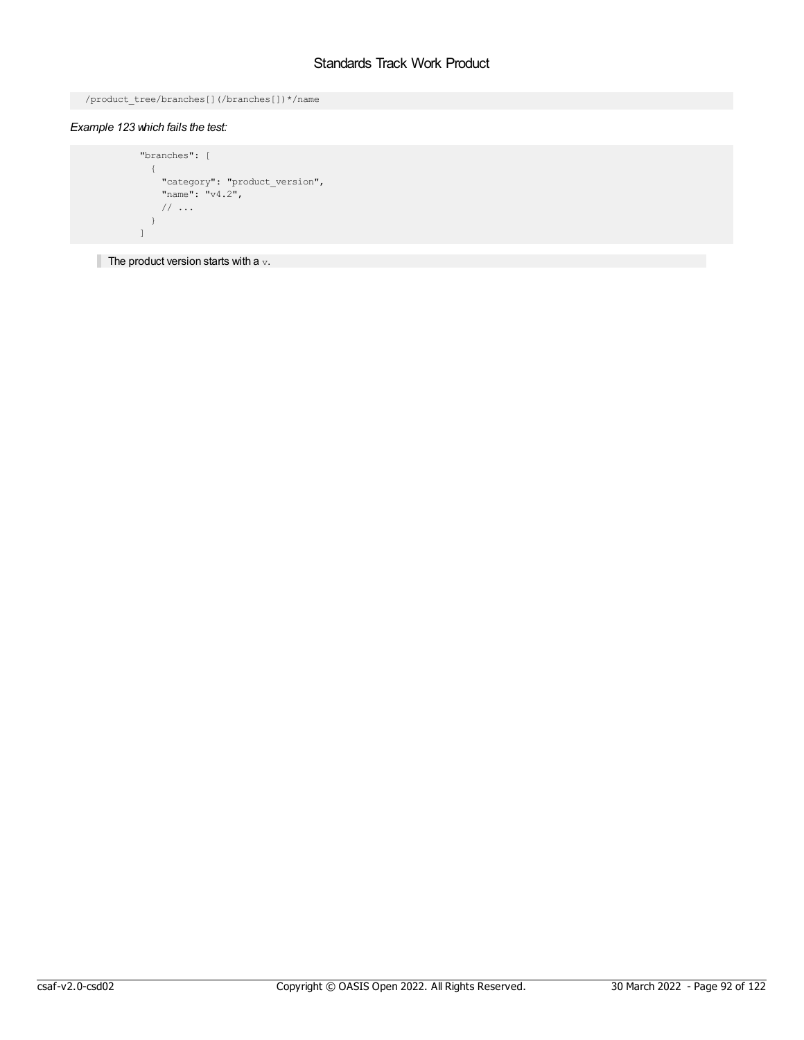```
/product_tree/branches[](/branches[])*/name
```
# *Example 123 which fails the test:*

```
"branches": [
\left\{ \begin{array}{c} \end{array} \right."category": "product version",
       "name": "v4.2",
       // ...
    }
\mathbf{I}
```
The product version starts with a  $v$ .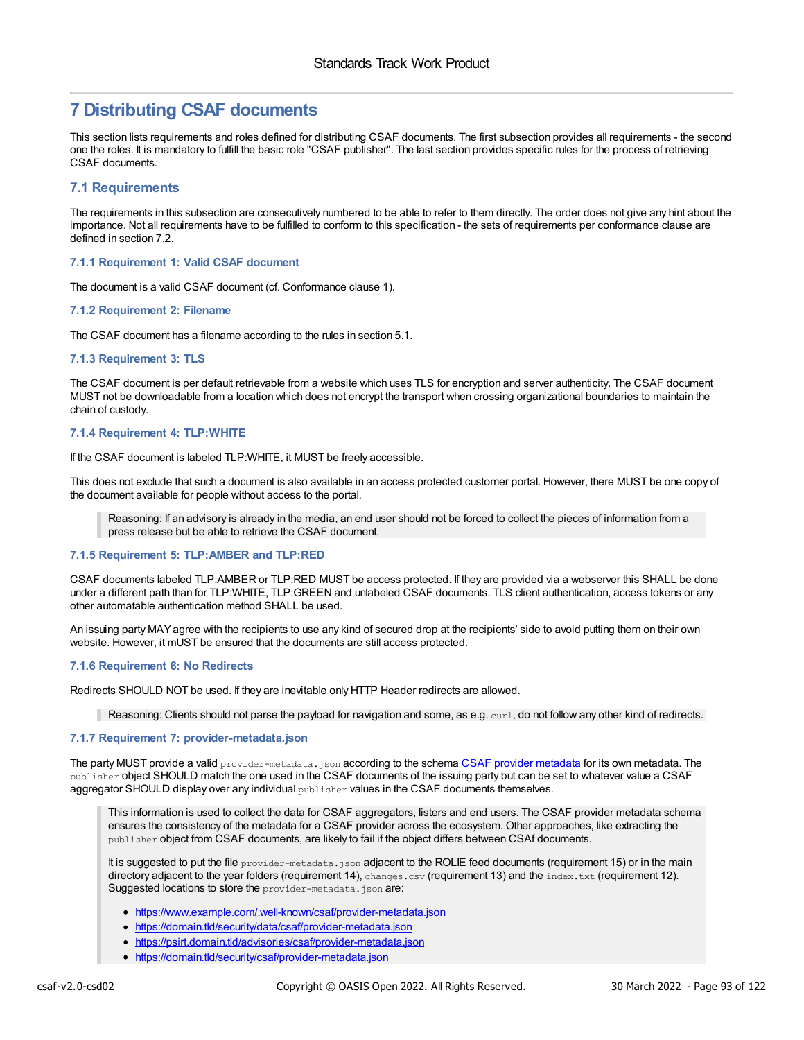# **7 Distributing CSAF documents**

This section lists requirements and roles defined for distributing CSAF documents. The first subsection provides all requirements - the second one the roles. It is mandatory to fulfill the basic role "CSAF publisher". The last section provides specific rules for the process of retrieving CSAF documents.

# **7.1 Requirements**

The requirements in this subsection are consecutively numbered to be able to refer to them directly. The order does not give any hint about the importance. Not all requirements have to be fulfilled to conform to this specification - the sets of requirements per conformance clause are defined in section 7.2.

# **7.1.1 Requirement 1: Valid CSAF document**

The document is a valid CSAF document (cf. Conformance clause 1).

# **7.1.2 Requirement 2: Filename**

The CSAF document has a filename according to the rules in section 5.1.

# **7.1.3 Requirement 3: TLS**

The CSAF document is per default retrievable from a website which uses TLS for encryption and server authenticity. The CSAF document MUST not be downloadable from a location which does not encrypt the transport when crossing organizational boundaries to maintain the chain of custody.

# **7.1.4 Requirement 4: TLP:WHITE**

If the CSAF document is labeled TLP:WHITE, it MUST be freely accessible.

This does not exclude that such a document is also available in an access protected customer portal. However, there MUST be one copy of the document available for people without access to the portal.

Reasoning: If an advisory is already in the media, an end user should not be forced to collect the pieces of information from a press release but be able to retrieve the CSAF document.

# **7.1.5 Requirement 5: TLP:AMBER and TLP:RED**

CSAF documents labeled TLP:AMBER or TLP:RED MUST be access protected. If they are provided via a webserver this SHALL be done under a different path than for TLP:WHITE, TLP:GREEN and unlabeled CSAF documents. TLS client authentication, access tokens or any other automatable authentication method SHALL be used.

An issuing party MAYagree with the recipients to use any kind of secured drop at the recipients' side to avoid putting them on their own website. However, it mUST be ensured that the documents are still access protected.

# **7.1.6 Requirement 6: No Redirects**

Redirects SHOULD NOT be used. If they are inevitable only HTTP Header redirects are allowed.

Reasoning: Clients should not parse the payload for navigation and some, as e.g. curl, do not follow any other kind of redirects.

# **7.1.7 Requirement 7: provider-metadata.json**

The party MUST provide a valid provider-[metadata](https://docs.oasis-open.org/csaf/csaf/v2.0/provider_json_schema.json).json according to the schema CSAF provider metadata for its own metadata. The publisher object SHOULD match the one used in the CSAF documents of the issuing party but can be set to whatever value a CSAF aggregator SHOULD display over any individual publisher values in the CSAF documents themselves.

This information is used to collect the data for CSAF aggregators, listers and end users. The CSAF provider metadata schema ensures the consistency of the metadata for a CSAF provider across the ecosystem. Other approaches, like extracting the publisher object from CSAF documents, are likely to fail if the object differs between CSAf documents.

It is suggested to put the file provider-metadata.json adjacent to the ROLIE feed documents (requirement 15) or in the main directory adjacent to the year folders (requirement 14), changes.csv (requirement 13) and the index.txt (requirement 12). Suggested locations to store the provider-metadata.json are:

- <https://www.example.com/.well-known/csaf/provider-metadata.json>
- <https://domain.tld/security/data/csaf/provider-metadata.json>
- <https://psirt.domain.tld/advisories/csaf/provider-metadata.json>
- <https://domain.tld/security/csaf/provider-metadata.json>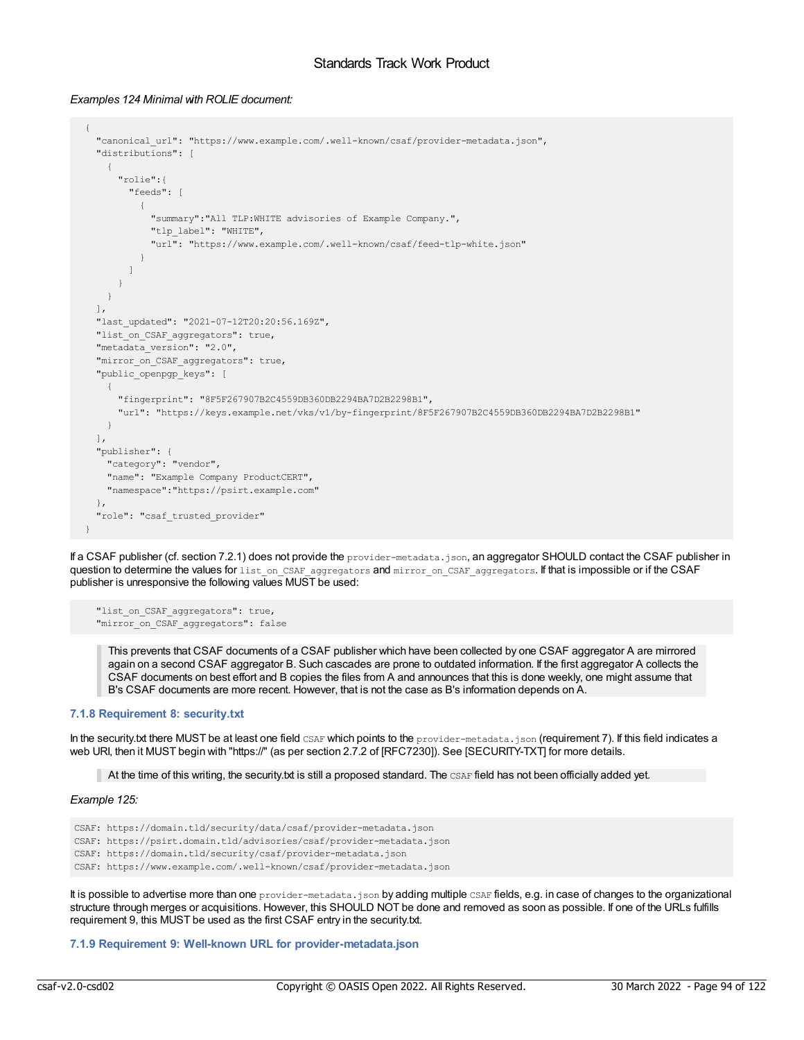### *Examples 124 Minimal with ROLIE document:*

```
{
 "canonical_url": "https://www.example.com/.well-known/csaf/provider-metadata.json",
  "distributions": [
    {
      "rolie":{
        "feeds": [
          {
            "summary":"All TLP:WHITE advisories of Example Company.",
           "tlp_label": "WHITE",
            "url": "https://www.example.com/.well-known/csaf/feed-tlp-white.json"
          }
        ]
     }
   }
 ],
 "last_updated": "2021-07-12T20:20:56.169Z",
 "list_on_CSAF_aggregators": true,
 "metadata version": "2.0",
  "mirror on CSAF aggregators": true,
  "public_openpgp_keys": [
    {
      "fingerprint": "8F5F267907B2C4559DB360DB2294BA7D2B2298B1",
      "url": "https://keys.example.net/vks/v1/by-fingerprint/8F5F267907B2C4559DB360DB2294BA7D2B2298B1"
   }
  \frac{1}{2}"publisher": {
   "category": "vendor",
   "name": "Example Company ProductCERT",
   "namespace":"https://psirt.example.com"
 },
 "role": "csaf_trusted_provider"
}
```
If a CSAF publisher (cf. section 7.2.1) does not provide the provider-metadata.json, an aggregator SHOULD contact the CSAF publisher in question to determine the values for list\_on\_CSAF\_aggregators and mirror\_on\_CSAF\_aggregators. If that is impossible or if the CSAF publisher is unresponsive the following values MUST be used:

```
"list on CSAF aggregators": true,
"mirror on CSAF aggregators": false
```
This prevents that CSAF documents of a CSAF publisher which have been collected by one CSAF aggregator A are mirrored again on a second CSAF aggregator B. Such cascades are prone to outdated information. If the first aggregator A collects the CSAF documents on best effort and B copies the files from A and announces that this is done weekly, one might assume that B's CSAF documents are more recent. However, that is not the case as B's information depends on A.

## **7.1.8 Requirement 8: security.txt**

In the security.txt there MUST be at least one field CSAF which points to the provider-metadata.json (requirement 7). If this field indicates a web URI, then it MUST begin with "https://" (as per section 2.7.2 of [RFC7230]). See [SECURITY-TXT] for more details.

At the time of this writing, the security txt is still a proposed standard. The  $CSAF$  field has not been officially added yet.

### *Example 125:*

```
CSAF: https://domain.tld/security/data/csaf/provider-metadata.json
CSAF: https://psirt.domain.tld/advisories/csaf/provider-metadata.json
CSAF: https://domain.tld/security/csaf/provider-metadata.json
CSAF: https://www.example.com/.well-known/csaf/provider-metadata.json
```
It is possible to advertise more than one provider-metadata.json by adding multiple CSAF fields, e.g. in case of changes to the organizational structure through merges or acquisitions. However, this SHOULD NOT be done and removed as soon as possible. If one of the URLs fulfills requirement 9, this MUST be used as the first CSAF entry in the security.txt.

# **7.1.9 Requirement 9: Well-known URL for provider-metadata.json**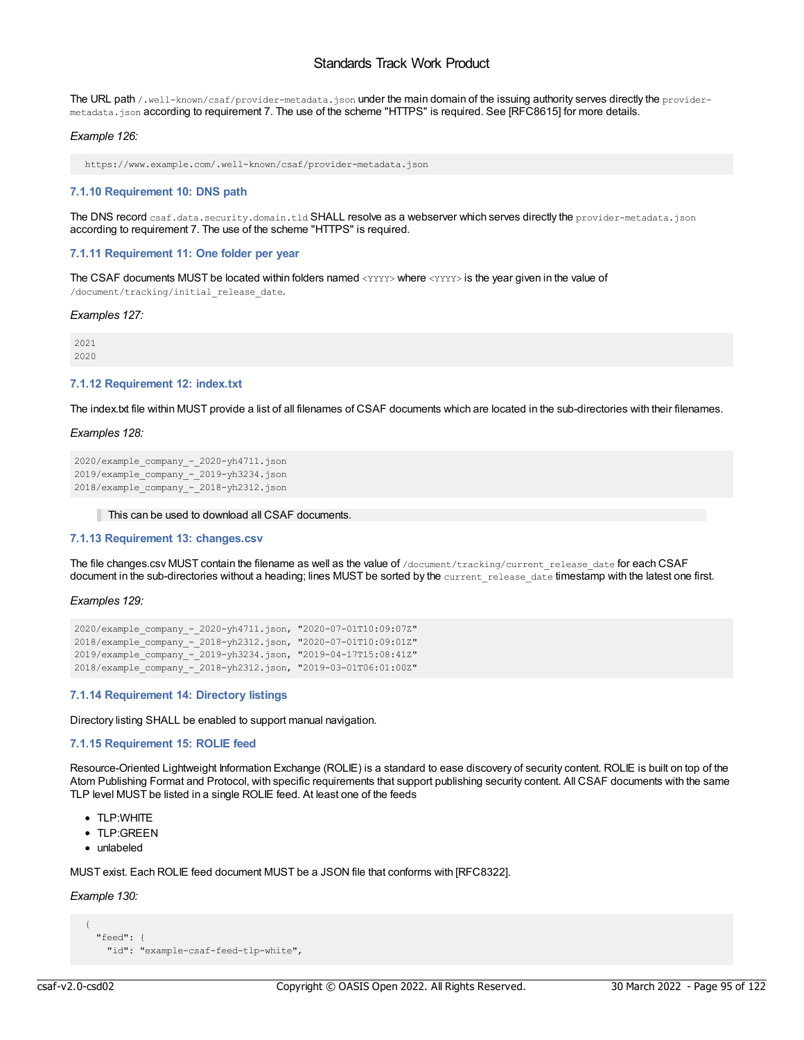The URL path /.well-known/csaf/provider-metadata.json under the main domain of the issuing authority serves directly the providermetadata.json according to requirement 7. The use of the scheme "HTTPS" is required. See [RFC8615] for more details.

### *Example 126:*

https://www.example.com/.well-known/csaf/provider-metadata.json

### **7.1.10 Requirement 10: DNS path**

The DNS record csaf.data.security.domain.tld SHALL resolve as a webserver which serves directly the provider-metadata.json according to requirement 7. The use of the scheme "HTTPS" is required.

## **7.1.11 Requirement 11: One folder per year**

The CSAF documents MUST be located within folders named <YYYY> where <YYYY> is the year given in the value of /document/tracking/initial\_release\_date.

#### *Examples 127:*

2021 2020

### **7.1.12 Requirement 12: index.txt**

The index.txt file within MUST provide a list of all filenames of CSAF documents which are located in the sub-directories with their filenames.

### *Examples 128:*

```
2020/example_company_-_2020-yh4711.json
2019/example_company_-_2019-yh3234.json
2018/example_company_-_2018-yh2312.json
```
#### This can be used to download all CSAF documents.

### **7.1.13 Requirement 13: changes.csv**

The file changes.csv MUST contain the filename as well as the value of /document/tracking/current release date for each CSAF document in the sub-directories without a heading; lines MUST be sorted by the current release date timestamp with the latest one first.

*Examples 129:*

```
2020/example_company_-_2020-yh4711.json, "2020-07-01T10:09:07Z"
2018/example_company_-_2018-yh2312.json, "2020-07-01T10:09:01Z"
2019/example_company_-_2019-yh3234.json, "2019-04-17T15:08:41Z"
2018/example_company_-_2018-yh2312.json, "2019-03-01T06:01:00Z"
```
#### **7.1.14 Requirement 14: Directory listings**

Directory listing SHALL be enabled to support manual navigation.

# **7.1.15 Requirement 15: ROLIE feed**

Resource-Oriented Lightweight Information Exchange (ROLIE) is a standard to ease discovery of security content. ROLIE is built on top of the Atom Publishing Format and Protocol, with specific requirements that support publishing security content. All CSAF documents with the same TLP level MUST be listed in a single ROLIE feed. At least one of the feeds

- TLP:WHITE
- TLP:GREEN
- unlabeled

MUST exist. Each ROLIE feed document MUST be a JSON file that conforms with [RFC8322].

# *Example 130:*

```
{
  "feed": {
    "id": "example-csaf-feed-tlp-white",
```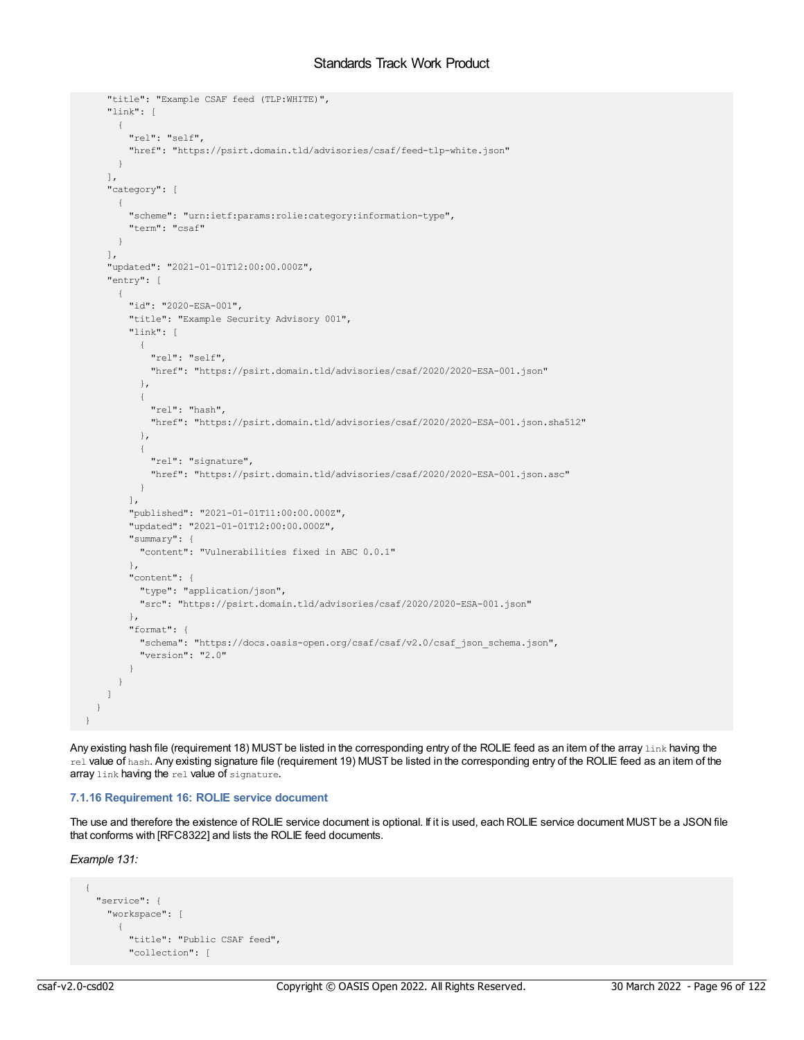```
"title": "Example CSAF feed (TLP:WHITE)",
   "link": [
     \left\{ \right."rel": "self",
       "href": "https://psirt.domain.tld/advisories/csaf/feed-tlp-white.json"
     }
   \mathbf{1},
   "category": [
    \{"scheme": "urn:ietf:params:rolie:category:information-type",
       "term": "csaf"
     }
   \frac{1}{2},
    "updated": "2021-01-01T12:00:00.000Z",
   "entry": [
     {
        "id": "2020-ESA-001",
        "title": "Example Security Advisory 001",
        "link": [
         {
           "rel": "self",
           "href": "https://psirt.domain.tld/advisories/csaf/2020/2020-ESA-001.json"
          },
          {
            "rel": "hash",
            "href": "https://psirt.domain.tld/advisories/csaf/2020/2020-ESA-001.json.sha512"
          },
          {
            "rel": "signature",
           "href": "https://psirt.domain.tld/advisories/csaf/2020/2020-ESA-001.json.asc"
         }
        \cdot"published": "2021-01-01T11:00:00.000Z",
        "updated": "2021-01-01T12:00:00.000Z",
        "summary": {
         "content": "Vulnerabilities fixed in ABC 0.0.1"
       },
        "content": {
         "type": "application/json",
          "src": "https://psirt.domain.tld/advisories/csaf/2020/2020-ESA-001.json"
        },
        "format": {
         "schema": "https://docs.oasis-open.org/csaf/csaf/v2.0/csaf_json_schema.json",
         "version": "2.0"
       }
     }
   ]
 }
}
```
Any existing hash file (requirement 18) MUST be listed in the corresponding entry of the ROLIE feed as an item of the array link having the rel value of hash. Any existing signature file (requirement 19) MUST be listed in the corresponding entry of the ROLIE feed as an item of the array link having the rel value of signature.

## **7.1.16 Requirement 16: ROLIE service document**

The use and therefore the existence of ROLIE service document is optional. If it is used, each ROLIE service document MUST be a JSON file that conforms with [RFC8322] and lists the ROLIE feed documents.

*Example 131:*

```
{
 "service": {
   "workspace": [
      {
       "title": "Public CSAF feed",
        "collection": [
```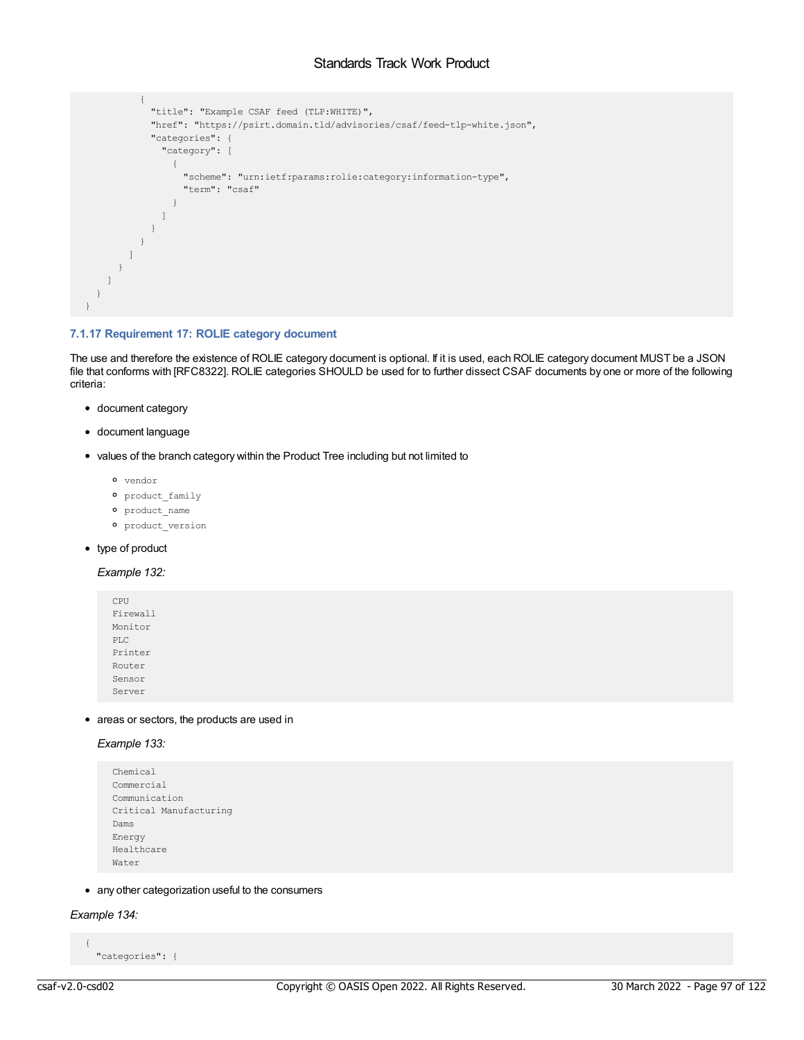```
{
           "title": "Example CSAF feed (TLP:WHITE)",
            "href": "https://psirt.domain.tld/advisories/csaf/feed-tlp-white.json",
            "categories": {
             "category": [
               {
                 "scheme": "urn:ietf:params:rolie:category:information-type",
                 "term": "csaf"
               }
             ]
           }
         }
       ]
     }
   ]
  }
}
```
# **7.1.17 Requirement 17: ROLIE category document**

The use and therefore the existence of ROLIE category document is optional. If it is used, each ROLIE category document MUST be a JSON file that conforms with [RFC8322]. ROLIE categories SHOULD be used for to further dissect CSAF documents by one or more of the following criteria:

- document category
- document language
- values of the branch category within the Product Tree including but not limited to
	- vendor
	- $o$  product family
	- <sup>o</sup> product name
	- product\_version
- type of product

# *Example 132:*

CPU Firewall Monitor PLC Printer Router Sensor Server

• areas or sectors, the products are used in

# *Example 133:*

```
Chemical
Commercial
Communication
Critical Manufacturing
Dams
Energy
Healthcare
Water
```
any other categorization useful to the consumers

# *Example 134:*

```
"categories": {
```
{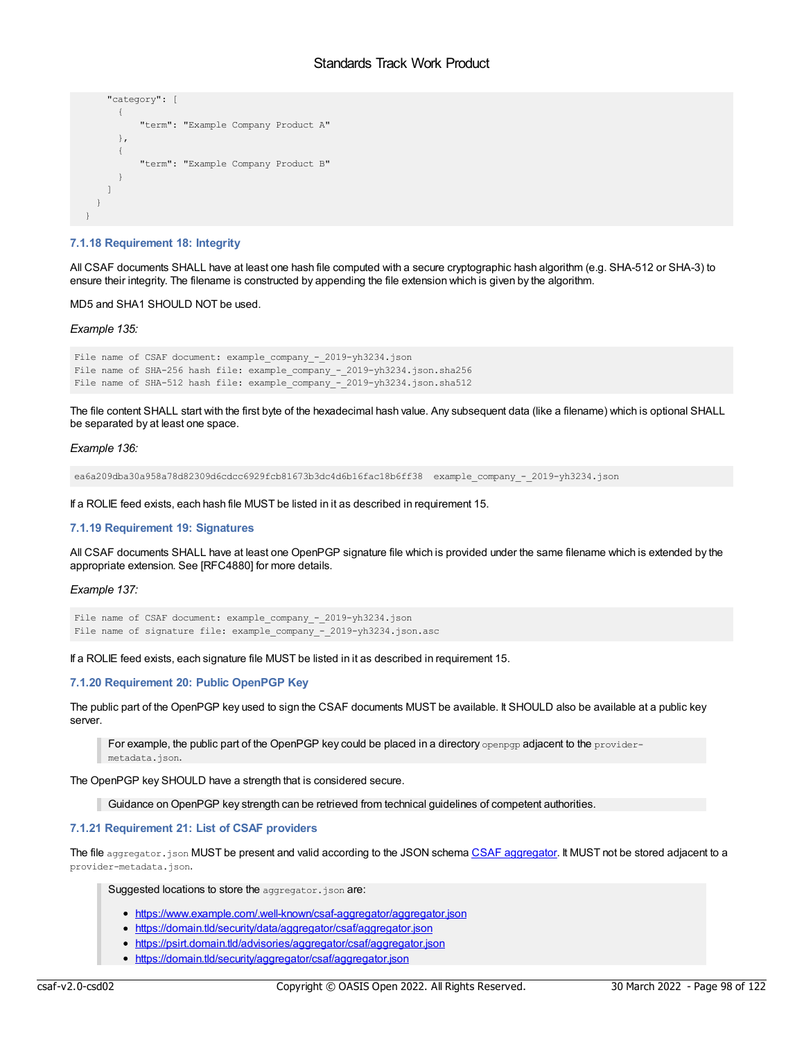```
"category": [
      {
          "term": "Example Company Product A"
      },
      {
          "term": "Example Company Product B"
      }
   ]
 }
}
```
### **7.1.18 Requirement 18: Integrity**

All CSAF documents SHALL have at least one hash file computed with a secure cryptographic hash algorithm (e.g. SHA-512 or SHA-3) to ensure their integrity. The filename is constructed by appending the file extension which is given by the algorithm.

MD5 and SHA1 SHOULD NOT be used.

### *Example 135:*

```
File name of CSAF document: example company - 2019-yh3234.json
File name of SHA-256 hash file: example company - 2019-yh3234.json.sha256
File name of SHA-512 hash file: example_company_-_2019-yh3234.json.sha512
```
The file content SHALL start with the first byte of the hexadecimal hash value. Any subsequent data (like a filename) which is optional SHALL be separated by at least one space.

### *Example 136:*

ea6a209dba30a958a78d82309d6cdcc6929fcb81673b3dc4d6b16fac18b6ff38 example\_company\_-\_2019-yh3234.json

If a ROLIE feed exists, each hash file MUST be listed in it as described in requirement 15.

### **7.1.19 Requirement 19: Signatures**

All CSAF documents SHALL have at least one OpenPGP signature file which is provided under the same filename which is extended by the appropriate extension. See [RFC4880] for more details.

### *Example 137:*

```
File name of CSAF document: example_company_-_2019-yh3234.json
File name of signature file: example company - 2019-yh3234.json.asc
```
If a ROLIE feed exists, each signature file MUST be listed in it as described in requirement 15.

## **7.1.20 Requirement 20: Public OpenPGP Key**

The public part of the OpenPGP key used to sign the CSAF documents MUST be available. It SHOULD also be available at a public key server.

For example, the public part of the OpenPGP key could be placed in a directory openpqp adjacent to the providermetadata.json.

The OpenPGP key SHOULD have a strength that is considered secure.

Guidance on OpenPGP key strength can be retrieved from technical guidelines of competent authorities.

#### **7.1.21 Requirement 21: List of CSAF providers**

The file [aggregator](https://docs.oasis-open.org/csaf/csaf/v2.0/aggregator_json_schema.json).json MUST be present and valid according to the JSON schema CSAF aggregator. It MUST not be stored adjacent to a provider-metadata.json.

Suggested locations to store the aggregator.json are:

- <https://www.example.com/.well-known/csaf-aggregator/aggregator.json>
- <https://domain.tld/security/data/aggregator/csaf/aggregator.json>
- <https://psirt.domain.tld/advisories/aggregator/csaf/aggregator.json>
- <https://domain.tld/security/aggregator/csaf/aggregator.json>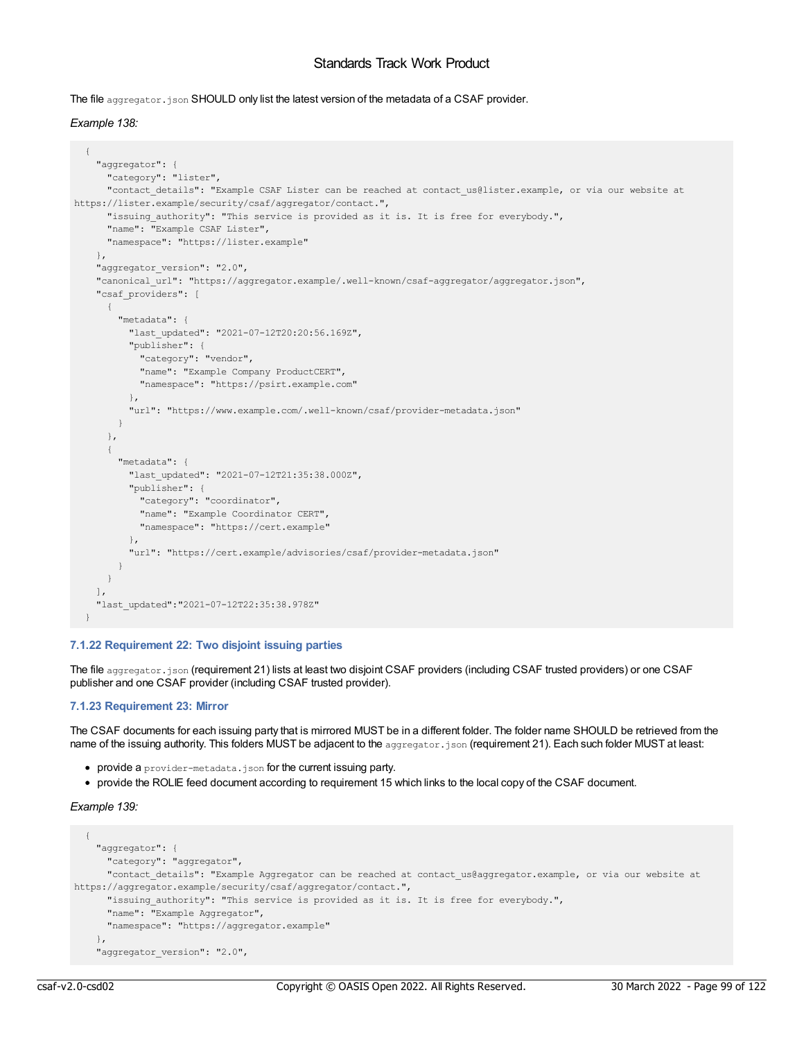The file aggregator.json SHOULD only list the latest version of the metadata of a CSAF provider.

# *Example 138:*

```
{
    "aggregator": {
      "category": "lister",
      "contact details": "Example CSAF Lister can be reached at contact us@lister.example, or via our website at
https://lister.example/security/csaf/aggregator/contact.",
      "issuing_authority": "This service is provided as it is. It is free for everybody.",
      "name": "Example CSAF Lister",
      "namespace": "https://lister.example"
   },
    "aggregator version": "2.0",
    "canonical_url": "https://aggregator.example/.well-known/csaf-aggregator/aggregator.json",
    "csaf_providers": [
      {
        "metadata": {
          "last_updated": "2021-07-12T20:20:56.169Z",
          "publisher": {
           "category": "vendor",
           "name": "Example Company ProductCERT",
           "namespace": "https://psirt.example.com"
         },
          "url": "https://www.example.com/.well-known/csaf/provider-metadata.json"
        }
      },
      {
        "metadata": {
         "last_updated": "2021-07-12T21:35:38.000Z",
         "publisher": {
           "category": "coordinator",
           "name": "Example Coordinator CERT",
           "namespace": "https://cert.example"
          },
          "url": "https://cert.example/advisories/csaf/provider-metadata.json"
        }
      }
    \cdot"last_updated":"2021-07-12T22:35:38.978Z"
  }
```
## **7.1.22 Requirement 22: Two disjoint issuing parties**

The file aggregator.json (requirement 21) lists at least two disjoint CSAF providers (including CSAF trusted providers) or one CSAF publisher and one CSAF provider (including CSAF trusted provider).

# **7.1.23 Requirement 23: Mirror**

The CSAF documents for each issuing party that is mirrored MUST be in a different folder. The folder name SHOULD be retrieved from the name of the issuing authority. This folders MUST be adjacent to the aggregator.json (requirement 21). Each such folder MUST at least:

- provide a provider-metadata.json for the current issuing party.
- provide the ROLIE feed document according to requirement 15 which links to the local copy of the CSAF document.

```
Example 139:
```

```
{
   "aggregator": {
     "category": "aggregator",
     "contact_details": "Example Aggregator can be reached at contact_us@aggregator.example, or via our website at
https://aggregator.example/security/csaf/aggregator/contact.",
     "issuing authority": "This service is provided as it is. It is free for everybody.",
     "name": "Example Aggregator",
     "namespace": "https://aggregator.example"
    },
    "aggregator_version": "2.0",
```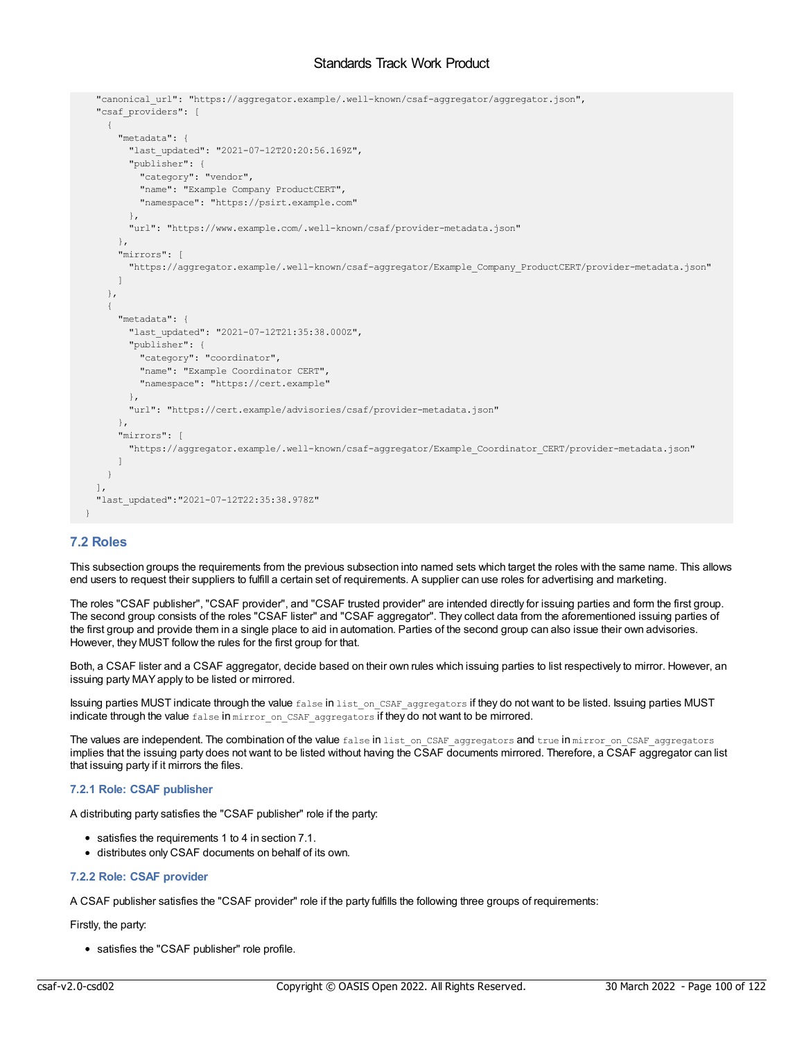```
"canonical_url": "https://aggregator.example/.well-known/csaf-aggregator/aggregator.json",
  "csaf providers": [
   {
      "metadata": {
       "last_updated": "2021-07-12T20:20:56.169Z",
       "publisher": {
         "category": "vendor",
         "name": "Example Company ProductCERT",
         "namespace": "https://psirt.example.com"
       },
       "url": "https://www.example.com/.well-known/csaf/provider-metadata.json"
     },
     "mirrors": [
       "https://aggregator.example/.well-known/csaf-aggregator/Example_Company_ProductCERT/provider-metadata.json"
     \, \, \,},
    {
     "metadata": {
       "last_updated": "2021-07-12T21:35:38.000Z",
       "publisher": {
         "category": "coordinator",
        "name": "Example Coordinator CERT",
         "namespace": "https://cert.example"
       },
       "url": "https://cert.example/advisories/csaf/provider-metadata.json"
      },
      "mirrors": [
       "https://aggregator.example/.well-known/csaf-aggregator/Example_Coordinator_CERT/provider-metadata.json"
     ]
   }
 ],
  "last_updated":"2021-07-12T22:35:38.978Z"
}
```
# **7.2 Roles**

This subsection groups the requirements from the previous subsection into named sets which target the roles with the same name. This allows end users to request their suppliers to fulfill a certain set of requirements. A supplier can use roles for advertising and marketing.

The roles "CSAF publisher", "CSAF provider", and "CSAF trusted provider" are intended directly for issuing parties and form the first group. The second group consists of the roles "CSAF lister" and "CSAF aggregator". They collect data from the aforementioned issuing parties of the first group and provide them in a single place to aid in automation. Parties of the second group can also issue their own advisories. However, they MUST follow the rules for the first group for that.

Both, a CSAF lister and a CSAF aggregator, decide based on their own rules which issuing parties to list respectively to mirror. However, an issuing party MAYapply to be listed or mirrored.

Issuing parties MUST indicate through the value false in list on CSAF aggregators if they do not want to be listed. Issuing parties MUST indicate through the value false in mirror\_on\_CSAF\_aggregators if they do not want to be mirrored.

The values are independent. The combination of the value false in list\_on\_CSAF\_aggregators and true in mirror\_on\_CSAF\_aggregators implies that the issuing party does not want to be listed without having the CSAF documents mirrored. Therefore, a CSAF aggregator can list that issuing party if it mirrors the files.

# **7.2.1 Role: CSAF publisher**

A distributing party satisfies the "CSAF publisher" role if the party:

- satisfies the requirements 1 to 4 in section 7.1.
- distributes only CSAF documents on behalf of its own.

## **7.2.2 Role: CSAF provider**

A CSAF publisher satisfies the "CSAF provider" role if the party fulfills the following three groups of requirements:

Firstly, the party:

satisfies the "CSAF publisher" role profile.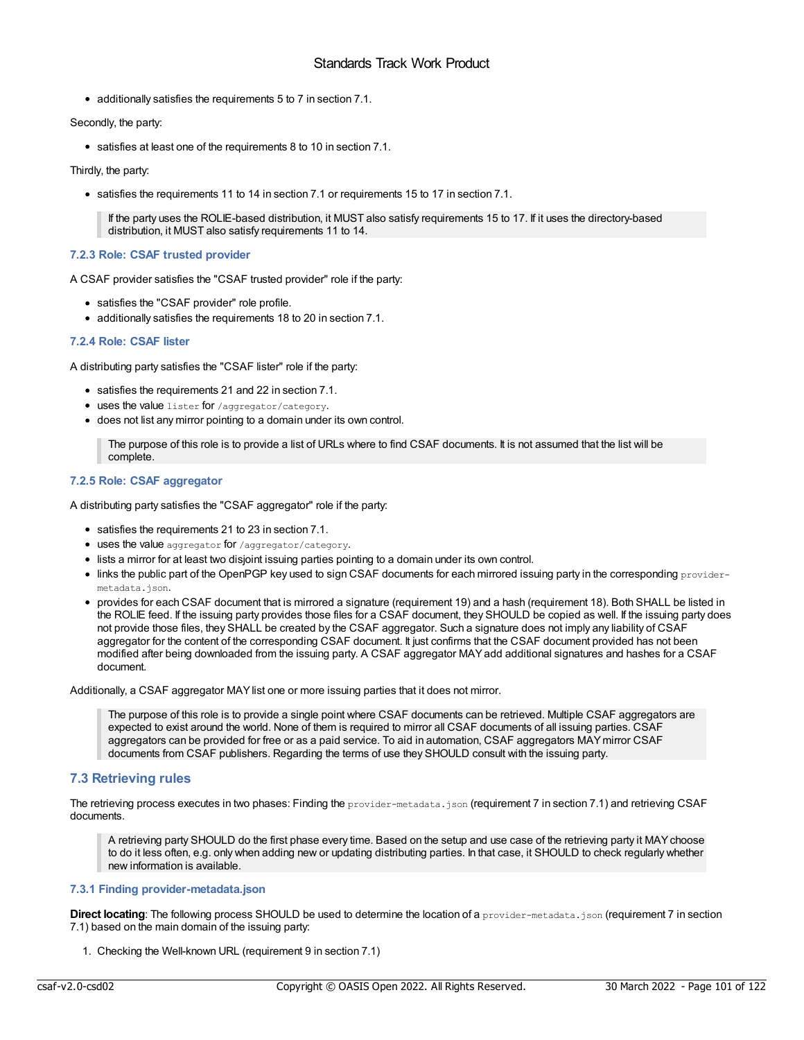additionally satisfies the requirements 5 to 7 in section 7.1.

Secondly, the party:

satisfies at least one of the requirements 8 to 10 in section 7.1.

Thirdly, the party:

satisfies the requirements 11 to 14 in section 7.1 or requirements 15 to 17 in section 7.1.

If the party uses the ROLIE-based distribution, it MUST also satisfy requirements 15 to 17. If it uses the directory-based distribution, it MUST also satisfy requirements 11 to 14.

# **7.2.3 Role: CSAF trusted provider**

A CSAF provider satisfies the "CSAF trusted provider" role if the party:

- satisfies the "CSAF provider" role profile.
- additionally satisfies the requirements 18 to 20 in section 7.1.

# **7.2.4 Role: CSAF lister**

A distributing party satisfies the "CSAF lister" role if the party:

- satisfies the requirements 21 and 22 in section 7.1.
- **uses the value** lister for /aggregator/category.
- does not list any mirror pointing to a domain under its own control.

The purpose of this role is to provide a list of URLs where to find CSAF documents. It is not assumed that the list will be complete.

# **7.2.5 Role: CSAF aggregator**

A distributing party satisfies the "CSAF aggregator" role if the party:

- satisfies the requirements 21 to 23 in section 7.1.
- uses the value aggregator for /aggregator/category.
- lists a mirror for at least two disjoint issuing parties pointing to a domain under its own control.
- $\bullet$  links the public part of the OpenPGP key used to sign CSAF documents for each mirrored issuing party in the corresponding providermetadata.json.
- provides for each CSAF document that is mirrored a signature (requirement 19) and a hash (requirement 18). Both SHALL be listed in the ROLIE feed. If the issuing party provides those files for a CSAF document, they SHOULD be copied as well. If the issuing party does not provide those files, they SHALL be created by the CSAF aggregator. Such a signature does not imply any liability of CSAF aggregator for the content of the corresponding CSAF document. It just confirms that the CSAF document provided has not been modified after being downloaded from the issuing party. A CSAF aggregator MAYadd additional signatures and hashes for a CSAF document.

Additionally, a CSAF aggregator MAYlist one or more issuing parties that it does not mirror.

The purpose of this role is to provide a single point where CSAF documents can be retrieved. Multiple CSAF aggregators are expected to exist around the world. None of them is required to mirror all CSAF documents of all issuing parties. CSAF aggregators can be provided for free or as a paid service. To aid in automation, CSAF aggregators MAYmirror CSAF documents from CSAF publishers. Regarding the terms of use they SHOULD consult with the issuing party.

# **7.3 Retrieving rules**

The retrieving process executes in two phases: Finding the provider-metadata.json (requirement 7 in section 7.1) and retrieving CSAF documents.

A retrieving party SHOULD do the first phase every time. Based on the setup and use case of the retrieving party it MAYchoose to do it less often, e.g. only when adding new or updating distributing parties. In that case, it SHOULD to check regularly whether new information is available.

# **7.3.1 Finding provider-metadata.json**

**Direct locating**: The following process SHOULD be used to determine the location of a provider-metadata.json (requirement 7 in section 7.1) based on the main domain of the issuing party:

1. Checking the Well-known URL (requirement 9 in section 7.1)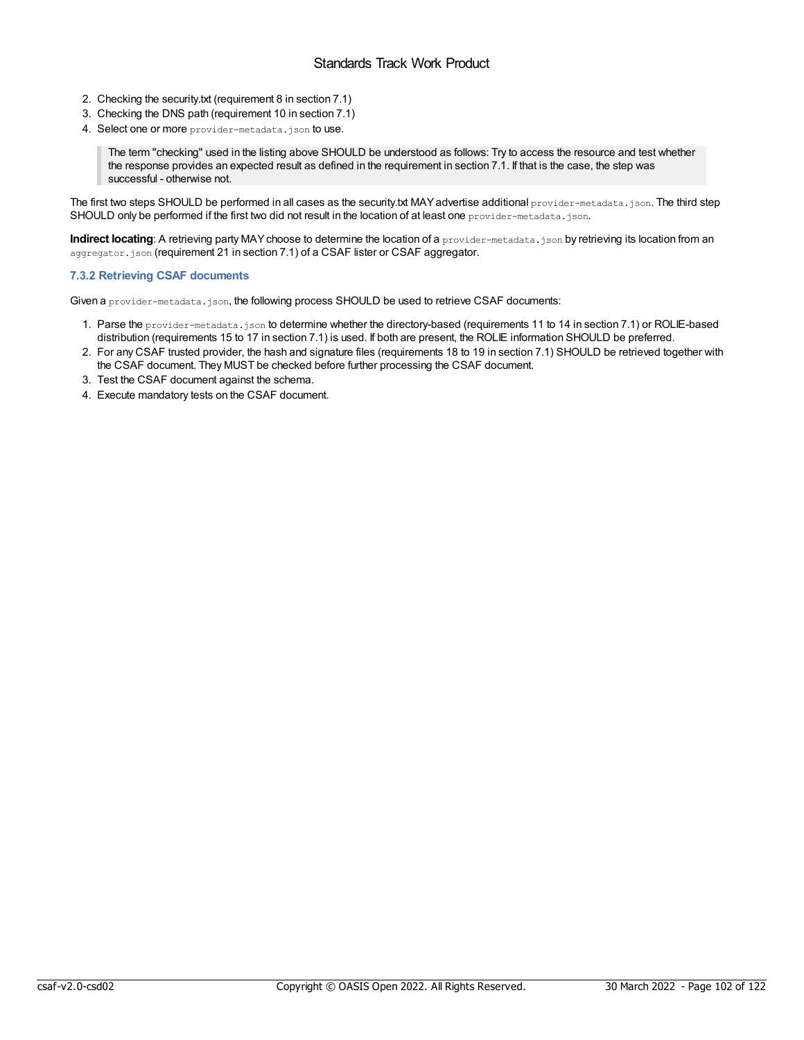- 2. Checking the security.txt (requirement 8 in section 7.1)
- 3. Checking the DNS path (requirement 10 in section 7.1)
- 4. Select one or more provider-metadata.json to use.

The term "checking" used in the listing above SHOULD be understood as follows: Try to access the resource and test whether the response provides an expected result as defined in the requirement in section 7.1. If that is the case, the step was successful - otherwise not.

The first two steps SHOULD be performed in all cases as the security.txt MAY advertise additional provider-metadata.json. The third step SHOULD only be performed if the first two did not result in the location of at least one provider-metadata.json.

**Indirect locating**: A retrieving party MAY choose to determine the location of a provider-metadata.json by retrieving its location from an aggregator.json (requirement 21 in section 7.1) of a CSAF lister or CSAF aggregator.

# **7.3.2 Retrieving CSAF documents**

Given a provider-metadata.json, the following process SHOULD be used to retrieve CSAF documents:

- 1. Parse the provider-metadata.json to determine whether the directory-based (requirements 11 to 14 in section 7.1) or ROLIE-based distribution (requirements 15 to 17 in section 7.1) is used. If both are present, the ROLIE information SHOULD be preferred.
- 2. For any CSAF trusted provider, the hash and signature files (requirements 18 to 19 in section 7.1) SHOULD be retrieved together with the CSAF document. They MUST be checked before further processing the CSAF document.
- 3. Test the CSAF document against the schema.
- 4. Execute mandatory tests on the CSAF document.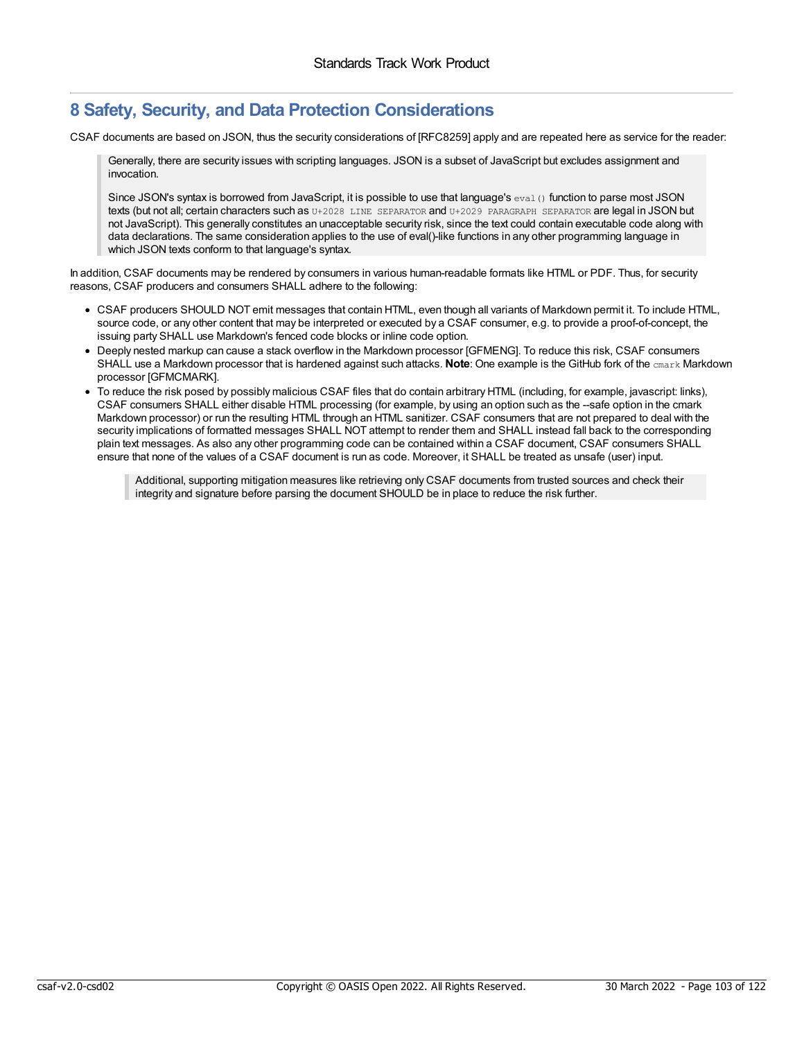# **8 Safety, Security, and Data Protection Considerations**

CSAF documents are based on JSON, thus the security considerations of [RFC8259] apply and are repeated here as service for the reader:

Generally, there are security issues with scripting languages. JSON is a subset of JavaScript but excludes assignment and invocation.

Since JSON's syntax is borrowed from JavaScript, it is possible to use that language's  $_{eval}$  () function to parse most JSON texts (but not all; certain characters such as U+2028 LINE SEPARATOR and U+2029 PARAGRAPH SEPARATOR are legal in JSON but not JavaScript). This generally constitutes an unacceptable security risk, since the text could contain executable code along with data declarations. The same consideration applies to the use of eval()-like functions in any other programming language in which JSON texts conform to that language's syntax.

In addition, CSAF documents may be rendered by consumers in various human-readable formats like HTML or PDF. Thus, for security reasons, CSAF producers and consumers SHALL adhere to the following:

- CSAF producers SHOULD NOT emit messages that contain HTML, even though all variants of Markdown permit it. To include HTML, source code, or any other content that may be interpreted or executed by a CSAF consumer, e.g. to provide a proof-of-concept, the issuing party SHALL use Markdown's fenced code blocks or inline code option.
- Deeply nested markup can cause a stack overflow in the Markdown processor [GFMENG]. To reduce this risk, CSAF consumers SHALL use a Markdown processor that is hardened against such attacks. **Note**: One example is the GitHub fork of the cmark Markdown processor [GFMCMARK].
- To reduce the risk posed by possibly malicious CSAF files that do contain arbitrary HTML (including, for example, javascript: links), CSAF consumers SHALL either disable HTML processing (for example, by using an option such as the --safe option in the cmark Markdown processor) or run the resulting HTML through an HTML sanitizer. CSAF consumers that are not prepared to deal with the security implications of formatted messages SHALL NOT attempt to render them and SHALL instead fall back to the corresponding plain text messages. As also any other programming code can be contained within a CSAF document, CSAF consumers SHALL ensure that none of the values of a CSAF document is run as code. Moreover, it SHALL be treated as unsafe (user) input.

Additional, supporting mitigation measures like retrieving only CSAF documents from trusted sources and check their integrity and signature before parsing the document SHOULD be in place to reduce the risk further.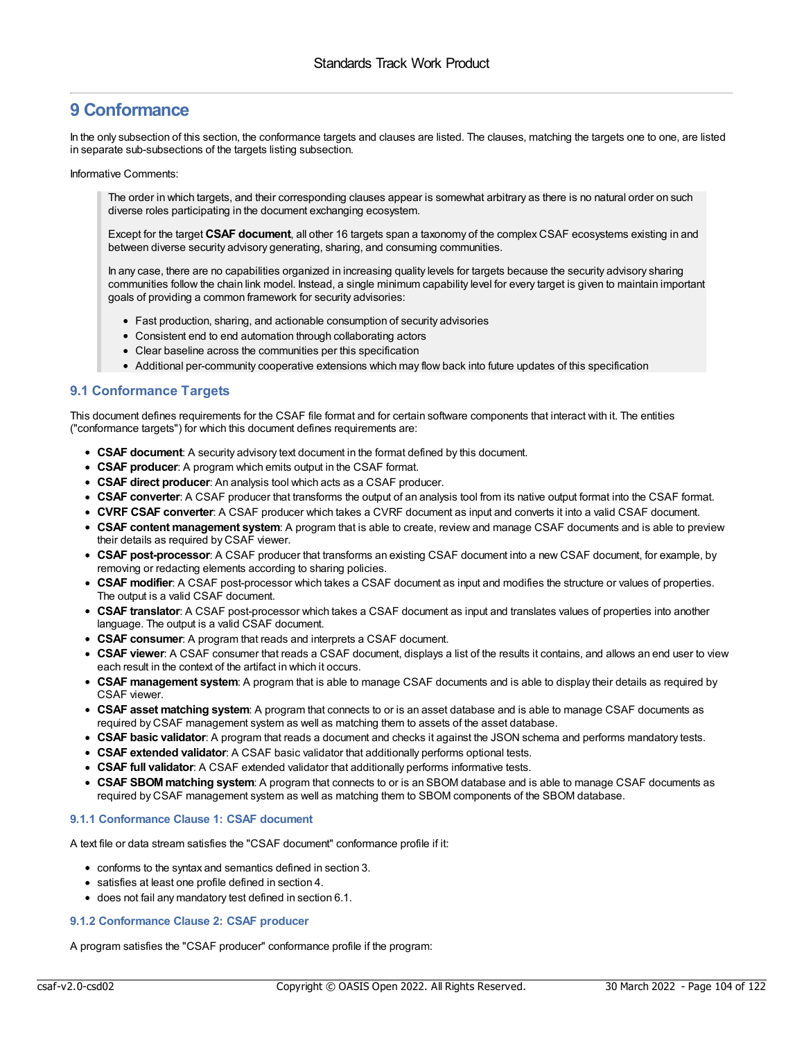# **9 Conformance**

In the only subsection of this section, the conformance targets and clauses are listed. The clauses, matching the targets one to one, are listed in separate sub-subsections of the targets listing subsection.

Informative Comments:

The order in which targets, and their corresponding clauses appear is somewhat arbitrary as there is no natural order on such diverse roles participating in the document exchanging ecosystem.

Except for the target **CSAF document**, all other 16 targets span a taxonomy of the complex CSAF ecosystems existing in and between diverse security advisory generating, sharing, and consuming communities.

In any case, there are no capabilities organized in increasing quality levels for targets because the security advisory sharing communities follow the chain link model. Instead, a single minimum capability level for every target is given to maintain important goals of providing a common framework for security advisories:

- Fast production, sharing, and actionable consumption of security advisories
- Consistent end to end automation through collaborating actors
- Clear baseline across the communities per this specification
- Additional per-community cooperative extensions which may flow back into future updates of this specification

# **9.1 Conformance Targets**

This document defines requirements for the CSAF file format and for certain software components that interact with it. The entities ("conformance targets") for which this document defines requirements are:

- **CSAF document**: A security advisory text document in the format defined by this document.
- **CSAF producer**: A program which emits output in the CSAF format.
- **CSAF direct producer**: An analysis tool which acts as a CSAF producer.
- **CSAF converter**: A CSAF producer that transforms the output of an analysis tool from its native output format into the CSAF format.
- **CVRF CSAF converter**: A CSAF producer which takes a CVRF document as input and converts it into a valid CSAF document.
- **CSAF content management system**: A program that is able to create, review and manage CSAF documents and is able to preview their details as required by CSAF viewer.
- **CSAF post-processor**: A CSAF producer that transforms an existing CSAF document into a new CSAF document, for example, by removing or redacting elements according to sharing policies.
- **CSAF modifier**: A CSAF post-processor which takes a CSAF document as input and modifies the structure or values of properties. The output is a valid CSAF document.
- **CSAF translator**: A CSAF post-processor which takes a CSAF document as input and translates values of properties into another language. The output is a valid CSAF document.
- **CSAF consumer**: A program that reads and interprets a CSAF document.
- **CSAF viewer**: A CSAF consumer that reads a CSAF document, displays a list of the results it contains, and allows an end user to view each result in the context of the artifact in which it occurs.
- **CSAF management system**: A program that is able to manage CSAF documents and is able to display their details as required by CSAF viewer.
- **CSAF asset matching system**: A program that connects to or is an asset database and is able to manage CSAF documents as required by CSAF management system as well as matching them to assets of the asset database.
- **CSAF basic validator**: A program that reads a document and checks it against the JSON schema and performs mandatory tests.
- **CSAF extended validator**: A CSAF basic validator that additionally performs optional tests.
- **CSAF full validator**: A CSAF extended validator that additionally performs informative tests.
- **CSAF SBOMmatching system**: A program that connects to or is an SBOM database and is able to manage CSAF documents as required by CSAF management system as well as matching them to SBOM components of the SBOM database.

# **9.1.1 Conformance Clause 1: CSAF document**

A text file or data stream satisfies the "CSAF document" conformance profile if it:

- conforms to the syntax and semantics defined in section 3.
- satisfies at least one profile defined in section 4.
- does not fail any mandatory test defined in section 6.1.

# **9.1.2 Conformance Clause 2: CSAF producer**

A program satisfies the "CSAF producer" conformance profile if the program: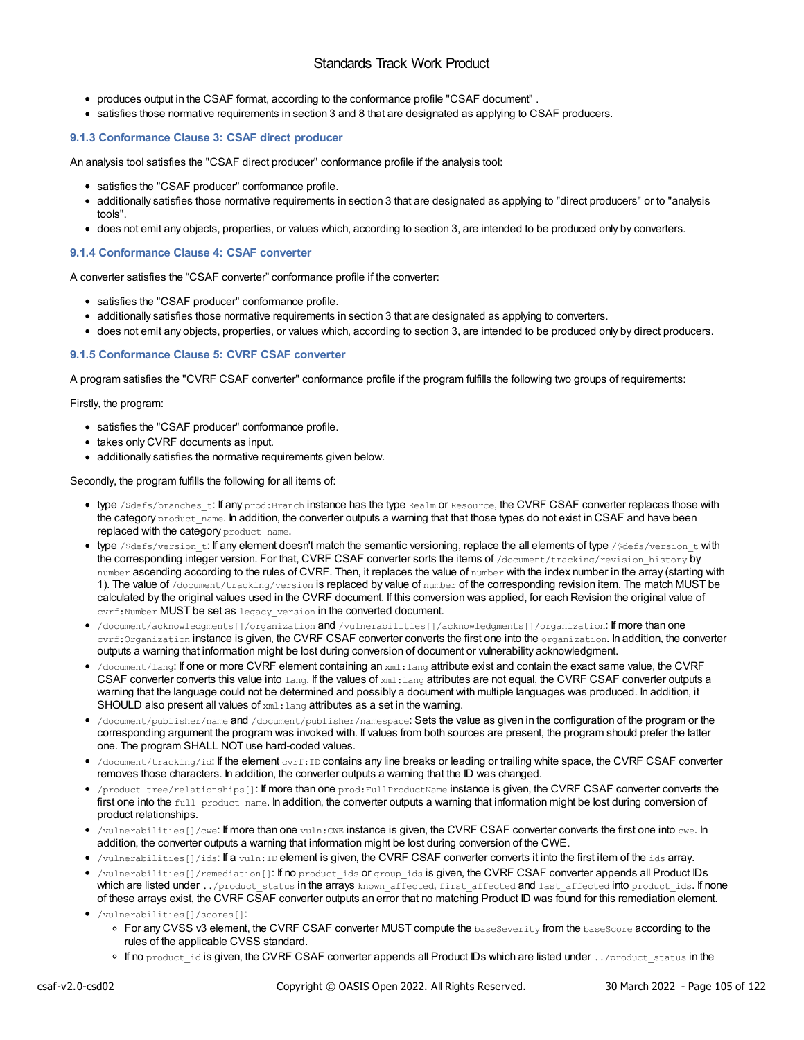- produces output in the CSAF format, according to the conformance profile "CSAF document" .
- satisfies those normative requirements in section 3 and 8 that are designated as applying to CSAF producers.

# **9.1.3 Conformance Clause 3: CSAF direct producer**

An analysis tool satisfies the "CSAF direct producer" conformance profile if the analysis tool:

- satisfies the "CSAF producer" conformance profile.
- additionally satisfies those normative requirements in section 3 that are designated as applying to "direct producers" or to "analysis tools".
- does not emit any objects, properties, or values which, according to section 3, are intended to be produced only by converters.

# **9.1.4 Conformance Clause 4: CSAF converter**

A converter satisfies the "CSAF converter" conformance profile if the converter:

- satisfies the "CSAF producer" conformance profile.
- additionally satisfies those normative requirements in section 3 that are designated as applying to converters.
- does not emit any objects, properties, or values which, according to section 3, are intended to be produced only by direct producers.

# **9.1.5 Conformance Clause 5: CVRF CSAF converter**

A program satisfies the "CVRF CSAF converter" conformance profile if the program fulfills the following two groups of requirements:

Firstly, the program:

- satisfies the "CSAF producer" conformance profile.
- takes only CVRF documents as input.
- additionally satisfies the normative requirements given below.

Secondly, the program fulfills the following for all items of:

- type /\$defs/branches\_t: If any prod:Branch instance has the type Realm or Resource, the CVRF CSAF converter replaces those with the category product name. In addition, the converter outputs a warning that that those types do not exist in CSAF and have been replaced with the category product name.
- type / \$defs/version t: If any element doesn't match the semantic versioning, replace the all elements of type / \$defs/version t with the corresponding integer version. For that, CVRF CSAF converter sorts the items of /document/tracking/revision\_history by number ascending according to the rules of CVRF. Then, it replaces the value of number with the index number in the array (starting with 1). The value of /document/tracking/version is replaced by value of number of the corresponding revision item. The match MUST be calculated by the original values used in the CVRF document. If this conversion was applied, for each Revision the original value of cvrf:Number MUST be set as legacy\_version in the converted document.
- /document/acknowledgments[]/organization and /vulnerabilities[]/acknowledgments[]/organization: If more than one cyrf: Organization instance is given, the CVRF CSAF converter converts the first one into the organization, in addition, the converter outputs a warning that information might be lost during conversion of document or vulnerability acknowledgment.
- $\bullet$  /document/lang: If one or more CVRF element containing an  $xml$ : lang attribute exist and contain the exact same value, the CVRF CSAF converter converts this value into lang. If the values of xml: lang attributes are not equal, the CVRF CSAF converter outputs a warning that the language could not be determined and possibly a document with multiple languages was produced. In addition, it SHOULD also present all values of xml: lang attributes as a set in the warning.
- /document/publisher/name and /document/publisher/namespace: Sets the value as given in the configuration of the program or the corresponding argument the program was invoked with. If values from both sources are present, the program should prefer the latter one. The program SHALL NOT use hard-coded values.
- $\bullet$  /document/tracking/id: If the element cvrf: ID contains any line breaks or leading or trailing white space, the CVRF CSAF converter removes those characters. In addition, the converter outputs a warning that the ID was changed.
- $\bullet$  /product tree/relationships[]: If more than one prod: FullProductName instance is given, the CVRF CSAF converter converts the first one into the full product name. In addition, the converter outputs a warning that information might be lost during conversion of product relationships.
- $\bullet$  /vulnerabilities []/cwe: If more than one vuln:CWE instance is given, the CVRF CSAF converter converts the first one into cwe. In addition, the converter outputs a warning that information might be lost during conversion of the CWE.
- /vulnerabilities[]/ids: If a vuln:ID element is given, the CVRF CSAF converter converts it into the first item of the ids array.
- /vulnerabilities[]/remediation[]: If no product\_ids or group\_ids is given, the CVRF CSAF converter appends all Product IDs which are listed under ../product\_status in the arrays known affected, first affected and last affected into product\_ids. If none of these arrays exist, the CVRF CSAF converter outputs an error that no matching Product ID was found for this remediation element.

 $\circ$  If no product id is given, the CVRF CSAF converter appends all Product IDs which are listed under ../product\_status in the

<sup>/</sup>vulnerabilities[]/scores[]: o For any CVSS v3 element, the CVRF CSAF converter MUST compute the baseSeverity from the baseScore according to the rules of the applicable CVSS standard.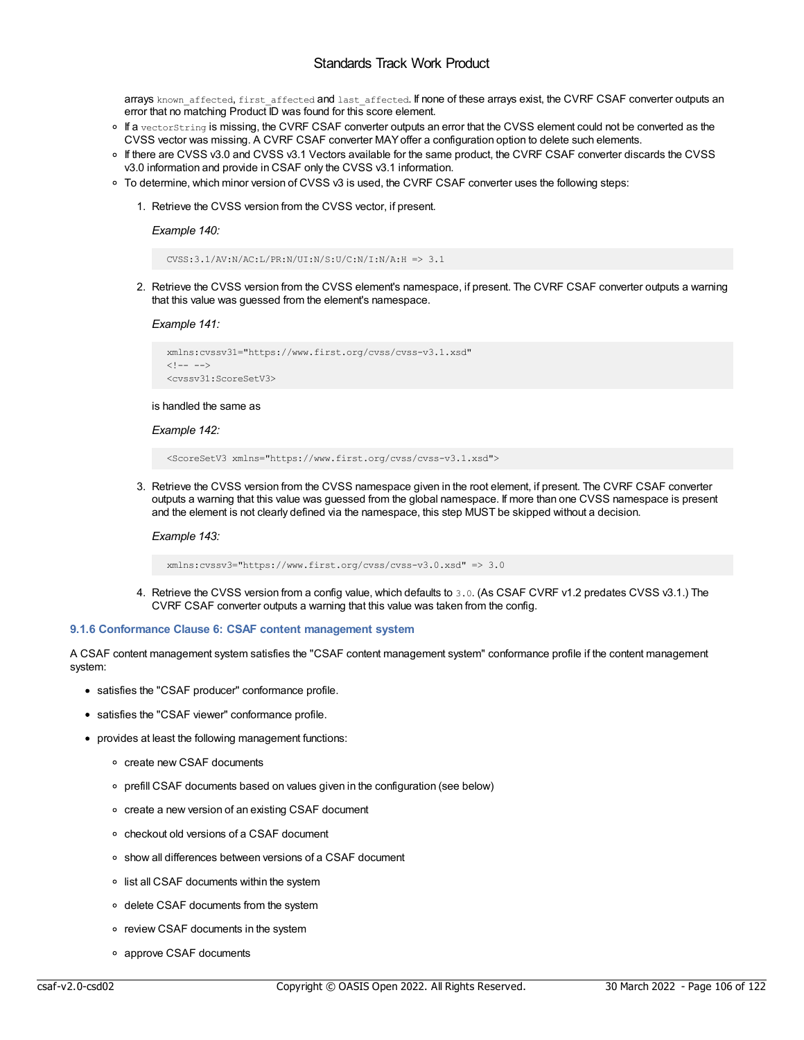arrays known affected, first affected and last affected. If none of these arrays exist, the CVRF CSAF converter outputs an error that no matching Product ID was found for this score element.

- o If a vectorString is missing, the CVRF CSAF converter outputs an error that the CVSS element could not be converted as the CVSS vector was missing. A CVRF CSAF converter MAYoffer a configuration option to delete such elements.
- If there are CVSS v3.0 and CVSS v3.1 Vectors available for the same product, the CVRF CSAF converter discards the CVSS v3.0 information and provide in CSAF only the CVSS v3.1 information.
- To determine, which minor version of CVSS v3 is used, the CVRF CSAF converter uses the following steps:
	- 1. Retrieve the CVSS version from the CVSS vector, if present.

*Example 140:*

CVSS:3.1/AV:N/AC:L/PR:N/UI:N/S:U/C:N/I:N/A:H => 3.1

2. Retrieve the CVSS version from the CVSS element's namespace, if present. The CVRF CSAF converter outputs a warning that this value was guessed from the element's namespace.

*Example 141:*

```
xmlns:cvssv31="https://www.first.org/cvss/cvss-v3.1.xsd"
\langle!-- -->
<cvssv31:ScoreSetV3>
```
is handled the same as

# *Example 142:*

<ScoreSetV3 xmlns="https://www.first.org/cvss/cvss-v3.1.xsd">

3. Retrieve the CVSS version from the CVSS namespace given in the root element, if present. The CVRF CSAF converter outputs a warning that this value was guessed from the global namespace. If more than one CVSS namespace is present and the element is not clearly defined via the namespace, this step MUST be skipped without a decision.

*Example 143:*

xmlns:cvssv3="https://www.first.org/cvss/cvss-v3.0.xsd" => 3.0

4. Retrieve the CVSS version from a config value, which defaults to 3.0. (As CSAF CVRF v1.2 predates CVSS v3.1.) The CVRF CSAF converter outputs a warning that this value was taken from the config.

#### **9.1.6 Conformance Clause 6: CSAF content management system**

A CSAF content management system satisfies the "CSAF content management system" conformance profile if the content management system:

- satisfies the "CSAF producer" conformance profile.
- satisfies the "CSAF viewer" conformance profile.
- provides at least the following management functions:
	- o create new CSAF documents
	- prefill CSAF documents based on values given in the configuration (see below)
	- create a new version of an existing CSAF document
	- checkout old versions of a CSAF document
	- show all differences between versions of a CSAF document
	- o list all CSAF documents within the system
	- delete CSAF documents from the system
	- o review CSAF documents in the system
	- approve CSAF documents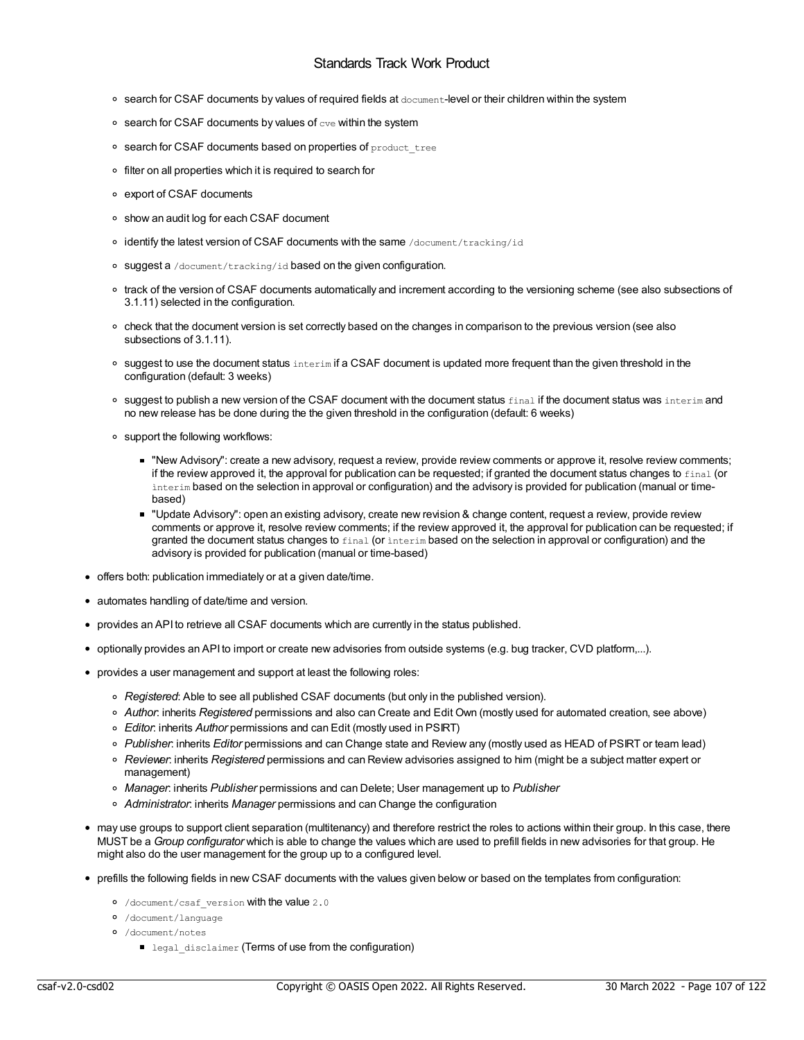- search for CSAF documents by values of required fields at document-level or their children within the system
- $\circ$  search for CSAF documents by values of  $\text{cv}$ e within the system
- o search for CSAF documents based on properties of product tree
- o filter on all properties which it is required to search for
- export of CSAF documents
- show an audit log for each CSAF document
- o identify the latest version of CSAF documents with the same /document/tracking/id
- o suggest a /document/tracking/id based on the given configuration.
- track of the version of CSAF documents automatically and increment according to the versioning scheme (see also subsections of 3.1.11) selected in the configuration.
- check that the document version is set correctly based on the changes in comparison to the previous version (see also subsections of 3.1.11).
- $\circ$  suggest to use the document status interim if a CSAF document is updated more frequent than the given threshold in the configuration (default: 3 weeks)
- o suggest to publish a new version of the CSAF document with the document status final if the document status was interim and no new release has be done during the the given threshold in the configuration (default: 6 weeks)
- support the following workflows:
	- "New Advisory": create a new advisory, request a review, provide review comments or approve it, resolve review comments; if the review approved it, the approval for publication can be requested; if granted the document status changes to final (or ìnterim based on the selection in approval or configuration) and the advisory is provided for publication (manual or timebased)
	- "Update Advisory": open an existing advisory, create new revision & change content, request a review, provide review comments or approve it, resolve review comments; if the review approved it, the approval for publication can be requested; if granted the document status changes to final (or interim based on the selection in approval or configuration) and the advisory is provided for publication (manual or time-based)
- offers both: publication immediately or at a given date/time.
- automates handling of date/time and version.
- provides an API to retrieve all CSAF documents which are currently in the status published.
- optionally provides an API to import or create new advisories from outside systems (e.g. bug tracker, CVD platform,...).
- provides a user management and support at least the following roles:
	- *Registered*: Able to see all published CSAF documents (but only in the published version).
	- *Author*: inherits *Registered* permissions and also can Create and Edit Own (mostly used for automated creation, see above)
	- *Editor*: inherits *Author* permissions and can Edit (mostly used in PSIRT)
	- *Publisher*: inherits *Editor* permissions and can Change state and Review any (mostly used as HEAD of PSIRT or team lead)
	- *Reviewer*: inherits *Registered* permissions and can Review advisories assigned to him (might be a subject matter expert or management)
	- *Manager*: inherits *Publisher* permissions and can Delete; User management up to *Publisher*
	- *Administrator*: inherits *Manager* permissions and can Change the configuration
- may use groups to support client separation (multitenancy) and therefore restrict the roles to actions within their group. In this case, there MUST be a *Group configurator* which is able to change the values which are used to prefill fields in new advisories for that group. He might also do the user management for the group up to a configured level.
- prefills the following fields in new CSAF documents with the values given below or based on the templates from configuration:
	- o /document/csaf\_version with the value 2.0
	- /document/language
	- /document/notes
		- legal disclaimer (Terms of use from the configuration)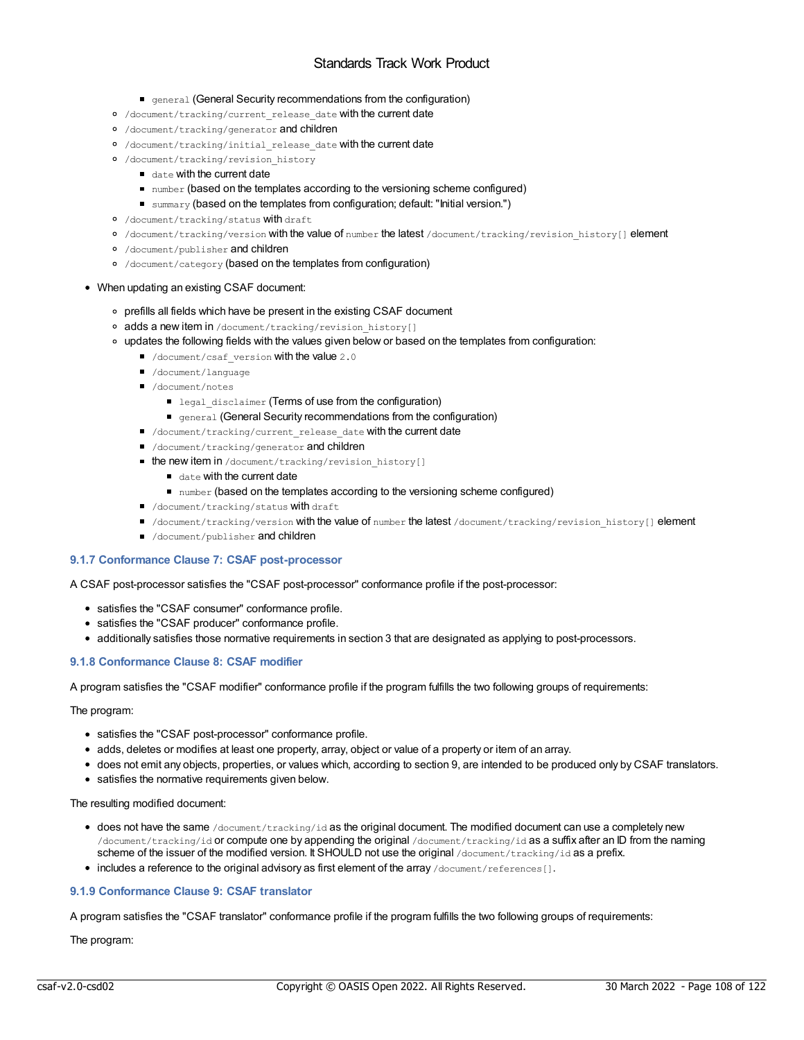- **•** general (General Security recommendations from the configuration)
- o /document/tracking/current release date with the current date
- /document/tracking/generator and children
- o /document/tracking/initial release date with the current date
- /document/tracking/revision\_history
	- date with the current date
	- number (based on the templates according to the versioning scheme configured)
	- summary (based on the templates from configuration; default: "Initial version.")
- /document/tracking/status with draft
- o /document/tracking/version with the value of number the latest /document/tracking/revision\_history[] element
- o /document/publisher and children
- /document/category (based on the templates from configuration)
- When updating an existing CSAF document:
	- prefills all fields which have be present in the existing CSAF document
	- o adds a new item in /document/tracking/revision history[]
	- updates the following fields with the values given below or based on the templates from configuration:
		- document/csaf version with the value 2.0
		- /document/language
		- /document/notes
			- legal disclaimer (Terms of use from the configuration)
			- **•** general (General Security recommendations from the configuration)
		- /document/tracking/current release date with the current date
		- $\blacksquare$  /document/tracking/generator and children
		- the new item in /document/tracking/revision\_history[]
			- date with the current date
			- number (based on the templates according to the versioning scheme configured)
		- /document/tracking/status With draft
		- I /document/tracking/version with the value of number the latest /document/tracking/revision history[] element
		- $\blacksquare$  /document/publisher and children

## **9.1.7 Conformance Clause 7: CSAF post-processor**

A CSAF post-processor satisfies the "CSAF post-processor" conformance profile if the post-processor:

- satisfies the "CSAF consumer" conformance profile.
- satisfies the "CSAF producer" conformance profile.
- additionally satisfies those normative requirements in section 3 that are designated as applying to post-processors.

## **9.1.8 Conformance Clause 8: CSAF modifier**

A program satisfies the "CSAF modifier" conformance profile if the program fulfills the two following groups of requirements:

## The program:

- satisfies the "CSAF post-processor" conformance profile.
- adds, deletes or modifies at least one property, array, object or value of a property or item of an array.
- does not emit any objects, properties, or values which, according to section 9, are intended to be produced only by CSAF translators.
- satisfies the normative requirements given below.

The resulting modified document:

- $\bullet$  does not have the same /document/tracking/id as the original document. The modified document can use a completely new /document/tracking/id or compute one by appending the original /document/tracking/id as a suffix after an ID from the naming scheme of the issuer of the modified version. It SHOULD not use the original /document/tracking/id as a prefix.
- includes a reference to the original advisory as first element of the array /document/references [].

# **9.1.9 Conformance Clause 9: CSAF translator**

A program satisfies the "CSAF translator" conformance profile if the program fulfills the two following groups of requirements:

The program: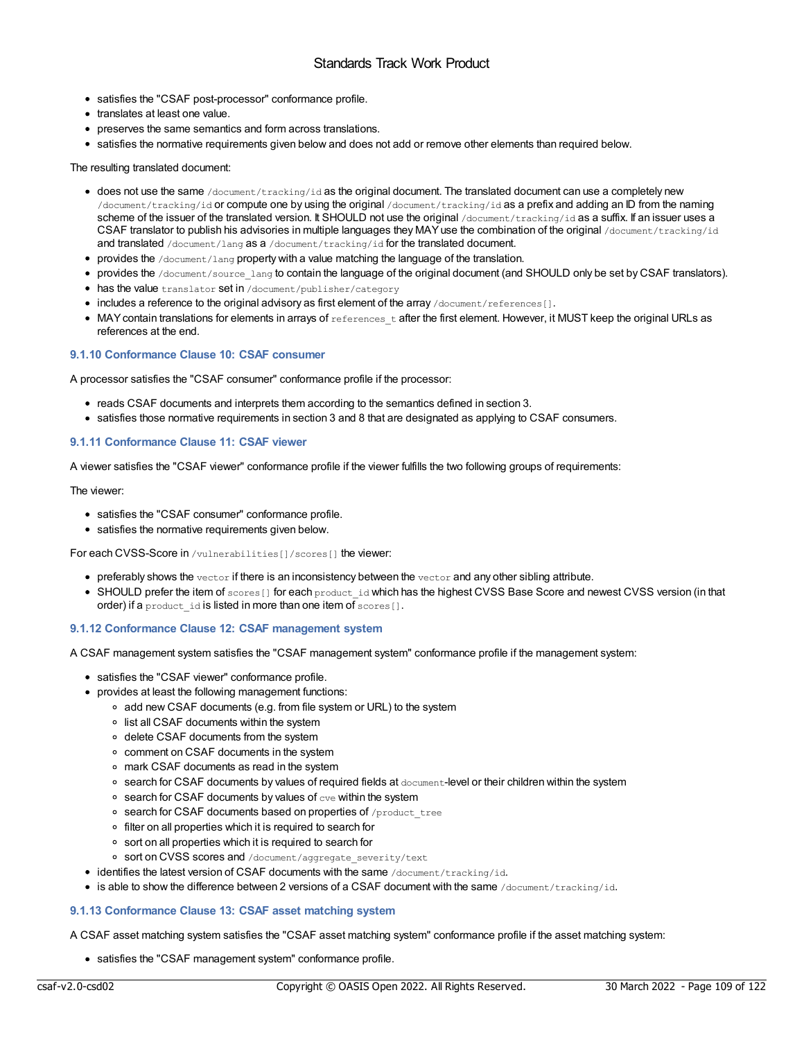- satisfies the "CSAF post-processor" conformance profile.
- translates at least one value.
- preserves the same semantics and form across translations.
- satisfies the normative requirements given below and does not add or remove other elements than required below.

#### The resulting translated document:

- $\bullet$  does not use the same /document/tracking/id as the original document. The translated document can use a completely new /document/tracking/id or compute one by using the original /document/tracking/id as a prefix and adding an ID from the naming scheme of the issuer of the translated version. It SHOULD not use the original /document/tracking/id as a suffix. If an issuer uses a CSAF translator to publish his advisories in multiple languages they MAY use the combination of the original /document/tracking/id and translated /document/lang as a /document/tracking/id for the translated document.
- provides the /document/lang property with a value matching the language of the translation.
- provides the /document/source\_lang to contain the language of the original document (and SHOULD only be set by CSAF translators).
- has the value translator set in /document/publisher/category
- includes a reference to the original advisory as first element of the array /document/references[].
- $\bullet$  MAY contain translations for elements in arrays of  $_{\rm{referencest}}$  after the first element. However, it MUST keep the original URLs as references at the end.

#### **9.1.10 Conformance Clause 10: CSAF consumer**

A processor satisfies the "CSAF consumer" conformance profile if the processor:

- reads CSAF documents and interprets them according to the semantics defined in section 3.
- satisfies those normative requirements in section 3 and 8 that are designated as applying to CSAF consumers.

#### **9.1.11 Conformance Clause 11: CSAF viewer**

A viewer satisfies the "CSAF viewer" conformance profile if the viewer fulfills the two following groups of requirements:

#### The viewer:

- satisfies the "CSAF consumer" conformance profile.
- satisfies the normative requirements given below.

For each CVSS-Score in /vulnerabilities[]/scores[] the viewer:

- $\bullet$  preferably shows the vector if there is an inconsistency between the vector and any other sibling attribute.
- SHOULD prefer the item of scores [] for each product id which has the highest CVSS Base Score and newest CVSS version (in that order) if a product id is listed in more than one item of scores[].

#### **9.1.12 Conformance Clause 12: CSAF management system**

A CSAF management system satisfies the "CSAF management system" conformance profile if the management system:

- satisfies the "CSAF viewer" conformance profile.
- provides at least the following management functions:
	- add new CSAF documents (e.g. from file system or URL) to the system
	- o list all CSAF documents within the system
	- delete CSAF documents from the system
	- comment on CSAF documents in the system
	- mark CSAF documents as read in the system
	- search for CSAF documents by values of required fields at document-level or their children within the system
	- $\circ$  search for CSAF documents by values of  $\text{cve}$  within the system
	- o search for CSAF documents based on properties of /product\_tree
	- filter on all properties which it is required to search for
	- sort on all properties which it is required to search for
	- o sort on CVSS scores and /document/aggregate\_severity/text
- identifies the latest version of CSAF documents with the same /document/tracking/id.
- $\bullet$  is able to show the difference between 2 versions of a CSAF document with the same /document/tracking/id.

#### **9.1.13 Conformance Clause 13: CSAF asset matching system**

A CSAF asset matching system satisfies the "CSAF asset matching system" conformance profile if the asset matching system:

satisfies the "CSAF management system" conformance profile.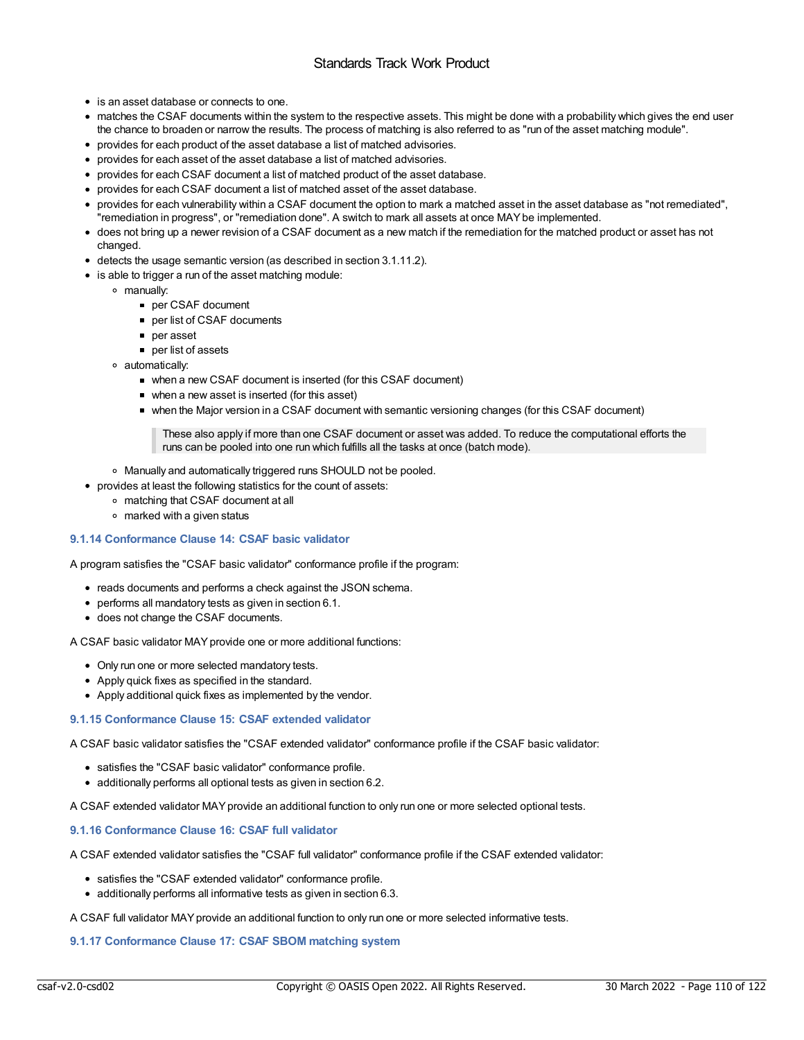- is an asset database or connects to one.
- matches the CSAF documents within the system to the respective assets. This might be done with a probability which gives the end user the chance to broaden or narrow the results. The process of matching is also referred to as "run of the asset matching module".
- provides for each product of the asset database a list of matched advisories.
- provides for each asset of the asset database a list of matched advisories.
- provides for each CSAF document a list of matched product of the asset database.
- provides for each CSAF document a list of matched asset of the asset database.
- provides for each vulnerability within a CSAF document the option to mark a matched asset in the asset database as "not remediated", "remediation in progress", or "remediation done". A switch to mark all assets at once MAYbe implemented.
- does not bring up a newer revision of a CSAF document as a new match if the remediation for the matched product or asset has not changed.
- detects the usage semantic version (as described in section 3.1.11.2).
- is able to trigger a run of the asset matching module:
	- manually:
		- per CSAF document
		- per list of CSAF documents
		- per asset
		- **per list of assets**
	- automatically:
		- when a new CSAF document is inserted (for this CSAF document)
		- when a new asset is inserted (for this asset)
		- when the Major version in a CSAF document with semantic versioning changes (for this CSAF document)

These also apply if more than one CSAF document or asset was added. To reduce the computational efforts the runs can be pooled into one run which fulfills all the tasks at once (batch mode).

- Manually and automatically triggered runs SHOULD not be pooled.
- provides at least the following statistics for the count of assets:
	- matching that CSAF document at all
	- marked with a given status

#### **9.1.14 Conformance Clause 14: CSAF basic validator**

A program satisfies the "CSAF basic validator" conformance profile if the program:

- reads documents and performs a check against the JSON schema.
- performs all mandatory tests as given in section 6.1.
- does not change the CSAF documents.

A CSAF basic validator MAYprovide one or more additional functions:

- Only run one or more selected mandatory tests.
- Apply quick fixes as specified in the standard.
- Apply additional quick fixes as implemented by the vendor.

#### **9.1.15 Conformance Clause 15: CSAF extended validator**

A CSAF basic validator satisfies the "CSAF extended validator" conformance profile if the CSAF basic validator:

- satisfies the "CSAF basic validator" conformance profile.
- additionally performs all optional tests as given in section 6.2.

A CSAF extended validator MAYprovide an additional function to only run one or more selected optional tests.

#### **9.1.16 Conformance Clause 16: CSAF full validator**

A CSAF extended validator satisfies the "CSAF full validator" conformance profile if the CSAF extended validator:

- satisfies the "CSAF extended validator" conformance profile.
- additionally performs all informative tests as given in section 6.3.

A CSAF full validator MAYprovide an additional function to only run one or more selected informative tests.

#### **9.1.17 Conformance Clause 17: CSAF SBOM matching system**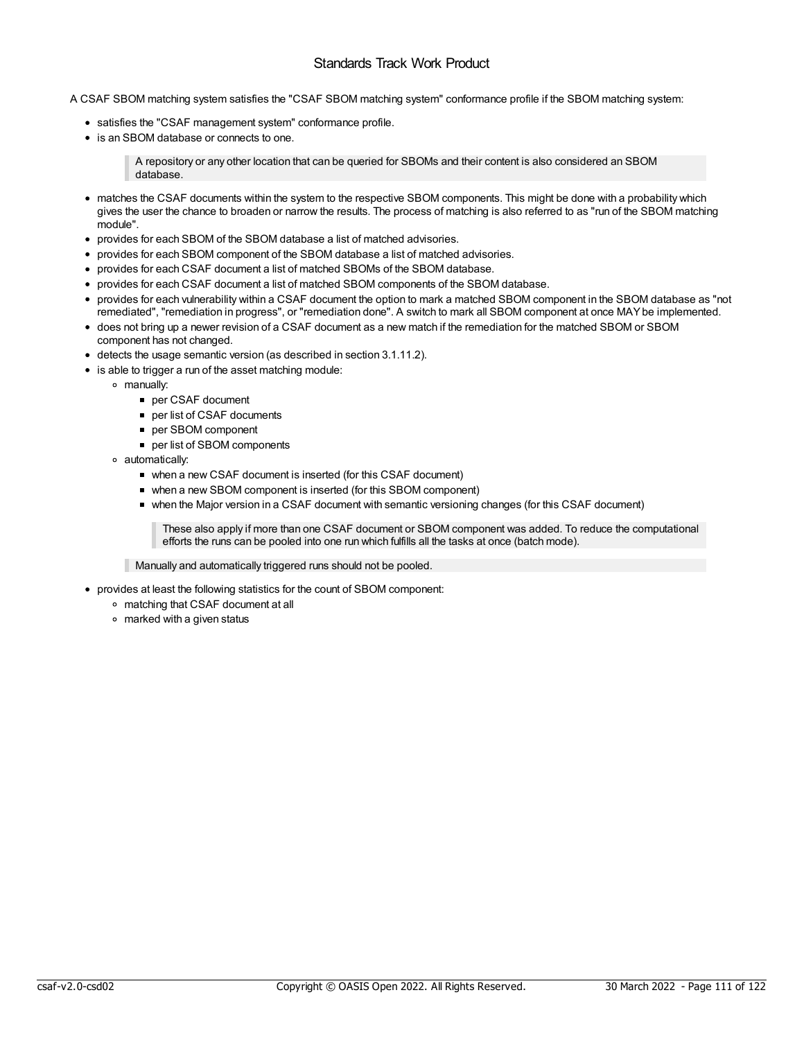A CSAF SBOM matching system satisfies the "CSAF SBOM matching system" conformance profile if the SBOM matching system:

- satisfies the "CSAF management system" conformance profile.
- is an SBOM database or connects to one.

A repository or any other location that can be queried for SBOMs and their content is also considered an SBOM database.

- matches the CSAF documents within the system to the respective SBOM components. This might be done with a probability which gives the user the chance to broaden or narrow the results. The process of matching is also referred to as "run of the SBOM matching module".
- provides for each SBOM of the SBOM database a list of matched advisories.
- provides for each SBOM component of the SBOM database a list of matched advisories.
- provides for each CSAF document a list of matched SBOMs of the SBOM database.
- provides for each CSAF document a list of matched SBOM components of the SBOM database.
- provides for each vulnerability within a CSAF document the option to mark a matched SBOM component in the SBOM database as "not remediated", "remediation in progress", or "remediation done". A switch to mark all SBOM component at once MAYbe implemented.
- does not bring up a newer revision of a CSAF document as a new match if the remediation for the matched SBOM or SBOM component has not changed.
- detects the usage semantic version (as described in section 3.1.11.2).
- is able to trigger a run of the asset matching module:
	- manually:
		- per CSAF document
		- per list of CSAF documents
		- per SBOM component
		- per list of SBOM components
	- automatically:
		- when a new CSAF document is inserted (for this CSAF document)
		- when a new SBOM component is inserted (for this SBOM component)
		- when the Major version in a CSAF document with semantic versioning changes (for this CSAF document)

These also apply if more than one CSAF document or SBOM component was added. To reduce the computational efforts the runs can be pooled into one run which fulfills all the tasks at once (batch mode).

Manually and automatically triggered runs should not be pooled.

- provides at least the following statistics for the count of SBOM component:
	- matching that CSAF document at all
	- marked with a given status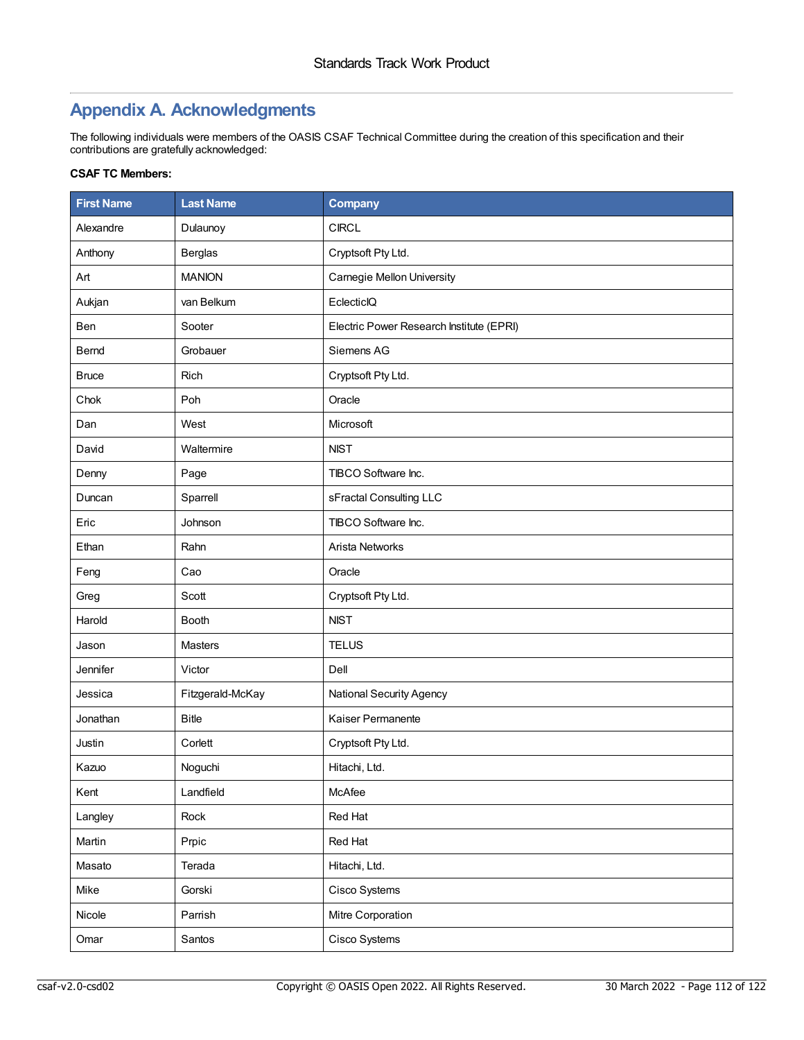## **Appendix A. Acknowledgments**

The following individuals were members of the OASIS CSAF Technical Committee during the creation of this specification and their contributions are gratefully acknowledged:

### **CSAF TC Members:**

| <b>First Name</b> | <b>Last Name</b> | <b>Company</b>                           |  |
|-------------------|------------------|------------------------------------------|--|
| Alexandre         | Dulaunoy         | <b>CIRCL</b>                             |  |
| Anthony           | <b>Berglas</b>   | Cryptsoft Pty Ltd.                       |  |
| Art               | <b>MANION</b>    | Carnegie Mellon University               |  |
| Aukjan            | van Belkum       | EclecticlQ                               |  |
| Ben               | Sooter           | Electric Power Research Institute (EPRI) |  |
| Bernd             | Grobauer         | Siemens AG                               |  |
| <b>Bruce</b>      | Rich             | Cryptsoft Pty Ltd.                       |  |
| Chok              | Poh              | Oracle                                   |  |
| Dan               | West             | Microsoft                                |  |
| David             | Waltermire       | <b>NIST</b>                              |  |
| Denny             | Page             | TIBCO Software Inc.                      |  |
| Duncan            | Sparrell         | sFractal Consulting LLC                  |  |
| Eric              | Johnson          | TIBCO Software Inc.                      |  |
| Ethan             | Rahn             | Arista Networks                          |  |
| Feng              | Cao              | Oracle                                   |  |
| Greg              | Scott            | Cryptsoft Pty Ltd.                       |  |
| Harold            | <b>Booth</b>     | <b>NIST</b>                              |  |
| Jason             | Masters          | <b>TELUS</b>                             |  |
| Jennifer          | Victor           | Dell                                     |  |
| Jessica           | Fitzgerald-McKay | National Security Agency                 |  |
| Jonathan          | <b>Bitle</b>     | Kaiser Permanente                        |  |
| Justin            | Corlett          | Cryptsoft Pty Ltd.                       |  |
| Kazuo             | Noguchi          | Hitachi, Ltd.                            |  |
| Kent              | Landfield        | McAfee                                   |  |
| Langley           | Rock             | Red Hat                                  |  |
| Martin            | Prpic            | Red Hat                                  |  |
| Masato            | Terada           | Hitachi, Ltd.                            |  |
| Mike              | Gorski           | Cisco Systems                            |  |
| Nicole            | Parrish          | Mitre Corporation                        |  |
| Omar              | Santos           | Cisco Systems                            |  |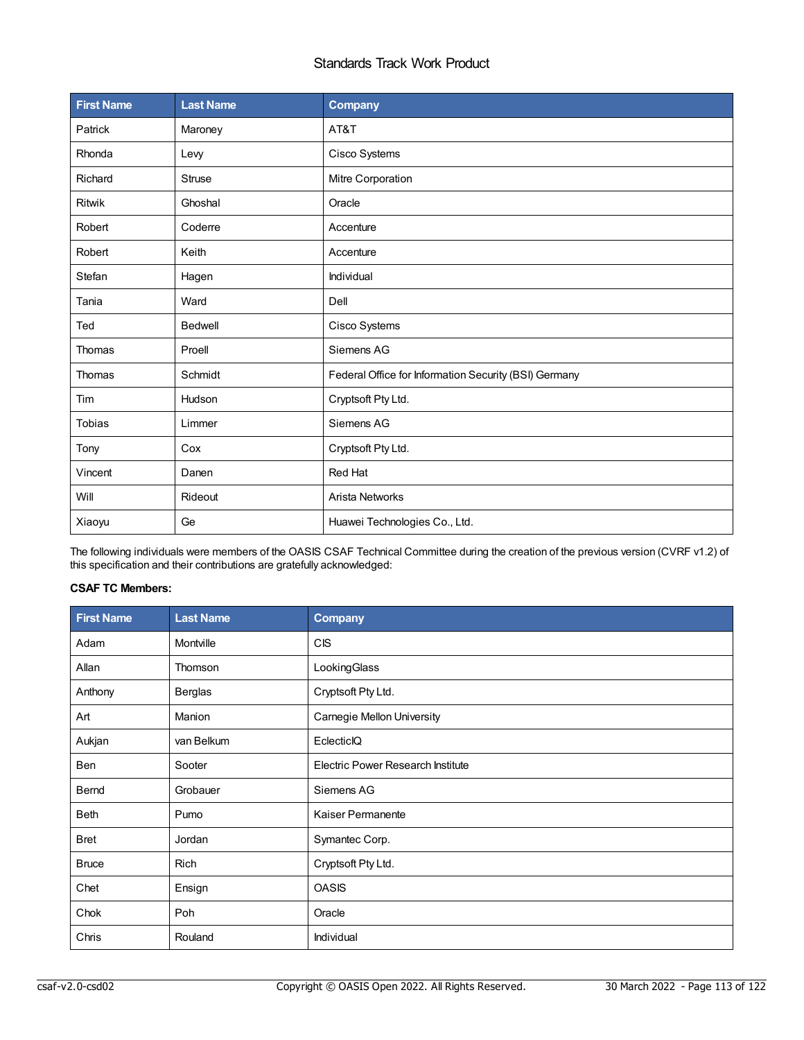| <b>First Name</b> | <b>Last Name</b> | <b>Company</b>                                        |  |
|-------------------|------------------|-------------------------------------------------------|--|
| Patrick           | Maroney          | AT&T                                                  |  |
| Rhonda            | Levy             | Cisco Systems                                         |  |
| Richard           | Struse           | Mitre Corporation                                     |  |
| Ritwik            | Ghoshal          | Oracle                                                |  |
| Robert            | Coderre          | Accenture                                             |  |
| Robert            | Keith            | Accenture                                             |  |
| Stefan            | Hagen            | Individual                                            |  |
| Tania             | Ward             | Dell                                                  |  |
| Ted               | <b>Bedwell</b>   | Cisco Systems                                         |  |
| Thomas            | Proell           | Siemens AG                                            |  |
| Thomas            | Schmidt          | Federal Office for Information Security (BSI) Germany |  |
| Tim               | Hudson           | Cryptsoft Pty Ltd.                                    |  |
| <b>Tobias</b>     | Limmer           | Siemens AG                                            |  |
| Tony              | Cox              | Cryptsoft Pty Ltd.                                    |  |
| Vincent           | Danen            | <b>Red Hat</b>                                        |  |
| Will              | Rideout          | <b>Arista Networks</b>                                |  |
| Xiaoyu            | Ge               | Huawei Technologies Co., Ltd.                         |  |

The following individuals were members of the OASIS CSAF Technical Committee during the creation of the previous version (CVRF v1.2) of this specification and their contributions are gratefully acknowledged:

## **CSAF TC Members:**

| <b>First Name</b> | <b>Last Name</b> | Company                                  |  |
|-------------------|------------------|------------------------------------------|--|
| Adam              | Montville        | CIS                                      |  |
| Allan             | Thomson          | LookingGlass                             |  |
| Anthony           | <b>Berglas</b>   | Cryptsoft Pty Ltd.                       |  |
| Art               | Manion           | <b>Carnegie Mellon University</b>        |  |
| Aukjan            | van Belkum       | EclecticlQ                               |  |
| Ben               | Sooter           | <b>Electric Power Research Institute</b> |  |
| Bernd             | Grobauer         | Siemens AG                               |  |
| <b>Beth</b>       | Pumo             | <b>Kaiser Permanente</b>                 |  |
| <b>Bret</b>       | Jordan           | Symantec Corp.                           |  |
| <b>Bruce</b>      | Rich             | Cryptsoft Pty Ltd.                       |  |
| Chet              | Ensign           | <b>OASIS</b>                             |  |
| Chok              | Poh              | Oracle                                   |  |
| Chris             | Rouland          | Individual                               |  |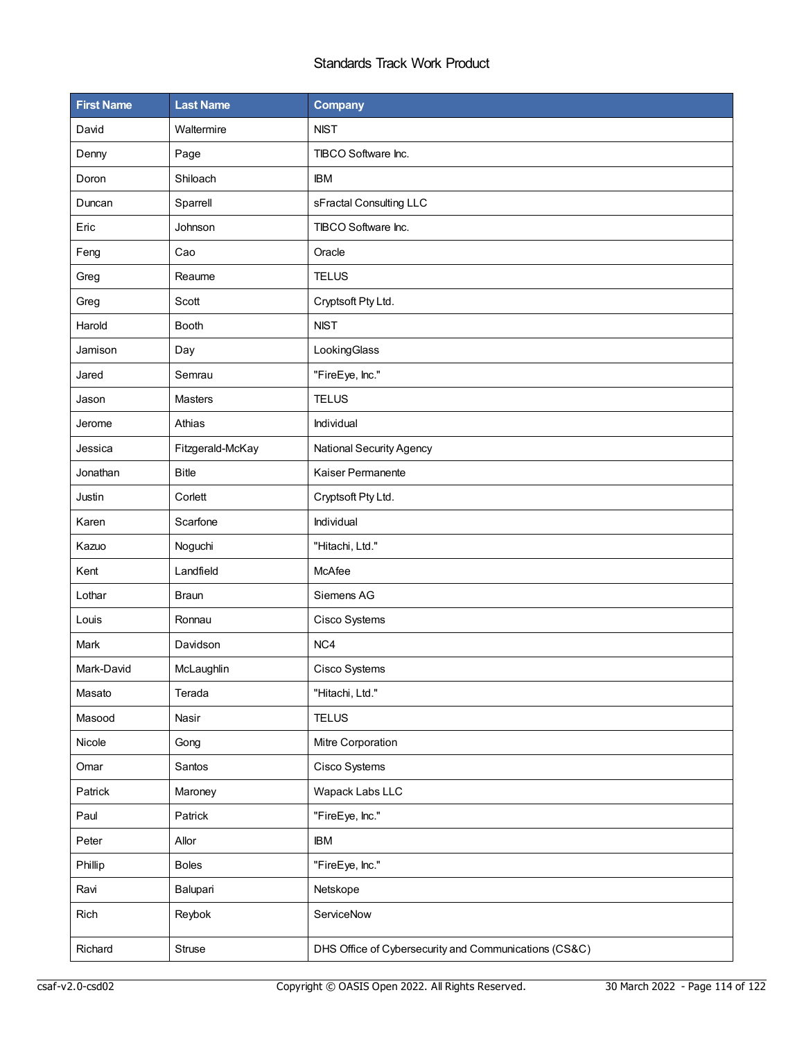| <b>First Name</b> | <b>Last Name</b> | Company                                               |  |
|-------------------|------------------|-------------------------------------------------------|--|
| David             | Waltermire       | <b>NIST</b>                                           |  |
| Denny             | Page             | TIBCO Software Inc.                                   |  |
| Doron             | Shiloach         | <b>IBM</b>                                            |  |
| Duncan            | Sparrell         | sFractal Consulting LLC                               |  |
| Eric              | Johnson          | TIBCO Software Inc.                                   |  |
| Feng              | Cao              | Oracle                                                |  |
| Greg              | Reaume           | <b>TELUS</b>                                          |  |
| Greg              | Scott            | Cryptsoft Pty Ltd.                                    |  |
| Harold            | <b>Booth</b>     | <b>NIST</b>                                           |  |
| Jamison           | Day              | LookingGlass                                          |  |
| Jared             | Semrau           | "FireEye, Inc."                                       |  |
| Jason             | Masters          | <b>TELUS</b>                                          |  |
| Jerome            | Athias           | Individual                                            |  |
| Jessica           | Fitzgerald-McKay | National Security Agency                              |  |
| Jonathan          | <b>Bitle</b>     | Kaiser Permanente                                     |  |
| Justin            | Corlett          | Cryptsoft Pty Ltd.                                    |  |
| Karen             | Scarfone         | Individual                                            |  |
| Kazuo             | Noguchi          | "Hitachi, Ltd."                                       |  |
| Kent              | Landfield        | McAfee                                                |  |
| Lothar            | <b>Braun</b>     | Siemens AG                                            |  |
| Louis             | Ronnau           | Cisco Systems                                         |  |
| Mark              | Davidson         | NC4                                                   |  |
| Mark-David        | McLaughlin       | Cisco Systems                                         |  |
| Masato            | Terada           | "Hitachi, Ltd."                                       |  |
| Masood            | Nasir            | <b>TELUS</b>                                          |  |
| Nicole            | Gong             | Mitre Corporation                                     |  |
| Omar              | Santos           | Cisco Systems                                         |  |
| Patrick           | Maroney          | Wapack Labs LLC                                       |  |
| Paul              | Patrick          | "FireEye, Inc."                                       |  |
| Peter             | Allor            | <b>IBM</b>                                            |  |
| Phillip           | <b>Boles</b>     | "FireEye, Inc."                                       |  |
| Ravi              | Balupari         | Netskope                                              |  |
| Rich              | Reybok           | ServiceNow                                            |  |
| Richard           | Struse           | DHS Office of Cybersecurity and Communications (CS&C) |  |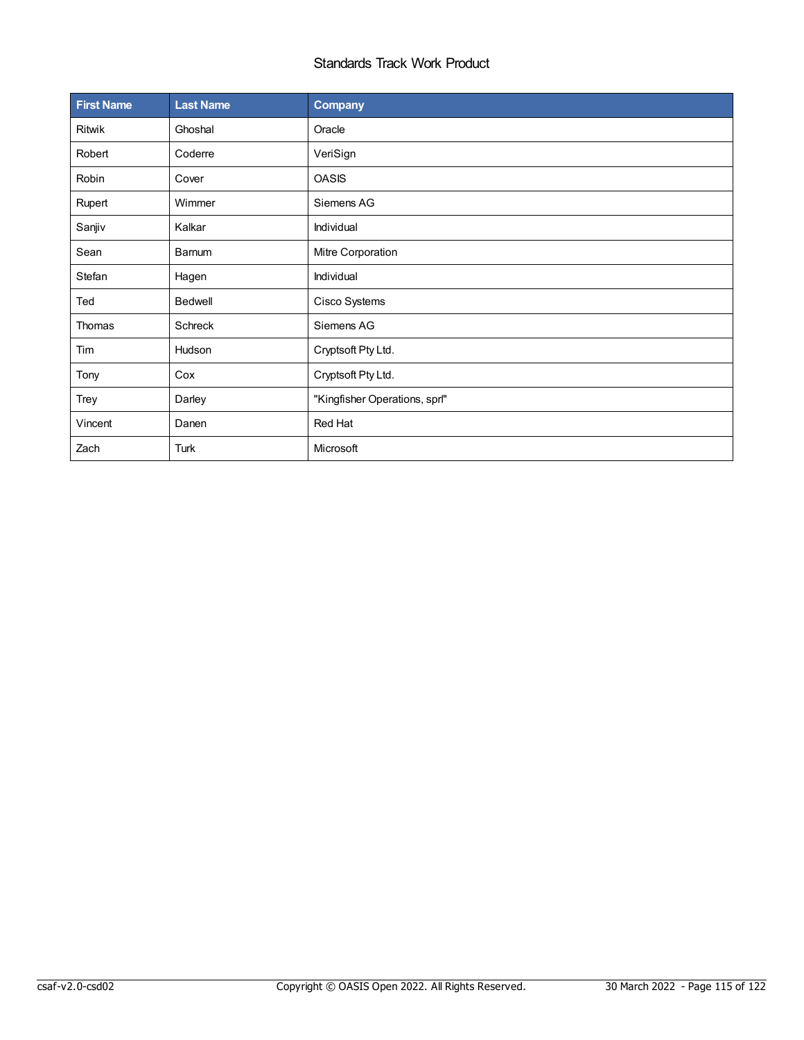| <b>First Name</b> | <b>Last Name</b> | <b>Company</b>                |  |
|-------------------|------------------|-------------------------------|--|
| Ritwik            | Ghoshal          | Oracle                        |  |
| Robert            | Coderre          | VeriSign                      |  |
| Robin             | Cover            | <b>OASIS</b>                  |  |
| Rupert            | Wimmer           | Siemens AG                    |  |
| Sanjiv            | Kalkar           | Individual                    |  |
| Sean              | Barnum           | Mitre Corporation             |  |
| Stefan            | Hagen            | Individual                    |  |
| Ted               | Bedwell          | Cisco Systems                 |  |
| Thomas            | Schreck          | Siemens AG                    |  |
| Tim               | Hudson           | Cryptsoft Pty Ltd.            |  |
| Tony              | Cox              | Cryptsoft Pty Ltd.            |  |
| Trey              | Darley           | "Kingfisher Operations, sprl" |  |
| Vincent           | Danen            | Red Hat                       |  |
| Zach              | Turk             | Microsoft                     |  |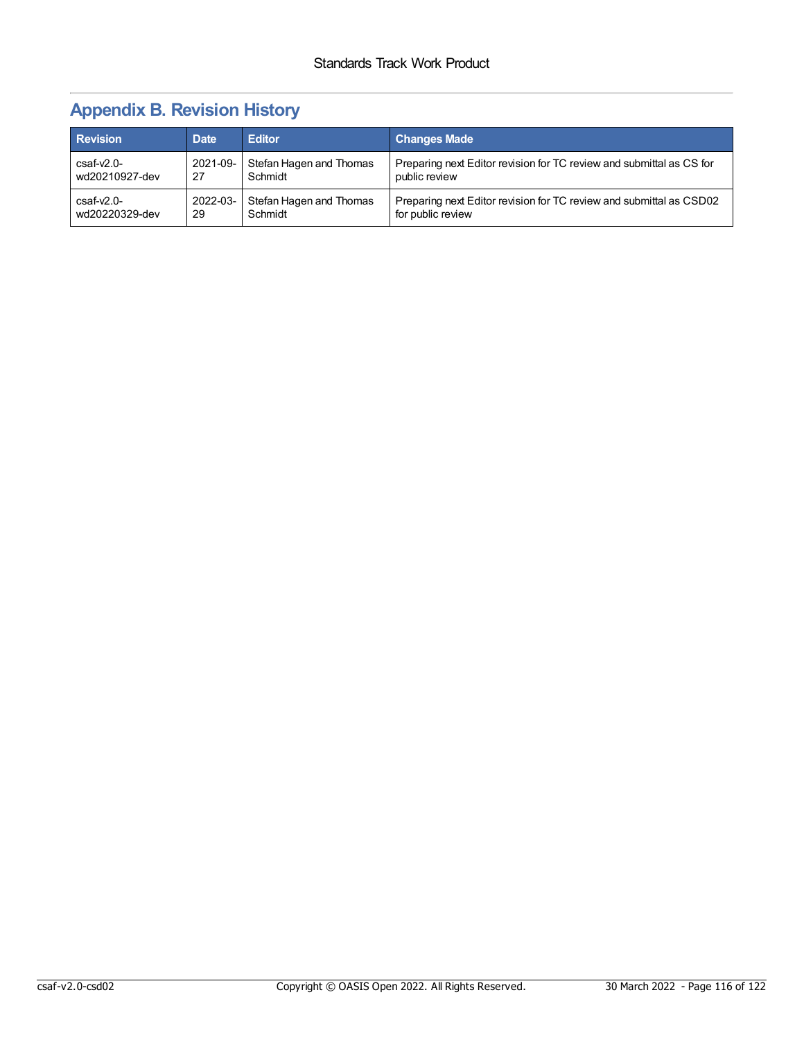# **Appendix B. Revision History**

| <b>Revision</b> | <b>Date</b> | <b>Editor</b>           | <b>Changes Made</b>                                                  |
|-----------------|-------------|-------------------------|----------------------------------------------------------------------|
| $csaf-v2.0-$    | 2021-09-    | Stefan Hagen and Thomas | Preparing next Editor revision for TC review and submittal as CS for |
| wd20210927-dev  | 27          | Schmidt                 | public review                                                        |
| $csaf-v2.0-$    | 2022-03-    | Stefan Hagen and Thomas | Preparing next Editor revision for TC review and submittal as CSD02  |
| wd20220329-dev  | 29          | Schmidt                 | for public review                                                    |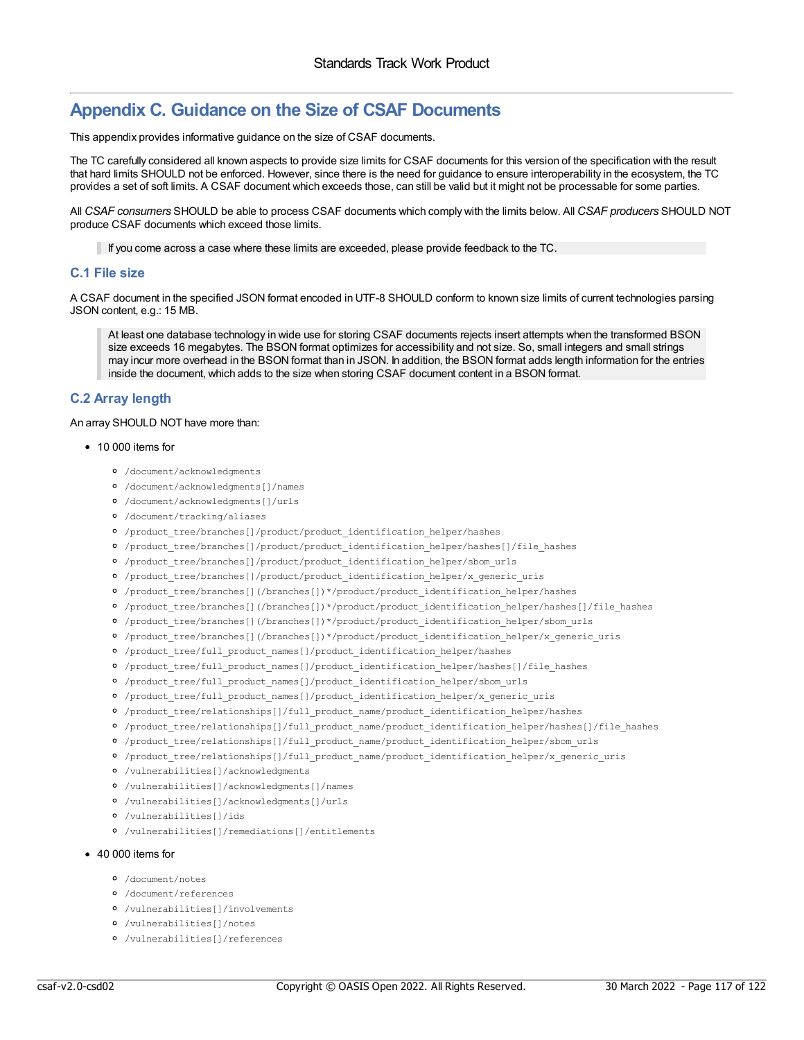## **Appendix C. Guidance on the Size of CSAF Documents**

This appendix provides informative guidance on the size of CSAF documents.

The TC carefully considered all known aspects to provide size limits for CSAF documents for this version of the specification with the result that hard limits SHOULD not be enforced. However, since there is the need for guidance to ensure interoperability in the ecosystem, the TC provides a set of soft limits. A CSAF document which exceeds those, can still be valid but it might not be processable for some parties.

All *CSAF consumers* SHOULD be able to process CSAF documents which comply with the limits below. All *CSAF producers* SHOULD NOT produce CSAF documents which exceed those limits.

If you come across a case where these limits are exceeded, please provide feedback to the TC.

#### **C.1 File size**

A CSAF document in the specified JSON format encoded in UTF-8 SHOULD conform to known size limits of current technologies parsing JSON content, e.g.: 15 MB.

At least one database technology in wide use for storing CSAF documents rejects insert attempts when the transformed BSON size exceeds 16 megabytes. The BSON format optimizes for accessibility and not size. So, small integers and small strings may incur more overhead in the BSON format than in JSON. In addition, the BSON format adds length information for the entries inside the document, which adds to the size when storing CSAF document content in a BSON format.

## **C.2 Array length**

#### An array SHOULD NOT have more than:

#### • 10 000 items for

- /document/acknowledgments
- /document/acknowledgments[]/names
- /document/acknowledgments[]/urls
- /document/tracking/aliases
- /product\_tree/branches[]/product/product\_identification\_helper/hashes
- /product\_tree/branches[]/product/product\_identification\_helper/hashes[]/file\_hashes
- /product\_tree/branches[]/product/product\_identification\_helper/sbom\_urls
- /product\_tree/branches[]/product/product\_identification\_helper/x\_generic\_uris
- /product\_tree/branches[](/branches[])\*/product/product\_identification\_helper/hashes
- 0 /product tree/branches[](/branches[])\*/product/product identification helper/hashes[]/file hashes
- /product\_tree/branches[](/branches[])\*/product/product\_identification\_helper/sbom\_urls
- /product\_tree/branches[](/branches[])\*/product/product\_identification\_helper/x\_generic\_uris
- /product\_tree/full\_product\_names[]/product\_identification\_helper/hashes
- 0 /product tree/full product names[]/product identification helper/hashes[]/file hashes
- /product\_tree/full\_product\_names[]/product\_identification\_helper/sbom\_urls
- /product\_tree/full\_product\_names[]/product\_identification\_helper/x\_generic\_uris
- /product\_tree/relationships[]/full\_product\_name/product\_identification\_helper/hashes
- /product\_tree/relationships[]/full\_product\_name/product\_identification\_helper/hashes[]/file\_hashes
- /product\_tree/relationships[]/full\_product\_name/product\_identification\_helper/sbom\_urls
- 0 /product tree/relationships[]/full\_product\_name/product\_identification\_helper/x\_generic\_uris
- /vulnerabilities[]/acknowledgments
- /vulnerabilities[]/acknowledgments[]/names
- /vulnerabilities[]/acknowledgments[]/urls
- /vulnerabilities[]/ids
- /vulnerabilities[]/remediations[]/entitlements

#### ● 40 000 items for

- /document/notes
- /document/references
- /vulnerabilities[]/involvements
- /vulnerabilities[]/notes
- /vulnerabilities[]/references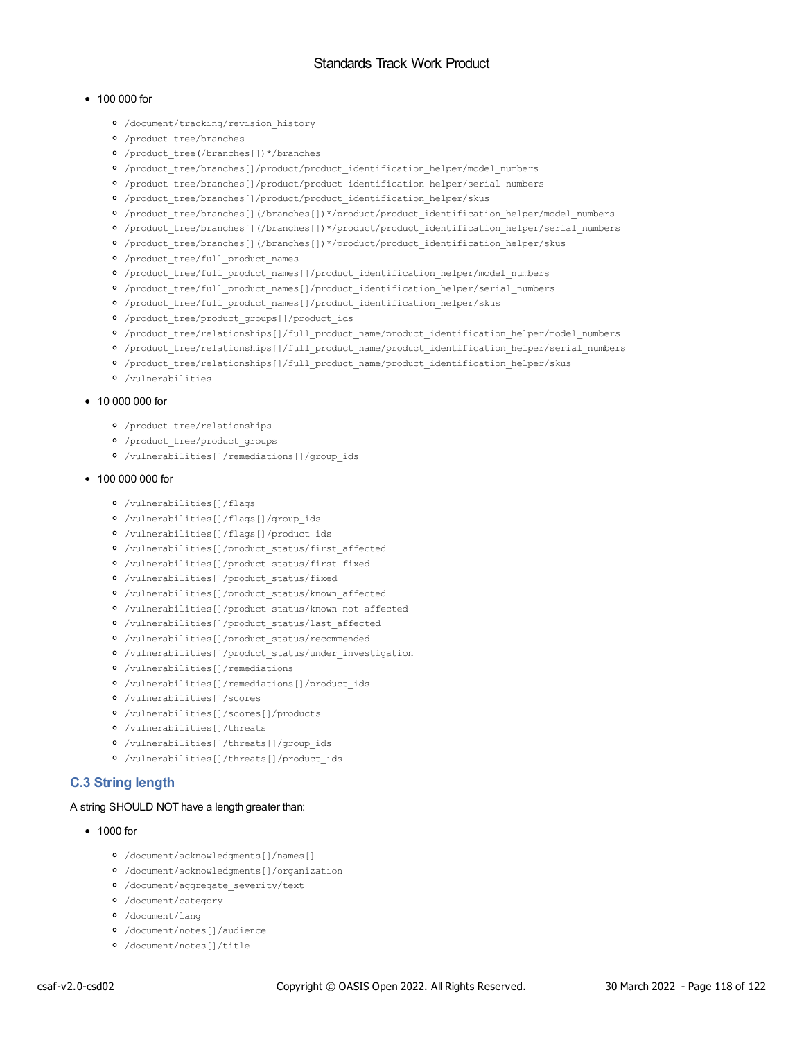#### $• 100 000$  for

- /document/tracking/revision\_history
- /product\_tree/branches
- /product\_tree(/branches[])\*/branches
- /product\_tree/branches[]/product/product\_identification\_helper/model\_numbers
- /product\_tree/branches[]/product/product\_identification\_helper/serial\_numbers
- /product\_tree/branches[]/product/product\_identification\_helper/skus
- /product\_tree/branches[](/branches[])\*/product/product\_identification\_helper/model\_numbers
- /product\_tree/branches[](/branches[])\*/product/product\_identification\_helper/serial\_numbers
- /product\_tree/branches[](/branches[])\*/product/product\_identification\_helper/skus
- /product\_tree/full\_product\_names
- /product\_tree/full\_product\_names[]/product\_identification\_helper/model\_numbers
- /product\_tree/full\_product\_names[]/product\_identification\_helper/serial\_numbers
- /product\_tree/full\_product\_names[]/product\_identification\_helper/skus
- /product\_tree/product\_groups[]/product\_ids
- /product\_tree/relationships[]/full\_product\_name/product\_identification\_helper/model\_numbers
- 0 /product tree/relationships[]/full\_product\_name/product\_identification\_helper/serial\_numbers
- /product\_tree/relationships[]/full\_product\_name/product\_identification\_helper/skus
- /vulnerabilities

#### $\bullet$  10 000 000 for

- /product\_tree/relationships
- /product\_tree/product\_groups
- /vulnerabilities[]/remediations[]/group\_ids

#### • 100 000 000 for

- /vulnerabilities[]/flags
- /vulnerabilities[]/flags[]/group\_ids
- /vulnerabilities[]/flags[]/product\_ids
- /vulnerabilities[]/product\_status/first\_affected
- /vulnerabilities[]/product\_status/first\_fixed
- /vulnerabilities[]/product\_status/fixed
- /vulnerabilities[]/product\_status/known\_affected
- /vulnerabilities[]/product\_status/known\_not\_affected
- /vulnerabilities[]/product\_status/last\_affected
- /vulnerabilities[]/product\_status/recommended
- /vulnerabilities[]/product\_status/under\_investigation
- /vulnerabilities[]/remediations
- /vulnerabilities[]/remediations[]/product\_ids
- /vulnerabilities[]/scores
- /vulnerabilities[]/scores[]/products
- /vulnerabilities[]/threats
- /vulnerabilities[]/threats[]/group\_ids
- /vulnerabilities[]/threats[]/product\_ids

## **C.3 String length**

#### A string SHOULD NOT have a length greater than:

#### • 1000 for

- /document/acknowledgments[]/names[]
- /document/acknowledgments[]/organization
- /document/aggregate\_severity/text
- /document/category
- /document/lang
- /document/notes[]/audience
- /document/notes[]/title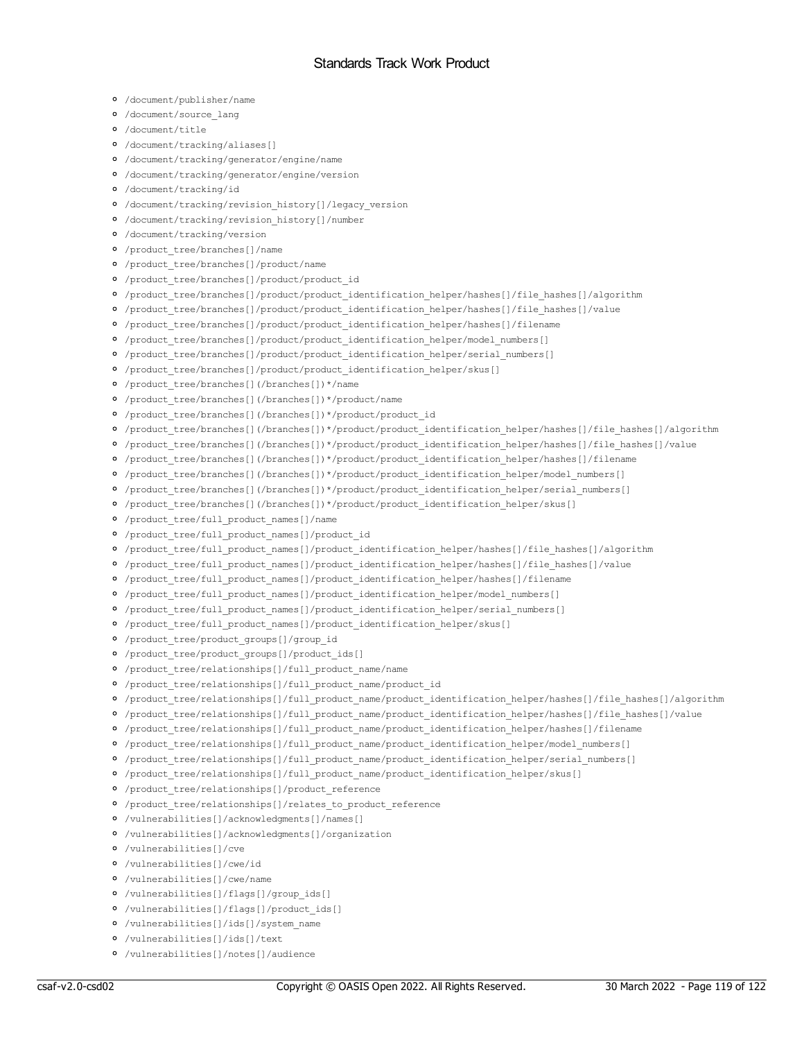- /document/publisher/name
- /document/source\_lang
- /document/title
- /document/tracking/aliases[]
- /document/tracking/generator/engine/name
- /document/tracking/generator/engine/version
- /document/tracking/id
- /document/tracking/revision\_history[]/legacy\_version
- /document/tracking/revision\_history[]/number
- /document/tracking/version
- /product\_tree/branches[]/name
- /product\_tree/branches[]/product/name
- /product\_tree/branches[]/product/product\_id
- /product\_tree/branches[]/product/product\_identification\_helper/hashes[]/file\_hashes[]/algorithm
- 0 /product tree/branches[]/product/product identification helper/hashes[]/file hashes[]/value
- /product\_tree/branches[]/product/product\_identification\_helper/hashes[]/filename
- /product\_tree/branches[]/product/product\_identification\_helper/model\_numbers[]
- 0 /product tree/branches[]/product/product identification helper/serial numbers[]
- /product\_tree/branches[]/product/product\_identification\_helper/skus[]
- /product\_tree/branches[](/branches[])\*/name
- /product\_tree/branches[](/branches[])\*/product/name
- /product\_tree/branches[](/branches[])\*/product/product\_id
- /product\_tree/branches[](/branches[])\*/product/product\_identification\_helper/hashes[]/file\_hashes[]/algorithm
- 0 /product tree/branches[](/branches[])\*/product/product identification helper/hashes[]/file hashes[]/value
- /product\_tree/branches[](/branches[])\*/product/product\_identification\_helper/hashes[]/filename
- 0 /product tree/branches[](/branches[])\*/product/product identification helper/model numbers[]
- /product\_tree/branches[](/branches[])\*/product/product\_identification\_helper/serial\_numbers[]
- /product\_tree/branches[](/branches[])\*/product/product\_identification\_helper/skus[]
- /product\_tree/full\_product\_names[]/name
- /product\_tree/full\_product\_names[]/product\_id
- /product\_tree/full\_product\_names[]/product\_identification\_helper/hashes[]/file\_hashes[]/algorithm
- /product\_tree/full\_product\_names[]/product\_identification\_helper/hashes[]/file\_hashes[]/value
- /product\_tree/full\_product\_names[]/product\_identification\_helper/hashes[]/filename
- 0 /product tree/full product names[]/product identification helper/model numbers[]
- 0 /product tree/full product names[]/product identification helper/serial numbers[]
- <sup>o</sup> /product tree/full product names[]/product identification helper/skus[]
- /product\_tree/product\_groups[]/group\_id
- /product\_tree/product\_groups[]/product\_ids[]
- /product\_tree/relationships[]/full\_product\_name/name
- /product\_tree/relationships[]/full\_product\_name/product\_id
- /product\_tree/relationships[]/full\_product\_name/product\_identification\_helper/hashes[]/file\_hashes[]/algorithm
- 0 /product tree/relationships[]/full\_product\_name/product\_identification\_helper/hashes[]/file\_hashes[]/value
- 0 /product tree/relationships[]/full\_product\_name/product\_identification\_helper/hashes[]/filename
- /product\_tree/relationships[]/full\_product\_name/product\_identification\_helper/model\_numbers[]
- 0 /product tree/relationships[]/full\_product\_name/product\_identification\_helper/serial\_numbers[]
- /product\_tree/relationships[]/full\_product\_name/product\_identification\_helper/skus[]
- /product\_tree/relationships[]/product\_reference
- /product\_tree/relationships[]/relates\_to\_product\_reference
- /vulnerabilities[]/acknowledgments[]/names[]
- /vulnerabilities[]/acknowledgments[]/organization
- /vulnerabilities[]/cve
- /vulnerabilities[]/cwe/id
- /vulnerabilities[]/cwe/name
- /vulnerabilities[]/flags[]/group\_ids[]
- /vulnerabilities[]/flags[]/product\_ids[]
- /vulnerabilities[]/ids[]/system\_name
- /vulnerabilities[]/ids[]/text
- /vulnerabilities[]/notes[]/audience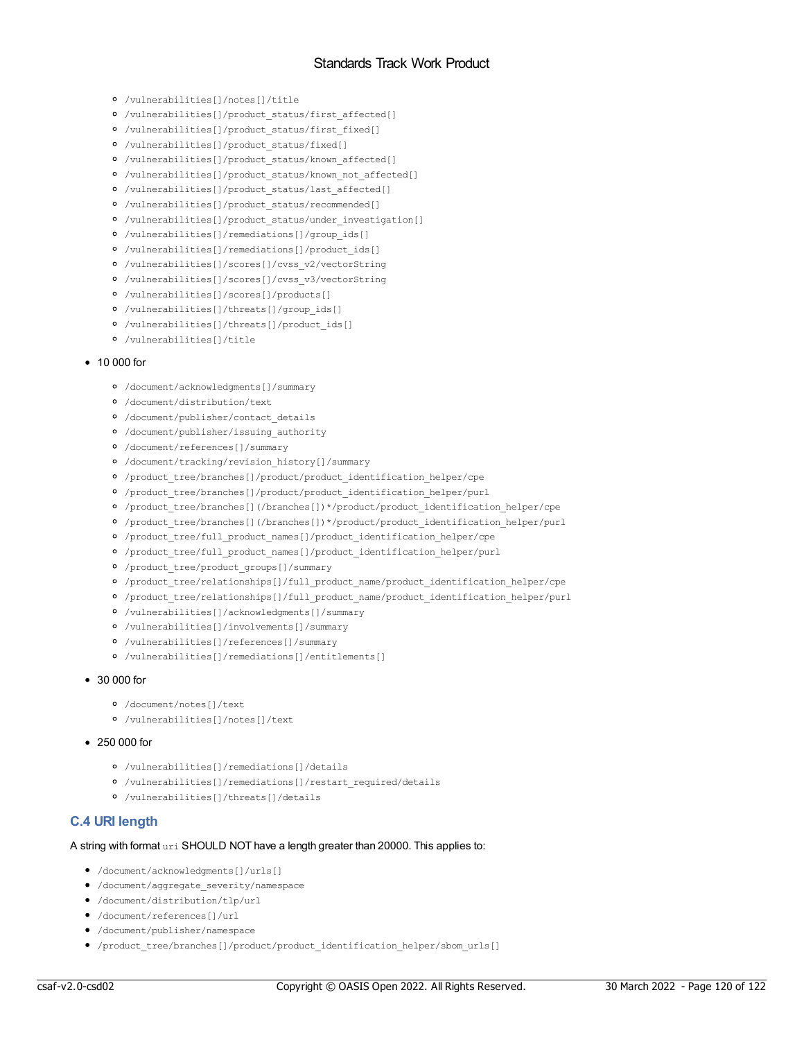- /vulnerabilities[]/notes[]/title
- /vulnerabilities[]/product\_status/first\_affected[]
- /vulnerabilities[]/product\_status/first\_fixed[]
- /vulnerabilities[]/product\_status/fixed[]
- /vulnerabilities[]/product\_status/known\_affected[]
- $\circ$  /vulnerabilities[]/product status/known not affected[]
- /vulnerabilities[]/product\_status/last\_affected[]
- /vulnerabilities[]/product\_status/recommended[]
- /vulnerabilities[]/product\_status/under\_investigation[]
- /vulnerabilities[]/remediations[]/group\_ids[]
- /vulnerabilities[]/remediations[]/product\_ids[]
- /vulnerabilities[]/scores[]/cvss\_v2/vectorString
- /vulnerabilities[]/scores[]/cvss\_v3/vectorString
- /vulnerabilities[]/scores[]/products[]
- /vulnerabilities[]/threats[]/group\_ids[]
- /vulnerabilities[]/threats[]/product\_ids[]
- /vulnerabilities[]/title

#### • 10 000 for

- /document/acknowledgments[]/summary
- /document/distribution/text
- /document/publisher/contact\_details
- /document/publisher/issuing\_authority
- /document/references[]/summary
- /document/tracking/revision\_history[]/summary
- /product\_tree/branches[]/product/product\_identification\_helper/cpe
- /product\_tree/branches[]/product/product\_identification\_helper/purl
- /product\_tree/branches[](/branches[])\*/product/product\_identification\_helper/cpe
- /product\_tree/branches[](/branches[])\*/product/product\_identification\_helper/purl
- /product\_tree/full\_product\_names[]/product\_identification\_helper/cpe
- /product\_tree/full\_product\_names[]/product\_identification\_helper/purl
- /product\_tree/product\_groups[]/summary
- /product\_tree/relationships[]/full\_product\_name/product\_identification\_helper/cpe
- /product\_tree/relationships[]/full\_product\_name/product\_identification\_helper/purl
- /vulnerabilities[]/acknowledgments[]/summary
- /vulnerabilities[]/involvements[]/summary
- /vulnerabilities[]/references[]/summary
- /vulnerabilities[]/remediations[]/entitlements[]

#### 30 000 for

- /document/notes[]/text
- /vulnerabilities[]/notes[]/text
- 250 000 for
	- /vulnerabilities[]/remediations[]/details
	- /vulnerabilities[]/remediations[]/restart\_required/details
	- /vulnerabilities[]/threats[]/details

### **C.4 URI length**

#### A string with format uri SHOULD NOT have a length greater than 20000. This applies to:

- /document/acknowledgments[]/urls[]
- /document/aggregate\_severity/namespace
- /document/distribution/tlp/url
- /document/references[]/url
- /document/publisher/namespace
- /product\_tree/branches[]/product/product\_identification\_helper/sbom\_urls[]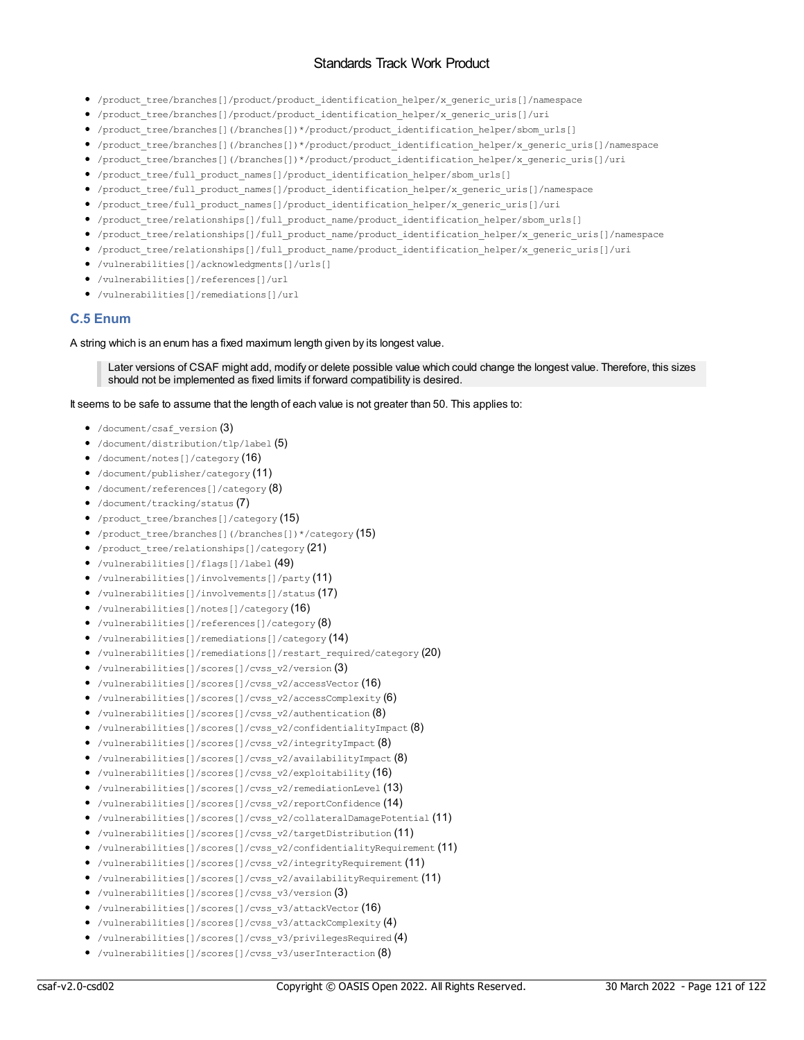- /product\_tree/branches[]/product/product\_identification\_helper/x\_generic\_uris[]/namespace
- /product\_tree/branches[]/product/product\_identification\_helper/x\_generic\_uris[]/uri
- /product\_tree/branches[](/branches[])\*/product/product\_identification\_helper/sbom\_urls[]
- /product\_tree/branches[](/branches[])\*/product/product\_identification\_helper/x\_generic\_uris[]/namespace
- /product\_tree/branches[](/branches[])\*/product/product\_identification\_helper/x\_generic\_uris[]/uri
- /product\_tree/full\_product\_names[]/product\_identification\_helper/sbom\_urls[]
- /product\_tree/full\_product\_names[]/product\_identification\_helper/x\_generic\_uris[]/namespace
- /product\_tree/full\_product\_names[]/product\_identification\_helper/x\_generic\_uris[]/uri
- /product\_tree/relationships[]/full\_product\_name/product\_identification\_helper/sbom\_urls[]
- /product tree/relationships[]/full\_product\_name/product\_identification\_helper/x\_generic\_uris[]/namespace
- /product\_tree/relationships[]/full\_product\_name/product\_identification\_helper/x\_generic\_uris[]/uri
- /vulnerabilities[]/acknowledgments[]/urls[]
- /vulnerabilities[]/references[]/url
- /vulnerabilities[]/remediations[]/url

## **C.5 Enum**

#### A string which is an enum has a fixed maximum length given by its longest value.

Later versions of CSAF might add, modify or delete possible value which could change the longest value. Therefore, this sizes should not be implemented as fixed limits if forward compatibility is desired.

It seems to be safe to assume that the length of each value is not greater than 50. This applies to:

- /document/csaf\_version (3)
- /document/distribution/tlp/label (5)
- /document/notes[]/category (16)
- /document/publisher/category (11)
- /document/references[]/category (8)
- /document/tracking/status (7)
- /product\_tree/branches[]/category (15)
- /product tree/branches[](/branches[])\*/category (15)
- /product tree/relationships[]/category (21)
- /vulnerabilities[]/flags[]/label (49)
- /vulnerabilities[]/involvements[]/party (11)
- /vulnerabilities[]/involvements[]/status (17)
- /vulnerabilities[]/notes[]/category (16)
- /vulnerabilities[]/references[]/category $(8)$
- /vulnerabilities[]/remediations[]/category (14)
- /vulnerabilities[]/remediations[]/restart\_required/category (20)
- /vulnerabilities[]/scores[]/cvss\_v2/version (3)
- /vulnerabilities[]/scores[]/cvss\_v2/accessVector (16)
- /vulnerabilities[]/scores[]/cvss\_v2/accessComplexity  $(6)$
- /vulnerabilities[]/scores[]/cvss\_v2/authentication (8)
- /vulnerabilities[]/scores[]/cvss v2/confidentialityImpact  $(8)$
- /vulnerabilities[]/scores[]/cvss\_v2/integrityImpact (8)
- /vulnerabilities[]/scores[]/cvss v2/availabilityImpact  $(8)$
- /vulnerabilities[]/scores[]/cvss\_v2/exploitability (16)
- /vulnerabilities[]/scores[]/cvss\_v2/remediationLevel (13)
- /vulnerabilities[]/scores[]/cvss\_v2/reportConfidence (14)
- /vulnerabilities[]/scores[]/cvss\_v2/collateralDamagePotential (11)
- /vulnerabilities[]/scores[]/cvss\_v2/targetDistribution (11)
- /vulnerabilities[]/scores[]/cvss\_v2/confidentialityRequirement (11)
- /vulnerabilities[]/scores[]/cvss\_v2/integrityRequirement (11)
- /vulnerabilities[]/scores[]/cvss\_v2/availabilityRequirement (11)
- /vulnerabilities[]/scores[]/cvss\_v3/version  $(3)$
- /vulnerabilities[]/scores[]/cvss\_v3/attackVector (16)
- /vulnerabilities[]/scores[]/cvss\_v3/attackComplexity (4)
- /vulnerabilities[]/scores[]/cvss\_v3/privilegesRequired (4)
- /vulnerabilities[]/scores[]/cvss\_v3/userInteraction (8)